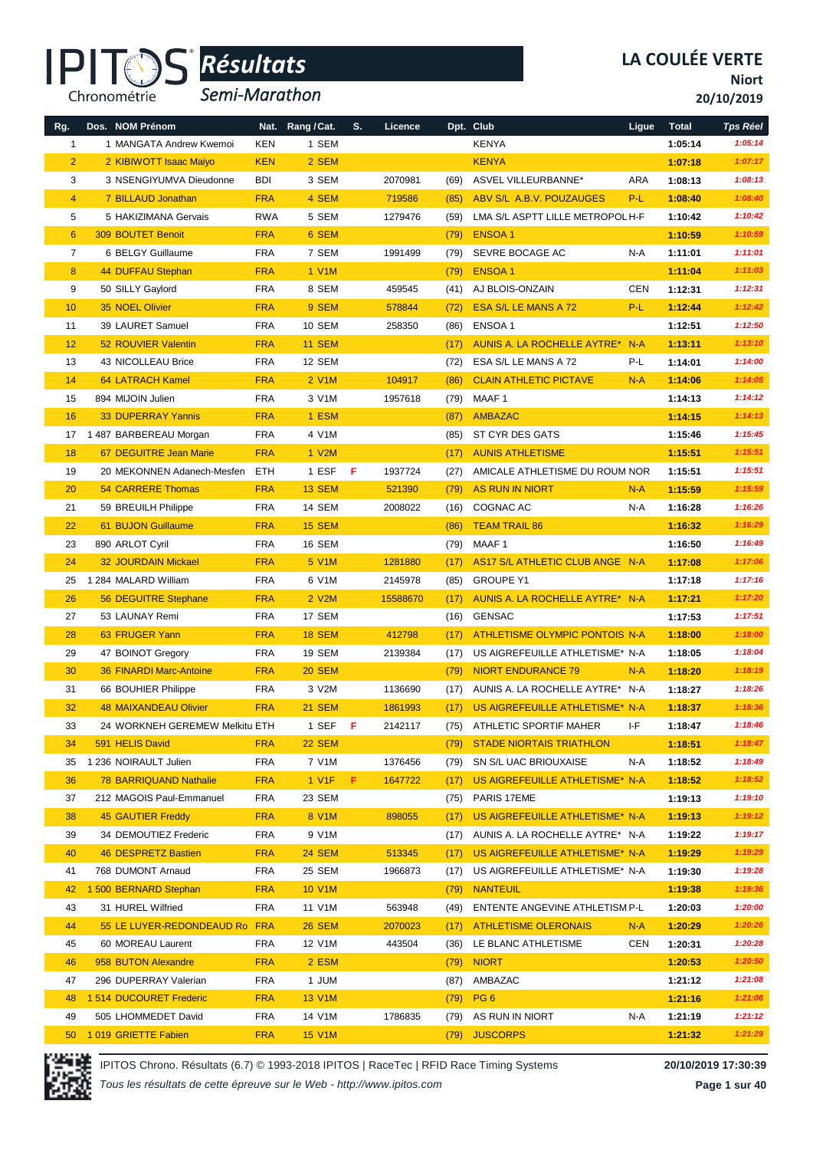#### IPI<sup>-</sup> Chronométrie

# *Résultats* **®**

*Semi-Marathon*

**Niort**

**20/10/2019**

| Rg.             | Dos. NOM Prénom                |            | Nat. Rang / Cat. | S. | Licence  |      | Dpt. Club                        | Ligue      | <b>Total</b> | <b>Tps Réel</b> |
|-----------------|--------------------------------|------------|------------------|----|----------|------|----------------------------------|------------|--------------|-----------------|
| $\mathbf{1}$    | 1 MANGATA Andrew Kwemoi        | KEN        | 1 SEM            |    |          |      | <b>KENYA</b>                     |            | 1:05:14      | 1:05:14         |
| $\overline{2}$  | 2 KIBIWOTT Isaac Maiyo         | <b>KEN</b> | 2 SEM            |    |          |      | <b>KENYA</b>                     |            | 1:07:18      | 1:07:17         |
| 3               | 3 NSENGIYUMVA Dieudonne        | <b>BDI</b> | 3 SEM            |    | 2070981  | (69) | ASVEL VILLEURBANNE*              | ARA        | 1:08:13      | 1:08:13         |
| $\overline{4}$  | 7 BILLAUD Jonathan             | <b>FRA</b> | 4 SEM            |    | 719586   | (85) | ABV S/L A.B.V. POUZAUGES         | P-L        | 1:08:40      | 1:08:40         |
| 5               | 5 HAKIZIMANA Gervais           | <b>RWA</b> | 5 SEM            |    | 1279476  | (59) | LMA S/L ASPTT LILLE METROPOL H-F |            | 1:10:42      | 1:10:42         |
| $6\phantom{1}$  | 309 BOUTET Benoit              | <b>FRA</b> | 6 SEM            |    |          | (79) | <b>ENSOA1</b>                    |            | 1:10:59      | 1:10:59         |
| $\overline{7}$  | 6 BELGY Guillaume              | <b>FRA</b> | 7 SEM            |    | 1991499  | (79) | SEVRE BOCAGE AC                  | N-A        | 1:11:01      | 1:11:01         |
| 8               | 44 DUFFAU Stephan              | <b>FRA</b> | 1 V1M            |    |          | (79) | <b>ENSOA1</b>                    |            | 1:11:04      | 1:11:03         |
| 9               | 50 SILLY Gaylord               | <b>FRA</b> | 8 SEM            |    | 459545   | (41) | AJ BLOIS-ONZAIN                  | <b>CEN</b> | 1:12:31      | 1:12:31         |
| 10              | 35 NOEL Olivier                | <b>FRA</b> | 9 SEM            |    | 578844   | (72) | ESA S/L LE MANS A 72             | P-L        | 1:12:44      | 1:12:42         |
| 11              | 39 LAURET Samuel               | <b>FRA</b> | 10 SEM           |    | 258350   | (86) | ENSOA 1                          |            | 1:12:51      | 1:12:50         |
| 12              | 52 ROUVIER Valentin            | <b>FRA</b> | <b>11 SEM</b>    |    |          | (17) | AUNIS A. LA ROCHELLE AYTRE* N-A  |            | 1:13:11      | 1:13:10         |
| 13              | 43 NICOLLEAU Brice             | <b>FRA</b> | 12 SEM           |    |          | (72) | ESA S/L LE MANS A 72             | P-L        | 1:14:01      | 1:14:00         |
| 14              | <b>64 LATRACH Kamel</b>        | <b>FRA</b> | 2 V1M            |    | 104917   | (86) | <b>CLAIN ATHLETIC PICTAVE</b>    | $N-A$      | 1:14:06      | 1:14:05         |
| 15              | 894 MIJOIN Julien              | <b>FRA</b> | 3 V1M            |    | 1957618  | (79) | MAAF 1                           |            | 1:14:13      | 1:14:12         |
| 16              | <b>33 DUPERRAY Yannis</b>      | <b>FRA</b> | 1 ESM            |    |          | (87) | <b>AMBAZAC</b>                   |            | 1:14:15      | 1:14:13         |
| 17              | 1487 BARBEREAU Morgan          | <b>FRA</b> | 4 V1M            |    |          | (85) | <b>ST CYR DES GATS</b>           |            | 1:15:46      | 1:15:45         |
| 18              | 67 DEGUITRE Jean Marie         | <b>FRA</b> | 1 V2M            |    |          | (17) | <b>AUNIS ATHLETISME</b>          |            | 1:15:51      | 1:15:51         |
| 19              | 20 MEKONNEN Adanech-Mesfen     | ETH        | 1 ESF            | F  | 1937724  | (27) | AMICALE ATHLETISME DU ROUM NOR   |            | 1:15:51      | 1:15:51         |
| 20              | <b>54 CARRERE Thomas</b>       | <b>FRA</b> | <b>13 SEM</b>    |    | 521390   | (79) | <b>AS RUN IN NIORT</b>           | $N-A$      | 1:15:59      | 1:15:59         |
| 21              | 59 BREUILH Philippe            | <b>FRA</b> | 14 SEM           |    | 2008022  | (16) | COGNAC AC                        | N-A        | 1:16:28      | 1:16:26         |
| 22              | 61 BUJON Guillaume             | <b>FRA</b> | <b>15 SEM</b>    |    |          | (86) | <b>TEAM TRAIL 86</b>             |            | 1:16:32      | 1:16:29         |
| 23              | 890 ARLOT Cyril                | <b>FRA</b> | 16 SEM           |    |          | (79) | MAAF 1                           |            | 1:16:50      | 1:16:49         |
| 24              | <b>32 JOURDAIN Mickael</b>     | <b>FRA</b> | 5 V1M            |    | 1281880  | (17) | AS17 S/L ATHLETIC CLUB ANGE N-A  |            | 1:17:08      | 1:17:06         |
| 25              | 1 284 MALARD William           | <b>FRA</b> | 6 V1M            |    | 2145978  | (85) | <b>GROUPE Y1</b>                 |            | 1:17:18      | 1:17:16         |
| 26              | 56 DEGUITRE Stephane           | <b>FRA</b> | 2 V2M            |    | 15588670 | (17) | AUNIS A. LA ROCHELLE AYTRE* N-A  |            | 1:17:21      | 1:17:20         |
| 27              | 53 LAUNAY Remi                 | <b>FRA</b> | 17 SEM           |    |          | (16) | <b>GENSAC</b>                    |            | 1:17:53      | 1:17:51         |
| 28              | 63 FRUGER Yann                 | <b>FRA</b> | <b>18 SEM</b>    |    | 412798   | (17) | ATHLETISME OLYMPIC PONTOIS N-A   |            | 1:18:00      | 1:18:00         |
| 29              | 47 BOINOT Gregory              | <b>FRA</b> | 19 SEM           |    | 2139384  | (17) | US AIGREFEUILLE ATHLETISME* N-A  |            | 1:18:05      | 1:18:04         |
| 30              | 36 FINARDI Marc-Antoine        | <b>FRA</b> | <b>20 SEM</b>    |    |          | (79) | <b>NIORT ENDURANCE 79</b>        | $N-A$      | 1:18:20      | 1:18:19         |
| 31              | 66 BOUHIER Philippe            | <b>FRA</b> | 3 V2M            |    | 1136690  | (17) | AUNIS A. LA ROCHELLE AYTRE* N-A  |            | 1:18:27      | 1:18:26         |
| 32              | <b>48 MAIXANDEAU Olivier</b>   | <b>FRA</b> | <b>21 SEM</b>    |    | 1861993  | (17) | US AIGREFEUILLE ATHLETISME* N-A  |            | 1:18:37      | 1:18:36         |
| 33              | 24 WORKNEH GEREMEW Melkitu ETH |            | 1 SEF F          |    | 2142117  |      | (75) ATHLETIC SPORTIF MAHER      | ŀF.        | 1:18:47      | 1:18:46         |
| 34              | 591 HELIS David                | <b>FRA</b> | <b>22 SEM</b>    |    |          | (79) | <b>STADE NIORTAIS TRIATHLON</b>  |            | 1:18:51      | 1:18:47         |
| 35              | 1 236 NOIRAULT Julien          | <b>FRA</b> | 7 V1M            |    | 1376456  | (79) | SN S/L UAC BRIOUXAISE            | N-A        | 1:18:52      | 1:18:49         |
| 36              | <b>78 BARRIQUAND Nathalie</b>  | <b>FRA</b> | 1 V1F            | F. | 1647722  | (17) | US AIGREFEUILLE ATHLETISME* N-A  |            | 1:18:52      | 1:18:52         |
| 37              | 212 MAGOIS Paul-Emmanuel       | <b>FRA</b> | 23 SEM           |    |          | (75) | PARIS 17EME                      |            | 1:19:13      | 1:19:10         |
| 38              | <b>45 GAUTIER Freddy</b>       | <b>FRA</b> | 8 V1M            |    | 898055   | (17) | US AIGREFEUILLE ATHLETISME* N-A  |            | 1:19:13      | 1:19:12         |
| 39              | 34 DEMOUTIEZ Frederic          | <b>FRA</b> | 9 V1M            |    |          | (17) | AUNIS A. LA ROCHELLE AYTRE* N-A  |            | 1:19:22      | 1:19:17         |
| 40              | 46 DESPRETZ Bastien            | <b>FRA</b> | <b>24 SEM</b>    |    | 513345   | (17) | US AIGREFEUILLE ATHLETISME* N-A  |            | 1:19:29      | 1:19:29         |
| 41              | 768 DUMONT Arnaud              | <b>FRA</b> | 25 SEM           |    | 1966873  | (17) | US AIGREFEUILLE ATHLETISME* N-A  |            | 1:19:30      | 1:19:28         |
| 42              | 1500 BERNARD Stephan           | <b>FRA</b> | <b>10 V1M</b>    |    |          |      | (79) NANTEUIL                    |            | 1:19:38      | 1:19:36         |
| 43              | 31 HUREL Wilfried              | <b>FRA</b> | 11 V1M           |    | 563948   | (49) | ENTENTE ANGEVINE ATHLETISM P-L   |            | 1:20:03      | 1:20:00         |
| 44              | 55 LE LUYER-REDONDEAUD Ro FRA  |            | <b>26 SEM</b>    |    | 2070023  | (17) | <b>ATHLETISME OLERONAIS</b>      | $N-A$      | 1:20:29      | 1:20:26         |
| 45              | 60 MOREAU Laurent              | <b>FRA</b> | 12 V1M           |    | 443504   | (36) | LE BLANC ATHLETISME              | CEN        | 1:20:31      | 1:20:28         |
| 46              | 958 BUTON Alexandre            | <b>FRA</b> | 2 ESM            |    |          | (79) | <b>NIORT</b>                     |            | 1:20:53      | 1:20:50         |
| 47              | 296 DUPERRAY Valerian          | <b>FRA</b> | 1 JUM            |    |          | (87) | AMBAZAC                          |            | 1:21:12      | 1:21:08         |
| 48              | 1514 DUCOURET Frederic         | <b>FRA</b> | <b>13 V1M</b>    |    |          | (79) | PG <sub>6</sub>                  |            | 1:21:16      | 1:21:06         |
| 49              | 505 LHOMMEDET David            | <b>FRA</b> | 14 V1M           |    | 1786835  |      | (79) AS RUN IN NIORT             | N-A        | 1:21:19      | 1:21:12         |
| 50 <sub>2</sub> | 1019 GRIETTE Fabien            | <b>FRA</b> | <b>15 V1M</b>    |    |          | (79) | <b>JUSCORPS</b>                  |            | 1:21:32      | 1:21:29         |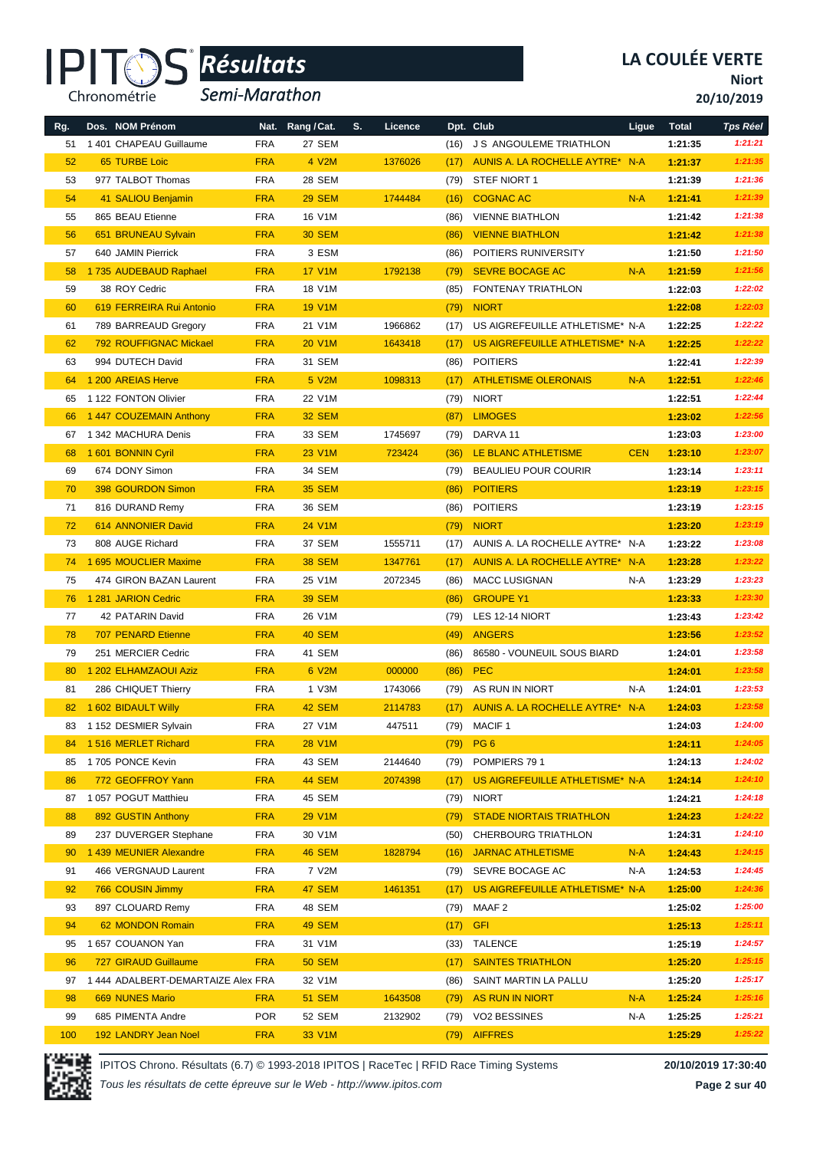

*Semi-Marathon*

**Niort**

**20/10/2019**

| Rg. | Dos. NOM Prénom                    |            | Nat. Rang/Cat. | S. | Licence |      | Dpt. Club                       | Ligue      | <b>Total</b> | <b>Tps Réel</b> |
|-----|------------------------------------|------------|----------------|----|---------|------|---------------------------------|------------|--------------|-----------------|
| 51  | 1 401 CHAPEAU Guillaume            | <b>FRA</b> | 27 SEM         |    |         | (16) | <b>JS ANGOULEME TRIATHLON</b>   |            | 1:21:35      | 1:21:21         |
| 52  | <b>65 TURBE Loic</b>               | <b>FRA</b> | 4 V2M          |    | 1376026 | (17) | AUNIS A. LA ROCHELLE AYTRE* N-A |            | 1:21:37      | 1:21:35         |
| 53  | 977 TALBOT Thomas                  | <b>FRA</b> | 28 SEM         |    |         | (79) | STEF NIORT 1                    |            | 1:21:39      | 1:21:36         |
| 54  | 41 SALIOU Benjamin                 | <b>FRA</b> | <b>29 SEM</b>  |    | 1744484 | (16) | <b>COGNAC AC</b>                | $N-A$      | 1:21:41      | 1:21:39         |
| 55  | 865 BEAU Etienne                   | <b>FRA</b> | 16 V1M         |    |         | (86) | <b>VIENNE BIATHLON</b>          |            | 1:21:42      | 1:21:38         |
| 56  | 651 BRUNEAU Sylvain                | <b>FRA</b> | <b>30 SEM</b>  |    |         | (86) | <b>VIENNE BIATHLON</b>          |            | 1:21:42      | 1:21:38         |
| 57  | 640 JAMIN Pierrick                 | <b>FRA</b> | 3 ESM          |    |         | (86) | POITIERS RUNIVERSITY            |            | 1:21:50      | 1:21:50         |
| 58  | 1735 AUDEBAUD Raphael              | <b>FRA</b> | <b>17 V1M</b>  |    | 1792138 | (79) | <b>SEVRE BOCAGE AC</b>          | $N-A$      | 1:21:59      | 1:21:56         |
| 59  | 38 ROY Cedric                      | <b>FRA</b> | 18 V1M         |    |         | (85) | FONTENAY TRIATHLON              |            | 1:22:03      | 1:22:02         |
| 60  | 619 FERREIRA Rui Antonio           | <b>FRA</b> | <b>19 V1M</b>  |    |         | (79) | <b>NIORT</b>                    |            | 1:22:08      | 1:22:03         |
| 61  | 789 BARREAUD Gregory               | <b>FRA</b> | 21 V1M         |    | 1966862 | (17) | US AIGREFEUILLE ATHLETISME* N-A |            | 1:22:25      | 1:22:22         |
| 62  | 792 ROUFFIGNAC Mickael             | <b>FRA</b> | <b>20 V1M</b>  |    | 1643418 | (17) | US AIGREFEUILLE ATHLETISME* N-A |            | 1:22:25      | 1:22:22         |
| 63  | 994 DUTECH David                   | <b>FRA</b> | 31 SEM         |    |         | (86) | <b>POITIERS</b>                 |            | 1:22:41      | 1:22:39         |
| 64  | 1 200 AREIAS Herve                 | <b>FRA</b> | 5 V2M          |    | 1098313 | (17) | <b>ATHLETISME OLERONAIS</b>     | $N-A$      | 1:22:51      | 1:22:46         |
| 65  | 1 122 FONTON Olivier               | <b>FRA</b> | 22 V1M         |    |         | (79) | <b>NIORT</b>                    |            | 1:22:51      | 1:22:44         |
| 66  | 1 447 COUZEMAIN Anthony            | <b>FRA</b> | <b>32 SEM</b>  |    |         | (87) | <b>LIMOGES</b>                  |            | 1:23:02      | 1:22:56         |
| 67  | 1 342 MACHURA Denis                | <b>FRA</b> | 33 SEM         |    | 1745697 | (79) | DARVA 11                        |            | 1:23:03      | 1:23:00         |
| 68  | 1 601 BONNIN Cyril                 | <b>FRA</b> | 23 V1M         |    | 723424  | (36) | LE BLANC ATHLETISME             | <b>CEN</b> | 1:23:10      | 1:23:07         |
| 69  | 674 DONY Simon                     | <b>FRA</b> | 34 SEM         |    |         | (79) | <b>BEAULIEU POUR COURIR</b>     |            | 1:23:14      | 1:23:11         |
| 70  | 398 GOURDON Simon                  | <b>FRA</b> | <b>35 SEM</b>  |    |         | (86) | <b>POITIERS</b>                 |            | 1:23:19      | 1:23:15         |
| 71  | 816 DURAND Remy                    | <b>FRA</b> | 36 SEM         |    |         | (86) | <b>POITIERS</b>                 |            | 1:23:19      | 1:23:15         |
| 72  | 614 ANNONIER David                 | <b>FRA</b> | 24 V1M         |    |         | (79) | <b>NIORT</b>                    |            | 1:23:20      | 1:23:19         |
| 73  | 808 AUGE Richard                   | <b>FRA</b> | 37 SEM         |    | 1555711 | (17) | AUNIS A. LA ROCHELLE AYTRE* N-A |            | 1:23:22      | 1:23:08         |
| 74  | 1 695 MOUCLIER Maxime              | <b>FRA</b> | <b>38 SEM</b>  |    | 1347761 | (17) | AUNIS A. LA ROCHELLE AYTRE* N-A |            | 1:23:28      | 1:23:22         |
| 75  | 474 GIRON BAZAN Laurent            | <b>FRA</b> | 25 V1M         |    | 2072345 | (86) | <b>MACC LUSIGNAN</b>            | N-A        | 1:23:29      | 1:23:23         |
| 76  | 1 281 JARION Cedric                | <b>FRA</b> | <b>39 SEM</b>  |    |         | (86) | <b>GROUPE Y1</b>                |            | 1:23:33      | 1:23:30         |
| 77  | 42 PATARIN David                   | <b>FRA</b> | 26 V1M         |    |         | (79) | LES 12-14 NIORT                 |            | 1:23:43      | 1:23:42         |
| 78  | <b>707 PENARD Etienne</b>          | <b>FRA</b> | <b>40 SEM</b>  |    |         | (49) | <b>ANGERS</b>                   |            | 1:23:56      | 1:23:52         |
| 79  | 251 MERCIER Cedric                 | <b>FRA</b> | 41 SEM         |    |         | (86) | 86580 - VOUNEUIL SOUS BIARD     |            | 1:24:01      | 1:23:58         |
| 80  | 1 202 ELHAMZAOUI Aziz              | <b>FRA</b> | 6 V2M          |    | 000000  | (86) | <b>PEC</b>                      |            | 1:24:01      | 1:23:58         |
| 81  | 286 CHIQUET Thierry                | <b>FRA</b> | 1 V3M          |    | 1743066 | (79) | AS RUN IN NIORT                 | N-A        | 1:24:01      | 1:23:53         |
| 82  | 1 602 BIDAULT Willy                | <b>FRA</b> | 42 SEM         |    | 2114783 | (17) | AUNIS A. LA ROCHELLE AYTRE* N-A |            | 1:24:03      | 1:23:58         |
| 83  | 1 152 DESMIER Sylvain              | FRA        | 27 V1M         |    | 447511  | (79) | MACIF 1                         |            | 1:24:03      | 1:24:00         |
| 84  | 1516 MERLET Richard                | <b>FRA</b> | <b>28 V1M</b>  |    |         | (79) | PG <sub>6</sub>                 |            | 1:24:11      | 1:24:05         |
| 85  | 1705 PONCE Kevin                   | <b>FRA</b> | 43 SEM         |    | 2144640 | (79) | POMPIERS 791                    |            | 1:24:13      | 1:24:02         |
| 86  | 772 GEOFFROY Yann                  | <b>FRA</b> | 44 SEM         |    | 2074398 | (17) | US AIGREFEUILLE ATHLETISME* N-A |            | 1:24:14      | 1:24:10         |
| 87  | 1 057 POGUT Matthieu               | <b>FRA</b> | 45 SEM         |    |         | (79) | NIORT                           |            | 1:24:21      | 1:24:18         |
| 88  | 892 GUSTIN Anthony                 | <b>FRA</b> | 29 V1M         |    |         | (79) | <b>STADE NIORTAIS TRIATHLON</b> |            | 1:24:23      | 1:24:22         |
| 89  | 237 DUVERGER Stephane              | <b>FRA</b> | 30 V1M         |    |         | (50) | CHERBOURG TRIATHLON             |            | 1:24:31      | 1:24:10         |
| 90  | 1 439 MEUNIER Alexandre            | <b>FRA</b> | <b>46 SEM</b>  |    | 1828794 | (16) | <b>JARNAC ATHLETISME</b>        | $N-A$      | 1:24:43      | 1:24:15         |
| 91  | 466 VERGNAUD Laurent               | <b>FRA</b> | 7 V2M          |    |         |      | (79) SEVRE BOCAGE AC            | N-A        | 1:24:53      | 1:24:45         |
| 92  | 766 COUSIN Jimmy                   | <b>FRA</b> | 47 SEM         |    | 1461351 | (17) | US AIGREFEUILLE ATHLETISME* N-A |            | 1:25:00      | 1:24:36         |
| 93  | 897 CLOUARD Remy                   | <b>FRA</b> | 48 SEM         |    |         | (79) | MAAF 2                          |            | 1:25:02      | 1:25:00         |
| 94  | 62 MONDON Romain                   | <b>FRA</b> | <b>49 SEM</b>  |    |         | (17) | <b>GFI</b>                      |            | 1:25:13      | 1:25:11         |
| 95  | 1 657 COUANON Yan                  | <b>FRA</b> | 31 V1M         |    |         | (33) | TALENCE                         |            | 1:25:19      | 1:24:57         |
| 96  | 727 GIRAUD Guillaume               | <b>FRA</b> | <b>50 SEM</b>  |    |         | (17) | <b>SAINTES TRIATHLON</b>        |            | 1:25:20      | 1:25:15         |
| 97  | 1 444 ADALBERT-DEMARTAIZE Alex FRA |            | 32 V1M         |    |         | (86) | SAINT MARTIN LA PALLU           |            | 1:25:20      | 1:25:17         |
| 98  | 669 NUNES Mario                    | <b>FRA</b> | <b>51 SEM</b>  |    | 1643508 | (79) | AS RUN IN NIORT                 | $N-A$      | 1:25:24      | 1:25:16         |
| 99  | 685 PIMENTA Andre                  | <b>POR</b> | 52 SEM         |    | 2132902 | (79) | VO2 BESSINES                    | N-A        | 1:25:25      | 1:25:21         |
| 100 | 192 LANDRY Jean Noel               | <b>FRA</b> | 33 V1M         |    |         |      | (79) AIFFRES                    |            | 1:25:29      | 1:25:22         |

IPITOS Chrono. Résultats (6.7) © 1993-2018 IPITOS | RaceTec | RFID Race Timing Systems **20/10/2019 17:30:40**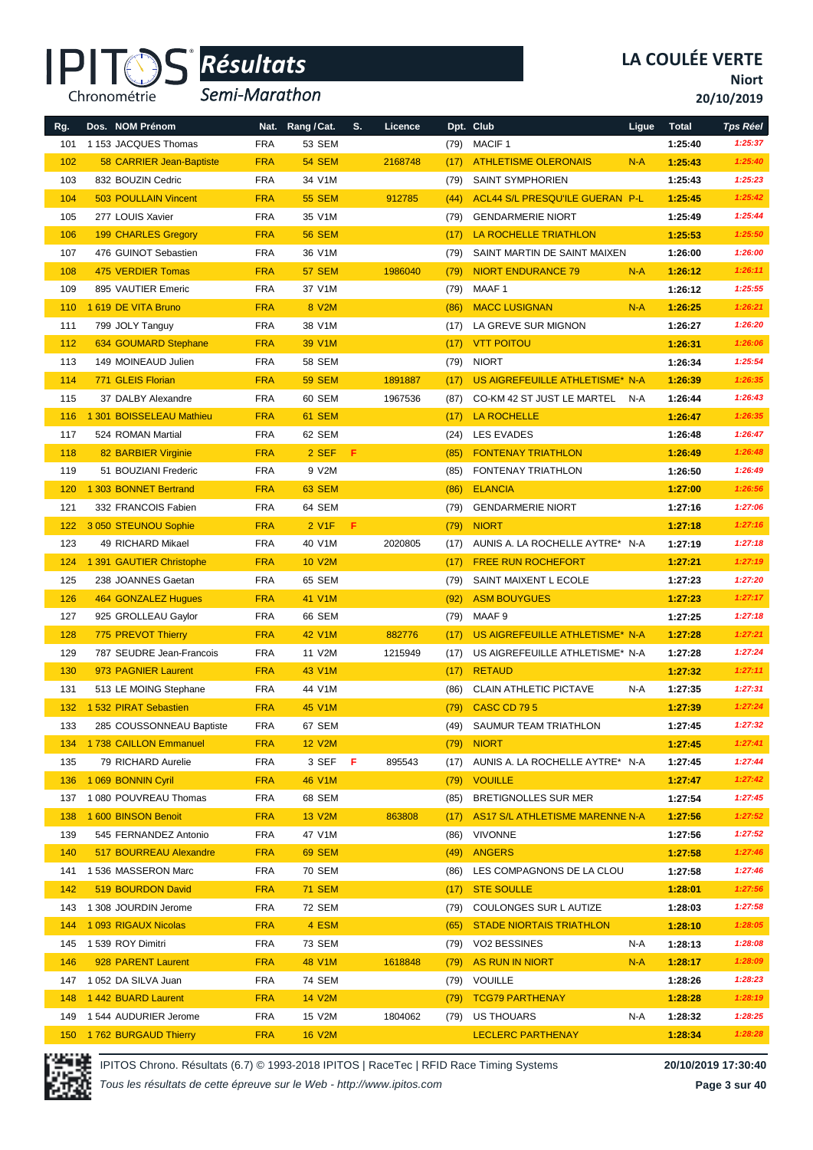

*Semi-Marathon*

**Niort**

**20/10/2019**

| Rg. | Dos. NOM Prénom             |            | Nat. Rang / Cat. | S. | Licence |      | Dpt. Club                              | Ligue | <b>Total</b> | <b>Tps Réel</b> |
|-----|-----------------------------|------------|------------------|----|---------|------|----------------------------------------|-------|--------------|-----------------|
| 101 | 1 153 JACQUES Thomas        | <b>FRA</b> | 53 SEM           |    |         | (79) | <b>MACIF1</b>                          |       | 1:25:40      | 1:25:37         |
| 102 | 58 CARRIER Jean-Baptiste    | <b>FRA</b> | <b>54 SEM</b>    |    | 2168748 | (17) | <b>ATHLETISME OLERONAIS</b>            | $N-A$ | 1:25:43      | 1:25:40         |
| 103 | 832 BOUZIN Cedric           | <b>FRA</b> | 34 V1M           |    |         | (79) | SAINT SYMPHORIEN                       |       | 1:25:43      | 1:25:23         |
| 104 | <b>503 POULLAIN Vincent</b> | <b>FRA</b> | <b>55 SEM</b>    |    | 912785  | (44) | <b>ACL44 S/L PRESQU'ILE GUERAN P-L</b> |       | 1:25:45      | 1:25:42         |
| 105 | 277 LOUIS Xavier            | <b>FRA</b> | 35 V1M           |    |         | (79) | <b>GENDARMERIE NIORT</b>               |       | 1:25:49      | 1:25:44         |
| 106 | <b>199 CHARLES Gregory</b>  | <b>FRA</b> | <b>56 SEM</b>    |    |         | (17) | LA ROCHELLE TRIATHLON                  |       | 1:25:53      | 1:25:50         |
| 107 | 476 GUINOT Sebastien        | <b>FRA</b> | 36 V1M           |    |         | (79) | SAINT MARTIN DE SAINT MAIXEN           |       | 1:26:00      | 1:26:00         |
| 108 | 475 VERDIER Tomas           | <b>FRA</b> | <b>57 SEM</b>    |    | 1986040 | (79) | <b>NIORT ENDURANCE 79</b>              | $N-A$ | 1:26:12      | 1:26:11         |
| 109 | 895 VAUTIER Emeric          | <b>FRA</b> | 37 V1M           |    |         | (79) | MAAF 1                                 |       | 1:26:12      | 1:25:55         |
| 110 | 1 619 DE VITA Bruno         | <b>FRA</b> | 8 V2M            |    |         | (86) | <b>MACC LUSIGNAN</b>                   | $N-A$ | 1:26:25      | 1:26:21         |
| 111 | 799 JOLY Tanguy             | <b>FRA</b> | 38 V1M           |    |         | (17) | LA GREVE SUR MIGNON                    |       | 1:26:27      | 1:26:20         |
| 112 | 634 GOUMARD Stephane        | <b>FRA</b> | 39 V1M           |    |         | (17) | <b>VTT POITOU</b>                      |       | 1:26:31      | 1:26:06         |
| 113 | 149 MOINEAUD Julien         | <b>FRA</b> | <b>58 SEM</b>    |    |         | (79) | <b>NIORT</b>                           |       | 1:26:34      | 1:25:54         |
| 114 | 771 GLEIS Florian           | <b>FRA</b> | <b>59 SEM</b>    |    | 1891887 | (17) | US AIGREFEUILLE ATHLETISME* N-A        |       | 1:26:39      | 1:26:35         |
| 115 | 37 DALBY Alexandre          | <b>FRA</b> | 60 SEM           |    | 1967536 | (87) | CO-KM 42 ST JUST LE MARTEL             | N-A   | 1:26:44      | 1:26:43         |
| 116 | 1 301 BOISSELEAU Mathieu    | <b>FRA</b> | 61 SEM           |    |         | (17) | <b>LA ROCHELLE</b>                     |       | 1:26:47      | 1:26:35         |
| 117 | 524 ROMAN Martial           | <b>FRA</b> | 62 SEM           |    |         | (24) | <b>LES EVADES</b>                      |       | 1:26:48      | 1:26:47         |
| 118 | 82 BARBIER Virginie         | <b>FRA</b> | 2 SEF            | F  |         | (85) | <b>FONTENAY TRIATHLON</b>              |       | 1:26:49      | 1:26:48         |
| 119 | 51 BOUZIANI Frederic        | <b>FRA</b> | 9 V2M            |    |         | (85) | FONTENAY TRIATHLON                     |       | 1:26:50      | 1:26:49         |
| 120 | 1 303 BONNET Bertrand       | <b>FRA</b> | <b>63 SEM</b>    |    |         | (86) | <b>ELANCIA</b>                         |       | 1:27:00      | 1:26:56         |
| 121 | 332 FRANCOIS Fabien         | <b>FRA</b> | 64 SEM           |    |         | (79) | <b>GENDARMERIE NIORT</b>               |       | 1:27:16      | 1:27:06         |
| 122 | 3 050 STEUNOU Sophie        | <b>FRA</b> | 2 V1F            | F. |         | (79) | <b>NIORT</b>                           |       | 1:27:18      | 1:27:16         |
| 123 | 49 RICHARD Mikael           | <b>FRA</b> | 40 V1M           |    | 2020805 | (17) | AUNIS A. LA ROCHELLE AYTRE* N-A        |       | 1:27:19      | 1:27:18         |
| 124 | 1 391 GAUTIER Christophe    | <b>FRA</b> | <b>10 V2M</b>    |    |         | (17) | <b>FREE RUN ROCHEFORT</b>              |       | 1:27:21      | 1:27:19         |
| 125 | 238 JOANNES Gaetan          | <b>FRA</b> | 65 SEM           |    |         | (79) | SAINT MAIXENT L ECOLE                  |       | 1:27:23      | 1:27:20         |
| 126 | 464 GONZALEZ Hugues         | <b>FRA</b> | <b>41 V1M</b>    |    |         | (92) | <b>ASM BOUYGUES</b>                    |       | 1:27:23      | 1:27:17         |
| 127 | 925 GROLLEAU Gaylor         | <b>FRA</b> | 66 SEM           |    |         | (79) | MAAF 9                                 |       | 1:27:25      | 1:27:18         |
| 128 | 775 PREVOT Thierry          | <b>FRA</b> | <b>42 V1M</b>    |    | 882776  | (17) | US AIGREFEUILLE ATHLETISME* N-A        |       | 1:27:28      | 1:27:21         |
| 129 | 787 SEUDRE Jean-Francois    | <b>FRA</b> | 11 V2M           |    | 1215949 | (17) | US AIGREFEUILLE ATHLETISME* N-A        |       | 1:27:28      | 1:27:24         |
| 130 | 973 PAGNIER Laurent         | <b>FRA</b> | 43 V1M           |    |         | (17) | <b>RETAUD</b>                          |       | 1:27:32      | 1:27:11         |
| 131 | 513 LE MOING Stephane       | <b>FRA</b> | 44 V1M           |    |         | (86) | <b>CLAIN ATHLETIC PICTAVE</b>          | N-A   | 1:27:35      | 1:27:31         |
| 132 | 1 532 PIRAT Sebastien       | <b>FRA</b> | 45 V1M           |    |         | (79) | <b>CASC CD 795</b>                     |       | 1:27:39      | 1:27:24         |
| 133 | 285 COUSSONNEAU Baptiste    | FRA        | 67 SEM           |    |         | (49) | SAUMUR TEAM TRIATHLON                  |       | 1:27:45      | 1:27:32         |
| 134 | 1738 CAILLON Emmanuel       | <b>FRA</b> | <b>12 V2M</b>    |    |         | (79) | <b>NIORT</b>                           |       | 1:27:45      | 1:27:41         |
| 135 | 79 RICHARD Aurelie          | <b>FRA</b> | 3 SEF F          |    | 895543  | (17) | AUNIS A. LA ROCHELLE AYTRE* N-A        |       | 1:27:45      | 1:27:44         |
| 136 | 1 069 BONNIN Cyril          | <b>FRA</b> | <b>46 V1M</b>    |    |         | (79) | <b>VOUILLE</b>                         |       | 1:27:47      | 1:27:42         |
| 137 | 1 080 POUVREAU Thomas       | <b>FRA</b> | 68 SEM           |    |         | (85) | BRETIGNOLLES SUR MER                   |       | 1:27:54      | 1:27:45         |
| 138 | 1 600 BINSON Benoit         | <b>FRA</b> | <b>13 V2M</b>    |    | 863808  | (17) | AS17 S/L ATHLETISME MARENNE N-A        |       | 1:27:56      | 1:27:52         |
| 139 | 545 FERNANDEZ Antonio       | <b>FRA</b> | 47 V1M           |    |         | (86) | <b>VIVONNE</b>                         |       | 1:27:56      | 1:27:52         |
| 140 | 517 BOURREAU Alexandre      | <b>FRA</b> | <b>69 SEM</b>    |    |         | (49) | <b>ANGERS</b>                          |       | 1:27:58      | 1:27:46         |
| 141 | 1536 MASSERON Marc          | <b>FRA</b> | 70 SEM           |    |         | (86) | LES COMPAGNONS DE LA CLOU              |       | 1:27:58      | 1:27:46         |
| 142 | 519 BOURDON David           | <b>FRA</b> | <b>71 SEM</b>    |    |         | (17) | <b>STE SOULLE</b>                      |       | 1:28:01      | 1:27:56         |
|     | 143 1 308 JOURDIN Jerome    | <b>FRA</b> | 72 SEM           |    |         | (79) | COULONGES SUR L AUTIZE                 |       | 1:28:03      | 1:27:58         |
| 144 | 1 093 RIGAUX Nicolas        | <b>FRA</b> | 4 ESM            |    |         | (65) | <b>STADE NIORTAIS TRIATHLON</b>        |       | 1:28:10      | 1:28:05         |
| 145 | 1 539 ROY Dimitri           | <b>FRA</b> | 73 SEM           |    |         | (79) | VO2 BESSINES                           | N-A   | 1:28:13      | 1:28:08         |
| 146 | 928 PARENT Laurent          | <b>FRA</b> | 48 V1M           |    | 1618848 | (79) | AS RUN IN NIORT                        | $N-A$ | 1:28:17      | 1:28:09         |
|     | 147 1 052 DA SILVA Juan     | <b>FRA</b> | 74 SEM           |    |         | (79) | VOUILLE                                |       | 1:28:26      | 1:28:23         |
| 148 | 1442 BUARD Laurent          | <b>FRA</b> | <b>14 V2M</b>    |    |         | (79) | <b>TCG79 PARTHENAY</b>                 |       | 1:28:28      | 1:28:19         |
| 149 | 1544 AUDURIER Jerome        | <b>FRA</b> | 15 V2M           |    | 1804062 | (79) | US THOUARS                             | N-A   | 1:28:32      | 1:28:25         |
|     | 150 1762 BURGAUD Thierry    | <b>FRA</b> | <b>16 V2M</b>    |    |         |      | <b>LECLERC PARTHENAY</b>               |       | 1:28:34      | 1:28:28         |

IPITOS Chrono. Résultats (6.7) © 1993-2018 IPITOS | RaceTec | RFID Race Timing Systems **20/10/2019 17:30:40**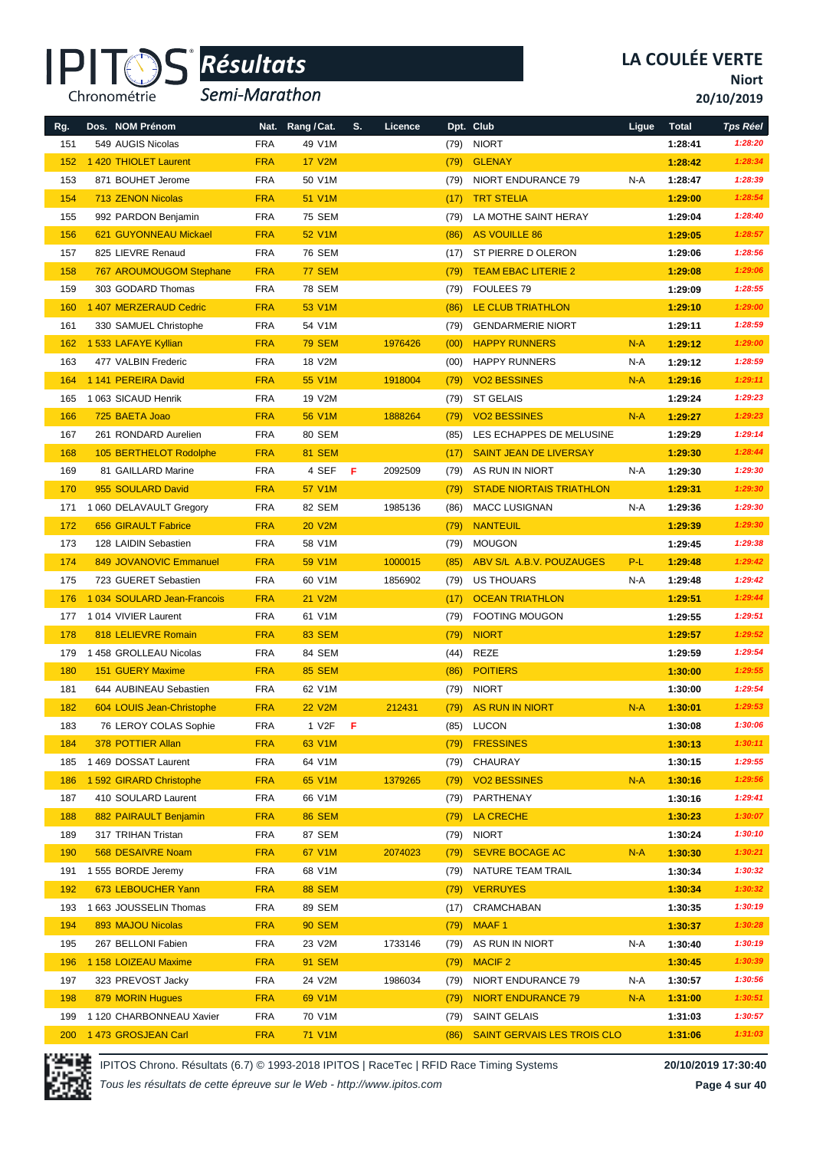

*Semi-Marathon*

**Niort**

**20/10/2019**

| Rg. | Dos. NOM Prénom             |            | Nat. Rang / Cat. | S. | Licence |      | Dpt. Club                       | Ligue | <b>Total</b> | <b>Tps Réel</b> |
|-----|-----------------------------|------------|------------------|----|---------|------|---------------------------------|-------|--------------|-----------------|
| 151 | 549 AUGIS Nicolas           | <b>FRA</b> | 49 V1M           |    |         | (79) | <b>NIORT</b>                    |       | 1:28:41      | 1:28:20         |
| 152 | 1 420 THIOLET Laurent       | <b>FRA</b> | <b>17 V2M</b>    |    |         | (79) | <b>GLENAY</b>                   |       | 1:28:42      | 1:28:34         |
| 153 | 871 BOUHET Jerome           | <b>FRA</b> | 50 V1M           |    |         | (79) | NIORT ENDURANCE 79              | N-A   | 1:28:47      | 1:28:39         |
| 154 | 713 ZENON Nicolas           | <b>FRA</b> | 51 V1M           |    |         | (17) | <b>TRT STELIA</b>               |       | 1:29:00      | 1:28:54         |
| 155 | 992 PARDON Benjamin         | <b>FRA</b> | 75 SEM           |    |         | (79) | LA MOTHE SAINT HERAY            |       | 1:29:04      | 1:28:40         |
| 156 | 621 GUYONNEAU Mickael       | <b>FRA</b> | 52 V1M           |    |         | (86) | AS VOUILLE 86                   |       | 1:29:05      | 1:28:57         |
| 157 | 825 LIEVRE Renaud           | <b>FRA</b> | 76 SEM           |    |         | (17) | ST PIERRE D OLERON              |       | 1:29:06      | 1:28:56         |
| 158 | 767 AROUMOUGOM Stephane     | <b>FRA</b> | <b>77 SEM</b>    |    |         | (79) | <b>TEAM EBAC LITERIE 2</b>      |       | 1:29:08      | 1:29:06         |
| 159 | 303 GODARD Thomas           | <b>FRA</b> | <b>78 SEM</b>    |    |         | (79) | FOULEES 79                      |       | 1:29:09      | 1:28:55         |
| 160 | 1 407 MERZERAUD Cedric      | <b>FRA</b> | 53 V1M           |    |         | (86) | LE CLUB TRIATHLON               |       | 1:29:10      | 1:29:00         |
| 161 | 330 SAMUEL Christophe       | <b>FRA</b> | 54 V1M           |    |         | (79) | <b>GENDARMERIE NIORT</b>        |       | 1:29:11      | 1:28:59         |
| 162 | 1 533 LAFAYE Kyllian        | <b>FRA</b> | <b>79 SEM</b>    |    | 1976426 | (00) | <b>HAPPY RUNNERS</b>            | $N-A$ | 1:29:12      | 1:29:00         |
| 163 | 477 VALBIN Frederic         | <b>FRA</b> | 18 V2M           |    |         | (00) | <b>HAPPY RUNNERS</b>            | N-A   | 1:29:12      | 1:28:59         |
| 164 | 1 141 PEREIRA David         | <b>FRA</b> | 55 V1M           |    | 1918004 | (79) | <b>VO2 BESSINES</b>             | $N-A$ | 1:29:16      | 1:29:11         |
| 165 | 1063 SICAUD Henrik          | <b>FRA</b> | 19 V2M           |    |         | (79) | <b>ST GELAIS</b>                |       | 1:29:24      | 1:29:23         |
| 166 | 725 BAETA Joao              | <b>FRA</b> | 56 V1M           |    | 1888264 | (79) | <b>VO2 BESSINES</b>             | $N-A$ | 1:29:27      | 1:29:23         |
| 167 | 261 RONDARD Aurelien        | <b>FRA</b> | 80 SEM           |    |         | (85) | LES ECHAPPES DE MELUSINE        |       | 1:29:29      | 1:29:14         |
| 168 | 105 BERTHELOT Rodolphe      | <b>FRA</b> | <b>81 SEM</b>    |    |         | (17) | <b>SAINT JEAN DE LIVERSAY</b>   |       | 1:29:30      | 1:28:44         |
| 169 | 81 GAILLARD Marine          | <b>FRA</b> | 4 SEF            | F  | 2092509 | (79) | AS RUN IN NIORT                 | N-A   | 1:29:30      | 1:29:30         |
| 170 | 955 SOULARD David           | <b>FRA</b> | 57 V1M           |    |         | (79) | <b>STADE NIORTAIS TRIATHLON</b> |       | 1:29:31      | 1:29:30         |
| 171 | 1 060 DELAVAULT Gregory     | <b>FRA</b> | 82 SEM           |    | 1985136 | (86) | <b>MACC LUSIGNAN</b>            | N-A   | 1:29:36      | 1:29:30         |
| 172 | <b>656 GIRAULT Fabrice</b>  | <b>FRA</b> | <b>20 V2M</b>    |    |         | (79) | <b>NANTEUIL</b>                 |       | 1:29:39      | 1:29:30         |
| 173 | 128 LAIDIN Sebastien        | <b>FRA</b> | 58 V1M           |    |         | (79) | <b>MOUGON</b>                   |       | 1:29:45      | 1:29:38         |
| 174 | 849 JOVANOVIC Emmanuel      | <b>FRA</b> | 59 V1M           |    | 1000015 | (85) | ABV S/L A.B.V. POUZAUGES        | P-L   | 1:29:48      | 1:29:42         |
| 175 | 723 GUERET Sebastien        | <b>FRA</b> | 60 V1M           |    | 1856902 | (79) | <b>US THOUARS</b>               | N-A   | 1:29:48      | 1:29:42         |
| 176 | 1 034 SOULARD Jean-Francois | <b>FRA</b> | <b>21 V2M</b>    |    |         | (17) | <b>OCEAN TRIATHLON</b>          |       | 1:29:51      | 1:29:44         |
|     | 177 1 014 VIVIER Laurent    | <b>FRA</b> | 61 V1M           |    |         | (79) | <b>FOOTING MOUGON</b>           |       | 1:29:55      | 1:29:51         |
| 178 | 818 LELIEVRE Romain         | <b>FRA</b> | <b>83 SEM</b>    |    |         | (79) | <b>NIORT</b>                    |       | 1:29:57      | 1:29:52         |
| 179 | 1 458 GROLLEAU Nicolas      | <b>FRA</b> | 84 SEM           |    |         | (44) | REZE                            |       | 1:29:59      | 1:29:54         |
| 180 | <b>151 GUERY Maxime</b>     | <b>FRA</b> | <b>85 SEM</b>    |    |         | (86) | <b>POITIERS</b>                 |       | 1:30:00      | 1:29:55         |
| 181 | 644 AUBINEAU Sebastien      | <b>FRA</b> | 62 V1M           |    |         | (79) | NIORT                           |       | 1:30:00      | 1:29:54         |
| 182 | 604 LOUIS Jean-Christophe   | <b>FRA</b> | <b>22 V2M</b>    |    | 212431  | (79) | AS RUN IN NIORT                 | $N-A$ | 1:30:01      | 1:29:53         |
| 183 | 76 LEROY COLAS Sophie       | <b>FRA</b> | 1 V2F $\sqrt{F}$ |    |         |      | (85) LUCON                      |       | 1:30:08      | 1:30:06         |
| 184 | 378 POTTIER Allan           | <b>FRA</b> | 63 V1M           |    |         | (79) | <b>FRESSINES</b>                |       | 1:30:13      | 1:30:11         |
| 185 | 1 469 DOSSAT Laurent        | <b>FRA</b> | 64 V1M           |    |         | (79) | CHAURAY                         |       | 1:30:15      | 1:29:55         |
| 186 | 1 592 GIRARD Christophe     | <b>FRA</b> | 65 V1M           |    | 1379265 | (79) | <b>VO2 BESSINES</b>             | $N-A$ | 1:30:16      | 1:29:56         |
| 187 | 410 SOULARD Laurent         | <b>FRA</b> | 66 V1M           |    |         | (79) | PARTHENAY                       |       | 1:30:16      | 1:29:41         |
| 188 | 882 PAIRAULT Benjamin       | <b>FRA</b> | <b>86 SEM</b>    |    |         | (79) | <b>LA CRECHE</b>                |       | 1:30:23      | 1:30:07         |
| 189 | 317 TRIHAN Tristan          | <b>FRA</b> | 87 SEM           |    |         | (79) | <b>NIORT</b>                    |       | 1:30:24      | 1:30:10         |
| 190 | 568 DESAIVRE Noam           | <b>FRA</b> | 67 V1M           |    | 2074023 | (79) | <b>SEVRE BOCAGE AC</b>          | $N-A$ | 1:30:30      | 1:30:21         |
| 191 | 1 555 BORDE Jeremy          | <b>FRA</b> | 68 V1M           |    |         | (79) | NATURE TEAM TRAIL               |       | 1:30:34      | 1:30:32         |
| 192 | 673 LEBOUCHER Yann          | <b>FRA</b> | <b>88 SEM</b>    |    |         | (79) | <b>VERRUYES</b>                 |       | 1:30:34      | 1:30:32         |
| 193 | 1 663 JOUSSELIN Thomas      | <b>FRA</b> | 89 SEM           |    |         | (17) | CRAMCHABAN                      |       | 1:30:35      | 1:30:19         |
| 194 | 893 MAJOU Nicolas           | <b>FRA</b> | <b>90 SEM</b>    |    |         | (79) | MAAF <sub>1</sub>               |       | 1:30:37      | 1:30:28         |
| 195 | 267 BELLONI Fabien          | <b>FRA</b> | 23 V2M           |    | 1733146 | (79) | AS RUN IN NIORT                 | N-A   | 1:30:40      | 1:30:19         |
| 196 | 1 158 LOIZEAU Maxime        | <b>FRA</b> | <b>91 SEM</b>    |    |         | (79) | <b>MACIF 2</b>                  |       | 1:30:45      | 1:30:39         |
| 197 | 323 PREVOST Jacky           | <b>FRA</b> | 24 V2M           |    | 1986034 | (79) | NIORT ENDURANCE 79              | N-A   | 1:30:57      | 1:30:56         |
| 198 | 879 MORIN Hugues            | <b>FRA</b> | 69 V1M           |    |         | (79) | <b>NIORT ENDURANCE 79</b>       | $N-A$ | 1:31:00      | 1:30:51         |
| 199 | 1 120 CHARBONNEAU Xavier    | <b>FRA</b> | 70 V1M           |    |         | (79) | <b>SAINT GELAIS</b>             |       | 1:31:03      | 1:30:57         |
| 200 | 1473 GROSJEAN Carl          | <b>FRA</b> | 71 V1M           |    |         | (86) | SAINT GERVAIS LES TROIS CLO     |       | 1:31:06      | 1:31:03         |

IPITOS Chrono. Résultats (6.7) © 1993-2018 IPITOS | RaceTec | RFID Race Timing Systems **20/10/2019 17:30:40**

*Tous les résultats de cette épreuve sur le Web - http://www.ipitos.com*

**Page 4 sur 40**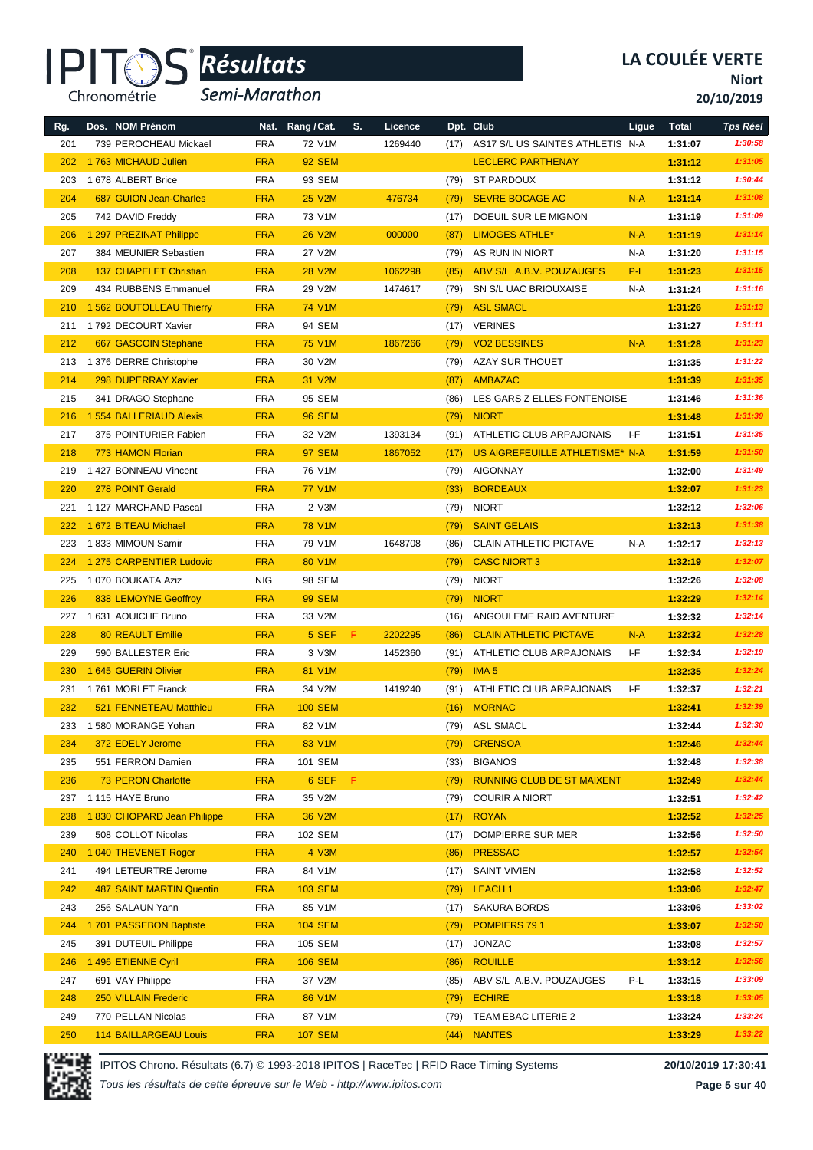

*Semi-Marathon*

**LA COULÉE VERTE**

**Niort**

**20/10/2019**

| Rg. | Dos. NOM Prénom                 |            | Nat. Rang / Cat. | S. | Licence |      | Dpt. Club                         | Ligue | <b>Total</b> | <b>Tps Réel</b> |
|-----|---------------------------------|------------|------------------|----|---------|------|-----------------------------------|-------|--------------|-----------------|
| 201 | 739 PEROCHEAU Mickael           | <b>FRA</b> | 72 V1M           |    | 1269440 | (17) | AS17 S/L US SAINTES ATHLETIS N-A  |       | 1:31:07      | 1:30:58         |
| 202 | 1763 MICHAUD Julien             | <b>FRA</b> | <b>92 SEM</b>    |    |         |      | <b>LECLERC PARTHENAY</b>          |       | 1:31:12      | 1:31:05         |
| 203 | 1 678 ALBERT Brice              | <b>FRA</b> | 93 SEM           |    |         | (79) | <b>ST PARDOUX</b>                 |       | 1:31:12      | 1:30:44         |
| 204 | <b>687 GUION Jean-Charles</b>   | <b>FRA</b> | <b>25 V2M</b>    |    | 476734  | (79) | <b>SEVRE BOCAGE AC</b>            | $N-A$ | 1:31:14      | 1:31:08         |
| 205 | 742 DAVID Freddy                | <b>FRA</b> | 73 V1M           |    |         | (17) | DOEUIL SUR LE MIGNON              |       | 1:31:19      | 1:31:09         |
| 206 | 1 297 PREZINAT Philippe         | <b>FRA</b> | <b>26 V2M</b>    |    | 000000  | (87) | <b>LIMOGES ATHLE*</b>             | $N-A$ | 1:31:19      | 1:31:14         |
| 207 | 384 MEUNIER Sebastien           | <b>FRA</b> | 27 V2M           |    |         | (79) | AS RUN IN NIORT                   | N-A   | 1:31:20      | 1:31:15         |
| 208 | <b>137 CHAPELET Christian</b>   | <b>FRA</b> | <b>28 V2M</b>    |    | 1062298 | (85) | ABV S/L A.B.V. POUZAUGES          | P-L   | 1:31:23      | 1:31:15         |
| 209 | 434 RUBBENS Emmanuel            | <b>FRA</b> | 29 V2M           |    | 1474617 | (79) | SN S/L UAC BRIOUXAISE             | N-A   | 1:31:24      | 1:31:16         |
| 210 | 1 562 BOUTOLLEAU Thierry        | <b>FRA</b> | <b>74 V1M</b>    |    |         |      | <b>ASL SMACL</b>                  |       | 1:31:26      | 1:31:13         |
| 211 | 1792 DECOURT Xavier             | <b>FRA</b> | 94 SEM           |    |         | (79) | <b>VERINES</b>                    |       | 1:31:27      | 1:31:11         |
| 212 |                                 | <b>FRA</b> | <b>75 V1M</b>    |    |         | (17) | <b>VO2 BESSINES</b>               | $N-A$ | 1:31:28      | 1:31:23         |
|     | 667 GASCOIN Stephane            |            |                  |    | 1867266 | (79) |                                   |       |              |                 |
| 213 | 1 376 DERRE Christophe          | <b>FRA</b> | 30 V2M           |    |         | (79) | AZAY SUR THOUET                   |       | 1:31:35      | 1:31:22         |
| 214 | 298 DUPERRAY Xavier             | <b>FRA</b> | 31 V2M           |    |         | (87) | AMBAZAC                           |       | 1:31:39      | 1:31:35         |
| 215 | 341 DRAGO Stephane              | <b>FRA</b> | 95 SEM           |    |         | (86) | LES GARS Z ELLES FONTENOISE       |       | 1:31:46      | 1:31:36         |
| 216 | <b>1554 BALLERIAUD Alexis</b>   | <b>FRA</b> | <b>96 SEM</b>    |    |         | (79) | <b>NIORT</b>                      |       | 1:31:48      | 1:31:39         |
| 217 | 375 POINTURIER Fabien           | <b>FRA</b> | 32 V2M           |    | 1393134 | (91) | ATHLETIC CLUB ARPAJONAIS          | I-F   | 1:31:51      | 1:31:35         |
| 218 | 773 HAMON Florian               | <b>FRA</b> | <b>97 SEM</b>    |    | 1867052 | (17) | US AIGREFEUILLE ATHLETISME* N-A   |       | 1:31:59      | 1:31:50         |
| 219 | 1 427 BONNEAU Vincent           | <b>FRA</b> | 76 V1M           |    |         | (79) | AIGONNAY                          |       | 1:32:00      | 1:31:49         |
| 220 | 278 POINT Gerald                | <b>FRA</b> | <b>77 V1M</b>    |    |         | (33) | <b>BORDEAUX</b>                   |       | 1:32:07      | 1:31:23         |
| 221 | 1 127 MARCHAND Pascal           | <b>FRA</b> | 2 V3M            |    |         | (79) | <b>NIORT</b>                      |       | 1:32:12      | 1:32:06         |
| 222 | 1 672 BITEAU Michael            | <b>FRA</b> | <b>78 V1M</b>    |    |         | (79) | <b>SAINT GELAIS</b>               |       | 1:32:13      | 1:31:38         |
| 223 | 1833 MIMOUN Samir               | <b>FRA</b> | 79 V1M           |    | 1648708 | (86) | <b>CLAIN ATHLETIC PICTAVE</b>     | N-A   | 1:32:17      | 1:32:13         |
| 224 | 1 275 CARPENTIER Ludovic        | <b>FRA</b> | 80 V1M           |    |         | (79) | <b>CASC NIORT 3</b>               |       | 1:32:19      | 1:32:07         |
| 225 | 1 070 BOUKATA Aziz              | <b>NIG</b> | 98 SEM           |    |         | (79) | <b>NIORT</b>                      |       | 1:32:26      | 1:32:08         |
| 226 | 838 LEMOYNE Geoffroy            | <b>FRA</b> | <b>99 SEM</b>    |    |         | (79) | <b>NIORT</b>                      |       | 1:32:29      | 1:32:14         |
| 227 | 1 631 AOUICHE Bruno             | <b>FRA</b> | 33 V2M           |    |         | (16) | ANGOULEME RAID AVENTURE           |       | 1:32:32      | 1:32:14         |
| 228 | <b>80 REAULT Emilie</b>         | <b>FRA</b> | 5 SEF            | F. | 2202295 | (86) | <b>CLAIN ATHLETIC PICTAVE</b>     | $N-A$ | 1:32:32      | 1:32:28         |
| 229 | 590 BALLESTER Eric              | <b>FRA</b> | 3 V3M            |    | 1452360 | (91) | ATHLETIC CLUB ARPAJONAIS          | ŀF    | 1:32:34      | 1:32:19         |
| 230 | 1 645 GUERIN Olivier            | <b>FRA</b> | 81 V1M           |    |         | (79) | IMA <sub>5</sub>                  |       | 1:32:35      | 1:32:24         |
| 231 | 1761 MORLET Franck              | <b>FRA</b> | 34 V2M           |    | 1419240 | (91) | ATHLETIC CLUB ARPAJONAIS          | ŀF    | 1:32:37      | 1:32:21         |
| 232 | 521 FENNETEAU Matthieu          | <b>FRA</b> | <b>100 SEM</b>   |    |         | (16) | <b>MORNAC</b>                     |       | 1:32:41      | 1:32:39         |
| 233 | 1 580 MORANGE Yohan             | FRA        | 82 V1M           |    |         | (79) | ASL SMACL                         |       | 1:32:44      | 1:32:30         |
| 234 | 372 EDELY Jerome                | <b>FRA</b> | 83 V1M           |    |         | (79) | <b>CRENSOA</b>                    |       | 1:32:46      | 1:32:44         |
| 235 | 551 FERRON Damien               | <b>FRA</b> | 101 SEM          |    |         | (33) | <b>BIGANOS</b>                    |       | 1:32:48      | 1:32:38         |
| 236 | 73 PERON Charlotte              | <b>FRA</b> | 6 SEF F          |    |         | (79) | <b>RUNNING CLUB DE ST MAIXENT</b> |       | 1:32:49      | 1:32:44         |
| 237 | 1115 HAYE Bruno                 | <b>FRA</b> | 35 V2M           |    |         | (79) | <b>COURIR A NIORT</b>             |       | 1:32:51      | 1:32:42         |
| 238 | 1830 CHOPARD Jean Philippe      | <b>FRA</b> | 36 V2M           |    |         | (17) | <b>ROYAN</b>                      |       | 1:32:52      | 1:32:25         |
| 239 | 508 COLLOT Nicolas              | <b>FRA</b> | 102 SEM          |    |         | (17) | DOMPIERRE SUR MER                 |       | 1:32:56      | 1:32:50         |
| 240 | 1 040 THEVENET Roger            | <b>FRA</b> | 4 V3M            |    |         | (86) | <b>PRESSAC</b>                    |       | 1:32:57      | 1:32:54         |
| 241 | 494 LETEURTRE Jerome            | <b>FRA</b> | 84 V1M           |    |         | (17) | SAINT VIVIEN                      |       | 1:32:58      | 1:32:52         |
| 242 | <b>487 SAINT MARTIN Quentin</b> | <b>FRA</b> | <b>103 SEM</b>   |    |         | (79) | LEACH <sub>1</sub>                |       | 1:33:06      | 1:32:47         |
| 243 | 256 SALAUN Yann                 | <b>FRA</b> | 85 V1M           |    |         | (17) | SAKURA BORDS                      |       | 1:33:06      | 1:33:02         |
| 244 | 1701 PASSEBON Baptiste          | <b>FRA</b> | <b>104 SEM</b>   |    |         | (79) | POMPIERS 791                      |       | 1:33:07      | 1:32:50         |
| 245 | 391 DUTEUIL Philippe            | <b>FRA</b> | 105 SEM          |    |         | (17) | <b>JONZAC</b>                     |       | 1:33:08      | 1:32:57         |
| 246 | 1496 ETIENNE Cyril              | <b>FRA</b> | <b>106 SEM</b>   |    |         | (86) | <b>ROUILLE</b>                    |       | 1:33:12      | 1:32:56         |
| 247 | 691 VAY Philippe                | <b>FRA</b> | 37 V2M           |    |         | (85) | ABV S/L A.B.V. POUZAUGES          | P-L   | 1:33:15      | 1:33:09         |
| 248 | 250 VILLAIN Frederic            | <b>FRA</b> | 86 V1M           |    |         | (79) | <b>ECHIRE</b>                     |       | 1:33:18      | 1:33:05         |
| 249 | 770 PELLAN Nicolas              | <b>FRA</b> | 87 V1M           |    |         | (79) | TEAM EBAC LITERIE 2               |       | 1:33:24      | 1:33:24         |
| 250 | 114 BAILLARGEAU Louis           | <b>FRA</b> | <b>107 SEM</b>   |    |         |      | (44) NANTES                       |       | 1:33:29      | 1:33:22         |

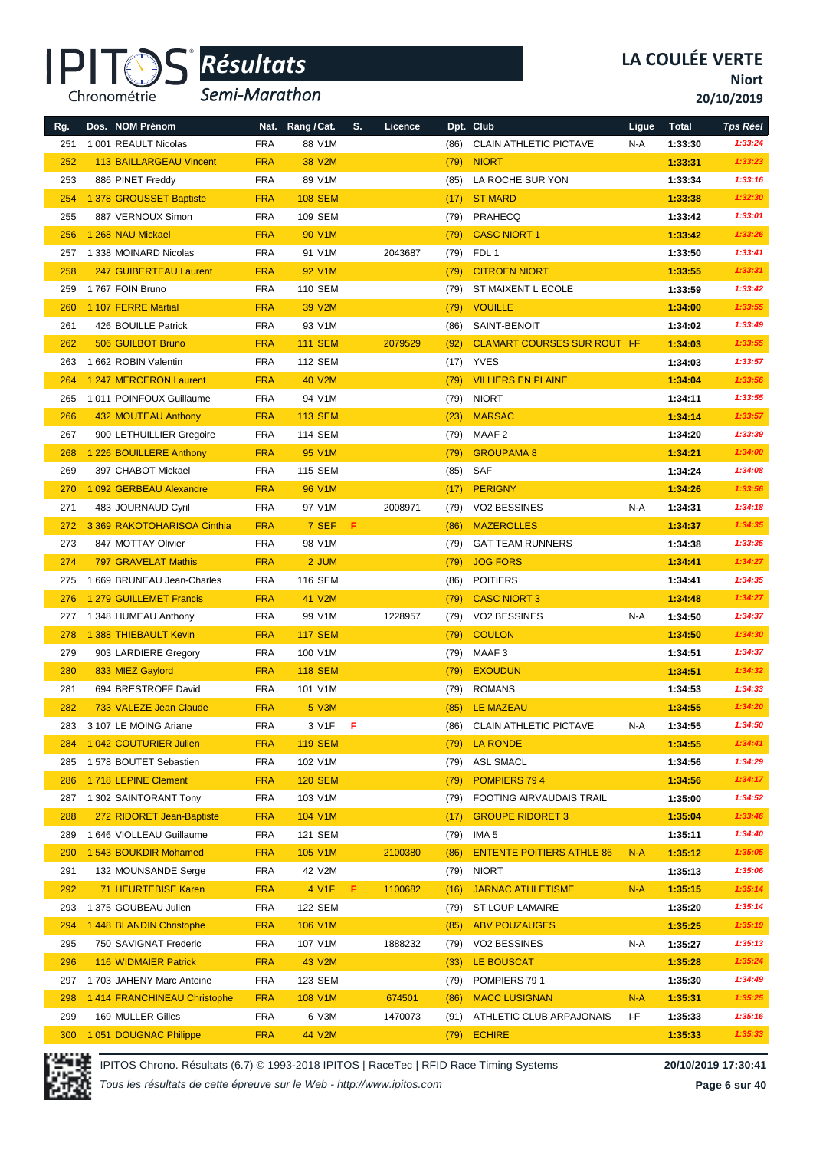

*Semi-Marathon*

**Niort**

**20/10/2019**

| Rg. | Dos. NOM Prénom                |            | Nat. Rang / Cat.    | S. | Licence |      | Dpt. Club                           | Ligue | <b>Total</b>       | <b>Tps Réel</b>    |
|-----|--------------------------------|------------|---------------------|----|---------|------|-------------------------------------|-------|--------------------|--------------------|
| 251 | 1 001 REAULT Nicolas           | <b>FRA</b> | 88 V1M              |    |         | (86) | <b>CLAIN ATHLETIC PICTAVE</b>       | N-A   | 1:33:30            | 1:33:24            |
| 252 | <b>113 BAILLARGEAU Vincent</b> | <b>FRA</b> | 38 V2M              |    |         | (79) | <b>NIORT</b>                        |       | 1:33:31            | 1:33:23            |
| 253 | 886 PINET Freddy               | <b>FRA</b> | 89 V1M              |    |         | (85) | LA ROCHE SUR YON                    |       | 1:33:34            | 1:33:16            |
| 254 | 1 378 GROUSSET Baptiste        | <b>FRA</b> | <b>108 SEM</b>      |    |         | (17) | <b>ST MARD</b>                      |       | 1:33:38            | 1:32:30            |
| 255 | 887 VERNOUX Simon              | <b>FRA</b> | 109 SEM             |    |         | (79) | PRAHECQ                             |       | 1:33:42            | 1:33:01            |
| 256 | 1 268 NAU Mickael              | <b>FRA</b> | 90 V1M              |    |         | (79) | <b>CASC NIORT 1</b>                 |       | 1:33:42            | 1:33:26            |
| 257 | 1 338 MOINARD Nicolas          | <b>FRA</b> | 91 V1M              |    | 2043687 | (79) | FDL 1                               |       | 1:33:50            | 1:33:41            |
| 258 | 247 GUIBERTEAU Laurent         | <b>FRA</b> | 92 V1M              |    |         | (79) | <b>CITROEN NIORT</b>                |       | 1:33:55            | 1:33:31            |
| 259 | 1767 FOIN Bruno                | <b>FRA</b> | <b>110 SEM</b>      |    |         | (79) | ST MAIXENT L ECOLE                  |       | 1:33:59            | 1:33:42            |
| 260 | 1 107 FERRE Martial            | <b>FRA</b> | 39 V2M              |    |         | (79) | <b>VOUILLE</b>                      |       | 1:34:00            | 1:33:55            |
| 261 | 426 BOUILLE Patrick            | <b>FRA</b> | 93 V1M              |    |         | (86) | SAINT-BENOIT                        |       | 1:34:02            | 1:33:49            |
| 262 | 506 GUILBOT Bruno              | <b>FRA</b> | <b>111 SEM</b>      |    | 2079529 | (92) | <b>CLAMART COURSES SUR ROUT I-F</b> |       | 1:34:03            | 1:33:55            |
| 263 | 1 662 ROBIN Valentin           | <b>FRA</b> | <b>112 SEM</b>      |    |         | (17) | YVES                                |       | 1:34:03            | 1:33:57            |
| 264 | 1 247 MERCERON Laurent         | <b>FRA</b> | <b>40 V2M</b>       |    |         | (79) | <b>VILLIERS EN PLAINE</b>           |       | 1:34:04            | 1:33:56            |
| 265 | 1011 POINFOUX Guillaume        | <b>FRA</b> | 94 V1M              |    |         | (79) | <b>NIORT</b>                        |       | 1:34:11            | 1:33:55            |
| 266 | 432 MOUTEAU Anthony            | <b>FRA</b> | <b>113 SEM</b>      |    |         | (23) | <b>MARSAC</b>                       |       | 1:34:14            | 1:33:57            |
| 267 | 900 LETHUILLIER Gregoire       | <b>FRA</b> | 114 SEM             |    |         | (79) | MAAF <sub>2</sub>                   |       | 1:34:20            | 1:33:39            |
| 268 | 1 226 BOUILLERE Anthony        | <b>FRA</b> | 95 V1M              |    |         | (79) | <b>GROUPAMA 8</b>                   |       | 1:34:21            | 1:34:00            |
| 269 | 397 CHABOT Mickael             | <b>FRA</b> | <b>115 SEM</b>      |    |         | (85) | SAF                                 |       | 1:34:24            | 1:34:08            |
| 270 | 1 092 GERBEAU Alexandre        | <b>FRA</b> | 96 V <sub>1</sub> M |    |         | (17) | <b>PERIGNY</b>                      |       | 1:34:26            | 1:33:56            |
| 271 | 483 JOURNAUD Cyril             | <b>FRA</b> | 97 V1M              |    | 2008971 | (79) | <b>VO2 BESSINES</b>                 | N-A   | 1:34:31            | 1:34:18            |
| 272 | 3 369 RAKOTOHARISOA Cinthia    | <b>FRA</b> | 7 SEF               | F. |         | (86) | <b>MAZEROLLES</b>                   |       | 1:34:37            | 1:34:35            |
| 273 | 847 MOTTAY Olivier             | <b>FRA</b> | 98 V1M              |    |         | (79) | <b>GAT TEAM RUNNERS</b>             |       | 1:34:38            | 1:33:35            |
| 274 | 797 GRAVELAT Mathis            | <b>FRA</b> | 2 JUM               |    |         | (79) | <b>JOG FORS</b>                     |       | 1:34:41            | 1:34:27            |
| 275 | 1 669 BRUNEAU Jean-Charles     | <b>FRA</b> | 116 SEM             |    |         | (86) | <b>POITIERS</b>                     |       | 1:34:41            | 1:34:35            |
| 276 | 1 279 GUILLEMET Francis        | <b>FRA</b> | 41 V2M              |    |         | (79) | <b>CASC NIORT 3</b>                 |       | 1:34:48            | 1:34:27            |
| 277 | 1 348 HUMEAU Anthony           | <b>FRA</b> | 99 V1M              |    | 1228957 | (79) | VO2 BESSINES                        | N-A   | 1:34:50            | 1:34:37            |
| 278 | 1 388 THIEBAULT Kevin          | <b>FRA</b> | <b>117 SEM</b>      |    |         | (79) | <b>COULON</b>                       |       | 1:34:50            | 1:34:30            |
| 279 | 903 LARDIERE Gregory           | <b>FRA</b> | 100 V1M             |    |         | (79) | MAAF 3                              |       | 1:34:51            | 1:34:37            |
| 280 | 833 MIEZ Gaylord               | <b>FRA</b> | <b>118 SEM</b>      |    |         | (79) | <b>EXOUDUN</b>                      |       | 1:34:51            | 1:34:32            |
| 281 | 694 BRESTROFF David            | <b>FRA</b> | 101 V1M             |    |         | (79) | <b>ROMANS</b>                       |       | 1:34:53            | 1:34:33            |
| 282 | 733 VALEZE Jean Claude         | <b>FRA</b> | 5 V3M               |    |         | (85) | <b>LE MAZEAU</b>                    |       | 1:34:55            | 1:34:20            |
| 283 | 3 107 LE MOING Ariane          | <b>FRA</b> | 3 V1F F             |    |         |      | (86) CLAIN ATHLETIC PICTAVE         | N-A   | 1:34:55            | 1:34:50            |
| 284 | 1042 COUTURIER Julien          | <b>FRA</b> | <b>119 SEM</b>      |    |         | (79) | LA RONDE                            |       | 1:34:55            | 1:34:41            |
| 285 | 1 578 BOUTET Sebastien         | <b>FRA</b> | 102 V1M             |    |         | (79) | <b>ASL SMACL</b>                    |       | 1:34:56            | 1:34:29            |
| 286 | 1718 LEPINE Clement            | <b>FRA</b> | <b>120 SEM</b>      |    |         | (79) | POMPIERS 794                        |       | 1:34:56            | 1:34:17            |
| 287 | 1 302 SAINTORANT Tony          | <b>FRA</b> | 103 V1M             |    |         | (79) | FOOTING AIRVAUDAIS TRAIL            |       | 1:35:00            | 1:34:52            |
| 288 | 272 RIDORET Jean-Baptiste      | <b>FRA</b> | 104 V1M             |    |         | (17) | <b>GROUPE RIDORET 3</b>             |       | 1:35:04            | 1:33:46            |
| 289 | 1 646 VIOLLEAU Guillaume       | <b>FRA</b> | 121 SEM             |    |         | (79) | IMA <sub>5</sub>                    |       | 1:35:11            | 1:34:40            |
| 290 | 1 543 BOUKDIR Mohamed          | <b>FRA</b> | 105 V1M             |    | 2100380 | (86) | <b>ENTENTE POITIERS ATHLE 86</b>    | $N-A$ | 1:35:12            | 1:35:05            |
| 291 | 132 MOUNSANDE Serge            | <b>FRA</b> | 42 V2M              |    |         | (79) | <b>NIORT</b>                        |       | 1:35:13            | 1:35:06            |
| 292 | 71 HEURTEBISE Karen            | <b>FRA</b> | 4 V1F               | F. | 1100682 | (16) | <b>JARNAC ATHLETISME</b>            | $N-A$ | 1:35:15            | 1:35:14            |
| 293 | 1 375 GOUBEAU Julien           | FRA        | 122 SEM             |    |         | (79) | <b>ST LOUP LAMAIRE</b>              |       | 1:35:20            | 1:35:14            |
| 294 | 1 448 BLANDIN Christophe       | <b>FRA</b> | 106 V1M             |    |         | (85) | <b>ABV POUZAUGES</b>                |       | 1:35:25            | 1:35:19            |
| 295 | 750 SAVIGNAT Frederic          | <b>FRA</b> | 107 V1M             |    | 1888232 | (79) | VO2 BESSINES                        | N-A   |                    | 1:35:13            |
| 296 | <b>116 WIDMAIER Patrick</b>    | <b>FRA</b> | 43 V2M              |    |         |      | LE BOUSCAT                          |       | 1:35:27<br>1:35:28 | 1:35:24            |
|     |                                |            |                     |    |         | (33) |                                     |       |                    | 1:34:49            |
| 297 | 1703 JAHENY Marc Antoine       | <b>FRA</b> | 123 SEM             |    |         | (79) | POMPIERS 791                        |       | 1:35:30            |                    |
| 298 | 1414 FRANCHINEAU Christophe    | <b>FRA</b> | 108 V1M             |    | 674501  | (86) | <b>MACC LUSIGNAN</b>                | $N-A$ | 1:35:31            | 1:35:25<br>1:35:16 |
| 299 | 169 MULLER Gilles              | <b>FRA</b> | 6 V3M               |    | 1470073 | (91) | ATHLETIC CLUB ARPAJONAIS            | ŀF    | 1:35:33            |                    |
| 300 | 1 051 DOUGNAC Philippe         | <b>FRA</b> | 44 V2M              |    |         | (79) | <b>ECHIRE</b>                       |       | 1:35:33            | 1:35:33            |

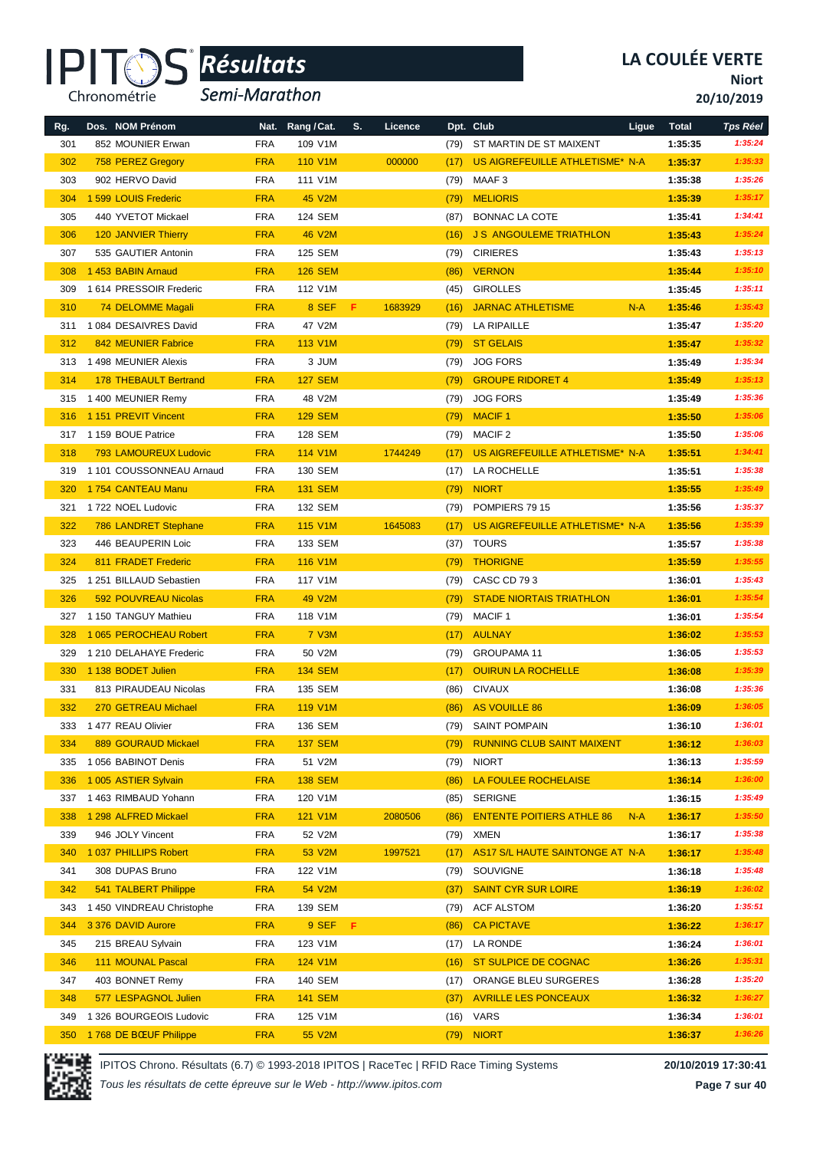

*Semi-Marathon*

**Niort**

**20/10/2019**

| Rg.<br>301 | Dos. NOM Prénom<br>852 MOUNIER Erwan | Nat.<br><b>FRA</b> | Rang / Cat.<br>109 V1M | S. | Licence | (79) | Dpt. Club<br>ST MARTIN DE ST MAIXENT | Ligue | <b>Total</b><br>1:35:35 | <b>Tps Réel</b><br>1:35:24 |
|------------|--------------------------------------|--------------------|------------------------|----|---------|------|--------------------------------------|-------|-------------------------|----------------------------|
| 302        | 758 PEREZ Gregory                    | <b>FRA</b>         | <b>110 V1M</b>         |    | 000000  | (17) | US AIGREFEUILLE ATHLETISME* N-A      |       | 1:35:37                 | 1:35:33                    |
| 303        | 902 HERVO David                      | <b>FRA</b>         | 111 V1M                |    |         | (79) | MAAF3                                |       | 1:35:38                 | 1:35:26                    |
| 304        | 1 599 LOUIS Frederic                 | <b>FRA</b>         | <b>45 V2M</b>          |    |         | (79) | <b>MELIORIS</b>                      |       | 1:35:39                 | 1:35:17                    |
| 305        | 440 YVETOT Mickael                   | <b>FRA</b>         | 124 SEM                |    |         | (87) | <b>BONNAC LA COTE</b>                |       | 1:35:41                 | 1:34:41                    |
| 306        | <b>120 JANVIER Thierry</b>           | <b>FRA</b>         | <b>46 V2M</b>          |    |         | (16) | <b>J S ANGOULEME TRIATHLON</b>       |       | 1:35:43                 | 1:35:24                    |
| 307        | 535 GAUTIER Antonin                  | <b>FRA</b>         | 125 SEM                |    |         | (79) | <b>CIRIERES</b>                      |       | 1:35:43                 | 1:35:13                    |
| 308        | 1453 BABIN Arnaud                    | <b>FRA</b>         | <b>126 SEM</b>         |    |         | (86) | <b>VERNON</b>                        |       | 1:35:44                 | 1:35:10                    |
| 309        | 1614 PRESSOIR Frederic               | <b>FRA</b>         | 112 V1M                |    |         | (45) | <b>GIROLLES</b>                      |       | 1:35:45                 | 1:35:11                    |
| 310        | 74 DELOMME Magali                    | <b>FRA</b>         | 8 SEF                  | F. | 1683929 | (16) | <b>JARNAC ATHLETISME</b>             | $N-A$ | 1:35:46                 | 1:35:43                    |
| 311        | 1 084 DESAIVRES David                | <b>FRA</b>         | 47 V2M                 |    |         | (79) | <b>LA RIPAILLE</b>                   |       | 1:35:47                 | 1:35:20                    |
| 312        | 842 MEUNIER Fabrice                  | <b>FRA</b>         | <b>113 V1M</b>         |    |         | (79) | <b>ST GELAIS</b>                     |       | 1:35:47                 | 1:35:32                    |
| 313        | 1498 MEUNIER Alexis                  | <b>FRA</b>         | 3 JUM                  |    |         | (79) | <b>JOG FORS</b>                      |       | 1:35:49                 | 1:35:34                    |
| 314        | <b>178 THEBAULT Bertrand</b>         | <b>FRA</b>         | <b>127 SEM</b>         |    |         | (79) | <b>GROUPE RIDORET 4</b>              |       | 1:35:49                 | 1:35:13                    |
| 315        | 1400 MEUNIER Remy                    | <b>FRA</b>         | 48 V2M                 |    |         | (79) | <b>JOG FORS</b>                      |       | 1:35:49                 | 1:35:36                    |
| 316        | 1 151 PREVIT Vincent                 | <b>FRA</b>         | <b>129 SEM</b>         |    |         | (79) | <b>MACIF1</b>                        |       | 1:35:50                 | 1:35:06                    |
| 317        | 1 159 BOUE Patrice                   | <b>FRA</b>         | 128 SEM                |    |         | (79) | MACIF <sub>2</sub>                   |       | 1:35:50                 | 1:35:06                    |
| 318        | <b>793 LAMOUREUX Ludovic</b>         | <b>FRA</b>         | 114 V1M                |    | 1744249 | (17) | US AIGREFEUILLE ATHLETISME* N-A      |       | 1:35:51                 | 1:34:41                    |
| 319        | 1 101 COUSSONNEAU Arnaud             | <b>FRA</b>         | 130 SEM                |    |         | (17) | <b>LA ROCHELLE</b>                   |       | 1:35:51                 | 1:35:38                    |
| 320        | 1754 CANTEAU Manu                    | <b>FRA</b>         | <b>131 SEM</b>         |    |         | (79) | <b>NIORT</b>                         |       | 1:35:55                 | 1:35:49                    |
| 321        | 1722 NOEL Ludovic                    | <b>FRA</b>         | 132 SEM                |    |         | (79) | POMPIERS 79 15                       |       | 1:35:56                 | 1:35:37                    |
| 322        | 786 LANDRET Stephane                 | <b>FRA</b>         | <b>115 V1M</b>         |    | 1645083 | (17) | US AIGREFEUILLE ATHLETISME* N-A      |       | 1:35:56                 | 1:35:39                    |
| 323        | 446 BEAUPERIN Loic                   | <b>FRA</b>         | 133 SEM                |    |         | (37) | <b>TOURS</b>                         |       | 1:35:57                 | 1:35:38                    |
| 324        | 811 FRADET Frederic                  | <b>FRA</b>         | <b>116 V1M</b>         |    |         | (79) | <b>THORIGNE</b>                      |       | 1:35:59                 | 1:35:55                    |
| 325        | 1 251 BILLAUD Sebastien              | <b>FRA</b>         | 117 V1M                |    |         | (79) | CASC CD 793                          |       | 1:36:01                 | 1:35:43                    |
| 326        | 592 POUVREAU Nicolas                 | <b>FRA</b>         | 49 V2M                 |    |         | (79) | <b>STADE NIORTAIS TRIATHLON</b>      |       | 1:36:01                 | 1:35:54                    |
| 327        | 1 150 TANGUY Mathieu                 | <b>FRA</b>         | 118 V1M                |    |         | (79) | <b>MACIF1</b>                        |       | 1:36:01                 | 1:35:54                    |
| 328        | 1 065 PEROCHEAU Robert               | <b>FRA</b>         | <b>7 V3M</b>           |    |         | (17) | <b>AULNAY</b>                        |       | 1:36:02                 | 1:35:53                    |
| 329        | 1 210 DELAHAYE Frederic              | <b>FRA</b>         | 50 V2M                 |    |         | (79) | <b>GROUPAMA 11</b>                   |       | 1:36:05                 | 1:35:53                    |
| 330        | 1 138 BODET Julien                   | <b>FRA</b>         | <b>134 SEM</b>         |    |         | (17) | <b>OUIRUN LA ROCHELLE</b>            |       | 1:36:08                 | 1:35:39                    |
| 331        | 813 PIRAUDEAU Nicolas                | <b>FRA</b>         | 135 SEM                |    |         | (86) | <b>CIVAUX</b>                        |       | 1:36:08                 | 1:35:36                    |
| 332        | 270 GETREAU Michael                  | <b>FRA</b>         | <b>119 V1M</b>         |    |         | (86) | AS VOUILLE 86                        |       | 1:36:09                 | 1:36:05                    |
| 333        | 1477 REAU Olivier                    | FRA                | 136 SEM                |    |         | (79) | <b>SAINT POMPAIN</b>                 |       | 1:36:10                 | 1:36:01                    |
| 334        | 889 GOURAUD Mickael                  | <b>FRA</b>         | <b>137 SEM</b>         |    |         | (79) | <b>RUNNING CLUB SAINT MAIXENT</b>    |       | 1:36:12                 | 1:36:03                    |
| 335        | 1 056 BABINOT Denis                  | <b>FRA</b>         | 51 V2M                 |    |         | (79) | <b>NIORT</b>                         |       | 1:36:13                 | 1:35:59                    |
| 336        | 1 005 ASTIER Sylvain                 | <b>FRA</b>         | <b>138 SEM</b>         |    |         | (86) | LA FOULEE ROCHELAISE                 |       | 1:36:14                 | 1:36:00                    |
| 337        | 1 463 RIMBAUD Yohann                 | <b>FRA</b>         | 120 V1M                |    |         | (85) | <b>SERIGNE</b>                       |       | 1:36:15                 | 1:35:49                    |
| 338        | 1 298 ALFRED Mickael                 | <b>FRA</b>         | <b>121 V1M</b>         |    | 2080506 | (86) | <b>ENTENTE POITIERS ATHLE 86</b>     | $N-A$ | 1:36:17                 | 1:35:50                    |
| 339        | 946 JOLY Vincent                     | <b>FRA</b>         | 52 V2M                 |    |         | (79) | XMEN                                 |       | 1:36:17                 | 1:35:38                    |
| 340        | 1 037 PHILLIPS Robert                | <b>FRA</b>         | 53 V2M                 |    | 1997521 | (17) | AS17 S/L HAUTE SAINTONGE AT N-A      |       | 1:36:17                 | 1:35:48                    |
| 341        | 308 DUPAS Bruno                      | <b>FRA</b>         | 122 V1M                |    |         | (79) | SOUVIGNE                             |       | 1:36:18                 | 1:35:48                    |
| 342        | 541 TALBERT Philippe                 | <b>FRA</b>         | 54 V2M                 |    |         | (37) | <b>SAINT CYR SUR LOIRE</b>           |       | 1:36:19                 | 1:36:02                    |
| 343        | 1450 VINDREAU Christophe             | <b>FRA</b>         | 139 SEM                |    |         | (79) | <b>ACF ALSTOM</b>                    |       | 1:36:20                 | 1:35:51                    |
| 344        | 3 376 DAVID Aurore                   | <b>FRA</b>         | 9 SEF                  | F. |         | (86) | <b>CA PICTAVE</b>                    |       | 1:36:22                 | 1:36:17                    |
| 345        | 215 BREAU Sylvain                    | <b>FRA</b>         | 123 V1M                |    |         | (17) | LA RONDE                             |       | 1:36:24                 | 1:36:01                    |
| 346        | 111 MOUNAL Pascal                    | <b>FRA</b>         | <b>124 V1M</b>         |    |         | (16) | ST SULPICE DE COGNAC                 |       | 1:36:26                 | 1:35:31                    |
| 347        | 403 BONNET Remy                      | <b>FRA</b>         | 140 SEM                |    |         | (17) | ORANGE BLEU SURGERES                 |       | 1:36:28                 | 1:35:20                    |
| 348        | 577 LESPAGNOL Julien                 | <b>FRA</b>         | <b>141 SEM</b>         |    |         | (37) | <b>AVRILLE LES PONCEAUX</b>          |       | 1:36:32                 | 1:36:27                    |
| 349        | 1 326 BOURGEOIS Ludovic              | FRA                | 125 V1M                |    |         |      | $(16)$ VARS                          |       | 1:36:34                 | 1:36:01                    |
| 350        | 1768 DE BŒUF Philippe                | <b>FRA</b>         | 55 V2M                 |    |         |      | (79) NIORT                           |       | 1:36:37                 | 1:36:26                    |

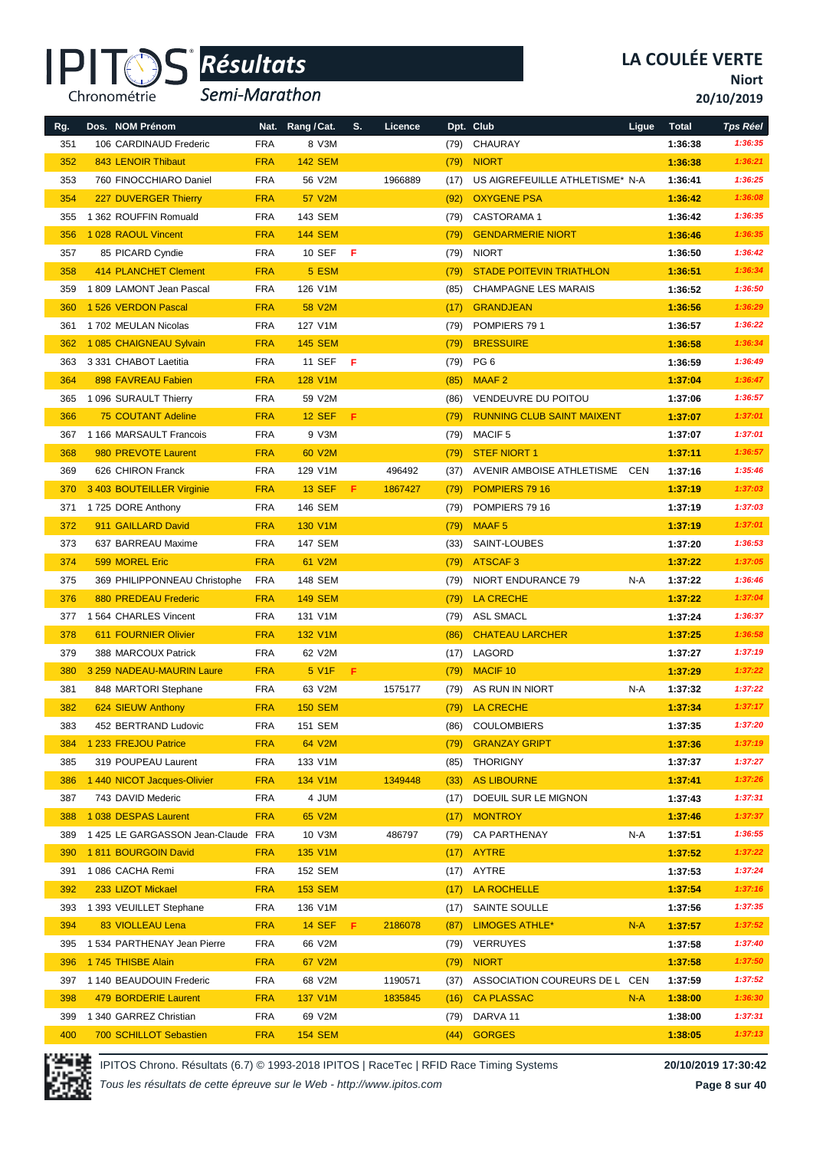

*Semi-Marathon*

**Niort**

**20/10/2019**

| Rg. | Dos. NOM Prénom                    |            | Nat. Rang / Cat. | S.  | Licence |      | Dpt. Club                         | Ligue | <b>Total</b> | <b>Tps Réel</b>    |
|-----|------------------------------------|------------|------------------|-----|---------|------|-----------------------------------|-------|--------------|--------------------|
| 351 | 106 CARDINAUD Frederic             | <b>FRA</b> | 8 V3M            |     |         | (79) | CHAURAY                           |       | 1:36:38      | 1:36:35            |
| 352 | 843 LENOIR Thibaut                 | <b>FRA</b> | <b>142 SEM</b>   |     |         | (79) | <b>NIORT</b>                      |       | 1:36:38      | 1:36:21            |
| 353 | 760 FINOCCHIARO Daniel             | <b>FRA</b> | 56 V2M           |     | 1966889 | (17) | US AIGREFEUILLE ATHLETISME* N-A   |       | 1:36:41      | 1:36:25            |
| 354 | 227 DUVERGER Thierry               | <b>FRA</b> | 57 V2M           |     |         | (92) | <b>OXYGENE PSA</b>                |       | 1:36:42      | 1:36:08            |
| 355 | 1 362 ROUFFIN Romuald              | <b>FRA</b> | 143 SEM          |     |         | (79) | <b>CASTORAMA1</b>                 |       | 1:36:42      | 1:36:35            |
| 356 | 1 028 RAOUL Vincent                | <b>FRA</b> | <b>144 SEM</b>   |     |         | (79) | <b>GENDARMERIE NIORT</b>          |       | 1:36:46      | 1:36:35            |
| 357 | 85 PICARD Cyndie                   | <b>FRA</b> | 10 SEF           | - F |         | (79) | <b>NIORT</b>                      |       | 1:36:50      | 1:36:42            |
| 358 | 414 PLANCHET Clement               | <b>FRA</b> | 5 ESM            |     |         | (79) | <b>STADE POITEVIN TRIATHLON</b>   |       | 1:36:51      | 1:36:34            |
| 359 | 1809 LAMONT Jean Pascal            | <b>FRA</b> | 126 V1M          |     |         | (85) | <b>CHAMPAGNE LES MARAIS</b>       |       | 1:36:52      | 1:36:50            |
| 360 | 1 526 VERDON Pascal                | <b>FRA</b> | <b>58 V2M</b>    |     |         | (17) | <b>GRANDJEAN</b>                  |       | 1:36:56      | 1:36:29            |
| 361 | 1702 MEULAN Nicolas                | <b>FRA</b> | 127 V1M          |     |         | (79) | POMPIERS 791                      |       | 1:36:57      | 1:36:22            |
| 362 | 1085 CHAIGNEAU Sylvain             | <b>FRA</b> | <b>145 SEM</b>   |     |         | (79) | <b>BRESSUIRE</b>                  |       | 1:36:58      | 1:36:34            |
| 363 | 3 331 CHABOT Laetitia              | <b>FRA</b> | 11 SEF           | F   |         | (79) | PG <sub>6</sub>                   |       | 1:36:59      | 1:36:49            |
| 364 | 898 FAVREAU Fabien                 | <b>FRA</b> | <b>128 V1M</b>   |     |         | (85) | MAAF <sub>2</sub>                 |       | 1:37:04      | 1:36:47            |
| 365 | 1 096 SURAULT Thierry              | <b>FRA</b> | 59 V2M           |     |         | (86) | <b>VENDEUVRE DU POITOU</b>        |       | 1:37:06      | 1:36:57            |
| 366 | <b>75 COUTANT Adeline</b>          | <b>FRA</b> | <b>12 SEF</b>    | F   |         | (79) | <b>RUNNING CLUB SAINT MAIXENT</b> |       | 1:37:07      | 1:37:01            |
| 367 | 1 166 MARSAULT Francois            | <b>FRA</b> | 9 V3M            |     |         | (79) | <b>MACIF5</b>                     |       | 1:37:07      | 1:37:01            |
| 368 | 980 PREVOTE Laurent                | <b>FRA</b> | 60 V2M           |     |         | (79) | <b>STEF NIORT 1</b>               |       | 1:37:11      | 1:36:57            |
| 369 | 626 CHIRON Franck                  | <b>FRA</b> | 129 V1M          |     | 496492  | (37) | AVENIR AMBOISE ATHLETISME CEN     |       | 1:37:16      | 1:35:46            |
| 370 | 3 403 BOUTEILLER Virginie          | <b>FRA</b> | <b>13 SEF</b>    | F.  | 1867427 | (79) | POMPIERS 79 16                    |       | 1:37:19      | 1:37:03            |
| 371 | 1725 DORE Anthony                  | <b>FRA</b> | 146 SEM          |     |         | (79) | POMPIERS 79 16                    |       | 1:37:19      | 1:37:03            |
| 372 | 911 GAILLARD David                 | <b>FRA</b> | 130 V1M          |     |         | (79) | MAAF <sub>5</sub>                 |       | 1:37:19      | 1:37:01            |
| 373 | 637 BARREAU Maxime                 | <b>FRA</b> | 147 SEM          |     |         | (33) | SAINT-LOUBES                      |       | 1:37:20      | 1:36:53            |
| 374 | 599 MOREL Eric                     | <b>FRA</b> | 61 V2M           |     |         | (79) | <b>ATSCAF3</b>                    |       | 1:37:22      | 1:37:05            |
| 375 |                                    |            |                  |     |         |      | NIORT ENDURANCE 79                | N-A   |              | 1:36:46            |
|     | 369 PHILIPPONNEAU Christophe       | <b>FRA</b> | 148 SEM          |     |         | (79) |                                   |       | 1:37:22      |                    |
| 376 | 880 PREDEAU Frederic               | <b>FRA</b> | <b>149 SEM</b>   |     |         | (79) | LA CRECHE                         |       | 1:37:22      | 1:37:04<br>1:36:37 |
| 377 | 1 564 CHARLES Vincent              | <b>FRA</b> | 131 V1M          |     |         | (79) | ASL SMACL                         |       | 1:37:24      |                    |
| 378 | 611 FOURNIER Olivier               | <b>FRA</b> | 132 V1M          |     |         | (86) | <b>CHATEAU LARCHER</b>            |       | 1:37:25      | 1:36:58            |
| 379 | 388 MARCOUX Patrick                | <b>FRA</b> | 62 V2M           |     |         | (17) | LAGORD                            |       | 1:37:27      | 1:37:19            |
| 380 | 3 259 NADEAU-MAURIN Laure          | <b>FRA</b> | 5 V1F            | F.  |         | (79) | MACIF <sub>10</sub>               |       | 1:37:29      | 1:37:22            |
| 381 | 848 MARTORI Stephane               | <b>FRA</b> | 63 V2M           |     | 1575177 | (79) | AS RUN IN NIORT                   | N-A   | 1:37:32      | 1:37:22            |
| 382 | 624 SIEUW Anthony                  | <b>FRA</b> | <b>150 SEM</b>   |     |         | (79) | LA CRECHE                         |       | 1:37:34      | 1:37:17            |
| 383 | 452 BERTRAND Ludovic               | <b>FRA</b> | 151 SEM          |     |         |      | (86) COULOMBIERS                  |       | 1:37:35      | 1:37:20            |
| 384 | 1 233 FREJOU Patrice               | <b>FRA</b> | 64 V2M           |     |         | (79) | <b>GRANZAY GRIPT</b>              |       | 1:37:36      | 1:37:19            |
| 385 | 319 POUPEAU Laurent                | <b>FRA</b> | 133 V1M          |     |         | (85) | <b>THORIGNY</b>                   |       | 1:37:37      | 1:37:27            |
| 386 | 1 440 NICOT Jacques-Olivier        | <b>FRA</b> | 134 V1M          |     | 1349448 | (33) | AS LIBOURNE                       |       | 1:37:41      | 1:37:26            |
| 387 | 743 DAVID Mederic                  | <b>FRA</b> | 4 JUM            |     |         | (17) | DOEUIL SUR LE MIGNON              |       | 1:37:43      | 1:37:31            |
| 388 | 1 038 DESPAS Laurent               | <b>FRA</b> | 65 V2M           |     |         | (17) | <b>MONTROY</b>                    |       | 1:37:46      | 1:37:37            |
| 389 | 1 425 LE GARGASSON Jean-Claude FRA |            | 10 V3M           |     | 486797  | (79) | <b>CA PARTHENAY</b>               | N-A   | 1:37:51      | 1:36:55            |
| 390 | 1811 BOURGOIN David                | <b>FRA</b> | 135 V1M          |     |         | (17) | AYTRE                             |       | 1:37:52      | 1:37:22            |
| 391 | 1086 CACHA Remi                    | <b>FRA</b> | 152 SEM          |     |         |      | $(17)$ AYTRE                      |       | 1:37:53      | 1:37:24            |
| 392 | 233 LIZOT Mickael                  | <b>FRA</b> | <b>153 SEM</b>   |     |         | (17) | LA ROCHELLE                       |       | 1:37:54      | 1:37:16            |
| 393 | 1 393 VEUILLET Stephane            | <b>FRA</b> | 136 V1M          |     |         | (17) | SAINTE SOULLE                     |       | 1:37:56      | 1:37:35            |
| 394 | 83 VIOLLEAU Lena                   | <b>FRA</b> | <b>14 SEF</b>    | F.  | 2186078 | (87) | <b>LIMOGES ATHLE*</b>             | $N-A$ | 1:37:57      | 1:37:52            |
| 395 | 1534 PARTHENAY Jean Pierre         | <b>FRA</b> | 66 V2M           |     |         | (79) | VERRUYES                          |       | 1:37:58      | 1:37:40            |
| 396 | 1745 THISBE Alain                  | <b>FRA</b> | 67 V2M           |     |         | (79) | <b>NIORT</b>                      |       | 1:37:58      | 1:37:50            |
| 397 | 1 140 BEAUDOUIN Frederic           | <b>FRA</b> | 68 V2M           |     | 1190571 | (37) | ASSOCIATION COUREURS DE L CEN     |       | 1:37:59      | 1:37:52            |
| 398 | 479 BORDERIE Laurent               | <b>FRA</b> | 137 V1M          |     | 1835845 | (16) | <b>CA PLASSAC</b>                 | $N-A$ | 1:38:00      | 1:36:30            |
| 399 | 1 340 GARREZ Christian             | <b>FRA</b> | 69 V2M           |     |         | (79) | DARVA 11                          |       | 1:38:00      | 1:37:31            |
| 400 | <b>700 SCHILLOT Sebastien</b>      | <b>FRA</b> | <b>154 SEM</b>   |     |         | (44) | <b>GORGES</b>                     |       | 1:38:05      | 1:37:13            |



IPITOS Chrono. Résultats (6.7) © 1993-2018 IPITOS | RaceTec | RFID Race Timing Systems **20/10/2019 17:30:42**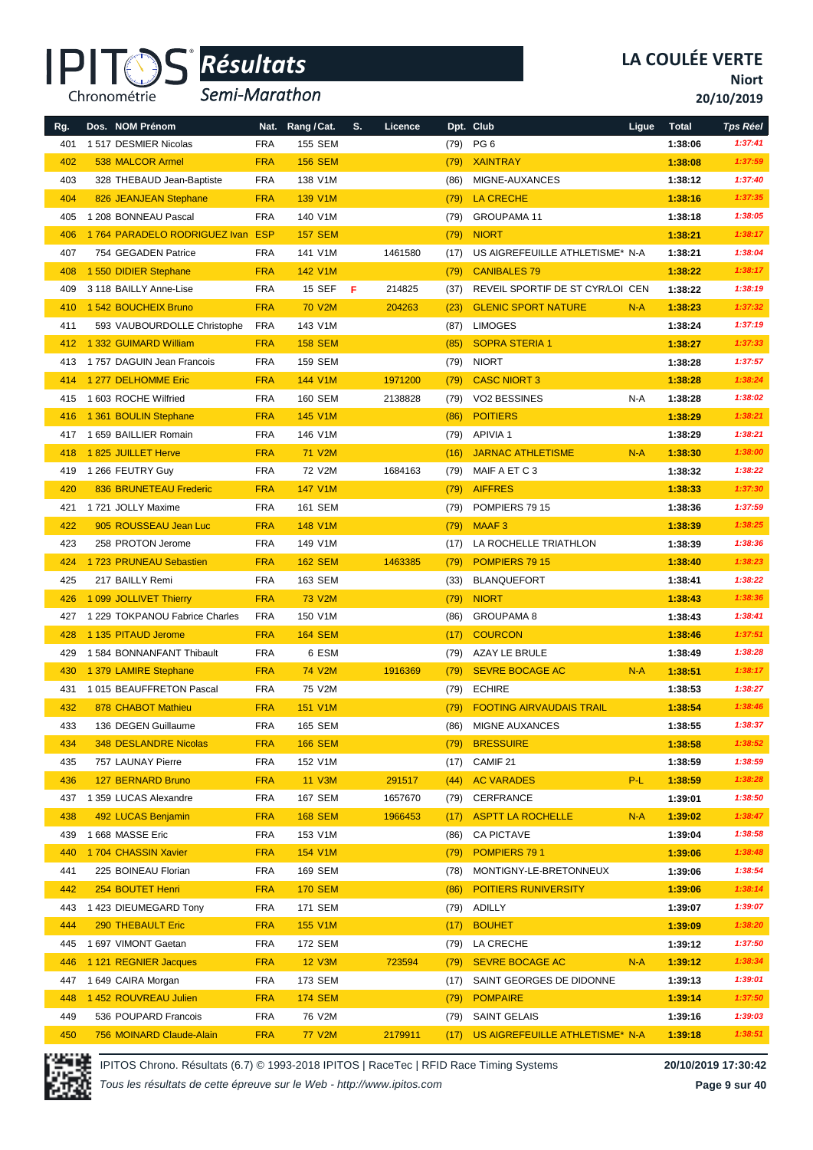#### IPI<sup>-</sup> Chronométrie

### *Résultats* **®**

*Semi-Marathon*

**Niort**

**20/10/2019**

| Rg. | Dos. NOM Prénom                  | Nat.       | Rang / Cat.    | S. | Licence |      | Dpt. Club                            | Ligue | <b>Total</b> | <b>Tps Réel</b> |
|-----|----------------------------------|------------|----------------|----|---------|------|--------------------------------------|-------|--------------|-----------------|
| 401 | 1517 DESMIER Nicolas             | <b>FRA</b> | <b>155 SEM</b> |    |         | (79) | PG <sub>6</sub>                      |       | 1:38:06      | 1:37:41         |
| 402 | 538 MALCOR Armel                 | <b>FRA</b> | <b>156 SEM</b> |    |         | (79) | <b>XAINTRAY</b>                      |       | 1:38:08      | 1:37:59         |
| 403 | 328 THEBAUD Jean-Baptiste        | <b>FRA</b> | 138 V1M        |    |         | (86) | MIGNE-AUXANCES                       |       | 1:38:12      | 1:37:40         |
| 404 | 826 JEANJEAN Stephane            | <b>FRA</b> | 139 V1M        |    |         | (79) | <b>LA CRECHE</b>                     |       | 1:38:16      | 1:37:35         |
| 405 | 1 208 BONNEAU Pascal             | <b>FRA</b> | 140 V1M        |    |         | (79) | <b>GROUPAMA 11</b>                   |       | 1:38:18      | 1:38:05         |
| 406 | 1764 PARADELO RODRIGUEZ Ivan ESP |            | <b>157 SEM</b> |    |         | (79) | <b>NIORT</b>                         |       | 1:38:21      | 1:38:17         |
| 407 | 754 GEGADEN Patrice              | <b>FRA</b> | 141 V1M        |    | 1461580 | (17) | US AIGREFEUILLE ATHLETISME* N-A      |       | 1:38:21      | 1:38:04         |
| 408 | 1 550 DIDIER Stephane            | <b>FRA</b> | 142 V1M        |    |         | (79) | <b>CANIBALES 79</b>                  |       | 1:38:22      | 1:38:17         |
| 409 | 3 118 BAILLY Anne-Lise           | <b>FRA</b> | <b>15 SEF</b>  | F  | 214825  | (37) | REVEIL SPORTIF DE ST CYR/LOI CEN     |       | 1:38:22      | 1:38:19         |
| 410 | 1 542 BOUCHEIX Bruno             | <b>FRA</b> | <b>70 V2M</b>  |    | 204263  | (23) | <b>GLENIC SPORT NATURE</b>           | $N-A$ | 1:38:23      | 1:37:32         |
| 411 | 593 VAUBOURDOLLE Christophe      | <b>FRA</b> | 143 V1M        |    |         | (87) | <b>LIMOGES</b>                       |       | 1:38:24      | 1:37:19         |
| 412 | 1 332 GUIMARD William            | <b>FRA</b> | <b>158 SEM</b> |    |         | (85) | <b>SOPRA STERIA 1</b>                |       | 1:38:27      | 1:37:33         |
| 413 | 1757 DAGUIN Jean Francois        | <b>FRA</b> | 159 SEM        |    |         | (79) | <b>NIORT</b>                         |       | 1:38:28      | 1:37:57         |
| 414 | 1 277 DELHOMME Eric              | <b>FRA</b> | 144 V1M        |    | 1971200 | (79) | <b>CASC NIORT 3</b>                  |       | 1:38:28      | 1:38:24         |
| 415 | 1 603 ROCHE Wilfried             | <b>FRA</b> | 160 SEM        |    | 2138828 | (79) | VO2 BESSINES                         | N-A   | 1:38:28      | 1:38:02         |
| 416 | 1 361 BOULIN Stephane            | <b>FRA</b> | <b>145 V1M</b> |    |         | (86) | <b>POITIERS</b>                      |       | 1:38:29      | 1:38:21         |
| 417 | 1 659 BAILLIER Romain            | <b>FRA</b> | 146 V1M        |    |         | (79) | <b>APIVIA1</b>                       |       | 1:38:29      | 1:38:21         |
| 418 | 1825 JUILLET Herve               | <b>FRA</b> | 71 V2M         |    |         | (16) | <b>JARNAC ATHLETISME</b>             | $N-A$ | 1:38:30      | 1:38:00         |
| 419 | 1 266 FEUTRY Guy                 | <b>FRA</b> | 72 V2M         |    | 1684163 | (79) | MAIF A ET C 3                        |       | 1:38:32      | 1:38:22         |
| 420 | 836 BRUNETEAU Frederic           | <b>FRA</b> | <b>147 V1M</b> |    |         | (79) | <b>AIFFRES</b>                       |       | 1:38:33      | 1:37:30         |
| 421 | 1721 JOLLY Maxime                | <b>FRA</b> | 161 SEM        |    |         | (79) | POMPIERS 79 15                       |       | 1:38:36      | 1:37:59         |
| 422 | 905 ROUSSEAU Jean Luc            | <b>FRA</b> | 148 V1M        |    |         | (79) | <b>MAAF3</b>                         |       | 1:38:39      | 1:38:25         |
| 423 | 258 PROTON Jerome                | <b>FRA</b> | 149 V1M        |    |         | (17) | LA ROCHELLE TRIATHLON                |       | 1:38:39      | 1:38:36         |
| 424 | 1723 PRUNEAU Sebastien           | <b>FRA</b> | <b>162 SEM</b> |    | 1463385 | (79) | POMPIERS 79 15                       |       | 1:38:40      | 1:38:23         |
| 425 | 217 BAILLY Remi                  | <b>FRA</b> | 163 SEM        |    |         | (33) | <b>BLANQUEFORT</b>                   |       | 1:38:41      | 1:38:22         |
| 426 | 1 099 JOLLIVET Thierry           | <b>FRA</b> | <b>73 V2M</b>  |    |         | (79) | <b>NIORT</b>                         |       | 1:38:43      | 1:38:36         |
| 427 | 1 229 TOKPANOU Fabrice Charles   | <b>FRA</b> | 150 V1M        |    |         | (86) | <b>GROUPAMA 8</b>                    |       | 1:38:43      | 1:38:41         |
| 428 | 1 135 PITAUD Jerome              | <b>FRA</b> | <b>164 SEM</b> |    |         | (17) | <b>COURCON</b>                       |       | 1:38:46      | 1:37:51         |
| 429 | 1584 BONNANFANT Thibault         | <b>FRA</b> | 6 ESM          |    |         | (79) | AZAY LE BRULE                        |       | 1:38:49      | 1:38:28         |
| 430 | 1 379 LAMIRE Stephane            | <b>FRA</b> | <b>74 V2M</b>  |    | 1916369 | (79) | <b>SEVRE BOCAGE AC</b>               | $N-A$ | 1:38:51      | 1:38:17         |
| 431 | 1015 BEAUFFRETON Pascal          | <b>FRA</b> | 75 V2M         |    |         | (79) | <b>ECHIRE</b>                        |       | 1:38:53      | 1:38:27         |
| 432 | 878 CHABOT Mathieu               | <b>FRA</b> | <b>151 V1M</b> |    |         | (79) | <b>FOOTING AIRVAUDAIS TRAIL</b>      |       | 1:38:54      | 1:38:46         |
| 433 | 136 DEGEN Guillaume              | <b>FRA</b> | 165 SEM        |    |         | (86) | MIGNE AUXANCES                       |       | 1:38:55      | 1:38:37         |
| 434 | <b>348 DESLANDRE Nicolas</b>     | <b>FRA</b> | <b>166 SEM</b> |    |         | (79) | <b>BRESSUIRE</b>                     |       | 1:38:58      | 1:38:52         |
| 435 | 757 LAUNAY Pierre                | <b>FRA</b> | 152 V1M        |    |         | (17) | CAMIF 21                             |       | 1:38:59      | 1:38:59         |
| 436 | 127 BERNARD Bruno                | <b>FRA</b> | <b>11 V3M</b>  |    | 291517  | (44) | <b>AC VARADES</b>                    | P-L   | 1:38:59      | 1:38:28         |
| 437 | 1 359 LUCAS Alexandre            | <b>FRA</b> | 167 SEM        |    | 1657670 | (79) | CERFRANCE                            |       | 1:39:01      | 1:38:50         |
| 438 | 492 LUCAS Benjamin               | <b>FRA</b> | <b>168 SEM</b> |    | 1966453 | (17) | <b>ASPTT LA ROCHELLE</b>             | $N-A$ | 1:39:02      | 1:38:47         |
| 439 | 1 668 MASSE Eric                 | <b>FRA</b> | 153 V1M        |    |         | (86) | <b>CA PICTAVE</b>                    |       | 1:39:04      | 1:38:58         |
| 440 | 1704 CHASSIN Xavier              | <b>FRA</b> | 154 V1M        |    |         | (79) | POMPIERS 791                         |       | 1:39:06      | 1:38:48         |
| 441 | 225 BOINEAU Florian              | <b>FRA</b> | 169 SEM        |    |         | (78) | MONTIGNY-LE-BRETONNEUX               |       | 1:39:06      | 1:38:54         |
| 442 | 254 BOUTET Henri                 | <b>FRA</b> | <b>170 SEM</b> |    |         | (86) | POITIERS RUNIVERSITY                 |       | 1:39:06      | 1:38:14         |
| 443 | 1 423 DIEUMEGARD Tony            | <b>FRA</b> | 171 SEM        |    |         | (79) | ADILLY                               |       | 1:39:07      | 1:39:07         |
| 444 | 290 THEBAULT Eric                | <b>FRA</b> | <b>155 V1M</b> |    |         | (17) | <b>BOUHET</b>                        |       | 1:39:09      | 1:38:20         |
| 445 | 1 697 VIMONT Gaetan              | <b>FRA</b> | 172 SEM        |    |         | (79) | LA CRECHE                            |       | 1:39:12      | 1:37:50         |
| 446 | 1 121 REGNIER Jacques            | <b>FRA</b> | <b>12 V3M</b>  |    | 723594  | (79) | <b>SEVRE BOCAGE AC</b>               | $N-A$ | 1:39:12      | 1:38:34         |
| 447 | 1 649 CAIRA Morgan               | <b>FRA</b> | 173 SEM        |    |         | (17) | SAINT GEORGES DE DIDONNE             |       | 1:39:13      | 1:39:01         |
| 448 | 1 452 ROUVREAU Julien            | <b>FRA</b> | <b>174 SEM</b> |    |         | (79) | <b>POMPAIRE</b>                      |       | 1:39:14      | 1:37:50         |
| 449 | 536 POUPARD Francois             | <b>FRA</b> | 76 V2M         |    |         | (79) | <b>SAINT GELAIS</b>                  |       | 1:39:16      | 1:39:03         |
| 450 | 756 MOINARD Claude-Alain         | <b>FRA</b> | 77 V2M         |    | 2179911 |      | (17) US AIGREFEUILLE ATHLETISME* N-A |       | 1:39:18      | 1:38:51         |



IPITOS Chrono. Résultats (6.7) © 1993-2018 IPITOS | RaceTec | RFID Race Timing Systems **20/10/2019 17:30:42**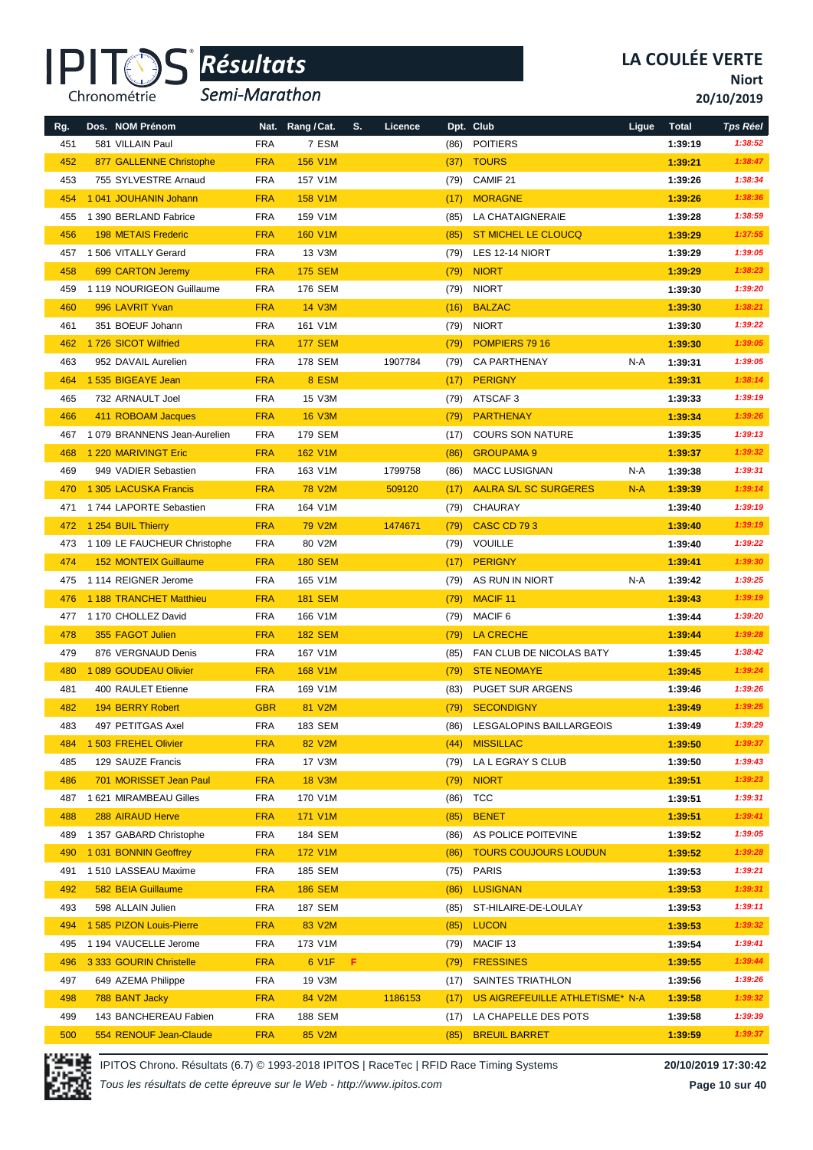#### IPI<sup>-</sup> Chronométrie

## *Résultats* **®**

*Semi-Marathon*

**Niort**

**20/10/2019**

| Rg. | Dos. NOM Prénom              |            | Nat. Rang / Cat. | S. | Licence |      | Dpt. Club                       | Ligue | <b>Total</b> | <b>Tps Réel</b> |
|-----|------------------------------|------------|------------------|----|---------|------|---------------------------------|-------|--------------|-----------------|
| 451 | 581 VILLAIN Paul             | <b>FRA</b> | 7 ESM            |    |         | (86) | <b>POITIERS</b>                 |       | 1:39:19      | 1:38:52         |
| 452 | 877 GALLENNE Christophe      | <b>FRA</b> | <b>156 V1M</b>   |    |         | (37) | <b>TOURS</b>                    |       | 1:39:21      | 1:38:47         |
| 453 | 755 SYLVESTRE Arnaud         | <b>FRA</b> | 157 V1M          |    |         | (79) | CAMIF <sub>21</sub>             |       | 1:39:26      | 1:38:34         |
| 454 | 1 041 JOUHANIN Johann        | <b>FRA</b> | <b>158 V1M</b>   |    |         | (17) | <b>MORAGNE</b>                  |       | 1:39:26      | 1:38:36         |
| 455 | 1 390 BERLAND Fabrice        | <b>FRA</b> | 159 V1M          |    |         | (85) | LA CHATAIGNERAIE                |       | 1:39:28      | 1:38:59         |
| 456 | <b>198 METAIS Frederic</b>   | <b>FRA</b> | <b>160 V1M</b>   |    |         | (85) | ST MICHEL LE CLOUCQ             |       | 1:39:29      | 1:37:55         |
| 457 | 1 506 VITALLY Gerard         | <b>FRA</b> | 13 V3M           |    |         | (79) | LES 12-14 NIORT                 |       | 1:39:29      | 1:39:05         |
| 458 | 699 CARTON Jeremy            | <b>FRA</b> | <b>175 SEM</b>   |    |         | (79) | <b>NIORT</b>                    |       | 1:39:29      | 1:38:23         |
| 459 | 1 119 NOURIGEON Guillaume    | <b>FRA</b> | 176 SEM          |    |         | (79) | <b>NIORT</b>                    |       | 1:39:30      | 1:39:20         |
| 460 | 996 LAVRIT Yvan              | <b>FRA</b> | <b>14 V3M</b>    |    |         | (16) | <b>BALZAC</b>                   |       | 1:39:30      | 1:38:21         |
| 461 | 351 BOEUF Johann             | <b>FRA</b> | 161 V1M          |    |         | (79) | <b>NIORT</b>                    |       | 1:39:30      | 1:39:22         |
| 462 | 1726 SICOT Wilfried          | <b>FRA</b> | <b>177 SEM</b>   |    |         | (79) | POMPIERS 79 16                  |       | 1:39:30      | 1:39:05         |
| 463 | 952 DAVAIL Aurelien          | <b>FRA</b> | <b>178 SEM</b>   |    | 1907784 | (79) | <b>CA PARTHENAY</b>             | N-A   | 1:39:31      | 1:39:05         |
| 464 | 1 535 BIGEAYE Jean           | <b>FRA</b> | 8 ESM            |    |         | (17) | <b>PERIGNY</b>                  |       | 1:39:31      | 1:38:14         |
| 465 | 732 ARNAULT Joel             | <b>FRA</b> | 15 V3M           |    |         | (79) | ATSCAF3                         |       | 1:39:33      | 1:39:19         |
| 466 | 411 ROBOAM Jacques           | <b>FRA</b> | <b>16 V3M</b>    |    |         | (79) | <b>PARTHENAY</b>                |       | 1:39:34      | 1:39:26         |
| 467 | 1079 BRANNENS Jean-Aurelien  | <b>FRA</b> | <b>179 SEM</b>   |    |         | (17) | <b>COURS SON NATURE</b>         |       | 1:39:35      | 1:39:13         |
| 468 | 1 220 MARIVINGT Eric         | <b>FRA</b> | 162 V1M          |    |         | (86) | <b>GROUPAMA 9</b>               |       | 1:39:37      | 1:39:32         |
| 469 | 949 VADIER Sebastien         | <b>FRA</b> | 163 V1M          |    | 1799758 | (86) | <b>MACC LUSIGNAN</b>            | N-A   | 1:39:38      | 1:39:31         |
| 470 | 1 305 LACUSKA Francis        | <b>FRA</b> | <b>78 V2M</b>    |    | 509120  | (17) | <b>AALRA S/L SC SURGERES</b>    | $N-A$ | 1:39:39      | 1:39:14         |
| 471 | 1744 LAPORTE Sebastien       | <b>FRA</b> | 164 V1M          |    |         | (79) | CHAURAY                         |       | 1:39:40      | 1:39:19         |
| 472 | 1 254 BUIL Thierry           | <b>FRA</b> | <b>79 V2M</b>    |    | 1474671 | (79) | <b>CASC CD 793</b>              |       | 1:39:40      | 1:39:19         |
| 473 | 1 109 LE FAUCHEUR Christophe | <b>FRA</b> | 80 V2M           |    |         | (79) | <b>VOUILLE</b>                  |       | 1:39:40      | 1:39:22         |
| 474 | <b>152 MONTEIX Guillaume</b> | <b>FRA</b> | <b>180 SEM</b>   |    |         | (17) | <b>PERIGNY</b>                  |       | 1:39:41      | 1:39:30         |
| 475 | 1114 REIGNER Jerome          | <b>FRA</b> | 165 V1M          |    |         | (79) | AS RUN IN NIORT                 | N-A   | 1:39:42      | 1:39:25         |
| 476 | 1 188 TRANCHET Matthieu      | <b>FRA</b> | <b>181 SEM</b>   |    |         | (79) | <b>MACIF 11</b>                 |       | 1:39:43      | 1:39:19         |
| 477 | 1 170 CHOLLEZ David          | <b>FRA</b> | 166 V1M          |    |         | (79) | MACIF <sub>6</sub>              |       | 1:39:44      | 1:39:20         |
| 478 | 355 FAGOT Julien             | <b>FRA</b> | <b>182 SEM</b>   |    |         | (79) | LA CRECHE                       |       | 1:39:44      | 1:39:28         |
| 479 | 876 VERGNAUD Denis           | <b>FRA</b> | 167 V1M          |    |         | (85) | FAN CLUB DE NICOLAS BATY        |       | 1:39:45      | 1:38:42         |
| 480 | 1 089 GOUDEAU Olivier        | <b>FRA</b> | 168 V1M          |    |         | (79) | <b>STE NEOMAYE</b>              |       | 1:39:45      | 1:39:24         |
| 481 | 400 RAULET Etienne           | <b>FRA</b> | 169 V1M          |    |         | (83) | <b>PUGET SUR ARGENS</b>         |       | 1:39:46      | 1:39:26         |
| 482 | 194 BERRY Robert             | <b>GBR</b> | 81 V2M           |    |         | (79) | <b>SECONDIGNY</b>               |       | 1:39:49      | 1:39:25         |
| 483 | 497 PETITGAS Axel            | FRA        | 183 SEM          |    |         | (86) | LESGALOPINS BAILLARGEOIS        |       | 1:39:49      | 1:39:29         |
| 484 | 1 503 FREHEL Olivier         | <b>FRA</b> | 82 V2M           |    |         | (44) | <b>MISSILLAC</b>                |       | 1:39:50      | 1:39:37         |
| 485 | 129 SAUZE Francis            | <b>FRA</b> | 17 V3M           |    |         | (79) | LA L EGRAY S CLUB               |       | 1:39:50      | 1:39:43         |
| 486 | 701 MORISSET Jean Paul       | <b>FRA</b> | <b>18 V3M</b>    |    |         | (79) | <b>NIORT</b>                    |       | 1:39:51      | 1:39:23         |
| 487 | 1 621 MIRAMBEAU Gilles       | <b>FRA</b> | 170 V1M          |    |         | (86) | TCC                             |       | 1:39:51      | 1:39:31         |
| 488 | 288 AIRAUD Herve             | <b>FRA</b> | <b>171 V1M</b>   |    |         | (85) | <b>BENET</b>                    |       | 1:39:51      | 1:39:41         |
| 489 | 1 357 GABARD Christophe      | <b>FRA</b> | 184 SEM          |    |         | (86) | AS POLICE POITEVINE             |       | 1:39:52      | 1:39:05         |
| 490 | 1031 BONNIN Geoffrey         | <b>FRA</b> | 172 V1M          |    |         | (86) | <b>TOURS COUJOURS LOUDUN</b>    |       | 1:39:52      | 1:39:28         |
| 491 | 1 510 LASSEAU Maxime         | <b>FRA</b> | 185 SEM          |    |         | (75) | PARIS                           |       | 1:39:53      | 1:39:21         |
| 492 | 582 BEIA Guillaume           | <b>FRA</b> | <b>186 SEM</b>   |    |         | (86) | <b>LUSIGNAN</b>                 |       | 1:39:53      | 1:39:31         |
| 493 | 598 ALLAIN Julien            | <b>FRA</b> | 187 SEM          |    |         | (85) | ST-HILAIRE-DE-LOULAY            |       | 1:39:53      | 1:39:11         |
| 494 | 1 585 PIZON Louis-Pierre     | <b>FRA</b> | 83 V2M           |    |         | (85) | <b>LUCON</b>                    |       | 1:39:53      | 1:39:32         |
| 495 | 1 194 VAUCELLE Jerome        | <b>FRA</b> | 173 V1M          |    |         | (79) | MACIF <sub>13</sub>             |       | 1:39:54      | 1:39:41         |
| 496 | 3 333 GOURIN Christelle      | <b>FRA</b> | 6 V1F            | F. |         | (79) | <b>FRESSINES</b>                |       | 1:39:55      | 1:39:44         |
| 497 | 649 AZEMA Philippe           | <b>FRA</b> | 19 V3M           |    |         | (17) | SAINTES TRIATHLON               |       | 1:39:56      | 1:39:26         |
| 498 | 788 BANT Jacky               | <b>FRA</b> | 84 V2M           |    | 1186153 | (17) | US AIGREFEUILLE ATHLETISME* N-A |       | 1:39:58      | 1:39:32         |
| 499 | 143 BANCHEREAU Fabien        | <b>FRA</b> | 188 SEM          |    |         | (17) | LA CHAPELLE DES POTS            |       | 1:39:58      | 1:39:39         |
| 500 | 554 RENOUF Jean-Claude       | <b>FRA</b> | 85 V2M           |    |         | (85) | <b>BREUIL BARRET</b>            |       | 1:39:59      | 1:39:37         |



IPITOS Chrono. Résultats (6.7) © 1993-2018 IPITOS | RaceTec | RFID Race Timing Systems **20/10/2019 17:30:42**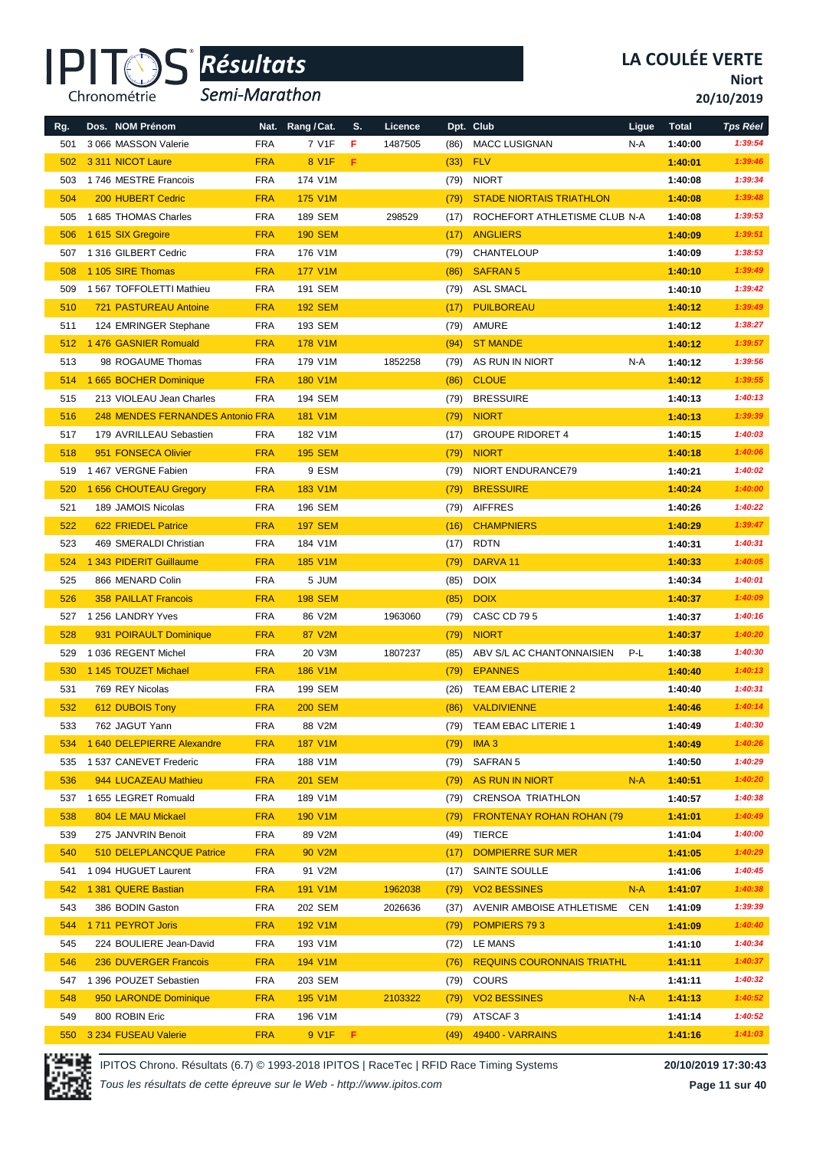

*Semi-Marathon*

**Niort**

**20/10/2019**

| Rg. | Dos. NOM Prénom                  |            | Nat. Rang / Cat. | S.  | Licence |      | Dpt. Club                         | Ligue | <b>Total</b> | <b>Tps Réel</b> |
|-----|----------------------------------|------------|------------------|-----|---------|------|-----------------------------------|-------|--------------|-----------------|
| 501 | 3 066 MASSON Valerie             | <b>FRA</b> | 7 V1F            | F   | 1487505 | (86) | <b>MACC LUSIGNAN</b>              | N-A   | 1:40:00      | 1:39:54         |
| 502 | 3 311 NICOT Laure                | <b>FRA</b> | 8 V1F            | F.  |         | (33) | <b>FLV</b>                        |       | 1:40:01      | 1:39:46         |
| 503 | 1746 MESTRE Francois             | <b>FRA</b> | 174 V1M          |     |         | (79) | <b>NIORT</b>                      |       | 1:40:08      | 1:39:34         |
| 504 | <b>200 HUBERT Cedric</b>         | <b>FRA</b> | 175 V1M          |     |         | (79) | <b>STADE NIORTAIS TRIATHLON</b>   |       | 1:40:08      | 1:39:48         |
| 505 | 1685 THOMAS Charles              | <b>FRA</b> | <b>189 SEM</b>   |     | 298529  | (17) | ROCHEFORT ATHLETISME CLUB N-A     |       | 1:40:08      | 1:39:53         |
| 506 | 1 615 SIX Gregoire               | <b>FRA</b> | <b>190 SEM</b>   |     |         | (17) | <b>ANGLIERS</b>                   |       | 1:40:09      | 1:39:51         |
| 507 | 1 316 GILBERT Cedric             | <b>FRA</b> | 176 V1M          |     |         | (79) | CHANTELOUP                        |       | 1:40:09      | 1:38:53         |
| 508 | 1 105 SIRE Thomas                | <b>FRA</b> | <b>177 V1M</b>   |     |         | (86) | <b>SAFRAN 5</b>                   |       | 1:40:10      | 1:39:49         |
| 509 | 1 567 TOFFOLETTI Mathieu         | <b>FRA</b> | 191 SEM          |     |         | (79) | <b>ASL SMACL</b>                  |       | 1:40:10      | 1:39:42         |
| 510 | <b>721 PASTUREAU Antoine</b>     | <b>FRA</b> | <b>192 SEM</b>   |     |         | (17) | <b>PUILBOREAU</b>                 |       | 1:40:12      | 1:39:49         |
| 511 | 124 EMRINGER Stephane            | <b>FRA</b> | 193 SEM          |     |         | (79) | AMURE                             |       | 1:40:12      | 1:38:27         |
| 512 | 1 476 GASNIER Romuald            | <b>FRA</b> | 178 V1M          |     |         | (94) | <b>ST MANDE</b>                   |       | 1:40:12      | 1:39:57         |
| 513 | 98 ROGAUME Thomas                | <b>FRA</b> | 179 V1M          |     | 1852258 | (79) | AS RUN IN NIORT                   | N-A   | 1:40:12      | 1:39:56         |
| 514 | 1 665 BOCHER Dominique           | <b>FRA</b> | 180 V1M          |     |         | (86) | <b>CLOUE</b>                      |       | 1:40:12      | 1:39:55         |
| 515 | 213 VIOLEAU Jean Charles         | <b>FRA</b> | 194 SEM          |     |         | (79) | <b>BRESSUIRE</b>                  |       | 1:40:13      | 1:40:13         |
| 516 | 248 MENDES FERNANDES Antonio FRA |            | 181 V1M          |     |         | (79) | <b>NIORT</b>                      |       | 1:40:13      | 1:39:39         |
| 517 | 179 AVRILLEAU Sebastien          | <b>FRA</b> | 182 V1M          |     |         | (17) | <b>GROUPE RIDORET 4</b>           |       | 1:40:15      | 1:40:03         |
| 518 | 951 FONSECA Olivier              | <b>FRA</b> | <b>195 SEM</b>   |     |         | (79) | <b>NIORT</b>                      |       | 1:40:18      | 1:40:06         |
| 519 | 1467 VERGNE Fabien               | <b>FRA</b> | 9 ESM            |     |         | (79) | NIORT ENDURANCE79                 |       | 1:40:21      | 1:40:02         |
| 520 | 1 656 CHOUTEAU Gregory           | <b>FRA</b> | 183 V1M          |     |         | (79) | <b>BRESSUIRE</b>                  |       | 1:40:24      | 1:40:00         |
| 521 | 189 JAMOIS Nicolas               | <b>FRA</b> | 196 SEM          |     |         | (79) | <b>AIFFRES</b>                    |       | 1:40:26      | 1:40:22         |
| 522 | 622 FRIEDEL Patrice              | <b>FRA</b> | <b>197 SEM</b>   |     |         | (16) | <b>CHAMPNIERS</b>                 |       | 1:40:29      | 1:39:47         |
| 523 | 469 SMERALDI Christian           | <b>FRA</b> | 184 V1M          |     |         | (17) | <b>RDTN</b>                       |       | 1:40:31      | 1:40:31         |
| 524 | 1 343 PIDERIT Guillaume          | <b>FRA</b> | <b>185 V1M</b>   |     |         | (79) | DARVA <sub>11</sub>               |       | 1:40:33      | 1:40:05         |
| 525 | 866 MENARD Colin                 | <b>FRA</b> | 5 JUM            |     |         | (85) | <b>DOIX</b>                       |       | 1:40:34      | 1:40:01         |
| 526 | <b>358 PAILLAT Francois</b>      | <b>FRA</b> | <b>198 SEM</b>   |     |         | (85) | <b>DOIX</b>                       |       | 1:40:37      | 1:40:09         |
| 527 | 1 256 LANDRY Yves                | <b>FRA</b> | 86 V2M           |     | 1963060 | (79) | <b>CASC CD 795</b>                |       | 1:40:37      | 1:40:16         |
| 528 | 931 POIRAULT Dominique           | <b>FRA</b> | 87 V2M           |     |         | (79) | <b>NIORT</b>                      |       | 1:40:37      | 1:40:20         |
| 529 | 1 036 REGENT Michel              | <b>FRA</b> | 20 V3M           |     | 1807237 | (85) | ABV S/L AC CHANTONNAISIEN         | P-L   | 1:40:38      | 1:40:30         |
| 530 | 1 145 TOUZET Michael             | <b>FRA</b> | <b>186 V1M</b>   |     |         | (79) | <b>EPANNES</b>                    |       | 1:40:40      | 1:40:13         |
| 531 | 769 REY Nicolas                  | <b>FRA</b> | 199 SEM          |     |         | (26) | TEAM EBAC LITERIE 2               |       | 1:40:40      | 1:40:31         |
| 532 | 612 DUBOIS Tony                  | <b>FRA</b> | <b>200 SEM</b>   |     |         | (86) | <b>VALDIVIENNE</b>                |       | 1:40:46      | 1:40:14         |
| 533 | 762 JAGUT Yann                   | FRA        | 88 V2M           |     |         | (79) | <b>TEAM EBAC LITERIE 1</b>        |       | 1:40:49      | 1:40:30         |
| 534 | 1 640 DELEPIERRE Alexandre       | <b>FRA</b> | 187 V1M          |     |         | (79) | <b>IMA3</b>                       |       | 1:40:49      | 1:40:26         |
| 535 | 1 537 CANEVET Frederic           | <b>FRA</b> | 188 V1M          |     |         | (79) | <b>SAFRAN 5</b>                   |       | 1:40:50      | 1:40:29         |
| 536 | 944 LUCAZEAU Mathieu             | <b>FRA</b> | <b>201 SEM</b>   |     |         | (79) | <b>AS RUN IN NIORT</b>            | $N-A$ | 1:40:51      | 1:40:20         |
| 537 | 1 655 LEGRET Romuald             | <b>FRA</b> | 189 V1M          |     |         | (79) | <b>CRENSOA TRIATHLON</b>          |       | 1:40:57      | 1:40:38         |
| 538 | 804 LE MAU Mickael               | <b>FRA</b> | <b>190 V1M</b>   |     |         | (79) | <b>FRONTENAY ROHAN ROHAN (79)</b> |       | 1:41:01      | 1:40:49         |
| 539 | 275 JANVRIN Benoit               | <b>FRA</b> | 89 V2M           |     |         | (49) | TIERCE                            |       | 1:41:04      | 1:40:00         |
| 540 | 510 DELEPLANCQUE Patrice         | <b>FRA</b> | 90 V2M           |     |         | (17) | <b>DOMPIERRE SUR MER</b>          |       | 1:41:05      | 1:40:29         |
| 541 | 1 094 HUGUET Laurent             | FRA        | 91 V2M           |     |         | (17) | SAINTE SOULLE                     |       | 1:41:06      | 1:40:45         |
| 542 | 1 381 QUERE Bastian              | <b>FRA</b> | 191 V1M          |     | 1962038 | (79) | <b>VO2 BESSINES</b>               | $N-A$ | 1:41:07      | 1:40:38         |
| 543 | 386 BODIN Gaston                 | <b>FRA</b> | 202 SEM          |     | 2026636 | (37) | AVENIR AMBOISE ATHLETISME         | CEN   | 1:41:09      | 1:39:39         |
| 544 | 1711 PEYROT Joris                | <b>FRA</b> | 192 V1M          |     |         | (79) | POMPIERS 793                      |       | 1:41:09      | 1:40:40         |
| 545 | 224 BOULIERE Jean-David          | FRA        | 193 V1M          |     |         | (72) | LE MANS                           |       | 1:41:10      | 1:40:34         |
| 546 | 236 DUVERGER Francois            | <b>FRA</b> | 194 V1M          |     |         | (76) | <b>REQUINS COURONNAIS TRIATHL</b> |       | 1:41:11      | 1:40:37         |
| 547 | 1 396 POUZET Sebastien           | <b>FRA</b> | 203 SEM          |     |         | (79) | COURS                             |       | 1:41:11      | 1:40:32         |
| 548 | 950 LARONDE Dominique            | <b>FRA</b> | 195 V1M          |     | 2103322 | (79) | <b>VO2 BESSINES</b>               | $N-A$ | 1:41:13      | 1:40:52         |
| 549 | 800 ROBIN Eric                   | FRA        | 196 V1M          |     |         | (79) | ATSCAF 3                          |       | 1:41:14      | 1:40:52         |
| 550 | 3 234 FUSEAU Valerie             | <b>FRA</b> | 9 V1F            | - F |         | (49) | 49400 - VARRAINS                  |       | 1:41:16      | 1:41:03         |



IPITOS Chrono. Résultats (6.7) © 1993-2018 IPITOS | RaceTec | RFID Race Timing Systems **20/10/2019 17:30:43**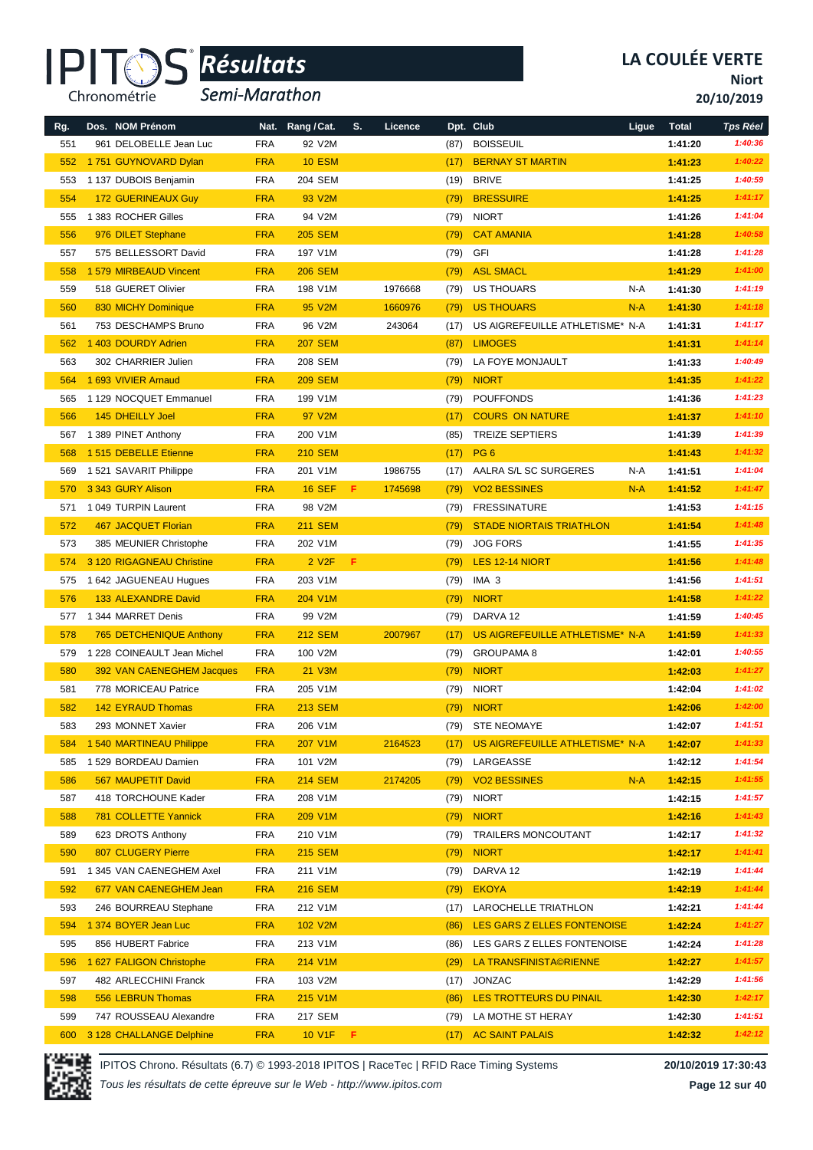

*Semi-Marathon*

**Niort**

**20/10/2019**

| Rg. | Dos. NOM Prénom                |            | Nat. Rang / Cat.   | S.  | Licence |      | Dpt. Club                       | Ligue | <b>Total</b> | <b>Tps Réel</b> |
|-----|--------------------------------|------------|--------------------|-----|---------|------|---------------------------------|-------|--------------|-----------------|
| 551 | 961 DELOBELLE Jean Luc         | <b>FRA</b> | 92 V2M             |     |         | (87) | <b>BOISSEUIL</b>                |       | 1:41:20      | 1:40:36         |
| 552 | 1751 GUYNOVARD Dylan           | <b>FRA</b> | <b>10 ESM</b>      |     |         | (17) | <b>BERNAY ST MARTIN</b>         |       | 1:41:23      | 1:40:22         |
| 553 | 1 137 DUBOIS Benjamin          | <b>FRA</b> | 204 SEM            |     |         | (19) | <b>BRIVE</b>                    |       | 1:41:25      | 1:40:59         |
| 554 | <b>172 GUERINEAUX Guy</b>      | <b>FRA</b> | 93 V2M             |     |         | (79) | <b>BRESSUIRE</b>                |       | 1:41:25      | 1:41:17         |
| 555 | 1 383 ROCHER Gilles            | <b>FRA</b> | 94 V2M             |     |         | (79) | <b>NIORT</b>                    |       | 1:41:26      | 1:41:04         |
| 556 | 976 DILET Stephane             | <b>FRA</b> | <b>205 SEM</b>     |     |         | (79) | <b>CAT AMANIA</b>               |       | 1:41:28      | 1:40:58         |
| 557 | 575 BELLESSORT David           | <b>FRA</b> | 197 V1M            |     |         | (79) | GFI                             |       | 1:41:28      | 1:41:28         |
| 558 | 1 579 MIRBEAUD Vincent         | <b>FRA</b> | <b>206 SEM</b>     |     |         | (79) | <b>ASL SMACL</b>                |       | 1:41:29      | 1:41:00         |
| 559 | 518 GUERET Olivier             | <b>FRA</b> | 198 V1M            |     | 1976668 | (79) | US THOUARS                      | N-A   | 1:41:30      | 1:41:19         |
| 560 | 830 MICHY Dominique            | <b>FRA</b> | 95 V2M             |     | 1660976 | (79) | <b>US THOUARS</b>               | $N-A$ | 1:41:30      | 1:41:18         |
| 561 | 753 DESCHAMPS Bruno            | <b>FRA</b> | 96 V2M             |     | 243064  | (17) | US AIGREFEUILLE ATHLETISME* N-A |       | 1:41:31      | 1:41:17         |
| 562 | 1 403 DOURDY Adrien            | <b>FRA</b> | <b>207 SEM</b>     |     |         | (87) | <b>LIMOGES</b>                  |       | 1:41:31      | 1:41:14         |
| 563 | 302 CHARRIER Julien            | <b>FRA</b> | 208 SEM            |     |         | (79) | LA FOYE MONJAULT                |       | 1:41:33      | 1:40:49         |
| 564 | 1 693 VIVIER Arnaud            | <b>FRA</b> | <b>209 SEM</b>     |     |         | (79) | <b>NIORT</b>                    |       | 1:41:35      | 1:41:22         |
| 565 | 1 129 NOCQUET Emmanuel         | <b>FRA</b> | 199 V1M            |     |         | (79) | <b>POUFFONDS</b>                |       | 1:41:36      | 1:41:23         |
| 566 | 145 DHEILLY Joel               | <b>FRA</b> | 97 V2M             |     |         | (17) | <b>COURS ON NATURE</b>          |       | 1:41:37      | 1:41:10         |
| 567 | 1 389 PINET Anthony            | <b>FRA</b> | 200 V1M            |     |         | (85) | <b>TREIZE SEPTIERS</b>          |       | 1:41:39      | 1:41:39         |
| 568 | 1515 DEBELLE Etienne           | <b>FRA</b> | <b>210 SEM</b>     |     |         | (17) | PG <sub>6</sub>                 |       | 1:41:43      | 1:41:32         |
| 569 | 1521 SAVARIT Philippe          | <b>FRA</b> | 201 V1M            |     | 1986755 | (17) | AALRA S/L SC SURGERES           | N-A   | 1:41:51      | 1:41:04         |
| 570 | 3 343 GURY Alison              | <b>FRA</b> | <b>16 SEF</b>      | F.  | 1745698 | (79) | <b>VO2 BESSINES</b>             | $N-A$ | 1:41:52      | 1:41:47         |
| 571 | 1 049 TURPIN Laurent           | <b>FRA</b> | 98 V2M             |     |         | (79) | <b>FRESSINATURE</b>             |       | 1:41:53      | 1:41:15         |
| 572 | <b>467 JACQUET Florian</b>     | <b>FRA</b> | <b>211 SEM</b>     |     |         | (79) | <b>STADE NIORTAIS TRIATHLON</b> |       | 1:41:54      | 1:41:48         |
| 573 | 385 MEUNIER Christophe         | <b>FRA</b> | 202 V1M            |     |         | (79) | <b>JOG FORS</b>                 |       | 1:41:55      | 1:41:35         |
| 574 | 3 120 RIGAGNEAU Christine      | <b>FRA</b> | 2 V <sub>2</sub> F | F.  |         | (79) | LES 12-14 NIORT                 |       | 1:41:56      | 1:41:48         |
| 575 | 1 642 JAGUENEAU Hugues         | <b>FRA</b> | 203 V1M            |     |         | (79) | IMA 3                           |       | 1:41:56      | 1:41:51         |
| 576 | 133 ALEXANDRE David            | <b>FRA</b> | 204 V1M            |     |         | (79) | <b>NIORT</b>                    |       | 1:41:58      | 1:41:22         |
| 577 | 1 344 MARRET Denis             | <b>FRA</b> | 99 V2M             |     |         | (79) | DARVA 12                        |       | 1:41:59      | 1:40:45         |
| 578 | <b>765 DETCHENIQUE Anthony</b> | <b>FRA</b> | <b>212 SEM</b>     |     | 2007967 | (17) | US AIGREFEUILLE ATHLETISME* N-A |       | 1:41:59      | 1:41:33         |
| 579 | 1 228 COINEAULT Jean Michel    | <b>FRA</b> | 100 V2M            |     |         | (79) | <b>GROUPAMA 8</b>               |       | 1:42:01      | 1:40:55         |
| 580 | 392 VAN CAENEGHEM Jacques      | <b>FRA</b> | 21 V3M             |     |         | (79) | <b>NIORT</b>                    |       | 1:42:03      | 1:41:27         |
| 581 | 778 MORICEAU Patrice           | <b>FRA</b> | 205 V1M            |     |         | (79) | <b>NIORT</b>                    |       | 1:42:04      | 1:41:02         |
| 582 | <b>142 EYRAUD Thomas</b>       | <b>FRA</b> | <b>213 SEM</b>     |     |         | (79) | <b>NIORT</b>                    |       | 1:42:06      | 1:42:00         |
| 583 | 293 MONNET Xavier              | FRA        | 206 V1M            |     |         | (79) | <b>STE NEOMAYE</b>              |       | 1:42:07      | 1:41:51         |
| 584 | 1 540 MARTINEAU Philippe       | <b>FRA</b> | 207 V1M            |     | 2164523 | (17) | US AIGREFEUILLE ATHLETISME* N-A |       | 1:42:07      | 1:41:33         |
| 585 | 1 529 BORDEAU Damien           | <b>FRA</b> | 101 V2M            |     |         | (79) | LARGEASSE                       |       | 1:42:12      | 1:41:54         |
| 586 | 567 MAUPETIT David             | <b>FRA</b> | <b>214 SEM</b>     |     | 2174205 | (79) | <b>VO2 BESSINES</b>             | $N-A$ | 1:42:15      | 1:41:55         |
| 587 | 418 TORCHOUNE Kader            | FRA        | 208 V1M            |     |         | (79) | <b>NIORT</b>                    |       | 1:42:15      | 1:41:57         |
| 588 | 781 COLLETTE Yannick           | <b>FRA</b> | 209 V1M            |     |         | (79) | <b>NIORT</b>                    |       | 1:42:16      | 1:41:43         |
| 589 | 623 DROTS Anthony              | FRA        | 210 V1M            |     |         | (79) | <b>TRAILERS MONCOUTANT</b>      |       | 1:42:17      | 1:41:32         |
| 590 | <b>807 CLUGERY Pierre</b>      | <b>FRA</b> | <b>215 SEM</b>     |     |         | (79) | <b>NIORT</b>                    |       | 1:42:17      | 1:41:41         |
| 591 | 1 345 VAN CAENEGHEM Axel       | FRA        | 211 V1M            |     |         | (79) | DARVA 12                        |       | 1:42:19      | 1:41:44         |
| 592 | 677 VAN CAENEGHEM Jean         | <b>FRA</b> | <b>216 SEM</b>     |     |         | (79) | <b>EKOYA</b>                    |       | 1:42:19      | 1:41:44         |
| 593 | 246 BOURREAU Stephane          | <b>FRA</b> | 212 V1M            |     |         | (17) | LAROCHELLE TRIATHLON            |       | 1:42:21      | 1:41:44         |
| 594 | 1 374 BOYER Jean Luc           | <b>FRA</b> | 102 V2M            |     |         | (86) | LES GARS Z ELLES FONTENOISE     |       | 1:42:24      | 1:41:27         |
| 595 | 856 HUBERT Fabrice             | FRA        | 213 V1M            |     |         | (86) | LES GARS Z ELLES FONTENOISE     |       | 1:42:24      | 1:41:28         |
| 596 | 1 627 FALIGON Christophe       | <b>FRA</b> | 214 V1M            |     |         | (29) | LA TRANSFINISTA©RIENNE          |       | 1:42:27      | 1:41:57         |
| 597 | 482 ARLECCHINI Franck          | FRA        | 103 V2M            |     |         | (17) | JONZAC                          |       | 1:42:29      | 1:41:56         |
| 598 | 556 LEBRUN Thomas              | <b>FRA</b> | 215 V1M            |     |         | (86) | LES TROTTEURS DU PINAIL         |       | 1:42:30      | 1:42:17         |
| 599 | 747 ROUSSEAU Alexandre         | FRA        | 217 SEM            |     |         | (79) | LA MOTHE ST HERAY               |       | 1:42:30      | 1:41:51         |
| 600 | 3 128 CHALLANGE Delphine       | <b>FRA</b> | 10 V1F             | - F |         |      | (17) AC SAINT PALAIS            |       | 1:42:32      | 1:42:12         |



IPITOS Chrono. Résultats (6.7) © 1993-2018 IPITOS | RaceTec | RFID Race Timing Systems **20/10/2019 17:30:43**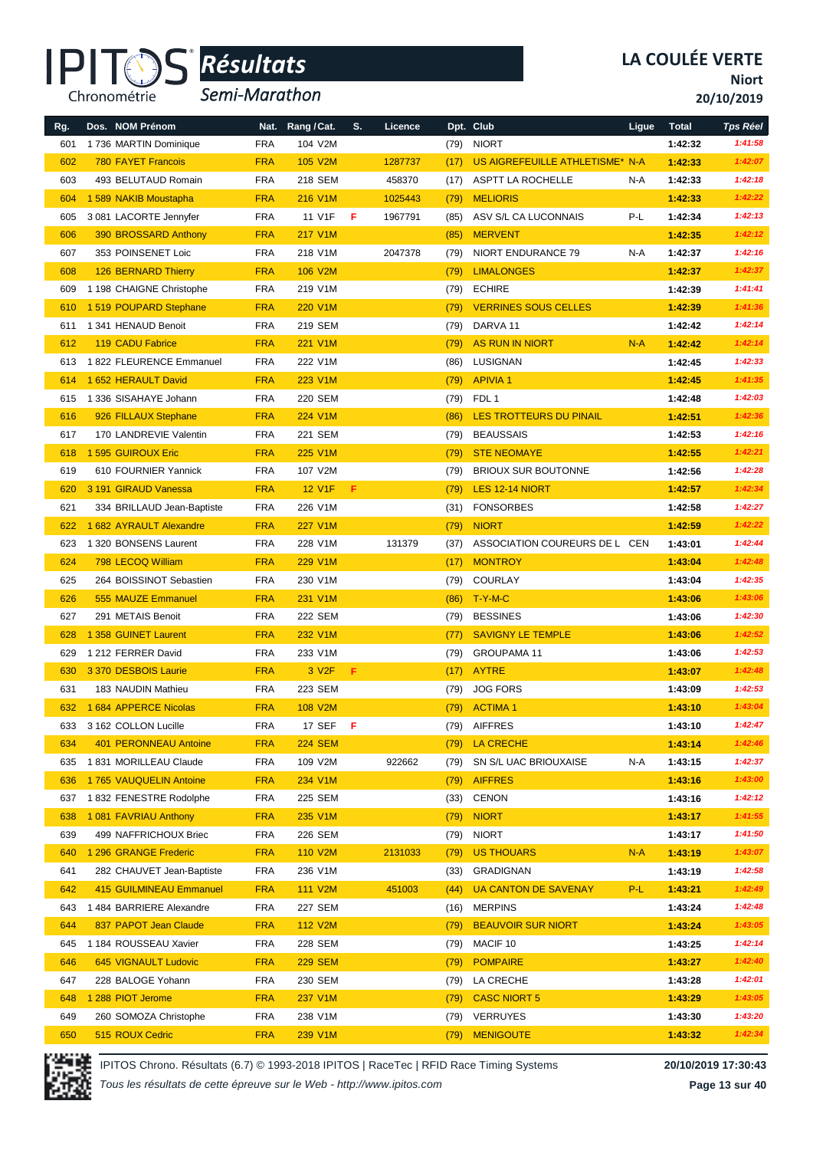

*Semi-Marathon*

**Niort**

**20/10/2019**

| Rg. | Dos. NOM Prénom                | Nat.       | Rang / Cat.        | S.  | Licence |      | Dpt. Club                       | Ligue | <b>Total</b> | <b>Tps Réel</b> |
|-----|--------------------------------|------------|--------------------|-----|---------|------|---------------------------------|-------|--------------|-----------------|
| 601 | 1736 MARTIN Dominique          | <b>FRA</b> | 104 V2M            |     |         | (79) | <b>NIORT</b>                    |       | 1:42:32      | 1:41:58         |
| 602 | <b>780 FAYET Francois</b>      | <b>FRA</b> | 105 V2M            |     | 1287737 | (17) | US AIGREFEUILLE ATHLETISME* N-A |       | 1:42:33      | 1:42:07         |
| 603 | 493 BELUTAUD Romain            | <b>FRA</b> | 218 SEM            |     | 458370  | (17) | ASPTT LA ROCHELLE               | N-A   | 1:42:33      | 1:42:18         |
| 604 | 1 589 NAKIB Moustapha          | <b>FRA</b> | 216 V1M            |     | 1025443 | (79) | <b>MELIORIS</b>                 |       | 1:42:33      | 1:42:22         |
| 605 | 3 081 LACORTE Jennyfer         | <b>FRA</b> | 11 V1F             | F   | 1967791 | (85) | ASV S/L CA LUCONNAIS            | P-L   | 1:42:34      | 1:42:13         |
| 606 | 390 BROSSARD Anthony           | <b>FRA</b> | 217 V1M            |     |         | (85) | <b>MERVENT</b>                  |       | 1:42:35      | 1:42:12         |
| 607 | 353 POINSENET Loic             | <b>FRA</b> | 218 V1M            |     | 2047378 | (79) | NIORT ENDURANCE 79              | N-A   | 1:42:37      | 1:42:16         |
| 608 | 126 BERNARD Thierry            | <b>FRA</b> | 106 V2M            |     |         | (79) | <b>LIMALONGES</b>               |       | 1:42:37      | 1:42:37         |
| 609 | 1 198 CHAIGNE Christophe       | <b>FRA</b> | 219 V1M            |     |         | (79) | <b>ECHIRE</b>                   |       | 1:42:39      | 1:41:41         |
| 610 | 1519 POUPARD Stephane          | <b>FRA</b> | 220 V1M            |     |         | (79) | <b>VERRINES SOUS CELLES</b>     |       | 1:42:39      | 1:41:36         |
| 611 | 1 341 HENAUD Benoit            | <b>FRA</b> | 219 SEM            |     |         | (79) | DARVA 11                        |       | 1:42:42      | 1:42:14         |
| 612 | <b>119 CADU Fabrice</b>        | <b>FRA</b> | 221 V1M            |     |         | (79) | <b>AS RUN IN NIORT</b>          | $N-A$ | 1:42:42      | 1:42:14         |
| 613 | 1822 FLEURENCE Emmanuel        | <b>FRA</b> | 222 V1M            |     |         | (86) | LUSIGNAN                        |       | 1:42:45      | 1:42:33         |
| 614 | 1 652 HERAULT David            | <b>FRA</b> | 223 V1M            |     |         | (79) | <b>APIVIA1</b>                  |       | 1:42:45      | 1:41:35         |
| 615 | 1 336 SISAHAYE Johann          | <b>FRA</b> | 220 SEM            |     |         | (79) | FDL 1                           |       | 1:42:48      | 1:42:03         |
| 616 | 926 FILLAUX Stephane           | <b>FRA</b> | 224 V1M            |     |         | (86) | LES TROTTEURS DU PINAIL         |       | 1:42:51      | 1:42:36         |
| 617 | 170 LANDREVIE Valentin         | <b>FRA</b> | 221 SEM            |     |         | (79) | <b>BEAUSSAIS</b>                |       | 1:42:53      | 1:42:16         |
| 618 | 1 595 GUIROUX Eric             | <b>FRA</b> | 225 V1M            |     |         | (79) | <b>STE NEOMAYE</b>              |       | 1:42:55      | 1:42:21         |
| 619 | 610 FOURNIER Yannick           | <b>FRA</b> | 107 V2M            |     |         | (79) | <b>BRIOUX SUR BOUTONNE</b>      |       | 1:42:56      | 1:42:28         |
| 620 | 3 191 GIRAUD Vanessa           | <b>FRA</b> | <b>12 V1F</b>      | F.  |         | (79) | LES 12-14 NIORT                 |       | 1:42:57      | 1:42:34         |
| 621 | 334 BRILLAUD Jean-Baptiste     | <b>FRA</b> | 226 V1M            |     |         | (31) | <b>FONSORBES</b>                |       | 1:42:58      | 1:42:27         |
| 622 | 1 682 AYRAULT Alexandre        | <b>FRA</b> | <b>227 V1M</b>     |     |         | (79) | <b>NIORT</b>                    |       | 1:42:59      | 1:42:22         |
| 623 | 1 320 BONSENS Laurent          | <b>FRA</b> | 228 V1M            |     | 131379  | (37) | ASSOCIATION COUREURS DE L CEN   |       | 1:43:01      | 1:42:44         |
| 624 | 798 LECOQ William              | <b>FRA</b> | 229 V1M            |     |         | (17) | <b>MONTROY</b>                  |       | 1:43:04      | 1:42:48         |
| 625 | 264 BOISSINOT Sebastien        | <b>FRA</b> | 230 V1M            |     |         | (79) | COURLAY                         |       | 1:43:04      | 1:42:35         |
| 626 | 555 MAUZE Emmanuel             | <b>FRA</b> | 231 V1M            |     |         | (86) | $T - Y - M - C$                 |       | 1:43:06      | 1:43:06         |
| 627 | 291 METAIS Benoit              | <b>FRA</b> | 222 SEM            |     |         | (79) | <b>BESSINES</b>                 |       | 1:43:06      | 1:42:30         |
| 628 | 1 358 GUINET Laurent           | <b>FRA</b> | 232 V1M            |     |         | (77) | <b>SAVIGNY LE TEMPLE</b>        |       | 1:43:06      | 1:42:52         |
| 629 | 1 212 FERRER David             | <b>FRA</b> | 233 V1M            |     |         | (79) | <b>GROUPAMA 11</b>              |       | 1:43:06      | 1:42:53         |
| 630 | 3 370 DESBOIS Laurie           | <b>FRA</b> | 3 V <sub>2</sub> F | F.  |         | (17) | <b>AYTRE</b>                    |       | 1:43:07      | 1:42:48         |
| 631 | 183 NAUDIN Mathieu             | <b>FRA</b> | 223 SEM            |     |         | (79) | <b>JOG FORS</b>                 |       | 1:43:09      | 1:42:53         |
| 632 | 1 684 APPERCE Nicolas          | <b>FRA</b> | 108 V2M            |     |         | (79) | <b>ACTIMA1</b>                  |       | 1:43:10      | 1:43:04         |
| 633 | 3 162 COLLON Lucille           | <b>FRA</b> | 17 SEF             | - F |         | (79) | AIFFRES                         |       | 1:43:10      | 1:42:47         |
| 634 | 401 PERONNEAU Antoine          | <b>FRA</b> | <b>224 SEM</b>     |     |         | (79) | <b>LA CRECHE</b>                |       | 1:43:14      | 1:42:46         |
| 635 | 1831 MORILLEAU Claude          | <b>FRA</b> | 109 V2M            |     | 922662  | (79) | SN S/L UAC BRIOUXAISE           | N-A   | 1:43:15      | 1:42:37         |
| 636 | 1765 VAUQUELIN Antoine         | <b>FRA</b> | 234 V1M            |     |         | (79) | <b>AIFFRES</b>                  |       | 1:43:16      | 1:43:00         |
| 637 | 1832 FENESTRE Rodolphe         | <b>FRA</b> | 225 SEM            |     |         | (33) | CENON                           |       | 1:43:16      | 1:42:12         |
| 638 | 1 081 FAVRIAU Anthony          | <b>FRA</b> | 235 V1M            |     |         | (79) | <b>NIORT</b>                    |       | 1:43:17      | 1:41:55         |
| 639 | 499 NAFFRICHOUX Briec          | <b>FRA</b> | 226 SEM            |     |         | (79) | <b>NIORT</b>                    |       | 1:43:17      | 1:41:50         |
| 640 | 1 296 GRANGE Frederic          | <b>FRA</b> | 110 V2M            |     | 2131033 | (79) | <b>US THOUARS</b>               | $N-A$ | 1:43:19      | 1:43:07         |
| 641 | 282 CHAUVET Jean-Baptiste      | <b>FRA</b> | 236 V1M            |     |         | (33) | GRADIGNAN                       |       | 1:43:19      | 1:42:58         |
| 642 | <b>415 GUILMINEAU Emmanuel</b> | <b>FRA</b> | 111 V2M            |     | 451003  | (44) | <b>UA CANTON DE SAVENAY</b>     | P-L   | 1:43:21      | 1:42:49         |
| 643 | 1 484 BARRIERE Alexandre       | <b>FRA</b> | 227 SEM            |     |         | (16) | <b>MERPINS</b>                  |       | 1:43:24      | 1:42:48         |
| 644 | 837 PAPOT Jean Claude          | <b>FRA</b> | 112 V2M            |     |         | (79) | <b>BEAUVOIR SUR NIORT</b>       |       | 1:43:24      | 1:43:05         |
| 645 | 1 184 ROUSSEAU Xavier          | <b>FRA</b> | 228 SEM            |     |         | (79) | MACIF 10                        |       | 1:43:25      | 1:42:14         |
| 646 | 645 VIGNAULT Ludovic           | <b>FRA</b> | <b>229 SEM</b>     |     |         | (79) | <b>POMPAIRE</b>                 |       | 1:43:27      | 1:42:40         |
| 647 | 228 BALOGE Yohann              | <b>FRA</b> | 230 SEM            |     |         | (79) | LA CRECHE                       |       | 1:43:28      | 1:42:01         |
| 648 | 1 288 PIOT Jerome              | <b>FRA</b> | 237 V1M            |     |         | (79) | <b>CASC NIORT 5</b>             |       | 1:43:29      | 1:43:05         |
| 649 | 260 SOMOZA Christophe          | <b>FRA</b> | 238 V1M            |     |         |      | (79) VERRUYES                   |       | 1:43:30      | 1:43:20         |
| 650 | 515 ROUX Cedric                | <b>FRA</b> | 239 V1M            |     |         | (79) | <b>MENIGOUTE</b>                |       | 1:43:32      | 1:42:34         |



IPITOS Chrono. Résultats (6.7) © 1993-2018 IPITOS | RaceTec | RFID Race Timing Systems **20/10/2019 17:30:43**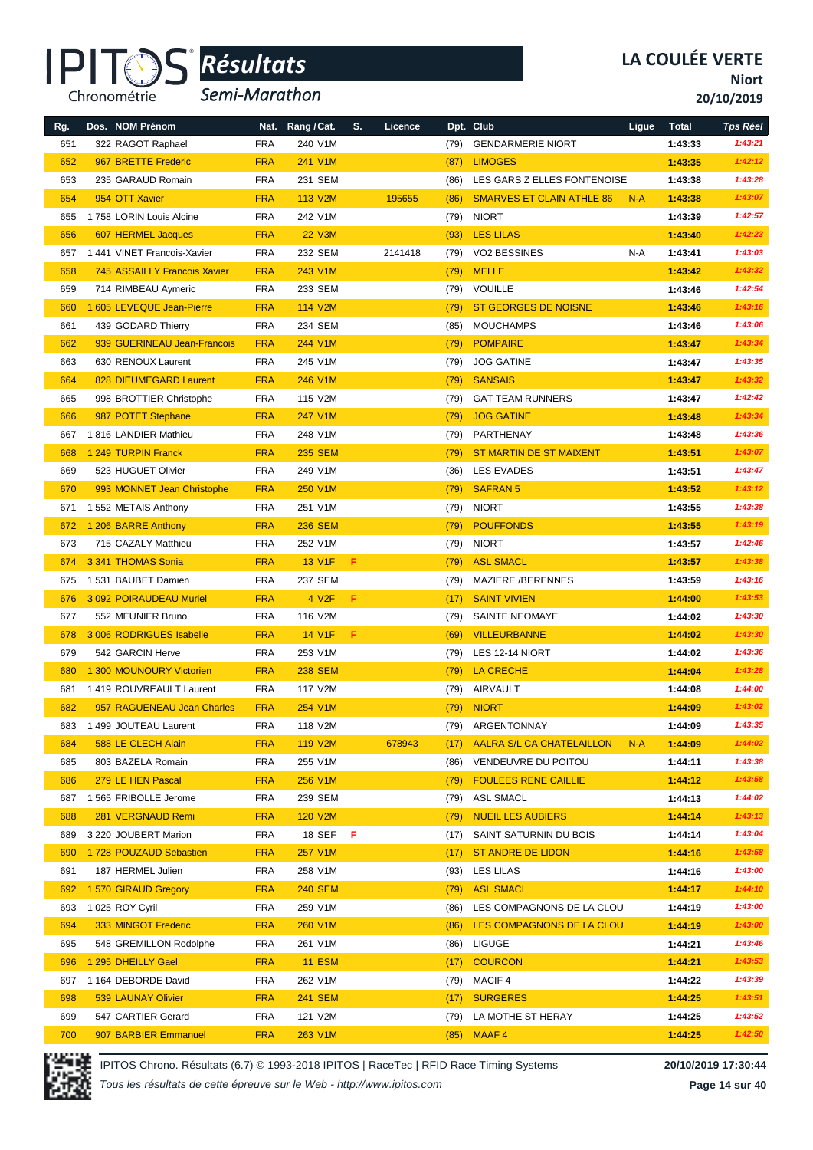

*Semi-Marathon*

**Niort**

**20/10/2019**

| Rg. | Dos. NOM Prénom                     | Nat.       | Rang / Cat.     | S. | Licence |      | Dpt. Club                        | Ligue | <b>Total</b> | <b>Tps Réel</b> |
|-----|-------------------------------------|------------|-----------------|----|---------|------|----------------------------------|-------|--------------|-----------------|
| 651 | 322 RAGOT Raphael                   | <b>FRA</b> | 240 V1M         |    |         | (79) | <b>GENDARMERIE NIORT</b>         |       | 1:43:33      | 1:43:21         |
| 652 | 967 BRETTE Frederic                 | <b>FRA</b> | 241 V1M         |    |         | (87) | <b>LIMOGES</b>                   |       | 1:43:35      | 1:42:12         |
| 653 | 235 GARAUD Romain                   | <b>FRA</b> | 231 SEM         |    |         | (86) | LES GARS Z ELLES FONTENOISE      |       | 1:43:38      | 1:43:28         |
| 654 | 954 OTT Xavier                      | <b>FRA</b> | 113 V2M         |    | 195655  | (86) | <b>SMARVES ET CLAIN ATHLE 86</b> | $N-A$ | 1:43:38      | 1:43:07         |
| 655 | 1758 LORIN Louis Alcine             | <b>FRA</b> | 242 V1M         |    |         |      | <b>NIORT</b>                     |       | 1:43:39      | 1:42:57         |
| 656 |                                     | <b>FRA</b> | <b>22 V3M</b>   |    |         | (79) | <b>LES LILAS</b>                 |       |              | 1:42:23         |
|     | 607 HERMEL Jacques                  |            |                 |    |         | (93) |                                  |       | 1:43:40      | 1:43:03         |
| 657 | 1 441 VINET Francois-Xavier         | <b>FRA</b> | 232 SEM         |    | 2141418 | (79) | VO2 BESSINES                     | N-A   | 1:43:41      |                 |
| 658 | <b>745 ASSAILLY Francois Xavier</b> | <b>FRA</b> | 243 V1M         |    |         | (79) | <b>MELLE</b>                     |       | 1:43:42      | 1:43:32         |
| 659 | 714 RIMBEAU Aymeric                 | <b>FRA</b> | 233 SEM         |    |         | (79) | <b>VOUILLE</b>                   |       | 1:43:46      | 1:42:54         |
| 660 | 1 605 LEVEQUE Jean-Pierre           | <b>FRA</b> | 114 V2M         |    |         | (79) | <b>ST GEORGES DE NOISNE</b>      |       | 1:43:46      | 1:43:16         |
| 661 | 439 GODARD Thierry                  | <b>FRA</b> | 234 SEM         |    |         | (85) | <b>MOUCHAMPS</b>                 |       | 1:43:46      | 1:43:06         |
| 662 | 939 GUERINEAU Jean-Francois         | <b>FRA</b> | 244 V1M         |    |         | (79) | <b>POMPAIRE</b>                  |       | 1:43:47      | 1:43:34         |
| 663 | 630 RENOUX Laurent                  | <b>FRA</b> | 245 V1M         |    |         | (79) | <b>JOG GATINE</b>                |       | 1:43:47      | 1:43:35         |
| 664 | 828 DIEUMEGARD Laurent              | <b>FRA</b> | 246 V1M         |    |         | (79) | <b>SANSAIS</b>                   |       | 1:43:47      | 1:43:32         |
| 665 | 998 BROTTIER Christophe             | <b>FRA</b> | 115 V2M         |    |         | (79) | <b>GAT TEAM RUNNERS</b>          |       | 1:43:47      | 1:42:42         |
| 666 | 987 POTET Stephane                  | <b>FRA</b> | 247 V1M         |    |         | (79) | <b>JOG GATINE</b>                |       | 1:43:48      | 1:43:34         |
| 667 | 1816 LANDIER Mathieu                | <b>FRA</b> | 248 V1M         |    |         | (79) | PARTHENAY                        |       | 1:43:48      | 1:43:36         |
| 668 | 1 249 TURPIN Franck                 | <b>FRA</b> | <b>235 SEM</b>  |    |         | (79) | <b>ST MARTIN DE ST MAIXENT</b>   |       | 1:43:51      | 1:43:07         |
| 669 | 523 HUGUET Olivier                  | <b>FRA</b> | 249 V1M         |    |         | (36) | LES EVADES                       |       | 1:43:51      | 1:43:47         |
| 670 | 993 MONNET Jean Christophe          | <b>FRA</b> | 250 V1M         |    |         | (79) | <b>SAFRAN 5</b>                  |       | 1:43:52      | 1:43:12         |
| 671 | 1 552 METAIS Anthony                | <b>FRA</b> | 251 V1M         |    |         | (79) | <b>NIORT</b>                     |       | 1:43:55      | 1:43:38         |
| 672 | 1 206 BARRE Anthony                 | <b>FRA</b> | <b>236 SEM</b>  |    |         | (79) | <b>POUFFONDS</b>                 |       | 1:43:55      | 1:43:19         |
| 673 | 715 CAZALY Matthieu                 | <b>FRA</b> | 252 V1M         |    |         | (79) | <b>NIORT</b>                     |       | 1:43:57      | 1:42:46         |
| 674 | 3 341 THOMAS Sonia                  | <b>FRA</b> | 13 V1F          | F  |         | (79) | <b>ASL SMACL</b>                 |       | 1:43:57      | 1:43:38         |
| 675 | 1 531 BAUBET Damien                 | <b>FRA</b> | 237 SEM         |    |         | (79) | MAZIERE /BERENNES                |       | 1:43:59      | 1:43:16         |
| 676 | 3 092 POIRAUDEAU Muriel             | <b>FRA</b> | 4 V2F           | F  |         | (17) | <b>SAINT VIVIEN</b>              |       | 1:44:00      | 1:43:53         |
| 677 | 552 MEUNIER Bruno                   | <b>FRA</b> | 116 V2M         |    |         | (79) | SAINTE NEOMAYE                   |       | 1:44:02      | 1:43:30         |
| 678 | 3 006 RODRIGUES Isabelle            | <b>FRA</b> | 14 V1F          | F  |         | (69) | <b>VILLEURBANNE</b>              |       | 1:44:02      | 1:43:30         |
| 679 | 542 GARCIN Herve                    | <b>FRA</b> | 253 V1M         |    |         | (79) | LES 12-14 NIORT                  |       | 1:44:02      | 1:43:36         |
| 680 | 1 300 MOUNOURY Victorien            | <b>FRA</b> | <b>238 SEM</b>  |    |         | (79) | <b>LA CRECHE</b>                 |       | 1:44:04      | 1:43:28         |
| 681 | 1 419 ROUVREAULT Laurent            | <b>FRA</b> | 117 V2M         |    |         | (79) | AIRVAULT                         |       | 1:44:08      | 1:44:00         |
| 682 | 957 RAGUENEAU Jean Charles          | <b>FRA</b> | 254 V1M         |    |         | (79) | <b>NIORT</b>                     |       | 1:44:09      | 1:43:02         |
| 683 | 1499 JOUTEAU Laurent                | <b>FRA</b> | 118 V2M         |    |         | (79) | ARGENTONNAY                      |       | 1:44:09      | 1:43:35         |
| 684 | 588 LE CLECH Alain                  | <b>FRA</b> | 119 V2M         |    | 678943  | (17) | <b>AALRA S/L CA CHATELAILLON</b> | $N-A$ | 1:44:09      | 1:44:02         |
| 685 | 803 BAZELA Romain                   | <b>FRA</b> | 255 V1M         |    |         | (86) | VENDEUVRE DU POITOU              |       | 1:44:11      | 1:43:38         |
| 686 | 279 LE HEN Pascal                   | <b>FRA</b> | 256 V1M         |    |         | (79) | <b>FOULEES RENE CAILLIE</b>      |       | 1:44:12      | 1:43:58         |
| 687 | 1 565 FRIBOLLE Jerome               | <b>FRA</b> | 239 SEM         |    |         | (79) | ASL SMACL                        |       | 1:44:13      | 1:44:02         |
| 688 | 281 VERGNAUD Remi                   | <b>FRA</b> | 120 V2M         |    |         | (79) | <b>NUEIL LES AUBIERS</b>         |       | 1:44:14      | 1:43:13         |
| 689 | 3 220 JOUBERT Marion                | <b>FRA</b> | 18 SEF <b>F</b> |    |         | (17) | SAINT SATURNIN DU BOIS           |       | 1:44:14      | 1:43:04         |
| 690 | 1728 POUZAUD Sebastien              | <b>FRA</b> | 257 V1M         |    |         | (17) | ST ANDRE DE LIDON                |       | 1:44:16      | 1:43:58         |
| 691 | 187 HERMEL Julien                   | <b>FRA</b> | 258 V1M         |    |         | (93) | LES LILAS                        |       | 1:44:16      | 1:43:00         |
| 692 | 1570 GIRAUD Gregory                 | <b>FRA</b> | <b>240 SEM</b>  |    |         | (79) | <b>ASL SMACL</b>                 |       | 1:44:17      | 1:44:10         |
| 693 | 1 025 ROY Cyril                     | <b>FRA</b> | 259 V1M         |    |         | (86) | LES COMPAGNONS DE LA CLOU        |       | 1:44:19      | 1:43:00         |
| 694 | 333 MINGOT Frederic                 | <b>FRA</b> | 260 V1M         |    |         | (86) | LES COMPAGNONS DE LA CLOU        |       | 1:44:19      | 1:43:00         |
| 695 | 548 GREMILLON Rodolphe              | <b>FRA</b> | 261 V1M         |    |         | (86) | LIGUGE                           |       | 1:44:21      | 1:43:46         |
| 696 | 1 295 DHEILLY Gael                  | <b>FRA</b> | <b>11 ESM</b>   |    |         | (17) | <b>COURCON</b>                   |       | 1:44:21      | 1:43:53         |
| 697 | 1 164 DEBORDE David                 | <b>FRA</b> | 262 V1M         |    |         | (79) | MACIF 4                          |       | 1:44:22      | 1:43:39         |
| 698 | 539 LAUNAY Olivier                  | <b>FRA</b> | <b>241 SEM</b>  |    |         | (17) | <b>SURGERES</b>                  |       | 1:44:25      | 1:43:51         |
| 699 | 547 CARTIER Gerard                  | <b>FRA</b> | 121 V2M         |    |         | (79) | LA MOTHE ST HERAY                |       | 1:44:25      | 1:43:52         |
| 700 | 907 BARBIER Emmanuel                | <b>FRA</b> | 263 V1M         |    |         | (85) | MAAF 4                           |       | 1:44:25      | 1:42:50         |



IPITOS Chrono. Résultats (6.7) © 1993-2018 IPITOS | RaceTec | RFID Race Timing Systems **20/10/2019 17:30:44**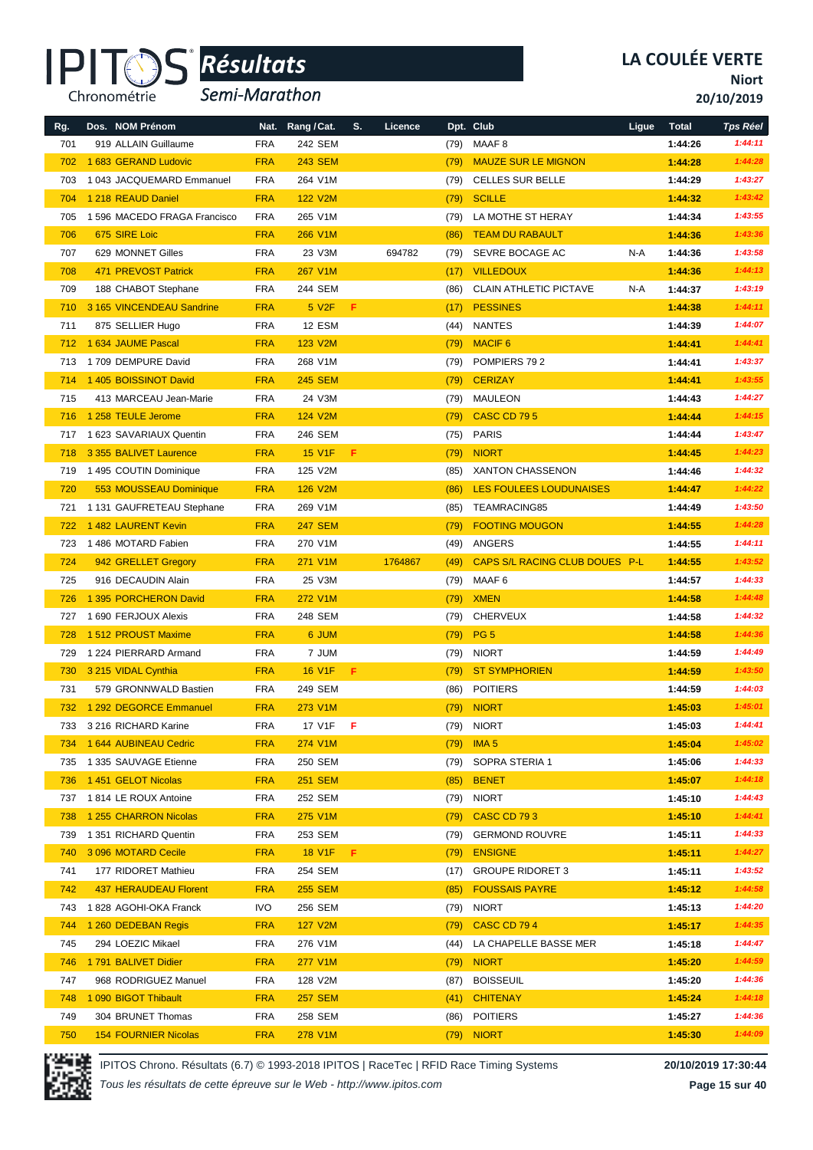

*Semi-Marathon*

**Niort**

**20/10/2019**

| Rg. | Dos. NOM Prénom                              | Nat.       | Rang / Cat.    | S.  | Licence |      | Dpt. Club                      | Ligue | <b>Total</b> | <b>Tps Réel</b> |
|-----|----------------------------------------------|------------|----------------|-----|---------|------|--------------------------------|-------|--------------|-----------------|
| 701 | 919 ALLAIN Guillaume                         | <b>FRA</b> | 242 SEM        |     |         | (79) | MAAF <sub>8</sub>              |       | 1:44:26      | 1:44:11         |
| 702 | 1 683 GERAND Ludovic                         | <b>FRA</b> | <b>243 SEM</b> |     |         | (79) | <b>MAUZE SUR LE MIGNON</b>     |       | 1:44:28      | 1:44:28         |
| 703 | 1 043 JACQUEMARD Emmanuel                    | <b>FRA</b> | 264 V1M        |     |         | (79) | <b>CELLES SUR BELLE</b>        |       | 1:44:29      | 1:43:27         |
| 704 | 1 218 REAUD Daniel                           | <b>FRA</b> | 122 V2M        |     |         | (79) | <b>SCILLE</b>                  |       | 1:44:32      | 1:43:42         |
| 705 | 1 596 MACEDO FRAGA Francisco                 | <b>FRA</b> | 265 V1M        |     |         | (79) | LA MOTHE ST HERAY              |       | 1:44:34      | 1:43:55         |
| 706 | 675 SIRE Loic                                | <b>FRA</b> | 266 V1M        |     |         | (86) | <b>TEAM DU RABAULT</b>         |       | 1:44:36      | 1:43:36         |
| 707 | 629 MONNET Gilles                            | <b>FRA</b> | 23 V3M         |     | 694782  | (79) | SEVRE BOCAGE AC                | N-A   | 1:44:36      | 1:43:58         |
| 708 | 471 PREVOST Patrick                          | <b>FRA</b> | 267 V1M        |     |         | (17) | <b>VILLEDOUX</b>               |       | 1:44:36      | 1:44:13         |
| 709 | 188 CHABOT Stephane                          | <b>FRA</b> | 244 SEM        |     |         | (86) | <b>CLAIN ATHLETIC PICTAVE</b>  | N-A   | 1:44:37      | 1:43:19         |
| 710 | 3 165 VINCENDEAU Sandrine                    | <b>FRA</b> | 5 V2F          | F   |         | (17) | <b>PESSINES</b>                |       | 1:44:38      | 1:44:11         |
| 711 | 875 SELLIER Hugo                             | <b>FRA</b> | 12 ESM         |     |         | (44) | <b>NANTES</b>                  |       | 1:44:39      | 1:44:07         |
| 712 | 1 634 JAUME Pascal                           | <b>FRA</b> | 123 V2M        |     |         | (79) | <b>MACIF 6</b>                 |       | 1:44:41      | 1:44:41         |
|     | 1709 DEMPURE David                           | <b>FRA</b> | 268 V1M        |     |         |      | POMPIERS 792                   |       |              | 1:43:37         |
| 713 | 1 405 BOISSINOT David                        | <b>FRA</b> | <b>245 SEM</b> |     |         | (79) | <b>CERIZAY</b>                 |       | 1:44:41      | 1:43:55         |
| 714 |                                              |            | 24 V3M         |     |         | (79) |                                |       | 1:44:41      | 1:44:27         |
| 715 | 413 MARCEAU Jean-Marie<br>1 258 TEULE Jerome | <b>FRA</b> |                |     |         | (79) | <b>MAULEON</b>                 |       | 1:44:43      | 1:44:15         |
| 716 |                                              | <b>FRA</b> | 124 V2M        |     |         | (79) | <b>CASC CD 795</b>             |       | 1:44:44      |                 |
| 717 | 1 623 SAVARIAUX Quentin                      | <b>FRA</b> | 246 SEM        |     |         | (75) | <b>PARIS</b>                   |       | 1:44:44      | 1:43:47         |
| 718 | 3 355 BALIVET Laurence                       | <b>FRA</b> | <b>15 V1F</b>  | F   |         | (79) | <b>NIORT</b>                   |       | 1:44:45      | 1:44:23         |
| 719 | 1 495 COUTIN Dominique                       | <b>FRA</b> | 125 V2M        |     |         | (85) | <b>XANTON CHASSENON</b>        |       | 1:44:46      | 1:44:32         |
| 720 | 553 MOUSSEAU Dominique                       | <b>FRA</b> | <b>126 V2M</b> |     |         | (86) | <b>LES FOULEES LOUDUNAISES</b> |       | 1:44:47      | 1:44:22         |
| 721 | 1 131 GAUFRETEAU Stephane                    | <b>FRA</b> | 269 V1M        |     |         | (85) | <b>TEAMRACING85</b>            |       | 1:44:49      | 1:43:50         |
| 722 | 1482 LAURENT Kevin                           | <b>FRA</b> | <b>247 SEM</b> |     |         | (79) | <b>FOOTING MOUGON</b>          |       | 1:44:55      | 1:44:28         |
| 723 | 1486 MOTARD Fabien                           | <b>FRA</b> | 270 V1M        |     |         | (49) | ANGERS                         |       | 1:44:55      | 1:44:11         |
| 724 | 942 GRELLET Gregory                          | <b>FRA</b> | 271 V1M        |     | 1764867 | (49) | CAPS S/L RACING CLUB DOUES P-L |       | 1:44:55      | 1:43:52         |
| 725 | 916 DECAUDIN Alain                           | <b>FRA</b> | 25 V3M         |     |         | (79) | MAAF 6                         |       | 1:44:57      | 1:44:33         |
| 726 | 1 395 PORCHERON David                        | <b>FRA</b> | 272 V1M        |     |         | (79) | <b>XMEN</b>                    |       | 1:44:58      | 1:44:48         |
| 727 | 1 690 FERJOUX Alexis                         | <b>FRA</b> | 248 SEM        |     |         | (79) | <b>CHERVEUX</b>                |       | 1:44:58      | 1:44:32         |
| 728 | 1 512 PROUST Maxime                          | <b>FRA</b> | 6 JUM          |     |         | (79) | <b>PG 5</b>                    |       | 1:44:58      | 1:44:36         |
| 729 | 1 224 PIERRARD Armand                        | <b>FRA</b> | 7 JUM          |     |         | (79) | <b>NIORT</b>                   |       | 1:44:59      | 1:44:49         |
| 730 | 3 215 VIDAL Cynthia                          | <b>FRA</b> | <b>16 V1F</b>  | F.  |         | (79) | <b>ST SYMPHORIEN</b>           |       | 1:44:59      | 1:43:50         |
| 731 | 579 GRONNWALD Bastien                        | <b>FRA</b> | 249 SEM        |     |         | (86) | <b>POITIERS</b>                |       | 1:44:59      | 1:44:03         |
| 732 | 1 292 DEGORCE Emmanuel                       | <b>FRA</b> | 273 V1M        |     |         | (79) | <b>NIORT</b>                   |       | 1:45:03      | 1:45:01         |
| 733 | 3 216 RICHARD Karine                         | FRA        | 17 V1F         | - F |         |      | (79) NIORT                     |       | 1:45:03      | 1:44:41         |
| 734 | 1 644 AUBINEAU Cedric                        | <b>FRA</b> | 274 V1M        |     |         | (79) | IMA <sub>5</sub>               |       | 1:45:04      | 1:45:02         |
| 735 | 1 335 SAUVAGE Etienne                        | <b>FRA</b> | 250 SEM        |     |         | (79) | SOPRA STERIA 1                 |       | 1:45:06      | 1:44:33         |
| 736 | 1451 GELOT Nicolas                           | <b>FRA</b> | <b>251 SEM</b> |     |         | (85) | <b>BENET</b>                   |       | 1:45:07      | 1:44:18         |
|     | 737 1814 LE ROUX Antoine                     | <b>FRA</b> | 252 SEM        |     |         | (79) | <b>NIORT</b>                   |       | 1:45:10      | 1:44:43         |
| 738 | 1 255 CHARRON Nicolas                        | <b>FRA</b> | 275 V1M        |     |         | (79) | <b>CASC CD 793</b>             |       | 1:45:10      | 1:44:41         |
| 739 | 1 351 RICHARD Quentin                        | <b>FRA</b> | 253 SEM        |     |         | (79) | <b>GERMOND ROUVRE</b>          |       | 1:45:11      | 1:44:33         |
| 740 | 3 096 MOTARD Cecile                          | <b>FRA</b> | <b>18 V1F</b>  | F.  |         | (79) | <b>ENSIGNE</b>                 |       | 1:45:11      | 1:44:27         |
| 741 | 177 RIDORET Mathieu                          | <b>FRA</b> | 254 SEM        |     |         | (17) | <b>GROUPE RIDORET 3</b>        |       | 1:45:11      | 1:43:52         |
| 742 | 437 HERAUDEAU Florent                        | <b>FRA</b> | <b>255 SEM</b> |     |         | (85) | <b>FOUSSAIS PAYRE</b>          |       | 1:45:12      | 1:44:58         |
| 743 | 1828 AGOHI-OKA Franck                        | <b>IVO</b> | 256 SEM        |     |         | (79) | <b>NIORT</b>                   |       | 1:45:13      | 1:44:20         |
| 744 | 1 260 DEDEBAN Regis                          | <b>FRA</b> | 127 V2M        |     |         | (79) | <b>CASC CD 794</b>             |       | 1:45:17      | 1:44:35         |
| 745 | 294 LOEZIC Mikael                            | <b>FRA</b> | 276 V1M        |     |         | (44) | LA CHAPELLE BASSE MER          |       | 1:45:18      | 1:44:47         |
| 746 | 1791 BALIVET Didier                          | <b>FRA</b> | <b>277 V1M</b> |     |         | (79) | <b>NIORT</b>                   |       | 1:45:20      | 1:44:59         |
| 747 | 968 RODRIGUEZ Manuel                         | <b>FRA</b> | 128 V2M        |     |         | (87) | <b>BOISSEUIL</b>               |       | 1:45:20      | 1:44:36         |
| 748 | 1 090 BIGOT Thibault                         | <b>FRA</b> | <b>257 SEM</b> |     |         |      | (41) CHITENAY                  |       | 1:45:24      | 1:44:18         |
| 749 | 304 BRUNET Thomas                            | FRA        | 258 SEM        |     |         |      | (86) POITIERS                  |       | 1:45:27      | 1:44:36         |
| 750 | <b>154 FOURNIER Nicolas</b>                  | <b>FRA</b> | 278 V1M        |     |         |      | $(79)$ NIORT                   |       | 1:45:30      | 1:44:09         |



IPITOS Chrono. Résultats (6.7) © 1993-2018 IPITOS | RaceTec | RFID Race Timing Systems **20/10/2019 17:30:44**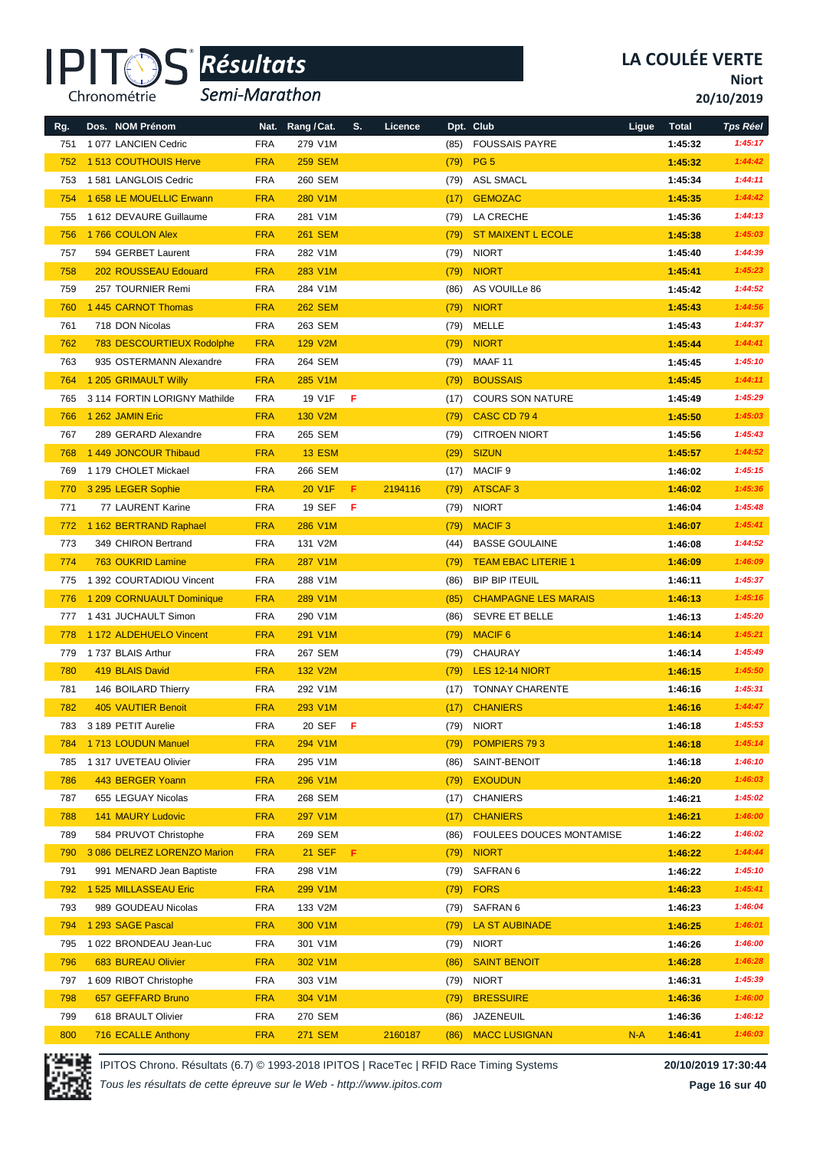

*Semi-Marathon*

**Niort**

**20/10/2019**

| Rg. | Dos. NOM Prénom               | Nat.       | Rang / Cat.    | S.  | Licence |      | Dpt. Club                   | Ligue | <b>Total</b> | <b>Tps Réel</b> |
|-----|-------------------------------|------------|----------------|-----|---------|------|-----------------------------|-------|--------------|-----------------|
| 751 | 1077 LANCIEN Cedric           | <b>FRA</b> | 279 V1M        |     |         | (85) | <b>FOUSSAIS PAYRE</b>       |       | 1:45:32      | 1:45:17         |
| 752 | 1513 COUTHOUIS Herve          | <b>FRA</b> | <b>259 SEM</b> |     |         | (79) | PG <sub>5</sub>             |       | 1:45:32      | 1:44:42         |
| 753 | 1581 LANGLOIS Cedric          | <b>FRA</b> | 260 SEM        |     |         | (79) | <b>ASL SMACL</b>            |       | 1:45:34      | 1:44:11         |
| 754 | 1 658 LE MOUELLIC Erwann      | <b>FRA</b> | 280 V1M        |     |         | (17) | <b>GEMOZAC</b>              |       | 1:45:35      | 1:44:42         |
| 755 | 1 612 DEVAURE Guillaume       | <b>FRA</b> | 281 V1M        |     |         | (79) | LA CRECHE                   |       | 1:45:36      | 1:44:13         |
| 756 | 1766 COULON Alex              | <b>FRA</b> | <b>261 SEM</b> |     |         | (79) | <b>ST MAIXENT L ECOLE</b>   |       | 1:45:38      | 1:45:03         |
| 757 | 594 GERBET Laurent            | <b>FRA</b> | 282 V1M        |     |         | (79) | <b>NIORT</b>                |       | 1:45:40      | 1:44:39         |
| 758 | 202 ROUSSEAU Edouard          | <b>FRA</b> | 283 V1M        |     |         | (79) | <b>NIORT</b>                |       | 1:45:41      | 1:45:23         |
| 759 | 257 TOURNIER Remi             | <b>FRA</b> | 284 V1M        |     |         | (86) | AS VOUILLe 86               |       | 1:45:42      | 1:44:52         |
| 760 | 1 445 CARNOT Thomas           | <b>FRA</b> | <b>262 SEM</b> |     |         | (79) | <b>NIORT</b>                |       | 1:45:43      | 1:44:56         |
| 761 | 718 DON Nicolas               | <b>FRA</b> | 263 SEM        |     |         | (79) | MELLE                       |       | 1:45:43      | 1:44:37         |
| 762 | 783 DESCOURTIEUX Rodolphe     | <b>FRA</b> | <b>129 V2M</b> |     |         | (79) | <b>NIORT</b>                |       | 1:45:44      | 1:44:41         |
| 763 | 935 OSTERMANN Alexandre       | <b>FRA</b> | 264 SEM        |     |         | (79) | MAAF 11                     |       | 1:45:45      | 1:45:10         |
| 764 | 1 205 GRIMAULT Willy          | <b>FRA</b> | 285 V1M        |     |         | (79) | <b>BOUSSAIS</b>             |       | 1:45:45      | 1:44:11         |
| 765 | 3 114 FORTIN LORIGNY Mathilde | <b>FRA</b> | 19 V1F         | F   |         | (17) | <b>COURS SON NATURE</b>     |       | 1:45:49      | 1:45:29         |
| 766 | 1 262 JAMIN Eric              | <b>FRA</b> | 130 V2M        |     |         | (79) | <b>CASC CD 794</b>          |       | 1:45:50      | 1:45:03         |
| 767 | 289 GERARD Alexandre          | <b>FRA</b> | 265 SEM        |     |         | (79) | <b>CITROEN NIORT</b>        |       | 1:45:56      | 1:45:43         |
| 768 | 1449 JONCOUR Thibaud          | <b>FRA</b> | <b>13 ESM</b>  |     |         | (29) | <b>SIZUN</b>                |       | 1:45:57      | 1:44:52         |
| 769 | 1 179 CHOLET Mickael          | <b>FRA</b> | 266 SEM        |     |         | (17) | MACIF <sub>9</sub>          |       | 1:46:02      | 1:45:15         |
| 770 | 3 295 LEGER Sophie            | <b>FRA</b> | 20 V1F         | F.  | 2194116 | (79) | <b>ATSCAF3</b>              |       | 1:46:02      | 1:45:36         |
| 771 | 77 LAURENT Karine             | <b>FRA</b> | <b>19 SEF</b>  | F   |         | (79) | <b>NIORT</b>                |       | 1:46:04      | 1:45:48         |
| 772 | 1 162 BERTRAND Raphael        | <b>FRA</b> | 286 V1M        |     |         | (79) | <b>MACIF3</b>               |       | 1:46:07      | 1:45:41         |
| 773 | 349 CHIRON Bertrand           | <b>FRA</b> | 131 V2M        |     |         | (44) | <b>BASSE GOULAINE</b>       |       | 1:46:08      | 1:44:52         |
| 774 | <b>763 OUKRID Lamine</b>      | <b>FRA</b> | 287 V1M        |     |         | (79) | <b>TEAM EBAC LITERIE 1</b>  |       | 1:46:09      | 1:46:09         |
| 775 | 1 392 COURTADIOU Vincent      | <b>FRA</b> | 288 V1M        |     |         | (86) | <b>BIP BIP ITEUIL</b>       |       | 1:46:11      | 1:45:37         |
| 776 | 1 209 CORNUAULT Dominique     | <b>FRA</b> | 289 V1M        |     |         | (85) | <b>CHAMPAGNE LES MARAIS</b> |       | 1:46:13      | 1:45:16         |
| 777 | 1431 JUCHAULT Simon           | <b>FRA</b> | 290 V1M        |     |         | (86) | <b>SEVRE ET BELLE</b>       |       | 1:46:13      | 1:45:20         |
| 778 | 1 172 ALDEHUELO Vincent       | <b>FRA</b> | 291 V1M        |     |         | (79) | <b>MACIF 6</b>              |       | 1:46:14      | 1:45:21         |
| 779 | 1737 BLAIS Arthur             | <b>FRA</b> | 267 SEM        |     |         | (79) | CHAURAY                     |       | 1:46:14      | 1:45:49         |
| 780 | 419 BLAIS David               | <b>FRA</b> | 132 V2M        |     |         | (79) | LES 12-14 NIORT             |       | 1:46:15      | 1:45:50         |
| 781 | 146 BOILARD Thierry           | <b>FRA</b> | 292 V1M        |     |         | (17) | <b>TONNAY CHARENTE</b>      |       | 1:46:16      | 1:45:31         |
| 782 | <b>405 VAUTIER Benoit</b>     | <b>FRA</b> | 293 V1M        |     |         | (17) | <b>CHANIERS</b>             |       | 1:46:16      | 1:44:47         |
| 783 | 3 189 PETIT Aurelie           | FRA        | 20 SEF         | F   |         | (79) | <b>NIORT</b>                |       | 1:46:18      | 1:45:53         |
| 784 | 1713 LOUDUN Manuel            | <b>FRA</b> | 294 V1M        |     |         | (79) | POMPIERS 793                |       | 1:46:18      | 1:45:14         |
| 785 | 1 317 UVETEAU Olivier         | <b>FRA</b> | 295 V1M        |     |         | (86) | SAINT-BENOIT                |       | 1:46:18      | 1:46:10         |
| 786 | 443 BERGER Yoann              | <b>FRA</b> | 296 V1M        |     |         | (79) | <b>EXOUDUN</b>              |       | 1:46:20      | 1:46:03         |
| 787 | 655 LEGUAY Nicolas            | <b>FRA</b> | 268 SEM        |     |         | (17) | <b>CHANIERS</b>             |       | 1:46:21      | 1:45:02         |
| 788 | <b>141 MAURY Ludovic</b>      | <b>FRA</b> | 297 V1M        |     |         | (17) | <b>CHANIERS</b>             |       | 1:46:21      | 1:46:00         |
| 789 | 584 PRUVOT Christophe         | <b>FRA</b> | 269 SEM        |     |         | (86) | FOULEES DOUCES MONTAMISE    |       | 1:46:22      | 1:46:02         |
| 790 | 3 086 DELREZ LORENZO Marion   | <b>FRA</b> | <b>21 SEF</b>  | -F. |         | (79) | <b>NIORT</b>                |       | 1:46:22      | 1:44:44         |
| 791 | 991 MENARD Jean Baptiste      | <b>FRA</b> | 298 V1M        |     |         | (79) | SAFRAN 6                    |       | 1:46:22      | 1:45:10         |
| 792 | 1 525 MILLASSEAU Eric         | <b>FRA</b> | 299 V1M        |     |         | (79) | <b>FORS</b>                 |       | 1:46:23      | 1:45:41         |
| 793 | 989 GOUDEAU Nicolas           | <b>FRA</b> | 133 V2M        |     |         | (79) | SAFRAN 6                    |       | 1:46:23      | 1:46:04         |
| 794 | 1 293 SAGE Pascal             | <b>FRA</b> | 300 V1M        |     |         | (79) | <b>LA ST AUBINADE</b>       |       | 1:46:25      | 1:46:01         |
| 795 | 1 022 BRONDEAU Jean-Luc       | <b>FRA</b> | 301 V1M        |     |         | (79) | <b>NIORT</b>                |       | 1:46:26      | 1:46:00         |
| 796 | 683 BUREAU Olivier            | <b>FRA</b> | 302 V1M        |     |         | (86) | <b>SAINT BENOIT</b>         |       | 1:46:28      | 1:46:28         |
| 797 | 1 609 RIBOT Christophe        | <b>FRA</b> | 303 V1M        |     |         | (79) | <b>NIORT</b>                |       | 1:46:31      | 1:45:39         |
| 798 | 657 GEFFARD Bruno             | <b>FRA</b> | 304 V1M        |     |         | (79) | <b>BRESSUIRE</b>            |       | 1:46:36      | 1:46:00         |
| 799 | 618 BRAULT Olivier            | <b>FRA</b> | 270 SEM        |     |         | (86) | JAZENEUIL                   |       | 1:46:36      | 1:46:12         |
| 800 | 716 ECALLE Anthony            | <b>FRA</b> | <b>271 SEM</b> |     | 2160187 | (86) | <b>MACC LUSIGNAN</b>        | $N-A$ | 1:46:41      | 1:46:03         |



IPITOS Chrono. Résultats (6.7) © 1993-2018 IPITOS | RaceTec | RFID Race Timing Systems **20/10/2019 17:30:44**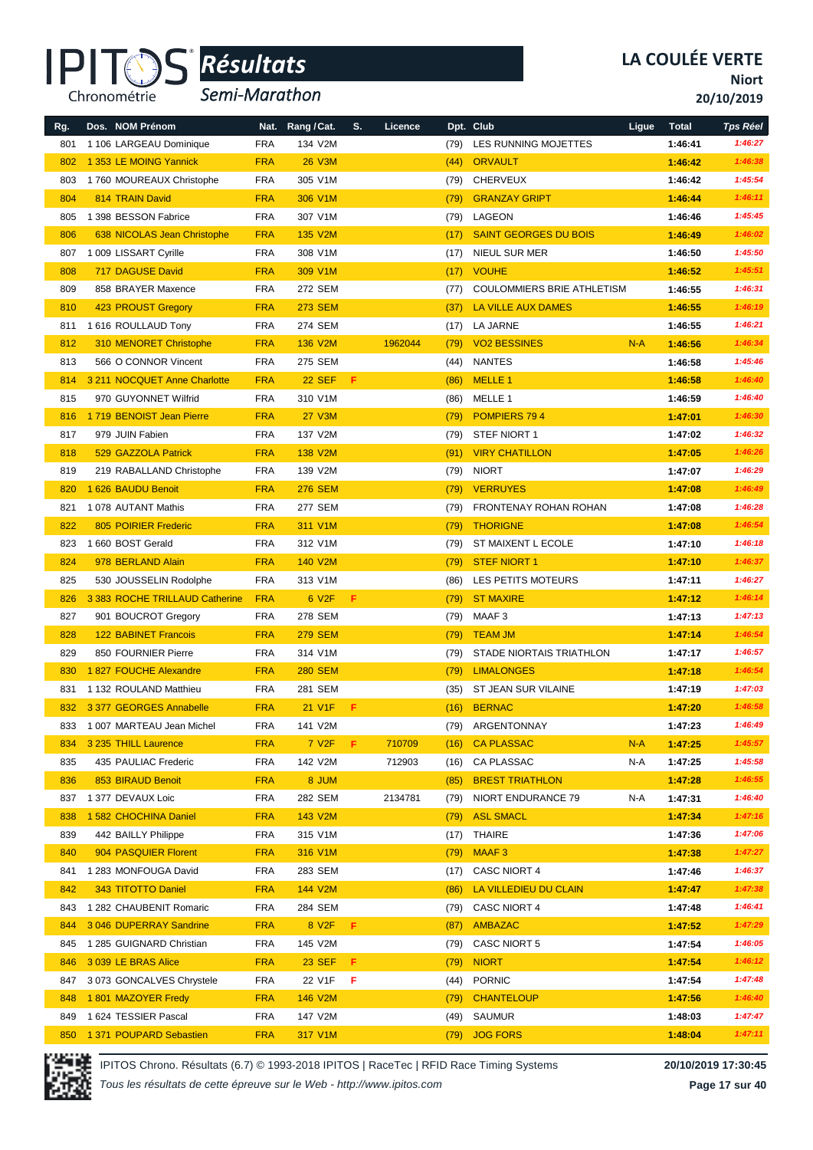

*Semi-Marathon*

**Niort**

**20/10/2019**

| Rg. | Dos. NOM Prénom                | Nat.       | Rang / Cat.        | S. | Licence |      | Dpt. Club                         | Ligue | <b>Total</b> | <b>Tps Réel</b> |
|-----|--------------------------------|------------|--------------------|----|---------|------|-----------------------------------|-------|--------------|-----------------|
| 801 | 1 106 LARGEAU Dominique        | <b>FRA</b> | 134 V2M            |    |         | (79) | LES RUNNING MOJETTES              |       | 1:46:41      | 1:46:27         |
| 802 | 1 353 LE MOING Yannick         | <b>FRA</b> | <b>26 V3M</b>      |    |         | (44) | <b>ORVAULT</b>                    |       | 1:46:42      | 1:46:38         |
| 803 | 1760 MOUREAUX Christophe       | <b>FRA</b> | 305 V1M            |    |         | (79) | <b>CHERVEUX</b>                   |       | 1:46:42      | 1:45:54         |
| 804 | 814 TRAIN David                | <b>FRA</b> | 306 V1M            |    |         | (79) | <b>GRANZAY GRIPT</b>              |       | 1:46:44      | 1:46:11         |
| 805 | 1 398 BESSON Fabrice           | <b>FRA</b> | 307 V1M            |    |         | (79) | LAGEON                            |       | 1:46:46      | 1:45:45         |
| 806 | 638 NICOLAS Jean Christophe    | <b>FRA</b> | 135 V2M            |    |         | (17) | <b>SAINT GEORGES DU BOIS</b>      |       | 1:46:49      | 1:46:02         |
| 807 | 1 009 LISSART Cyrille          | <b>FRA</b> | 308 V1M            |    |         | (17) | NIEUL SUR MER                     |       | 1:46:50      | 1:45:50         |
| 808 | 717 DAGUSE David               | <b>FRA</b> | 309 V1M            |    |         | (17) | <b>VOUHE</b>                      |       | 1:46:52      | 1:45:51         |
| 809 | 858 BRAYER Maxence             | <b>FRA</b> | 272 SEM            |    |         | (77) | <b>COULOMMIERS BRIE ATHLETISM</b> |       | 1:46:55      | 1:46:31         |
| 810 | 423 PROUST Gregory             | <b>FRA</b> | <b>273 SEM</b>     |    |         | (37) | LA VILLE AUX DAMES                |       | 1:46:55      | 1:46:19         |
| 811 | 1 616 ROULLAUD Tony            | <b>FRA</b> | 274 SEM            |    |         | (17) | LA JARNE                          |       | 1:46:55      | 1:46:21         |
| 812 | 310 MENORET Christophe         | <b>FRA</b> | 136 V2M            |    | 1962044 | (79) | <b>VO2 BESSINES</b>               | $N-A$ | 1:46:56      | 1:46:34         |
| 813 | 566 O CONNOR Vincent           | <b>FRA</b> | 275 SEM            |    |         | (44) | <b>NANTES</b>                     |       | 1:46:58      | 1:45:46         |
| 814 | 3 211 NOCQUET Anne Charlotte   | <b>FRA</b> | <b>22 SEF</b>      | F. |         | (86) | MELLE <sub>1</sub>                |       | 1:46:58      | 1:46:40         |
| 815 | 970 GUYONNET Wilfrid           | <b>FRA</b> | 310 V1M            |    |         | (86) | MELLE 1                           |       | 1:46:59      | 1:46:40         |
| 816 | 1719 BENOIST Jean Pierre       | <b>FRA</b> | <b>27 V3M</b>      |    |         | (79) | POMPIERS 794                      |       | 1:47:01      | 1:46:30         |
| 817 | 979 JUIN Fabien                | <b>FRA</b> | 137 V2M            |    |         | (79) | STEF NIORT 1                      |       | 1:47:02      | 1:46:32         |
| 818 | 529 GAZZOLA Patrick            | <b>FRA</b> | 138 V2M            |    |         | (91) | <b>VIRY CHATILLON</b>             |       | 1:47:05      | 1:46:26         |
| 819 | 219 RABALLAND Christophe       | <b>FRA</b> | 139 V2M            |    |         | (79) | <b>NIORT</b>                      |       | 1:47:07      | 1:46:29         |
| 820 | 1 626 BAUDU Benoit             | <b>FRA</b> | <b>276 SEM</b>     |    |         | (79) | <b>VERRUYES</b>                   |       | 1:47:08      | 1:46:49         |
| 821 | 1 078 AUTANT Mathis            | <b>FRA</b> | <b>277 SEM</b>     |    |         | (79) | FRONTENAY ROHAN ROHAN             |       | 1:47:08      | 1:46:28         |
| 822 | 805 POIRIER Frederic           | <b>FRA</b> | 311 V1M            |    |         | (79) | <b>THORIGNE</b>                   |       | 1:47:08      | 1:46:54         |
| 823 | 1 660 BOST Gerald              | <b>FRA</b> | 312 V1M            |    |         | (79) | ST MAIXENT L ECOLE                |       | 1:47:10      | 1:46:18         |
| 824 | 978 BERLAND Alain              | <b>FRA</b> | 140 V2M            |    |         | (79) | <b>STEF NIORT 1</b>               |       | 1:47:10      | 1:46:37         |
| 825 | 530 JOUSSELIN Rodolphe         | <b>FRA</b> | 313 V1M            |    |         | (86) | LES PETITS MOTEURS                |       | 1:47:11      | 1:46:27         |
| 826 | 3 383 ROCHE TRILLAUD Catherine | <b>FRA</b> | 6 V <sub>2F</sub>  | F  |         | (79) | <b>ST MAXIRE</b>                  |       | 1:47:12      | 1:46:14         |
| 827 | 901 BOUCROT Gregory            | <b>FRA</b> | 278 SEM            |    |         | (79) | MAAF3                             |       | 1:47:13      | 1:47:13         |
| 828 | <b>122 BABINET Francois</b>    | <b>FRA</b> | <b>279 SEM</b>     |    |         | (79) | <b>TEAM JM</b>                    |       | 1:47:14      | 1:46:54         |
| 829 | 850 FOURNIER Pierre            | <b>FRA</b> | 314 V1M            |    |         | (79) | <b>STADE NIORTAIS TRIATHLON</b>   |       | 1:47:17      | 1:46:57         |
| 830 | 1827 FOUCHE Alexandre          | <b>FRA</b> | <b>280 SEM</b>     |    |         | (79) | <b>LIMALONGES</b>                 |       | 1:47:18      | 1:46:54         |
| 831 | 1 132 ROULAND Matthieu         | <b>FRA</b> | 281 SEM            |    |         | (35) | ST JEAN SUR VILAINE               |       | 1:47:19      | 1:47:03         |
| 832 | 3 377 GEORGES Annabelle        | <b>FRA</b> | 21 V1F             | F. |         | (16) | <b>BERNAC</b>                     |       | 1:47:20      | 1:46:58         |
| 833 | 1 007 MARTEAU Jean Michel      | FRA        | 141 V2M            |    |         | (79) | ARGENTONNAY                       |       | 1:47:23      | 1:46:49         |
| 834 | 3 235 THILL Laurence           | <b>FRA</b> | 7 V <sub>2</sub> F | F. | 710709  | (16) | <b>CA PLASSAC</b>                 | $N-A$ | 1:47:25      | 1:45:57         |
| 835 | 435 PAULIAC Frederic           | <b>FRA</b> | 142 V2M            |    | 712903  | (16) | CA PLASSAC                        | N-A   | 1:47:25      | 1:45:58         |
| 836 | 853 BIRAUD Benoit              | <b>FRA</b> | 8 JUM              |    |         | (85) | <b>BREST TRIATHLON</b>            |       | 1:47:28      | 1:46:55         |
| 837 | 1 377 DEVAUX Loic              | <b>FRA</b> | 282 SEM            |    | 2134781 | (79) | <b>NIORT ENDURANCE 79</b>         | N-A   | 1:47:31      | 1:46:40         |
| 838 | 1 582 CHOCHINA Daniel          | <b>FRA</b> | 143 V2M            |    |         | (79) | <b>ASL SMACL</b>                  |       | 1:47:34      | 1:47:16         |
| 839 | 442 BAILLY Philippe            | <b>FRA</b> | 315 V1M            |    |         | (17) | THAIRE                            |       | 1:47:36      | 1:47:06         |
| 840 | 904 PASQUIER Florent           | <b>FRA</b> | 316 V1M            |    |         | (79) | MAAF <sub>3</sub>                 |       | 1:47:38      | 1:47:27         |
| 841 | 1 283 MONFOUGA David           | <b>FRA</b> | 283 SEM            |    |         |      | (17) CASC NIORT 4                 |       | 1:47:46      | 1:46:37         |
| 842 | 343 TITOTTO Daniel             | <b>FRA</b> | 144 V2M            |    |         | (86) | LA VILLEDIEU DU CLAIN             |       | 1:47:47      | 1:47:38         |
| 843 | 1 282 CHAUBENIT Romaric        | <b>FRA</b> | 284 SEM            |    |         | (79) | <b>CASC NIORT 4</b>               |       | 1:47:48      | 1:46:41         |
| 844 | 3 046 DUPERRAY Sandrine        | <b>FRA</b> | 8 V <sub>2F</sub>  | F. |         | (87) | <b>AMBAZAC</b>                    |       | 1:47:52      | 1:47:29         |
| 845 | 1 285 GUIGNARD Christian       | <b>FRA</b> | 145 V2M            |    |         | (79) | <b>CASC NIORT 5</b>               |       | 1:47:54      | 1:46:05         |
| 846 | 3 039 LE BRAS Alice            | <b>FRA</b> | <b>23 SEF</b>      | F. |         | (79) | <b>NIORT</b>                      |       | 1:47:54      | 1:46:12         |
| 847 | 3 073 GONCALVES Chrystele      | <b>FRA</b> | 22 V1F             | F  |         | (44) | <b>PORNIC</b>                     |       | 1:47:54      | 1:47:48         |
| 848 | 1801 MAZOYER Fredy             | <b>FRA</b> | 146 V2M            |    |         | (79) | <b>CHANTELOUP</b>                 |       | 1:47:56      | 1:46:40         |
| 849 | 1624 TESSIER Pascal            | <b>FRA</b> | 147 V2M            |    |         | (49) | SAUMUR                            |       | 1:48:03      | 1:47:47         |
| 850 | 1 371 POUPARD Sebastien        | <b>FRA</b> | 317 V1M            |    |         |      | (79) JOG FORS                     |       | 1:48:04      | 1:47:11         |



IPITOS Chrono. Résultats (6.7) © 1993-2018 IPITOS | RaceTec | RFID Race Timing Systems **20/10/2019 17:30:45**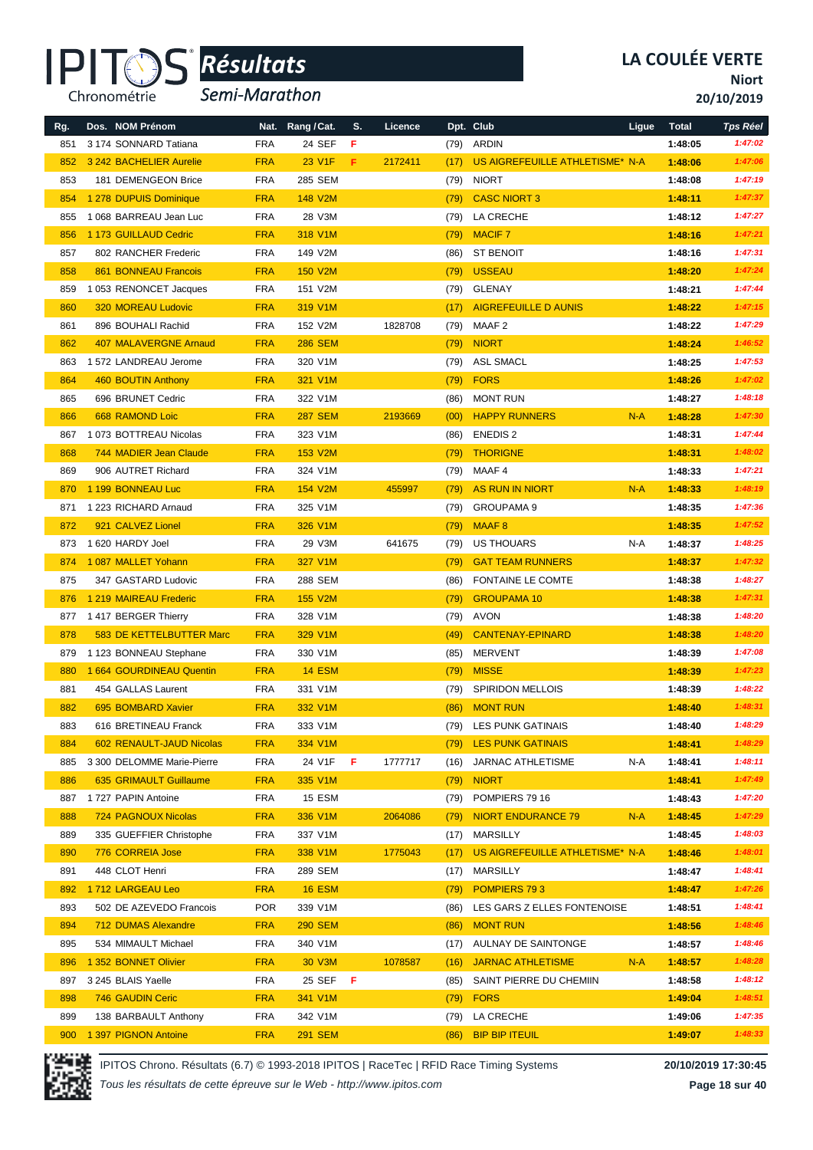

*Semi-Marathon*

**Niort**

**20/10/2019**

| Rg. | Dos. NOM Prénom                 | Nat.       | Rang / Cat.     | S. | Licence |      | Dpt. Club                       | Ligue | <b>Total</b> | <b>Tps Réel</b> |
|-----|---------------------------------|------------|-----------------|----|---------|------|---------------------------------|-------|--------------|-----------------|
| 851 | 3 174 SONNARD Tatiana           | <b>FRA</b> | 24 SEF          | F  |         | (79) | ARDIN                           |       | 1:48:05      | 1:47:02         |
| 852 | 3 242 BACHELIER Aurelie         | <b>FRA</b> | 23 V1F          | F  | 2172411 | (17) | US AIGREFEUILLE ATHLETISME* N-A |       | 1:48:06      | 1:47:06         |
| 853 | 181 DEMENGEON Brice             | <b>FRA</b> | 285 SEM         |    |         | (79) | <b>NIORT</b>                    |       | 1:48:08      | 1:47:19         |
| 854 | 1 278 DUPUIS Dominique          | <b>FRA</b> | 148 V2M         |    |         | (79) | <b>CASC NIORT 3</b>             |       | 1:48:11      | 1:47:37         |
| 855 | 1 068 BARREAU Jean Luc          | <b>FRA</b> | 28 V3M          |    |         | (79) | LA CRECHE                       |       | 1:48:12      | 1:47:27         |
| 856 | 1 173 GUILLAUD Cedric           | <b>FRA</b> | 318 V1M         |    |         | (79) | <b>MACIF7</b>                   |       | 1:48:16      | 1:47:21         |
| 857 | 802 RANCHER Frederic            | <b>FRA</b> | 149 V2M         |    |         | (86) | <b>ST BENOIT</b>                |       | 1:48:16      | 1:47:31         |
| 858 | <b>861 BONNEAU Francois</b>     | <b>FRA</b> | 150 V2M         |    |         | (79) | <b>USSEAU</b>                   |       | 1:48:20      | 1:47:24         |
| 859 | 1 053 RENONCET Jacques          | <b>FRA</b> | 151 V2M         |    |         | (79) | <b>GLENAY</b>                   |       | 1:48:21      | 1:47:44         |
| 860 | <b>320 MOREAU Ludovic</b>       | <b>FRA</b> | 319 V1M         |    |         | (17) | <b>AIGREFEUILLE D AUNIS</b>     |       | 1:48:22      | 1:47:15         |
| 861 | 896 BOUHALI Rachid              | <b>FRA</b> | 152 V2M         |    | 1828708 | (79) | MAAF 2                          |       | 1:48:22      | 1:47:29         |
| 862 | <b>407 MALAVERGNE Arnaud</b>    | <b>FRA</b> | <b>286 SEM</b>  |    |         | (79) | <b>NIORT</b>                    |       | 1:48:24      | 1:46:52         |
| 863 | 1 572 LANDREAU Jerome           | <b>FRA</b> | 320 V1M         |    |         | (79) | <b>ASL SMACL</b>                |       | 1:48:25      | 1:47:53         |
| 864 | 460 BOUTIN Anthony              | <b>FRA</b> | 321 V1M         |    |         | (79) | <b>FORS</b>                     |       | 1:48:26      | 1:47:02         |
| 865 | 696 BRUNET Cedric               | <b>FRA</b> | 322 V1M         |    |         | (86) | <b>MONT RUN</b>                 |       | 1:48:27      | 1:48:18         |
| 866 | 668 RAMOND Loic                 | <b>FRA</b> | <b>287 SEM</b>  |    | 2193669 | (00) | <b>HAPPY RUNNERS</b>            | $N-A$ | 1:48:28      | 1:47:30         |
| 867 | 1 073 BOTTREAU Nicolas          | <b>FRA</b> | 323 V1M         |    |         | (86) | <b>ENEDIS 2</b>                 |       | 1:48:31      | 1:47:44         |
| 868 | 744 MADIER Jean Claude          | <b>FRA</b> | 153 V2M         |    |         | (79) | <b>THORIGNE</b>                 |       | 1:48:31      | 1:48:02         |
| 869 | 906 AUTRET Richard              | <b>FRA</b> | 324 V1M         |    |         | (79) | MAAF 4                          |       | 1:48:33      | 1:47:21         |
| 870 | 1 199 BONNEAU Luc               | <b>FRA</b> | 154 V2M         |    | 455997  | (79) | <b>AS RUN IN NIORT</b>          | $N-A$ | 1:48:33      | 1:48:19         |
| 871 | 1 223 RICHARD Arnaud            | <b>FRA</b> | 325 V1M         |    |         | (79) | <b>GROUPAMA 9</b>               |       | 1:48:35      | 1:47:36         |
| 872 | 921 CALVEZ Lionel               | <b>FRA</b> | 326 V1M         |    |         | (79) | <b>MAAF8</b>                    |       | 1:48:35      | 1:47:52         |
| 873 | 1620 HARDY Joel                 | <b>FRA</b> | 29 V3M          |    | 641675  | (79) | <b>US THOUARS</b>               | N-A   | 1:48:37      | 1:48:25         |
| 874 | 1 087 MALLET Yohann             | <b>FRA</b> | 327 V1M         |    |         | (79) | <b>GAT TEAM RUNNERS</b>         |       | 1:48:37      | 1:47:32         |
| 875 | 347 GASTARD Ludovic             | <b>FRA</b> | 288 SEM         |    |         | (86) | <b>FONTAINE LE COMTE</b>        |       | 1:48:38      | 1:48:27         |
| 876 | 1 219 MAIREAU Frederic          | <b>FRA</b> | 155 V2M         |    |         | (79) | <b>GROUPAMA 10</b>              |       | 1:48:38      | 1:47:31         |
| 877 | 1417 BERGER Thierry             | <b>FRA</b> | 328 V1M         |    |         | (79) | AVON                            |       | 1:48:38      | 1:48:20         |
| 878 | <b>583 DE KETTELBUTTER Marc</b> | <b>FRA</b> | 329 V1M         |    |         | (49) | <b>CANTENAY-EPINARD</b>         |       | 1:48:38      | 1:48:20         |
| 879 | 1 123 BONNEAU Stephane          | <b>FRA</b> | 330 V1M         |    |         | (85) | <b>MERVENT</b>                  |       | 1:48:39      | 1:47:08         |
| 880 | 1 664 GOURDINEAU Quentin        | <b>FRA</b> | <b>14 ESM</b>   |    |         | (79) | <b>MISSE</b>                    |       | 1:48:39      | 1:47:23         |
| 881 | 454 GALLAS Laurent              | <b>FRA</b> | 331 V1M         |    |         | (79) | <b>SPIRIDON MELLOIS</b>         |       | 1:48:39      | 1:48:22         |
| 882 | 695 BOMBARD Xavier              | <b>FRA</b> | 332 V1M         |    |         | (86) | <b>MONT RUN</b>                 |       | 1:48:40      | 1:48:31         |
| 883 | 616 BRETINEAU Franck            | <b>FRA</b> | 333 V1M         |    |         | (79) | LES PUNK GATINAIS               |       | 1:48:40      | 1:48:29         |
| 884 | 602 RENAULT-JAUD Nicolas        | <b>FRA</b> | 334 V1M         |    |         | (79) | <b>LES PUNK GATINAIS</b>        |       | 1:48:41      | 1:48:29         |
| 885 | 3 300 DELOMME Marie-Pierre      | <b>FRA</b> | 24 V1F          | F  | 1777717 | (16) | <b>JARNAC ATHLETISME</b>        | N-A   | 1:48:41      | 1:48:11         |
| 886 | 635 GRIMAULT Guillaume          | <b>FRA</b> | 335 V1M         |    |         | (79) | <b>NIORT</b>                    |       | 1:48:41      | 1:47:49         |
| 887 | 1727 PAPIN Antoine              | <b>FRA</b> | 15 ESM          |    |         | (79) | POMPIERS 79 16                  |       | 1:48:43      | 1:47:20         |
| 888 | 724 PAGNOUX Nicolas             | <b>FRA</b> | 336 V1M         |    | 2064086 | (79) | <b>NIORT ENDURANCE 79</b>       | $N-A$ | 1:48:45      | 1:47:29         |
| 889 | 335 GUEFFIER Christophe         | <b>FRA</b> | 337 V1M         |    |         | (17) | <b>MARSILLY</b>                 |       | 1:48:45      | 1:48:03         |
| 890 | 776 CORREIA Jose                | <b>FRA</b> | 338 V1M         |    | 1775043 | (17) | US AIGREFEUILLE ATHLETISME* N-A |       | 1:48:46      | 1:48:01         |
| 891 | 448 CLOT Henri                  | <b>FRA</b> | 289 SEM         |    |         | (17) | <b>MARSILLY</b>                 |       | 1:48:47      | 1:48:41         |
| 892 | 1712 LARGEAU Leo                | <b>FRA</b> | <b>16 ESM</b>   |    |         | (79) | POMPIERS 793                    |       | 1:48:47      | 1:47:26         |
| 893 | 502 DE AZEVEDO Francois         | <b>POR</b> | 339 V1M         |    |         | (86) | LES GARS Z ELLES FONTENOISE     |       | 1:48:51      | 1:48:41         |
| 894 | <b>712 DUMAS Alexandre</b>      | <b>FRA</b> | <b>290 SEM</b>  |    |         | (86) | <b>MONT RUN</b>                 |       | 1:48:56      | 1:48:46         |
| 895 | 534 MIMAULT Michael             | <b>FRA</b> | 340 V1M         |    |         | (17) | AULNAY DE SAINTONGE             |       | 1:48:57      | 1:48:46         |
| 896 | 1 352 BONNET Olivier            | <b>FRA</b> | 30 V3M          |    | 1078587 | (16) | <b>JARNAC ATHLETISME</b>        | $N-A$ | 1:48:57      | 1:48:28         |
| 897 | 3 245 BLAIS Yaelle              | <b>FRA</b> | 25 SEF <b>F</b> |    |         | (85) | SAINT PIERRE DU CHEMIIN         |       | 1:48:58      | 1:48:12         |
| 898 | 746 GAUDIN Ceric                | <b>FRA</b> | 341 V1M         |    |         | (79) | <b>FORS</b>                     |       | 1:49:04      | 1:48:51         |
| 899 | 138 BARBAULT Anthony            | <b>FRA</b> | 342 V1M         |    |         |      | (79) LA CRECHE                  |       | 1:49:06      | 1:47:35         |
| 900 | 1 397 PIGNON Antoine            | <b>FRA</b> | <b>291 SEM</b>  |    |         | (86) | <b>BIP BIP ITEUIL</b>           |       | 1:49:07      | 1:48:33         |

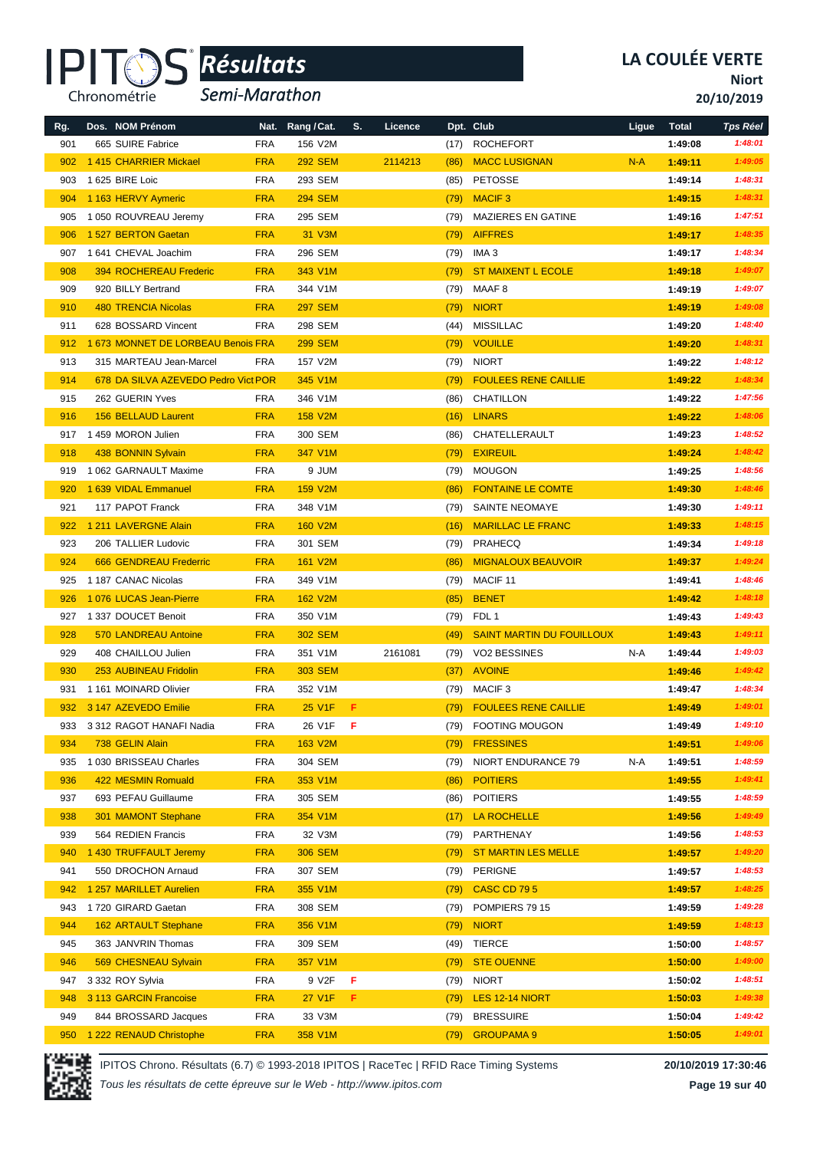

*Semi-Marathon*

**Niort**

**20/10/2019**

| Rg. | Dos. NOM Prénom                     |            | Nat. Rang / Cat. | S.  | Licence |      | Dpt. Club                        | Ligue | <b>Total</b> | <b>Tps Réel</b> |
|-----|-------------------------------------|------------|------------------|-----|---------|------|----------------------------------|-------|--------------|-----------------|
| 901 | 665 SUIRE Fabrice                   | <b>FRA</b> | 156 V2M          |     |         | (17) | <b>ROCHEFORT</b>                 |       | 1:49:08      | 1:48:01         |
| 902 | 1415 CHARRIER Mickael               | <b>FRA</b> | <b>292 SEM</b>   |     | 2114213 | (86) | <b>MACC LUSIGNAN</b>             | $N-A$ | 1:49:11      | 1:49:05         |
| 903 | 1 625 BIRE Loic                     | <b>FRA</b> | 293 SEM          |     |         | (85) | <b>PETOSSE</b>                   |       | 1:49:14      | 1:48:31         |
| 904 | 1 163 HERVY Aymeric                 | <b>FRA</b> | <b>294 SEM</b>   |     |         | (79) | <b>MACIF3</b>                    |       | 1:49:15      | 1:48:31         |
| 905 | 1050 ROUVREAU Jeremy                | <b>FRA</b> | 295 SEM          |     |         | (79) | <b>MAZIERES EN GATINE</b>        |       | 1:49:16      | 1:47:51         |
| 906 | 1 527 BERTON Gaetan                 | <b>FRA</b> | 31 V3M           |     |         | (79) | <b>AIFFRES</b>                   |       | 1:49:17      | 1:48:35         |
| 907 | 1 641 CHEVAL Joachim                | <b>FRA</b> | 296 SEM          |     |         | (79) | IMA <sub>3</sub>                 |       | 1:49:17      | 1:48:34         |
| 908 | <b>394 ROCHEREAU Frederic</b>       | <b>FRA</b> | 343 V1M          |     |         | (79) | <b>ST MAIXENT L ECOLE</b>        |       | 1:49:18      | 1:49:07         |
| 909 | 920 BILLY Bertrand                  | <b>FRA</b> | 344 V1M          |     |         | (79) | MAAF 8                           |       | 1:49:19      | 1:49:07         |
| 910 | <b>480 TRENCIA Nicolas</b>          | <b>FRA</b> | <b>297 SEM</b>   |     |         | (79) | <b>NIORT</b>                     |       | 1:49:19      | 1:49:08         |
| 911 | 628 BOSSARD Vincent                 | <b>FRA</b> | 298 SEM          |     |         | (44) | <b>MISSILLAC</b>                 |       | 1:49:20      | 1:48:40         |
| 912 | 1 673 MONNET DE LORBEAU Benois FRA  |            | <b>299 SEM</b>   |     |         | (79) | <b>VOUILLE</b>                   |       | 1:49:20      | 1:48:31         |
| 913 | 315 MARTEAU Jean-Marcel             | <b>FRA</b> | 157 V2M          |     |         | (79) | <b>NIORT</b>                     |       | 1:49:22      | 1:48:12         |
| 914 | 678 DA SILVA AZEVEDO Pedro Vict POR |            | 345 V1M          |     |         | (79) | <b>FOULEES RENE CAILLIE</b>      |       | 1:49:22      | 1:48:34         |
| 915 | 262 GUERIN Yves                     | <b>FRA</b> | 346 V1M          |     |         | (86) | CHATILLON                        |       | 1:49:22      | 1:47:56         |
| 916 | <b>156 BELLAUD Laurent</b>          | <b>FRA</b> | <b>158 V2M</b>   |     |         | (16) | <b>LINARS</b>                    |       | 1:49:22      | 1:48:06         |
| 917 | 1 459 MORON Julien                  | <b>FRA</b> | 300 SEM          |     |         | (86) | CHATELLERAULT                    |       | 1:49:23      | 1:48:52         |
| 918 | 438 BONNIN Sylvain                  | <b>FRA</b> | 347 V1M          |     |         | (79) | <b>EXIREUIL</b>                  |       | 1:49:24      | 1:48:42         |
| 919 | 1 062 GARNAULT Maxime               | <b>FRA</b> | 9 JUM            |     |         | (79) | <b>MOUGON</b>                    |       | 1:49:25      | 1:48:56         |
| 920 | 1 639 VIDAL Emmanuel                | <b>FRA</b> | <b>159 V2M</b>   |     |         | (86) | <b>FONTAINE LE COMTE</b>         |       | 1:49:30      | 1:48:46         |
| 921 | 117 PAPOT Franck                    | <b>FRA</b> | 348 V1M          |     |         | (79) | SAINTE NEOMAYE                   |       | 1:49:30      | 1:49:11         |
| 922 | 1 211 LAVERGNE Alain                | <b>FRA</b> | <b>160 V2M</b>   |     |         | (16) | <b>MARILLAC LE FRANC</b>         |       | 1:49:33      | 1:48:15         |
| 923 | 206 TALLIER Ludovic                 | <b>FRA</b> | 301 SEM          |     |         | (79) | PRAHECQ                          |       | 1:49:34      | 1:49:18         |
| 924 | <b>666 GENDREAU Frederric</b>       | <b>FRA</b> | 161 V2M          |     |         | (86) | <b>MIGNALOUX BEAUVOIR</b>        |       | 1:49:37      | 1:49:24         |
| 925 | 1 187 CANAC Nicolas                 | <b>FRA</b> | 349 V1M          |     |         | (79) | MACIF <sub>11</sub>              |       | 1:49:41      | 1:48:46         |
| 926 | 1 076 LUCAS Jean-Pierre             | <b>FRA</b> | 162 V2M          |     |         | (85) | <b>BENET</b>                     |       | 1:49:42      | 1:48:18         |
| 927 | 1 337 DOUCET Benoit                 | <b>FRA</b> | 350 V1M          |     |         | (79) | FDL 1                            |       | 1:49:43      | 1:49:43         |
| 928 | 570 LANDREAU Antoine                | <b>FRA</b> | <b>302 SEM</b>   |     |         | (49) | <b>SAINT MARTIN DU FOUILLOUX</b> |       | 1:49:43      | 1:49:11         |
| 929 | 408 CHAILLOU Julien                 | <b>FRA</b> | 351 V1M          |     | 2161081 | (79) | VO2 BESSINES                     | N-A   | 1:49:44      | 1:49:03         |
| 930 | <b>253 AUBINEAU Fridolin</b>        | <b>FRA</b> | <b>303 SEM</b>   |     |         | (37) | <b>AVOINE</b>                    |       | 1:49:46      | 1:49:42         |
| 931 | 1 161 MOINARD Olivier               | <b>FRA</b> | 352 V1M          |     |         | (79) | MACIF <sub>3</sub>               |       | 1:49:47      | 1:48:34         |
| 932 | 3 147 AZEVEDO Emilie                | <b>FRA</b> | 25 V1F           | F.  |         | (79) | <b>FOULEES RENE CAILLIE</b>      |       | 1:49:49      | 1:49:01         |
| 933 | 3 312 RAGOT HANAFI Nadia            | <b>FRA</b> | 26 V1F           | - F |         | (79) | <b>FOOTING MOUGON</b>            |       | 1:49:49      | 1:49:10         |
| 934 | 738 GELIN Alain                     | <b>FRA</b> | 163 V2M          |     |         | (79) | <b>FRESSINES</b>                 |       | 1:49:51      | 1:49:06         |
| 935 | 1 030 BRISSEAU Charles              | <b>FRA</b> | 304 SEM          |     |         | (79) | NIORT ENDURANCE 79               | N-A   | 1:49:51      | 1:48:59         |
| 936 | 422 MESMIN Romuald                  | <b>FRA</b> | 353 V1M          |     |         | (86) | <b>POITIERS</b>                  |       | 1:49:55      | 1:49:41         |
| 937 | 693 PEFAU Guillaume                 | <b>FRA</b> | 305 SEM          |     |         | (86) | <b>POITIERS</b>                  |       | 1:49:55      | 1:48:59         |
| 938 | 301 MAMONT Stephane                 | <b>FRA</b> | 354 V1M          |     |         | (17) | LA ROCHELLE                      |       | 1:49:56      | 1:49:49         |
| 939 | 564 REDIEN Francis                  | <b>FRA</b> | 32 V3M           |     |         | (79) | PARTHENAY                        |       | 1:49:56      | 1:48:53         |
| 940 | 1 430 TRUFFAULT Jeremy              | <b>FRA</b> | <b>306 SEM</b>   |     |         | (79) | <b>ST MARTIN LES MELLE</b>       |       | 1:49:57      | 1:49:20         |
| 941 | 550 DROCHON Arnaud                  | <b>FRA</b> | 307 SEM          |     |         | (79) | PERIGNE                          |       | 1:49:57      | 1:48:53         |
| 942 | 1 257 MARILLET Aurelien             | <b>FRA</b> | 355 V1M          |     |         | (79) | <b>CASC CD 795</b>               |       | 1:49:57      | 1:48:25         |
| 943 | 1720 GIRARD Gaetan                  | <b>FRA</b> | 308 SEM          |     |         | (79) | POMPIERS 79 15                   |       | 1:49:59      | 1:49:28         |
| 944 | 162 ARTAULT Stephane                | <b>FRA</b> | 356 V1M          |     |         | (79) | <b>NIORT</b>                     |       | 1:49:59      | 1:48:13         |
| 945 | 363 JANVRIN Thomas                  | <b>FRA</b> | 309 SEM          |     |         | (49) | TIERCE                           |       | 1:50:00      | 1:48:57         |
| 946 | 569 CHESNEAU Sylvain                | <b>FRA</b> | 357 V1M          |     |         | (79) | <b>STE OUENNE</b>                |       | 1:50:00      | 1:49:00         |
| 947 | 3 332 ROY Sylvia                    | <b>FRA</b> | 9 V2F            | F   |         | (79) | <b>NIORT</b>                     |       | 1:50:02      | 1:48:51         |
| 948 | 3 113 GARCIN Francoise              | <b>FRA</b> | <b>27 V1F</b>    | F.  |         | (79) | LES 12-14 NIORT                  |       | 1:50:03      | 1:49:38         |
| 949 | 844 BROSSARD Jacques                | <b>FRA</b> | 33 V3M           |     |         | (79) | <b>BRESSUIRE</b>                 |       | 1:50:04      | 1:49:42         |
| 950 | 1 222 RENAUD Christophe             | <b>FRA</b> | 358 V1M          |     |         | (79) | <b>GROUPAMA 9</b>                |       | 1:50:05      | 1:49:01         |

IPITOS Chrono. Résultats (6.7) © 1993-2018 IPITOS | RaceTec | RFID Race Timing Systems **20/10/2019 17:30:46**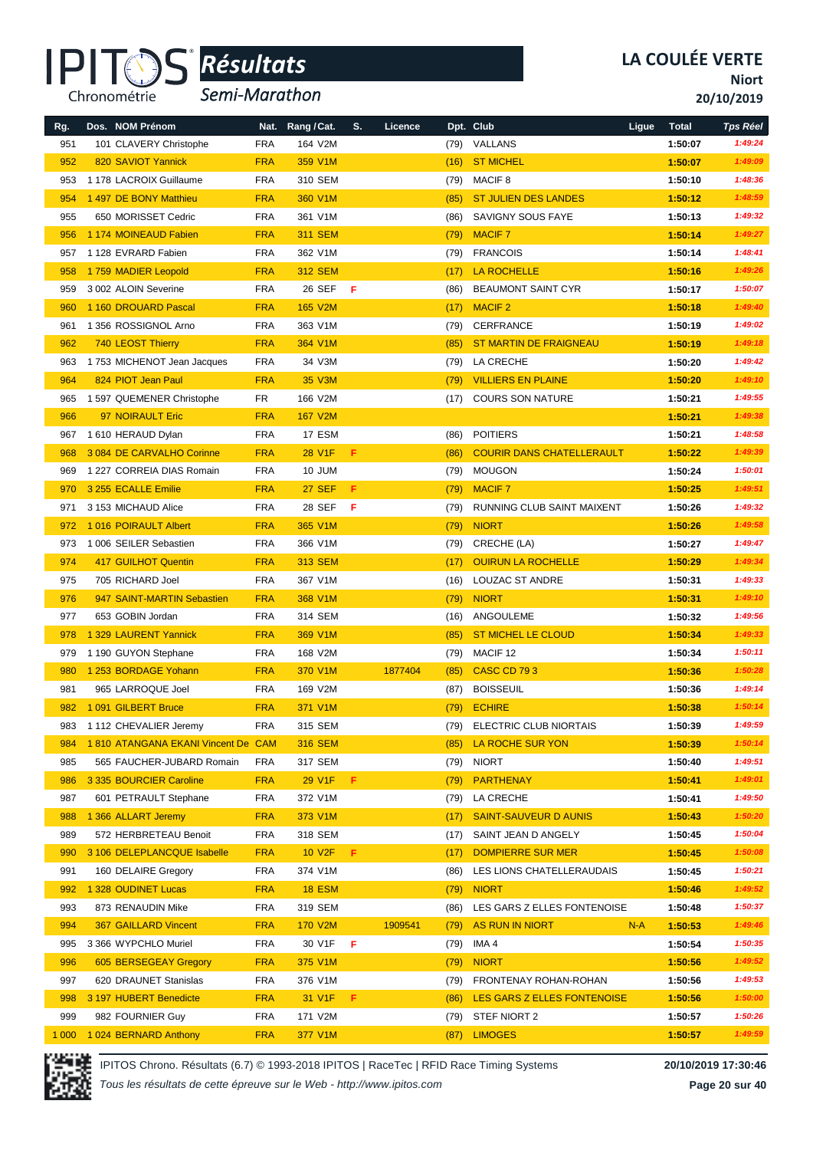

*Semi-Marathon*

**Niort**

**20/10/2019**

| Rg.     | Dos. NOM Prénom                    | Nat.       | Rang / Cat.    | S.    | Licence |              | Dpt. Club                        | Ligue | <b>Total</b> | <b>Tps Réel</b> |
|---------|------------------------------------|------------|----------------|-------|---------|--------------|----------------------------------|-------|--------------|-----------------|
| 951     | 101 CLAVERY Christophe             | <b>FRA</b> | 164 V2M        |       |         | (79)         | VALLANS                          |       | 1:50:07      | 1:49:24         |
| 952     | 820 SAVIOT Yannick                 | <b>FRA</b> | 359 V1M        |       |         | (16)         | <b>ST MICHEL</b>                 |       | 1:50:07      | 1:49:09         |
| 953     | 1 178 LACROIX Guillaume            | <b>FRA</b> | 310 SEM        |       |         | (79)         | <b>MACIF 8</b>                   |       | 1:50:10      | 1:48:36         |
| 954     | 1 497 DE BONY Matthieu             | <b>FRA</b> | 360 V1M        |       |         | (85)         | <b>ST JULIEN DES LANDES</b>      |       | 1:50:12      | 1:48:59         |
| 955     | 650 MORISSET Cedric                | <b>FRA</b> | 361 V1M        |       |         | (86)         | <b>SAVIGNY SOUS FAYE</b>         |       | 1:50:13      | 1:49:32         |
| 956     | 1 174 MOINEAUD Fabien              | <b>FRA</b> | <b>311 SEM</b> |       |         | (79)         | <b>MACIF7</b>                    |       | 1:50:14      | 1:49:27         |
| 957     | 1 128 EVRARD Fabien                | <b>FRA</b> | 362 V1M        |       |         |              | (79) FRANCOIS                    |       | 1:50:14      | 1:48:41         |
| 958     | 1759 MADIER Leopold                | <b>FRA</b> | <b>312 SEM</b> |       |         | (17)         | LA ROCHELLE                      |       | 1:50:16      | 1:49:26         |
| 959     | 3 002 ALOIN Severine               | <b>FRA</b> | 26 SEF         | - F   |         | (86)         | <b>BEAUMONT SAINT CYR</b>        |       | 1:50:17      | 1:50:07         |
| 960     | 1 160 DROUARD Pascal               | <b>FRA</b> | 165 V2M        |       |         | (17)         | <b>MACIF2</b>                    |       | 1:50:18      | 1:49:40         |
| 961     | 1 356 ROSSIGNOL Arno               | <b>FRA</b> | 363 V1M        |       |         | (79)         | CERFRANCE                        |       | 1:50:19      | 1:49:02         |
| 962     | 740 LEOST Thierry                  | <b>FRA</b> | 364 V1M        |       |         | (85)         | <b>ST MARTIN DE FRAIGNEAU</b>    |       | 1:50:19      | 1:49:18         |
| 963     | 1753 MICHENOT Jean Jacques         | <b>FRA</b> | 34 V3M         |       |         | (79)         | LA CRECHE                        |       | 1:50:20      | 1:49:42         |
| 964     | 824 PIOT Jean Paul                 | <b>FRA</b> | 35 V3M         |       |         | (79)         | <b>VILLIERS EN PLAINE</b>        |       | 1:50:20      | 1:49:10         |
| 965     | 1 597 QUEMENER Christophe          | FR         | 166 V2M        |       |         | (17)         | <b>COURS SON NATURE</b>          |       | 1:50:21      | 1:49:55         |
| 966     | 97 NOIRAULT Eric                   | <b>FRA</b> | 167 V2M        |       |         |              |                                  |       | 1:50:21      | 1:49:38         |
| 967     | 1 610 HERAUD Dylan                 | <b>FRA</b> | 17 ESM         |       |         | (86)         | <b>POITIERS</b>                  |       | 1:50:21      | 1:48:58         |
| 968     | 3 084 DE CARVALHO Corinne          | <b>FRA</b> | 28 V1F         | F.    |         | (86)         | <b>COURIR DANS CHATELLERAULT</b> |       | 1:50:22      | 1:49:39         |
| 969     | 1 227 CORREIA DIAS Romain          | <b>FRA</b> | 10 JUM         |       |         | (79)         | <b>MOUGON</b>                    |       | 1:50:24      | 1:50:01         |
| 970     | 3 255 ECALLE Emilie                | <b>FRA</b> | <b>27 SEF</b>  | F.    |         | (79)         | <b>MACIF7</b>                    |       | 1:50:25      | 1:49:51         |
| 971     | 3 153 MICHAUD Alice                | <b>FRA</b> | 28 SEF         | F     |         | (79)         | RUNNING CLUB SAINT MAIXENT       |       | 1:50:26      | 1:49:32         |
| 972     | 1016 POIRAULT Albert               | <b>FRA</b> | 365 V1M        |       |         | (79)         | <b>NIORT</b>                     |       | 1:50:26      | 1:49:58         |
| 973     | 1 006 SEILER Sebastien             | <b>FRA</b> | 366 V1M        |       |         | (79)         | CRECHE (LA)                      |       | 1:50:27      | 1:49:47         |
| 974     | <b>417 GUILHOT Quentin</b>         | <b>FRA</b> | 313 SEM        |       |         | (17)         | <b>OUIRUN LA ROCHELLE</b>        |       | 1:50:29      | 1:49:34         |
| 975     | 705 RICHARD Joel                   | <b>FRA</b> | 367 V1M        |       |         | (16)         | LOUZAC ST ANDRE                  |       | 1:50:31      | 1:49:33         |
| 976     | 947 SAINT-MARTIN Sebastien         | <b>FRA</b> | 368 V1M        |       |         | (79)         | <b>NIORT</b>                     |       | 1:50:31      | 1:49:10         |
| 977     | 653 GOBIN Jordan                   | <b>FRA</b> | 314 SEM        |       |         | (16)         | ANGOULEME                        |       | 1:50:32      | 1:49:56         |
| 978     | 1 329 LAURENT Yannick              | <b>FRA</b> | 369 V1M        |       |         | (85)         | <b>ST MICHEL LE CLOUD</b>        |       | 1:50:34      | 1:49:33         |
| 979     | 1 190 GUYON Stephane               | <b>FRA</b> | 168 V2M        |       |         | (79)         | MACIF 12                         |       | 1:50:34      | 1:50:11         |
| 980     | 1 253 BORDAGE Yohann               | <b>FRA</b> | 370 V1M        |       | 1877404 | (85)         | CASC CD 793                      |       | 1:50:36      | 1:50:28         |
| 981     | 965 LARROQUE Joel                  | <b>FRA</b> | 169 V2M        |       |         | (87)         | <b>BOISSEUIL</b>                 |       | 1:50:36      | 1:49:14         |
| 982     | 1091 GILBERT Bruce                 | <b>FRA</b> | 371 V1M        |       |         | (79)         | <b>ECHIRE</b>                    |       | 1:50:38      | 1:50:14         |
|         | 983 1112 CHEVALIER Jeremy          | <b>FRA</b> | 315 SEM        |       |         |              | (79) ELECTRIC CLUB NIORTAIS      |       | 1:50:39      | 1:49:59         |
| 984     | 1810 ATANGANA EKANI Vincent De CAM |            | 316 SEM        |       |         | (85)         | LA ROCHE SUR YON                 |       | 1:50:39      | 1:50:14         |
| 985     | 565 FAUCHER-JUBARD Romain          | <b>FRA</b> | 317 SEM        |       |         | (79)         | <b>NIORT</b>                     |       | 1:50:40      | 1:49:51         |
| 986     | 3 335 BOURCIER Caroline            | <b>FRA</b> | 29 V1F F       |       |         | (79)         | PARTHENAY                        |       | 1:50:41      | 1:49:01         |
| 987     | 601 PETRAULT Stephane              | <b>FRA</b> | 372 V1M        |       |         | (79)         | LA CRECHE                        |       | 1:50:41      | 1:49:50         |
| 988     | 1 366 ALLART Jeremy                | <b>FRA</b> | 373 V1M        |       |         | (17)         | <b>SAINT-SAUVEUR D AUNIS</b>     |       | 1:50:43      | 1:50:20         |
| 989     | 572 HERBRETEAU Benoit              | <b>FRA</b> | 318 SEM        |       |         | (17)         | SAINT JEAN D ANGELY              |       | 1:50:45      | 1:50:04         |
| 990     | 3 106 DELEPLANCQUE Isabelle        | <b>FRA</b> | <b>10 V2F</b>  | - F . |         | (17)         | <b>DOMPIERRE SUR MER</b>         |       | 1:50:45      | 1:50:08         |
| 991     | 160 DELAIRE Gregory                | <b>FRA</b> | 374 V1M        |       |         | (86)         | LES LIONS CHATELLERAUDAIS        |       | 1:50:45      | 1:50:21         |
| 992     | 1 328 OUDINET Lucas                | <b>FRA</b> | <b>18 ESM</b>  |       |         |              | <b>NIORT</b>                     |       | 1:50:46      | 1:49:52         |
| 993     | 873 RENAUDIN Mike                  | <b>FRA</b> | 319 SEM        |       |         | (79)<br>(86) | LES GARS Z ELLES FONTENOISE      |       | 1:50:48      | 1:50:37         |
| 994     | <b>367 GAILLARD Vincent</b>        | <b>FRA</b> | 170 V2M        |       | 1909541 | (79)         | AS RUN IN NIORT                  | $N-A$ | 1:50:53      | 1:49:46         |
| 995     | 3 366 WYPCHLO Muriel               | <b>FRA</b> | 30 V1F         | F     |         | (79)         | IMA 4                            |       | 1:50:54      | 1:50:35         |
| 996     | 605 BERSEGEAY Gregory              | <b>FRA</b> | 375 V1M        |       |         | (79)         | <b>NIORT</b>                     |       | 1:50:56      | 1:49:52         |
| 997     | 620 DRAUNET Stanislas              | <b>FRA</b> | 376 V1M        |       |         | (79)         | FRONTENAY ROHAN-ROHAN            |       | 1:50:56      | 1:49:53         |
| 998     | 3 197 HUBERT Benedicte             | <b>FRA</b> | 31 V1F         | Æ.    |         | (86)         | LES GARS Z ELLES FONTENOISE      |       | 1:50:56      | 1:50:00         |
| 999     | 982 FOURNIER Guy                   | <b>FRA</b> | 171 V2M        |       |         | (79)         | STEF NIORT 2                     |       | 1:50:57      | 1:50:26         |
| 1 0 0 0 | 1 024 BERNARD Anthony              | <b>FRA</b> | 377 V1M        |       |         | (87)         | <b>LIMOGES</b>                   |       | 1:50:57      | 1:49:59         |
|         |                                    |            |                |       |         |              |                                  |       |              |                 |

IPITOS Chrono. Résultats (6.7) © 1993-2018 IPITOS | RaceTec | RFID Race Timing Systems **20/10/2019 17:30:46**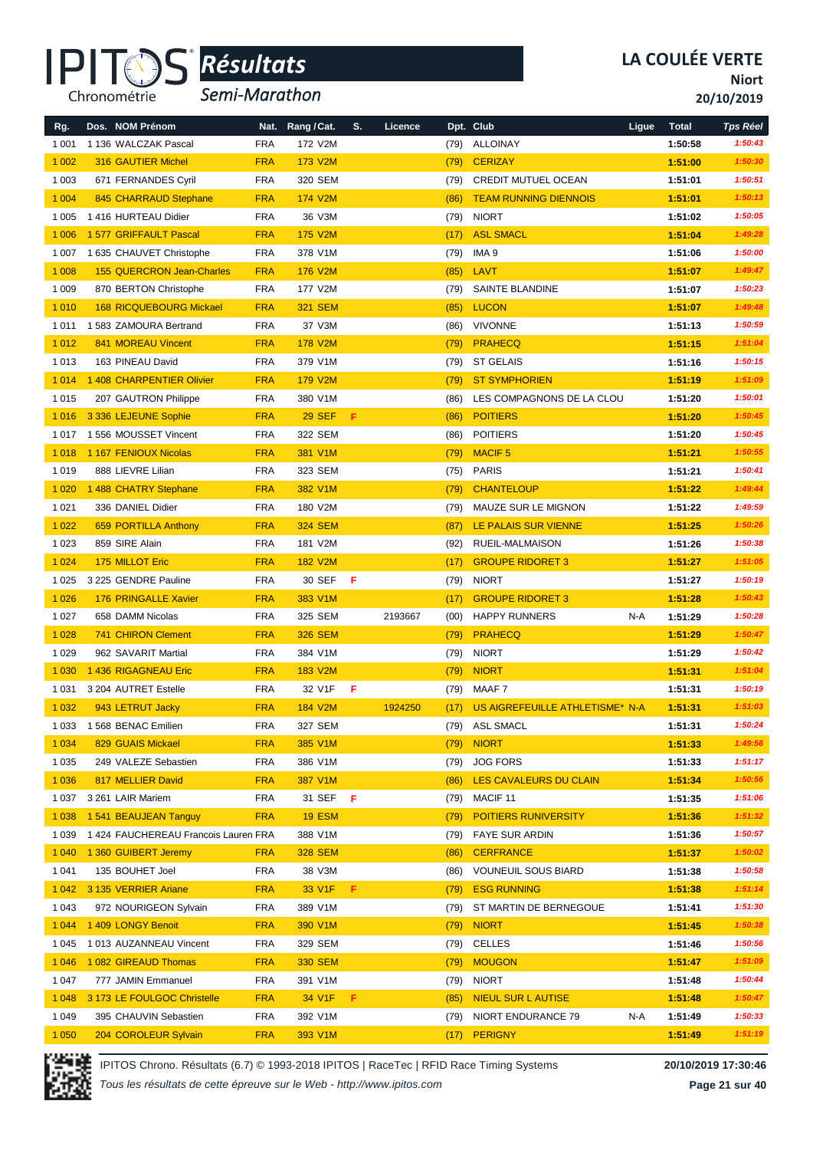

*Semi-Marathon*

**Niort**

**20/10/2019**

| Rg.     | Dos. NOM Prénom                      | Nat.       | Rang / Cat.    | S. | Licence |      | Dpt. Club                       | Ligue | <b>Total</b> | <b>Tps Réel</b> |
|---------|--------------------------------------|------------|----------------|----|---------|------|---------------------------------|-------|--------------|-----------------|
| 1 0 0 1 | 1 136 WALCZAK Pascal                 | <b>FRA</b> | 172 V2M        |    |         | (79) | <b>ALLOINAY</b>                 |       | 1:50:58      | 1:50:43         |
| 1 0 0 2 | <b>316 GAUTIER Michel</b>            | <b>FRA</b> | 173 V2M        |    |         | (79) | <b>CERIZAY</b>                  |       | 1:51:00      | 1:50:30         |
| 1 0 0 3 | 671 FERNANDES Cyril                  | <b>FRA</b> | 320 SEM        |    |         | (79) | <b>CREDIT MUTUEL OCEAN</b>      |       | 1:51:01      | 1:50:51         |
| 1 0 0 4 | 845 CHARRAUD Stephane                | <b>FRA</b> | 174 V2M        |    |         | (86) | <b>TEAM RUNNING DIENNOIS</b>    |       | 1:51:01      | 1:50:13         |
| 1 0 0 5 | 1416 HURTEAU Didier                  | <b>FRA</b> | 36 V3M         |    |         | (79) | <b>NIORT</b>                    |       | 1:51:02      | 1:50:05         |
| 1 0 0 6 | 1 577 GRIFFAULT Pascal               | <b>FRA</b> | <b>175 V2M</b> |    |         | (17) | <b>ASL SMACL</b>                |       | 1:51:04      | 1:49:28         |
| 1 0 0 7 | 1 635 CHAUVET Christophe             | <b>FRA</b> | 378 V1M        |    |         | (79) | IMA 9                           |       | 1:51:06      | 1:50:00         |
| 1 0 0 8 | <b>155 QUERCRON Jean-Charles</b>     | <b>FRA</b> | 176 V2M        |    |         | (85) | LAVT                            |       | 1:51:07      | 1:49:47         |
| 1 0 0 9 | 870 BERTON Christophe                | <b>FRA</b> | 177 V2M        |    |         | (79) | SAINTE BLANDINE                 |       | 1:51:07      | 1:50:23         |
| 1 0 1 0 | <b>168 RICQUEBOURG Mickael</b>       | <b>FRA</b> | <b>321 SEM</b> |    |         | (85) | <b>LUCON</b>                    |       | 1:51:07      | 1:49:48         |
| 1011    | 1583 ZAMOURA Bertrand                | <b>FRA</b> | 37 V3M         |    |         | (86) | <b>VIVONNE</b>                  |       | 1:51:13      | 1:50:59         |
| 1 0 1 2 | 841 MOREAU Vincent                   | <b>FRA</b> | 178 V2M        |    |         | (79) | <b>PRAHECQ</b>                  |       | 1:51:15      | 1:51:04         |
| 1013    | 163 PINEAU David                     | <b>FRA</b> | 379 V1M        |    |         | (79) | <b>ST GELAIS</b>                |       | 1:51:16      | 1:50:15         |
| 1 0 1 4 | 1 408 CHARPENTIER Olivier            | <b>FRA</b> | 179 V2M        |    |         | (79) | <b>ST SYMPHORIEN</b>            |       | 1:51:19      | 1:51:09         |
| 1015    | 207 GAUTRON Philippe                 | <b>FRA</b> | 380 V1M        |    |         | (86) | LES COMPAGNONS DE LA CLOU       |       | 1:51:20      | 1:50:01         |
| 1 0 1 6 | 3 336 LEJEUNE Sophie                 | <b>FRA</b> | <b>29 SEF</b>  | F  |         | (86) | <b>POITIERS</b>                 |       | 1:51:20      | 1:50:45         |
| 1017    | 1556 MOUSSET Vincent                 | <b>FRA</b> | 322 SEM        |    |         | (86) | <b>POITIERS</b>                 |       | 1:51:20      | 1:50:45         |
| 1 0 18  | 1 167 FENIOUX Nicolas                | <b>FRA</b> | 381 V1M        |    |         | (79) | <b>MACIF5</b>                   |       | 1:51:21      | 1:50:55         |
| 1019    | 888 LIEVRE Lilian                    | <b>FRA</b> | 323 SEM        |    |         | (75) | <b>PARIS</b>                    |       | 1:51:21      | 1:50:41         |
| 1 0 2 0 | 1 488 CHATRY Stephane                | <b>FRA</b> | 382 V1M        |    |         | (79) | <b>CHANTELOUP</b>               |       | 1:51:22      | 1:49:44         |
| 1 0 2 1 | 336 DANIEL Didier                    | <b>FRA</b> | 180 V2M        |    |         | (79) | MAUZE SUR LE MIGNON             |       | 1:51:22      | 1:49:59         |
| 1 0 2 2 | 659 PORTILLA Anthony                 | <b>FRA</b> | <b>324 SEM</b> |    |         | (87) | LE PALAIS SUR VIENNE            |       | 1:51:25      | 1:50:26         |
| 1 0 2 3 | 859 SIRE Alain                       | <b>FRA</b> | 181 V2M        |    |         | (92) | RUEIL-MALMAISON                 |       | 1:51:26      | 1:50:38         |
| 1 0 2 4 | 175 MILLOT Eric                      | <b>FRA</b> | <b>182 V2M</b> |    |         | (17) | <b>GROUPE RIDORET 3</b>         |       | 1:51:27      | 1:51:05         |
| 1 0 2 5 | 3 225 GENDRE Pauline                 | <b>FRA</b> | 30 SEF         | F  |         | (79) | <b>NIORT</b>                    |       | 1:51:27      | 1:50:19         |
| 1 0 2 6 | 176 PRINGALLE Xavier                 | <b>FRA</b> | 383 V1M        |    |         | (17) | <b>GROUPE RIDORET 3</b>         |       | 1:51:28      | 1:50:43         |
| 1 0 2 7 | 658 DAMM Nicolas                     | <b>FRA</b> | 325 SEM        |    | 2193667 | (00) | <b>HAPPY RUNNERS</b>            | N-A   | 1:51:29      | 1:50:28         |
| 1 0 28  | <b>741 CHIRON Clement</b>            | <b>FRA</b> | <b>326 SEM</b> |    |         | (79) | <b>PRAHECQ</b>                  |       | 1:51:29      | 1:50:47         |
| 1 0 2 9 | 962 SAVARIT Martial                  | <b>FRA</b> | 384 V1M        |    |         | (79) | <b>NIORT</b>                    |       | 1:51:29      | 1:50:42         |
| 1 0 3 0 | 1436 RIGAGNEAU Eric                  | <b>FRA</b> | 183 V2M        |    |         | (79) | <b>NIORT</b>                    |       | 1:51:31      | 1:51:04         |
| 1 0 3 1 | 3 204 AUTRET Estelle                 | <b>FRA</b> | 32 V1F         | F  |         | (79) | MAAF 7                          |       | 1:51:31      | 1:50:19         |
| 1 0 3 2 | 943 LETRUT Jacky                     | <b>FRA</b> | <b>184 V2M</b> |    | 1924250 | (17) | US AIGREFEUILLE ATHLETISME* N-A |       | 1:51:31      | 1:51:03         |
| 1 0 3 3 | 1 568 BENAC Emilien                  | <b>FRA</b> | 327 SEM        |    |         | (79) | <b>ASL SMACL</b>                |       | 1:51:31      | 1:50:24         |
| 1 0 3 4 | 829 GUAIS Mickael                    | <b>FRA</b> | 385 V1M        |    |         | (79) | <b>NIORT</b>                    |       | 1:51:33      | 1:49:56         |
| 1 0 3 5 | 249 VALEZE Sebastien                 | <b>FRA</b> | 386 V1M        |    |         | (79) | <b>JOG FORS</b>                 |       | 1:51:33      | 1:51:17         |
| 1 0 3 6 | 817 MELLIER David                    | <b>FRA</b> | 387 V1M        |    |         | (86) | LES CAVALEURS DU CLAIN          |       | 1:51:34      | 1:50:56         |
| 1 0 3 7 | 3 261 LAIR Mariem                    | <b>FRA</b> | 31 SEF         | F  |         | (79) | MACIF 11                        |       | 1:51:35      | 1:51:06         |
| 1 0 38  | 1 541 BEAUJEAN Tanguy                | <b>FRA</b> | <b>19 ESM</b>  |    |         | (79) | <b>POITIERS RUNIVERSITY</b>     |       | 1:51:36      | 1:51:32         |
| 1 0 3 9 | 1 424 FAUCHEREAU Francois Lauren FRA |            | 388 V1M        |    |         | (79) | FAYE SUR ARDIN                  |       | 1:51:36      | 1:50:57         |
| 1 0 4 0 | 1 360 GUIBERT Jeremy                 | <b>FRA</b> | <b>328 SEM</b> |    |         | (86) | <b>CERFRANCE</b>                |       | 1:51:37      | 1:50:02         |
| 1 0 4 1 | 135 BOUHET Joel                      | <b>FRA</b> | 38 V3M         |    |         | (86) | <b>VOUNEUIL SOUS BIARD</b>      |       | 1:51:38      | 1:50:58         |
| 1 0 4 2 | 3 135 VERRIER Ariane                 | <b>FRA</b> | 33 V1F         | F. |         | (79) | <b>ESG RUNNING</b>              |       | 1:51:38      | 1:51:14         |
| 1 0 4 3 | 972 NOURIGEON Sylvain                | <b>FRA</b> | 389 V1M        |    |         | (79) | ST MARTIN DE BERNEGOUE          |       | 1:51:41      | 1:51:30         |
| 1 0 4 4 | 1409 LONGY Benoit                    | <b>FRA</b> | 390 V1M        |    |         | (79) | <b>NIORT</b>                    |       | 1:51:45      | 1:50:38         |
| 1 0 4 5 | 1013 AUZANNEAU Vincent               | <b>FRA</b> | 329 SEM        |    |         | (79) | <b>CELLES</b>                   |       | 1:51:46      | 1:50:56         |
| 1 0 4 6 | 1 082 GIREAUD Thomas                 | <b>FRA</b> | <b>330 SEM</b> |    |         | (79) | <b>MOUGON</b>                   |       | 1:51:47      | 1:51:09         |
| 1 0 4 7 | 777 JAMIN Emmanuel                   | <b>FRA</b> | 391 V1M        |    |         | (79) | <b>NIORT</b>                    |       | 1:51:48      | 1:50:44         |
| 1 0 4 8 | 3 173 LE FOULGOC Christelle          | <b>FRA</b> | 34 V1F         | F. |         | (85) | <b>NIEUL SUR L AUTISE</b>       |       | 1:51:48      | 1:50:47         |
| 1 0 4 9 | 395 CHAUVIN Sebastien                | <b>FRA</b> | 392 V1M        |    |         | (79) | NIORT ENDURANCE 79              | N-A   | 1:51:49      | 1:50:33         |
| 1 0 5 0 | 204 COROLEUR Sylvain                 | <b>FRA</b> | 393 V1M        |    |         | (17) | PERIGNY                         |       | 1:51:49      | 1:51:19         |



IPITOS Chrono. Résultats (6.7) © 1993-2018 IPITOS | RaceTec | RFID Race Timing Systems **20/10/2019 17:30:46**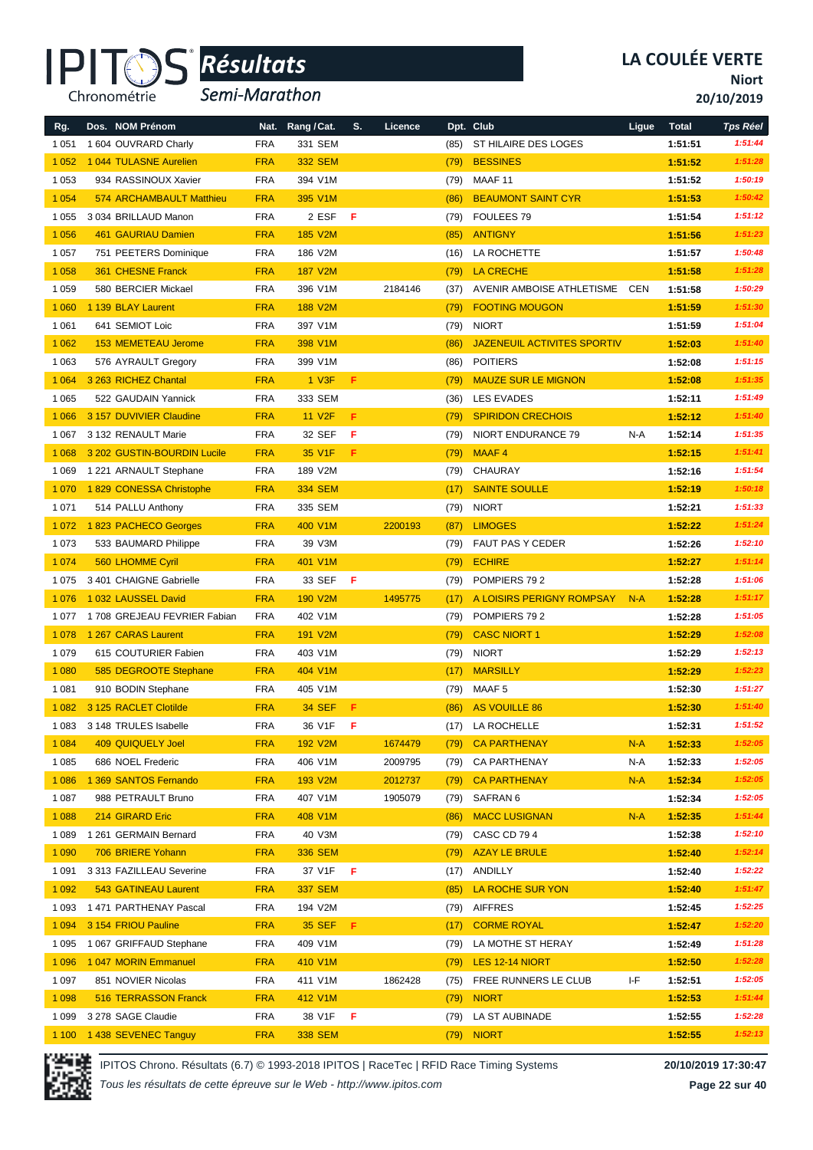

*Semi-Marathon*

**Niort**

**20/10/2019**

| Rg.     | Dos. NOM Prénom             | Nat.       | Rang / Cat.    | S. | Licence |      | Dpt. Club                          | Ligue | <b>Total</b> | <b>Tps Réel</b>    |
|---------|-----------------------------|------------|----------------|----|---------|------|------------------------------------|-------|--------------|--------------------|
| 1 0 5 1 | 1 604 OUVRARD Charly        | <b>FRA</b> | 331 SEM        |    |         | (85) | ST HILAIRE DES LOGES               |       | 1:51:51      | 1:51:44<br>1:51:28 |
| 1 0 5 2 | 1 044 TULASNE Aurelien      | <b>FRA</b> | <b>332 SEM</b> |    |         | (79) | <b>BESSINES</b>                    |       | 1:51:52      |                    |
| 1 0 5 3 | 934 RASSINOUX Xavier        | <b>FRA</b> | 394 V1M        |    |         | (79) | MAAF <sub>11</sub>                 |       | 1:51:52      | 1:50:19            |
| 1 0 5 4 | 574 ARCHAMBAULT Matthieu    | <b>FRA</b> | 395 V1M        |    |         | (86) | <b>BEAUMONT SAINT CYR</b>          |       | 1:51:53      | 1:50:42            |
| 1 0 5 5 | 3 034 BRILLAUD Manon        | <b>FRA</b> | 2 ESF          | F  |         | (79) | FOULEES 79                         |       | 1:51:54      | 1:51:12            |
| 1 0 5 6 | 461 GAURIAU Damien          | <b>FRA</b> | <b>185 V2M</b> |    |         | (85) | <b>ANTIGNY</b>                     |       | 1:51:56      | 1:51:23            |
| 1 0 5 7 | 751 PEETERS Dominique       | <b>FRA</b> | 186 V2M        |    |         | (16) | LA ROCHETTE                        |       | 1:51:57      | 1:50:48            |
| 1 0 5 8 | 361 CHESNE Franck           | <b>FRA</b> | <b>187 V2M</b> |    |         | (79) | <b>LA CRECHE</b>                   |       | 1:51:58      | 1:51:28            |
| 1 0 5 9 | 580 BERCIER Mickael         | <b>FRA</b> | 396 V1M        |    | 2184146 | (37) | AVENIR AMBOISE ATHLETISME CEN      |       | 1:51:58      | 1:50:29            |
| 1 0 6 0 | 1 139 BLAY Laurent          | <b>FRA</b> | <b>188 V2M</b> |    |         | (79) | <b>FOOTING MOUGON</b>              |       | 1:51:59      | 1:51:30            |
| 1 0 6 1 | 641 SEMIOT Loic             | <b>FRA</b> | 397 V1M        |    |         | (79) | <b>NIORT</b>                       |       | 1:51:59      | 1:51:04            |
| 1 0 6 2 | <b>153 MEMETEAU Jerome</b>  | <b>FRA</b> | 398 V1M        |    |         | (86) | <b>JAZENEUIL ACTIVITES SPORTIV</b> |       | 1:52:03      | 1:51:40            |
| 1 0 6 3 | 576 AYRAULT Gregory         | <b>FRA</b> | 399 V1M        |    |         | (86) | <b>POITIERS</b>                    |       | 1:52:08      | 1:51:15            |
| 1 0 6 4 | 3 263 RICHEZ Chantal        | <b>FRA</b> | 1 V3F          | F. |         | (79) | <b>MAUZE SUR LE MIGNON</b>         |       | 1:52:08      | 1:51:35            |
| 1 0 6 5 | 522 GAUDAIN Yannick         | <b>FRA</b> | 333 SEM        |    |         | (36) | <b>LES EVADES</b>                  |       | 1:52:11      | 1:51:49            |
| 1 0 6 6 | 3 157 DUVIVIER Claudine     | <b>FRA</b> | <b>11 V2F</b>  | F  |         | (79) | <b>SPIRIDON CRECHOIS</b>           |       | 1:52:12      | 1:51:40            |
| 1 0 6 7 | 3 132 RENAULT Marie         | <b>FRA</b> | 32 SEF         | F  |         | (79) | NIORT ENDURANCE 79                 | N-A   | 1:52:14      | 1:51:35            |
| 1 0 6 8 | 3 202 GUSTIN-BOURDIN Lucile | <b>FRA</b> | 35 V1F         | F. |         | (79) | MAAF4                              |       | 1:52:15      | 1:51:41            |
| 1 0 6 9 | 1 221 ARNAULT Stephane      | <b>FRA</b> | 189 V2M        |    |         | (79) | <b>CHAURAY</b>                     |       | 1:52:16      | 1:51:54            |
| 1 0 7 0 | 1829 CONESSA Christophe     | <b>FRA</b> | <b>334 SEM</b> |    |         | (17) | <b>SAINTE SOULLE</b>               |       | 1:52:19      | 1:50:18            |
| 1 0 7 1 | 514 PALLU Anthony           | <b>FRA</b> | 335 SEM        |    |         | (79) | <b>NIORT</b>                       |       | 1:52:21      | 1:51:33            |
| 1 0 7 2 | 1823 PACHECO Georges        | <b>FRA</b> | 400 V1M        |    | 2200193 | (87) | <b>LIMOGES</b>                     |       | 1:52:22      | 1:51:24            |
| 1073    | 533 BAUMARD Philippe        | <b>FRA</b> | 39 V3M         |    |         | (79) | FAUT PAS Y CEDER                   |       | 1:52:26      | 1:52:10            |
| 1 0 7 4 | 560 LHOMME Cyril            | <b>FRA</b> | 401 V1M        |    |         | (79) | <b>ECHIRE</b>                      |       | 1:52:27      | 1:51:14            |
| 1 0 7 5 | 3 401 CHAIGNE Gabrielle     | <b>FRA</b> | 33 SEF         | F  |         | (79) | POMPIERS 792                       |       | 1:52:28      | 1:51:06            |
| 1 0 7 6 | 1 032 LAUSSEL David         | <b>FRA</b> | <b>190 V2M</b> |    | 1495775 | (17) | A LOISIRS PERIGNY ROMPSAY          | $N-A$ | 1:52:28      | 1:51:17            |
| 1 0 7 7 | 1708 GREJEAU FEVRIER Fabian | <b>FRA</b> | 402 V1M        |    |         | (79) | POMPIERS 792                       |       | 1:52:28      | 1:51:05            |
| 1 0 7 8 | 1 267 CARAS Laurent         | <b>FRA</b> | <b>191 V2M</b> |    |         | (79) | <b>CASC NIORT 1</b>                |       | 1:52:29      | 1:52:08            |
| 1 0 7 9 | 615 COUTURIER Fabien        | <b>FRA</b> | 403 V1M        |    |         | (79) | <b>NIORT</b>                       |       | 1:52:29      | 1:52:13            |
| 1 0 8 0 | 585 DEGROOTE Stephane       | <b>FRA</b> | 404 V1M        |    |         | (17) | <b>MARSILLY</b>                    |       | 1:52:29      | 1:52:23            |
| 1 0 8 1 | 910 BODIN Stephane          | <b>FRA</b> | 405 V1M        |    |         | (79) | MAAF <sub>5</sub>                  |       | 1:52:30      | 1:51:27            |
| 1 0 8 2 | 3 125 RACLET Clotilde       | <b>FRA</b> | <b>34 SEF</b>  | F  |         | (86) | <b>AS VOUILLE 86</b>               |       | 1:52:30      | 1:51:40            |
| 1 0 8 3 | 3 148 TRULES Isabelle       | <b>FRA</b> | 36 V1F         | -F |         | (17) | LA ROCHELLE                        |       | 1:52:31      | 1:51:52            |
| 1 0 8 4 | <b>409 QUIQUELY Joel</b>    | <b>FRA</b> | <b>192 V2M</b> |    | 1674479 | (79) | <b>CA PARTHENAY</b>                | $N-A$ | 1:52:33      | 1:52:05            |
| 1 0 8 5 | 686 NOEL Frederic           | <b>FRA</b> | 406 V1M        |    | 2009795 | (79) | <b>CA PARTHENAY</b>                | N-A   | 1:52:33      | 1:52:05            |
| 1 0 8 6 | 1 369 SANTOS Fernando       | <b>FRA</b> | 193 V2M        |    | 2012737 | (79) | <b>CA PARTHENAY</b>                | $N-A$ | 1:52:34      | 1:52:05            |
| 1 0 8 7 | 988 PETRAULT Bruno          | <b>FRA</b> | 407 V1M        |    | 1905079 | (79) | SAFRAN 6                           |       | 1:52:34      | 1:52:05            |
| 1 0 8 8 | 214 GIRARD Eric             | <b>FRA</b> | 408 V1M        |    |         | (86) | <b>MACC LUSIGNAN</b>               | N-A   | 1:52:35      | 1:51:44            |
| 1 0 8 9 | 1 261 GERMAIN Bernard       | <b>FRA</b> | 40 V3M         |    |         | (79) | CASC CD 794                        |       | 1:52:38      | 1:52:10            |
| 1 0 9 0 | 706 BRIERE Yohann           | <b>FRA</b> | <b>336 SEM</b> |    |         | (79) | <b>AZAY LE BRULE</b>               |       | 1:52:40      | 1:52:14            |
| 1 0 9 1 | 3 313 FAZILLEAU Severine    | <b>FRA</b> | 37 V1F         | F  |         | (17) | ANDILLY                            |       | 1:52:40      | 1:52:22            |
| 1 0 9 2 | <b>543 GATINEAU Laurent</b> | <b>FRA</b> | <b>337 SEM</b> |    |         | (85) | LA ROCHE SUR YON                   |       | 1:52:40      | 1:51:47            |
| 1 0 9 3 | 1471 PARTHENAY Pascal       | <b>FRA</b> | 194 V2M        |    |         | (79) | <b>AIFFRES</b>                     |       | 1:52:45      | 1:52:25            |
| 1 0 9 4 | 3 154 FRIOU Pauline         | <b>FRA</b> | <b>35 SEF</b>  | F. |         | (17) | <b>CORME ROYAL</b>                 |       | 1:52:47      | 1:52:20            |
| 1 0 9 5 | 1 067 GRIFFAUD Stephane     | <b>FRA</b> | 409 V1M        |    |         | (79) | LA MOTHE ST HERAY                  |       | 1:52:49      | 1:51:28            |
| 1 0 9 6 | 1047 MORIN Emmanuel         | <b>FRA</b> | 410 V1M        |    |         | (79) | LES 12-14 NIORT                    |       | 1:52:50      | 1:52:28            |
| 1 0 9 7 | 851 NOVIER Nicolas          | <b>FRA</b> | 411 V1M        |    | 1862428 | (75) | FREE RUNNERS LE CLUB               | ŀF    | 1:52:51      | 1:52:05            |
| 1 0 9 8 | 516 TERRASSON Franck        | <b>FRA</b> | 412 V1M        |    |         | (79) | <b>NIORT</b>                       |       | 1:52:53      | 1:51:44            |
| 1 0 9 9 | 3 278 SAGE Claudie          | <b>FRA</b> | 38 V1F         | F  |         | (79) | LA ST AUBINADE                     |       | 1:52:55      | 1:52:28            |
| 1 100   | 1 438 SEVENEC Tanguy        | <b>FRA</b> | <b>338 SEM</b> |    |         | (79) | <b>NIORT</b>                       |       | 1:52:55      | 1:52:13            |



IPITOS Chrono. Résultats (6.7) © 1993-2018 IPITOS | RaceTec | RFID Race Timing Systems **20/10/2019 17:30:47**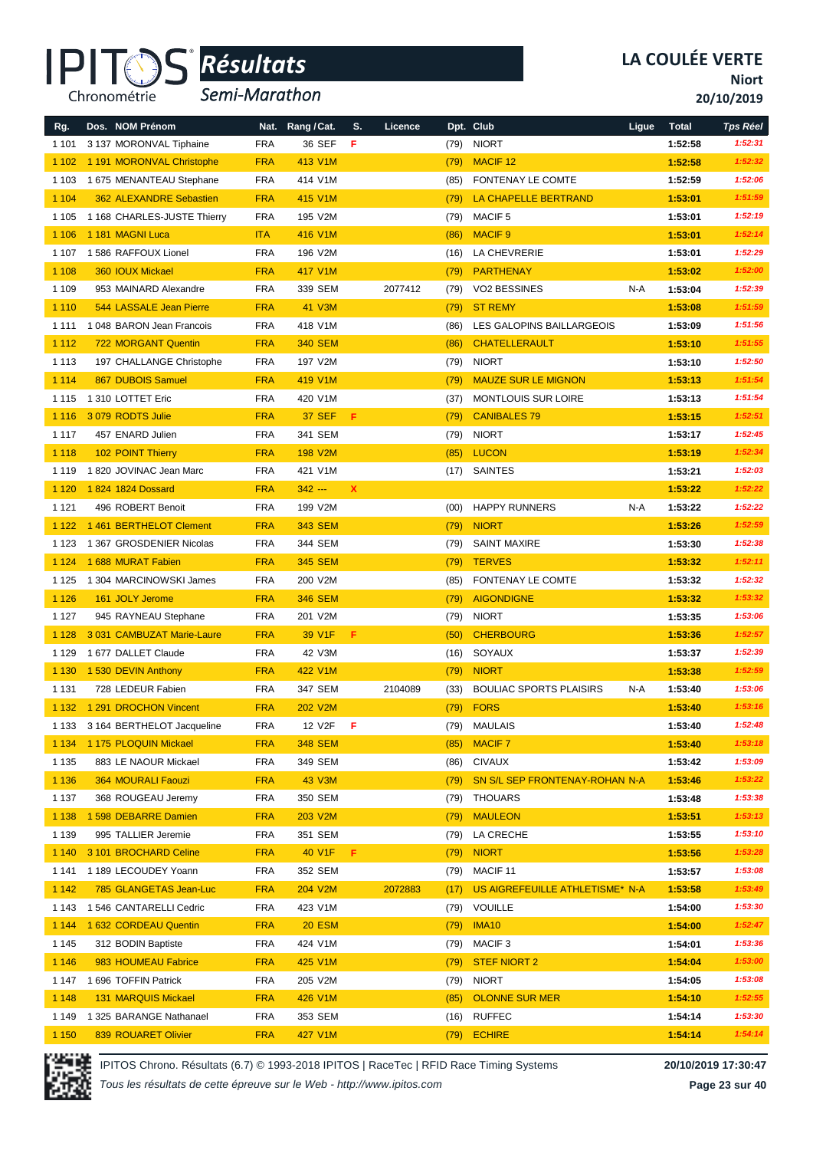

*Semi-Marathon*

**Niort**

**20/10/2019**

| Rg.     | Dos. NOM Prénom                | Nat.       | Rang / Cat.    | S.          | Licence |      | Dpt. Club                       | Ligue | <b>Total</b> | <b>Tps Réel</b> |
|---------|--------------------------------|------------|----------------|-------------|---------|------|---------------------------------|-------|--------------|-----------------|
| 1 1 0 1 | 3 137 MORONVAL Tiphaine        | <b>FRA</b> | 36 SEF         | F           |         | (79) | <b>NIORT</b>                    |       | 1:52:58      | 1:52:31         |
| 1 1 0 2 | 1 191 MORONVAL Christophe      | <b>FRA</b> | 413 V1M        |             |         | (79) | <b>MACIF 12</b>                 |       | 1:52:58      | 1:52:32         |
| 1 1 0 3 | 1 675 MENANTEAU Stephane       | <b>FRA</b> | 414 V1M        |             |         | (85) | FONTENAY LE COMTE               |       | 1:52:59      | 1:52:06         |
| 1 1 0 4 | <b>362 ALEXANDRE Sebastien</b> | <b>FRA</b> | 415 V1M        |             |         | (79) | LA CHAPELLE BERTRAND            |       | 1:53:01      | 1:51:59         |
| 1 1 0 5 | 1 168 CHARLES-JUSTE Thierry    | <b>FRA</b> | 195 V2M        |             |         | (79) | MACIF <sub>5</sub>              |       | 1:53:01      | 1:52:19         |
| 1 1 0 6 | 1 181 MAGNI Luca               | <b>ITA</b> | 416 V1M        |             |         | (86) | <b>MACIF 9</b>                  |       | 1:53:01      | 1:52:14         |
| 1 1 0 7 | 1 586 RAFFOUX Lionel           | <b>FRA</b> | 196 V2M        |             |         | (16) | LA CHEVRERIE                    |       | 1:53:01      | 1:52:29         |
| 1 1 0 8 | 360 IOUX Mickael               | <b>FRA</b> | 417 V1M        |             |         | (79) | <b>PARTHENAY</b>                |       | 1:53:02      | 1:52:00         |
| 1 1 0 9 | 953 MAINARD Alexandre          | <b>FRA</b> | 339 SEM        |             | 2077412 | (79) | VO2 BESSINES                    | N-A   | 1:53:04      | 1:52:39         |
| 1 1 1 0 | 544 LASSALE Jean Pierre        | <b>FRA</b> | 41 V3M         |             |         | (79) | <b>ST REMY</b>                  |       | 1:53:08      | 1:51:59         |
| 1 1 1 1 | 1 048 BARON Jean Francois      | <b>FRA</b> | 418 V1M        |             |         | (86) | LES GALOPINS BAILLARGEOIS       |       | 1:53:09      | 1:51:56         |
| 1 1 1 2 | <b>722 MORGANT Quentin</b>     | <b>FRA</b> | <b>340 SEM</b> |             |         | (86) | <b>CHATELLERAULT</b>            |       | 1:53:10      | 1:51:55         |
| 1 1 1 3 | 197 CHALLANGE Christophe       | <b>FRA</b> | 197 V2M        |             |         | (79) | <b>NIORT</b>                    |       | 1:53:10      | 1:52:50         |
| 1 1 1 4 | 867 DUBOIS Samuel              | <b>FRA</b> | 419 V1M        |             |         | (79) | <b>MAUZE SUR LE MIGNON</b>      |       | 1:53:13      | 1:51:54         |
| 1 1 1 5 | 1 310 LOTTET Eric              | <b>FRA</b> | 420 V1M        |             |         | (37) | MONTLOUIS SUR LOIRE             |       | 1:53:13      | 1:51:54         |
| 1 1 1 6 | 3 079 RODTS Julie              | <b>FRA</b> | <b>37 SEF</b>  | F           |         | (79) | <b>CANIBALES 79</b>             |       | 1:53:15      | 1:52:51         |
| 1 1 1 7 | 457 ENARD Julien               | <b>FRA</b> | 341 SEM        |             |         | (79) | <b>NIORT</b>                    |       | 1:53:17      | 1:52:45         |
| 1 1 1 8 | 102 POINT Thierry              | <b>FRA</b> | <b>198 V2M</b> |             |         | (85) | <b>LUCON</b>                    |       | 1:53:19      | 1:52:34         |
| 1 1 1 9 | 1 820 JOVINAC Jean Marc        | <b>FRA</b> | 421 V1M        |             |         | (17) | SAINTES                         |       | 1:53:21      | 1:52:03         |
| 1 1 2 0 | 1824 1824 Dossard              | <b>FRA</b> | $342 -$        | $\mathbf x$ |         |      |                                 |       | 1:53:22      | 1:52:22         |
| 1 1 2 1 | 496 ROBERT Benoit              | <b>FRA</b> | 199 V2M        |             |         | (00) | <b>HAPPY RUNNERS</b>            | N-A   | 1:53:22      | 1:52:22         |
| 1 1 2 2 | 1461 BERTHELOT Clement         | <b>FRA</b> | <b>343 SEM</b> |             |         | (79) | <b>NIORT</b>                    |       | 1:53:26      | 1:52:59         |
| 1 1 2 3 | 1 367 GROSDENIER Nicolas       | <b>FRA</b> | 344 SEM        |             |         | (79) | <b>SAINT MAXIRE</b>             |       | 1:53:30      | 1:52:38         |
| 1 1 2 4 | 1 688 MURAT Fabien             | <b>FRA</b> | <b>345 SEM</b> |             |         | (79) | <b>TERVES</b>                   |       | 1:53:32      | 1:52:11         |
| 1 1 2 5 | 1 304 MARCINOWSKI James        | <b>FRA</b> | 200 V2M        |             |         | (85) | FONTENAY LE COMTE               |       | 1:53:32      | 1:52:32         |
| 1 1 2 6 | 161 JOLY Jerome                | <b>FRA</b> | <b>346 SEM</b> |             |         | (79) | <b>AIGONDIGNE</b>               |       | 1:53:32      | 1:53:32         |
| 1 1 2 7 | 945 RAYNEAU Stephane           | <b>FRA</b> | 201 V2M        |             |         | (79) | <b>NIORT</b>                    |       | 1:53:35      | 1:53:06         |
| 1 1 2 8 | 3 031 CAMBUZAT Marie-Laure     | <b>FRA</b> | 39 V1F         | F           |         | (50) | <b>CHERBOURG</b>                |       | 1:53:36      | 1:52:57         |
| 1 1 2 9 | 1 677 DALLET Claude            | <b>FRA</b> | 42 V3M         |             |         | (16) | SOYAUX                          |       | 1:53:37      | 1:52:39         |
| 1 1 3 0 | 1 530 DEVIN Anthony            | <b>FRA</b> | 422 V1M        |             |         | (79) | <b>NIORT</b>                    |       | 1:53:38      | 1:52:59         |
| 1 1 3 1 | 728 LEDEUR Fabien              | <b>FRA</b> | 347 SEM        |             | 2104089 | (33) | <b>BOULIAC SPORTS PLAISIRS</b>  | N-A   | 1:53:40      | 1:53:06         |
| 1 1 3 2 | 1 291 DROCHON Vincent          | <b>FRA</b> | 202 V2M        |             |         | (79) | <b>FORS</b>                     |       | 1:53:40      | 1:53:16         |
| 1 1 3 3 | 3 164 BERTHELOT Jacqueline     | FRA        | 12 V2F         | F           |         | (79) | <b>MAULAIS</b>                  |       | 1:53:40      | 1:52:48         |
| 1 1 3 4 | 1 175 PLOQUIN Mickael          | <b>FRA</b> | <b>348 SEM</b> |             |         | (85) | <b>MACIF7</b>                   |       | 1:53:40      | 1:53:18         |
| 1 1 3 5 | 883 LE NAOUR Mickael           | <b>FRA</b> | 349 SEM        |             |         | (86) | <b>CIVAUX</b>                   |       | 1:53:42      | 1:53:09         |
| 1 1 3 6 | <b>364 MOURALI Faouzi</b>      | <b>FRA</b> | 43 V3M         |             |         | (79) | SN S/L SEP FRONTENAY-ROHAN N-A  |       | 1:53:46      | 1:53:22         |
| 1 1 3 7 | 368 ROUGEAU Jeremy             | <b>FRA</b> | 350 SEM        |             |         | (79) | <b>THOUARS</b>                  |       | 1:53:48      | 1:53:38         |
| 1 1 3 8 | 1 598 DEBARRE Damien           | <b>FRA</b> | 203 V2M        |             |         | (79) | <b>MAULEON</b>                  |       | 1:53:51      | 1:53:13         |
| 1 1 3 9 | 995 TALLIER Jeremie            | <b>FRA</b> | 351 SEM        |             |         | (79) | LA CRECHE                       |       | 1:53:55      | 1:53:10         |
| 1 1 4 0 | 3 101 BROCHARD Celine          | <b>FRA</b> | 40 V1F         | F.          |         | (79) | <b>NIORT</b>                    |       | 1:53:56      | 1:53:28         |
| 1 1 4 1 | 1 189 LECOUDEY Yoann           | <b>FRA</b> | 352 SEM        |             |         | (79) | MACIF 11                        |       | 1:53:57      | 1:53:08         |
| 1 1 4 2 | 785 GLANGETAS Jean-Luc         | <b>FRA</b> | 204 V2M        |             | 2072883 | (17) | US AIGREFEUILLE ATHLETISME* N-A |       | 1:53:58      | 1:53:49         |
| 1 143   | 1 546 CANTARELLI Cedric        | <b>FRA</b> | 423 V1M        |             |         | (79) | <b>VOUILLE</b>                  |       | 1:54:00      | 1:53:30         |
| 1 1 4 4 | 1 632 CORDEAU Quentin          | <b>FRA</b> | <b>20 ESM</b>  |             |         | (79) | <b>IMA10</b>                    |       | 1:54:00      | 1:52:47         |
| 1 1 4 5 | 312 BODIN Baptiste             | <b>FRA</b> | 424 V1M        |             |         | (79) | MACIF <sub>3</sub>              |       | 1:54:01      | 1:53:36         |
| 1 1 4 6 | 983 HOUMEAU Fabrice            | <b>FRA</b> | 425 V1M        |             |         | (79) | <b>STEF NIORT 2</b>             |       | 1:54:04      | 1:53:00         |
| 1 147   | 1 696 TOFFIN Patrick           | <b>FRA</b> | 205 V2M        |             |         | (79) | <b>NIORT</b>                    |       | 1:54:05      | 1:53:08         |
| 1 1 4 8 | <b>131 MARQUIS Mickael</b>     | <b>FRA</b> | 426 V1M        |             |         | (85) | <b>OLONNE SUR MER</b>           |       | 1:54:10      | 1:52:55         |
| 1 1 4 9 | 1 325 BARANGE Nathanael        | <b>FRA</b> | 353 SEM        |             |         |      | $(16)$ RUFFEC                   |       | 1:54:14      | 1:53:30         |
| 1 1 5 0 | 839 ROUARET Olivier            | <b>FRA</b> | 427 V1M        |             |         |      | (79) ECHIRE                     |       | 1:54:14      | 1:54:14         |



IPITOS Chrono. Résultats (6.7) © 1993-2018 IPITOS | RaceTec | RFID Race Timing Systems **20/10/2019 17:30:47**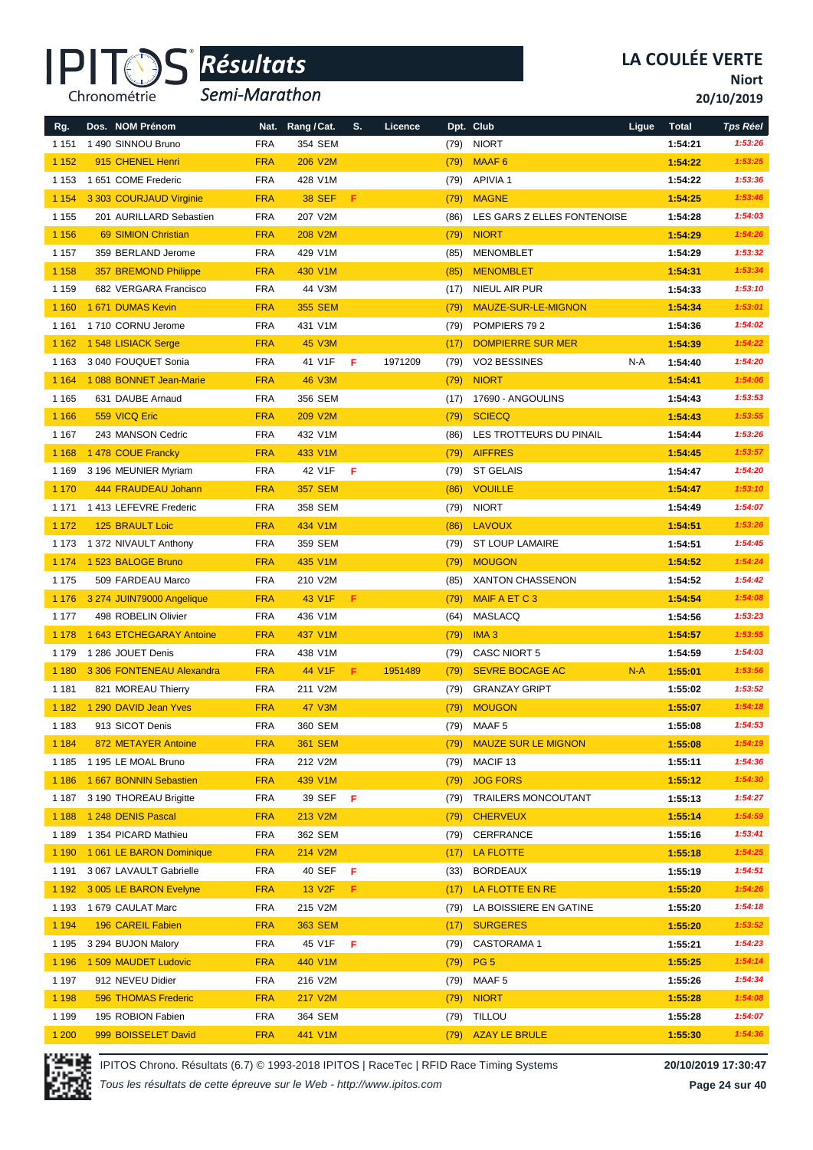

*Semi-Marathon*

**Niort**

**20/10/2019**

| Rg.                | Dos. NOM Prénom                                 |                   | Nat. Rang / Cat.   | S. | Licence |      | Dpt. Club                   | Ligue | <b>Total</b>       | <b>Tps Réel</b>    |
|--------------------|-------------------------------------------------|-------------------|--------------------|----|---------|------|-----------------------------|-------|--------------------|--------------------|
| 1 1 5 1            | 1490 SINNOU Bruno                               | <b>FRA</b>        | 354 SEM            |    |         | (79) | <b>NIORT</b>                |       | 1:54:21            | 1:53:26            |
| 1 1 5 2            | 915 CHENEL Henri                                | <b>FRA</b>        | 206 V2M            |    |         | (79) | MAAF <sub>6</sub>           |       | 1:54:22            | 1:53:25            |
| 1 1 5 3            | 1 651 COME Frederic                             | <b>FRA</b>        | 428 V1M            |    |         | (79) | <b>APIVIA1</b>              |       | 1:54:22            | 1:53:36            |
| 1 1 5 4            | 3 303 COURJAUD Virginie                         | <b>FRA</b>        | <b>38 SEF</b>      | F  |         | (79) | <b>MAGNE</b>                |       | 1:54:25            | 1:53:46            |
| 1 1 5 5            | 201 AURILLARD Sebastien                         | <b>FRA</b>        | 207 V2M            |    |         | (86) | LES GARS Z ELLES FONTENOISE |       | 1:54:28            | 1:54:03            |
| 1 1 5 6            | <b>69 SIMION Christian</b>                      | <b>FRA</b>        | 208 V2M            |    |         | (79) | <b>NIORT</b>                |       | 1:54:29            | 1:54:26            |
| 1 1 5 7            | 359 BERLAND Jerome                              | <b>FRA</b>        | 429 V1M            |    |         | (85) | <b>MENOMBLET</b>            |       | 1:54:29            | 1:53:32            |
| 1 1 5 8            | 357 BREMOND Philippe                            | <b>FRA</b>        | 430 V1M            |    |         | (85) | <b>MENOMBLET</b>            |       | 1:54:31            | 1:53:34            |
| 1 1 5 9            | 682 VERGARA Francisco                           | <b>FRA</b>        | 44 V3M             |    |         | (17) | NIEUL AIR PUR               |       | 1:54:33            | 1:53:10            |
| 1 1 6 0            | 1671 DUMAS Kevin                                | <b>FRA</b>        | <b>355 SEM</b>     |    |         | (79) | MAUZE-SUR-LE-MIGNON         |       | 1:54:34            | 1:53:01            |
| 1 1 6 1            | 1710 CORNU Jerome                               | <b>FRA</b>        | 431 V1M            |    |         | (79) | POMPIERS 792                |       | 1:54:36            | 1:54:02            |
| 1 1 6 2            | 1548 LISIACK Serge                              | <b>FRA</b>        | 45 V3M             |    |         | (17) | <b>DOMPIERRE SUR MER</b>    |       | 1:54:39            | 1:54:22            |
| 1 1 6 3            | 3 040 FOUQUET Sonia                             | <b>FRA</b>        | 41 V1F             | F  | 1971209 | (79) | VO2 BESSINES                | N-A   | 1:54:40            | 1:54:20            |
| 1 1 6 4            | 1 088 BONNET Jean-Marie                         | <b>FRA</b>        | <b>46 V3M</b>      |    |         | (79) | <b>NIORT</b>                |       | 1:54:41            | 1:54:06            |
| 1 1 6 5            | 631 DAUBE Arnaud                                | <b>FRA</b>        | 356 SEM            |    |         | (17) | 17690 - ANGOULINS           |       | 1:54:43            | 1:53:53            |
| 1 1 6 6            | 559 VICQ Eric                                   | <b>FRA</b>        | 209 V2M            |    |         | (79) | <b>SCIECQ</b>               |       | 1:54:43            | 1:53:55            |
| 1 1 6 7            | 243 MANSON Cedric                               | <b>FRA</b>        | 432 V1M            |    |         | (86) | LES TROTTEURS DU PINAIL     |       | 1:54:44            | 1:53:26            |
| 1 1 6 8            | 1478 COUE Francky                               | <b>FRA</b>        | 433 V1M            |    |         | (79) | <b>AIFFRES</b>              |       | 1:54:45            | 1:53:57            |
| 1 1 6 9            | 3 196 MEUNIER Myriam                            | <b>FRA</b>        | 42 V1F             | F  |         | (79) | <b>ST GELAIS</b>            |       | 1:54:47            | 1:54:20            |
| 1 1 7 0            | 444 FRAUDEAU Johann                             | <b>FRA</b>        | <b>357 SEM</b>     |    |         | (86) | <b>VOUILLE</b>              |       | 1:54:47            | 1:53:10            |
| 1 1 7 1            | 1413 LEFEVRE Frederic                           | <b>FRA</b>        | 358 SEM            |    |         | (79) | <b>NIORT</b>                |       | 1:54:49            | 1:54:07            |
| 1 1 7 2            | <b>125 BRAULT Loic</b>                          | <b>FRA</b>        | 434 V1M            |    |         | (86) | <b>LAVOUX</b>               |       | 1:54:51            | 1:53:26            |
| 1 1 7 3            | 1 372 NIVAULT Anthony                           | <b>FRA</b>        | 359 SEM            |    |         | (79) | <b>ST LOUP LAMAIRE</b>      |       | 1:54:51            | 1:54:45            |
| 1 1 7 4            | 1523 BALOGE Bruno                               | <b>FRA</b>        | 435 V1M            |    |         | (79) | <b>MOUGON</b>               |       | 1:54:52            | 1:54:24            |
| 1 1 7 5            | 509 FARDEAU Marco                               | <b>FRA</b>        | 210 V2M            |    |         | (85) | <b>XANTON CHASSENON</b>     |       | 1:54:52            | 1:54:42            |
| 1 1 7 6            | 3 274 JUIN79000 Angelique                       | <b>FRA</b>        | 43 V1F             | F  |         | (79) | MAIF A ET C 3               |       | 1:54:54            | 1:54:08            |
| 1 1 7 7            | 498 ROBELIN Olivier                             | <b>FRA</b>        | 436 V1M            |    |         | (64) | MASLACQ                     |       | 1:54:56            | 1:53:23            |
| 1 1 7 8            | 1 643 ETCHEGARAY Antoine                        | <b>FRA</b>        | 437 V1M            |    |         | (79) | IMA <sub>3</sub>            |       | 1:54:57            | 1:53:55            |
| 1 1 7 9            | 1 286 JOUET Denis                               | <b>FRA</b>        | 438 V1M            |    |         | (79) | <b>CASC NIORT 5</b>         |       | 1:54:59            | 1:54:03            |
| 1 1 8 0            | 3 306 FONTENEAU Alexandra                       | <b>FRA</b>        | 44 V1F             | F. | 1951489 | (79) | <b>SEVRE BOCAGE AC</b>      | $N-A$ | 1:55:01            | 1:53:56            |
| 1 1 8 1            | 821 MOREAU Thierry                              | <b>FRA</b>        | 211 V2M            |    |         | (79) | <b>GRANZAY GRIPT</b>        |       | 1:55:02            | 1:53:52            |
| 1 1 8 2            | 1 290 DAVID Jean Yves                           | <b>FRA</b>        | <b>47 V3M</b>      |    |         | (79) | <b>MOUGON</b>               |       | 1:55:07            | 1:54:18            |
| 1 1 8 3            | 913 SICOT Denis                                 | FRA               | 360 SEM            |    |         | (79) | MAAF <sub>5</sub>           |       | 1:55:08            | 1:54:53            |
| 1 1 8 4            | 872 METAYER Antoine                             | <b>FRA</b>        | <b>361 SEM</b>     |    |         | (79) | <b>MAUZE SUR LE MIGNON</b>  |       | 1:55:08            | 1:54:19            |
| 1 1 8 5            | 1 195 LE MOAL Bruno                             | <b>FRA</b>        | 212 V2M            |    |         | (79) | MACIF 13                    |       | 1:55:11            | 1:54:36            |
| 1 1 8 6            | 1 667 BONNIN Sebastien                          | <b>FRA</b>        | 439 V1M            |    |         | (79) | <b>JOG FORS</b>             |       | 1:55:12            | 1:54:30            |
| 1 1 8 7            | 3 190 THOREAU Brigitte                          | <b>FRA</b>        | 39 SEF             | -F |         | (79) | <b>TRAILERS MONCOUTANT</b>  |       | 1:55:13            | 1:54:27            |
| 1 1 8 8            | 1 248 DENIS Pascal                              | <b>FRA</b>        | 213 V2M            |    |         | (79) | <b>CHERVEUX</b>             |       | 1:55:14            | 1:54:59            |
| 1 1 8 9            | 1 354 PICARD Mathieu                            | <b>FRA</b>        | 362 SEM            |    |         | (79) | CERFRANCE                   |       | 1:55:16            | 1:53:41            |
| 1 1 9 0            | 1061 LE BARON Dominique                         | <b>FRA</b>        | 214 V2M            |    |         | (17) | LA FLOTTE                   |       | 1:55:18            | 1:54:25            |
| 1 1 9 1            | 3 067 LAVAULT Gabrielle                         | <b>FRA</b>        | 40 SEF             | F  |         | (33) | <b>BORDEAUX</b>             |       | 1:55:19            | 1:54:51            |
| 1 1 9 2            | 3 005 LE BARON Evelyne                          | <b>FRA</b>        | 13 V <sub>2F</sub> | F. |         | (17) | LA FLOTTE EN RE             |       | 1:55:20            | 1:54:26            |
| 1 1 9 3            | 1 679 CAULAT Marc                               | <b>FRA</b>        | 215 V2M            |    |         | (79) | LA BOISSIERE EN GATINE      |       | 1:55:20            | 1:54:18            |
| 1 1 9 4            | 196 CAREIL Fabien                               | <b>FRA</b>        | <b>363 SEM</b>     |    |         | (17) | <b>SURGERES</b>             |       | 1:55:20            | 1:53:52            |
| 1 1 9 5            | 3 294 BUJON Malory                              | <b>FRA</b>        | 45 V1F             | F  |         | (79) | <b>CASTORAMA1</b>           |       | 1:55:21            | 1:54:23            |
| 1 1 9 6            | 1 509 MAUDET Ludovic                            | <b>FRA</b>        | 440 V1M            |    |         | (79) | PG <sub>5</sub>             |       | 1:55:25            | 1:54:14<br>1:54:34 |
| 1 1 9 7            | 912 NEVEU Didier                                | <b>FRA</b>        | 216 V2M            |    |         | (79) | MAAF 5                      |       | 1:55:26            | 1:54:08            |
| 1 1 9 8<br>1 1 9 9 | <b>596 THOMAS Frederic</b><br>195 ROBION Fabien | <b>FRA</b><br>FRA | 217 V2M<br>364 SEM |    |         | (79) | <b>NIORT</b><br>(79) TILLOU |       | 1:55:28<br>1:55:28 | 1:54:07            |
|                    | 999 BOISSELET David                             | <b>FRA</b>        | 441 V1M            |    |         |      | (79) AZAY LE BRULE          |       | 1:55:30            | 1:54:36            |

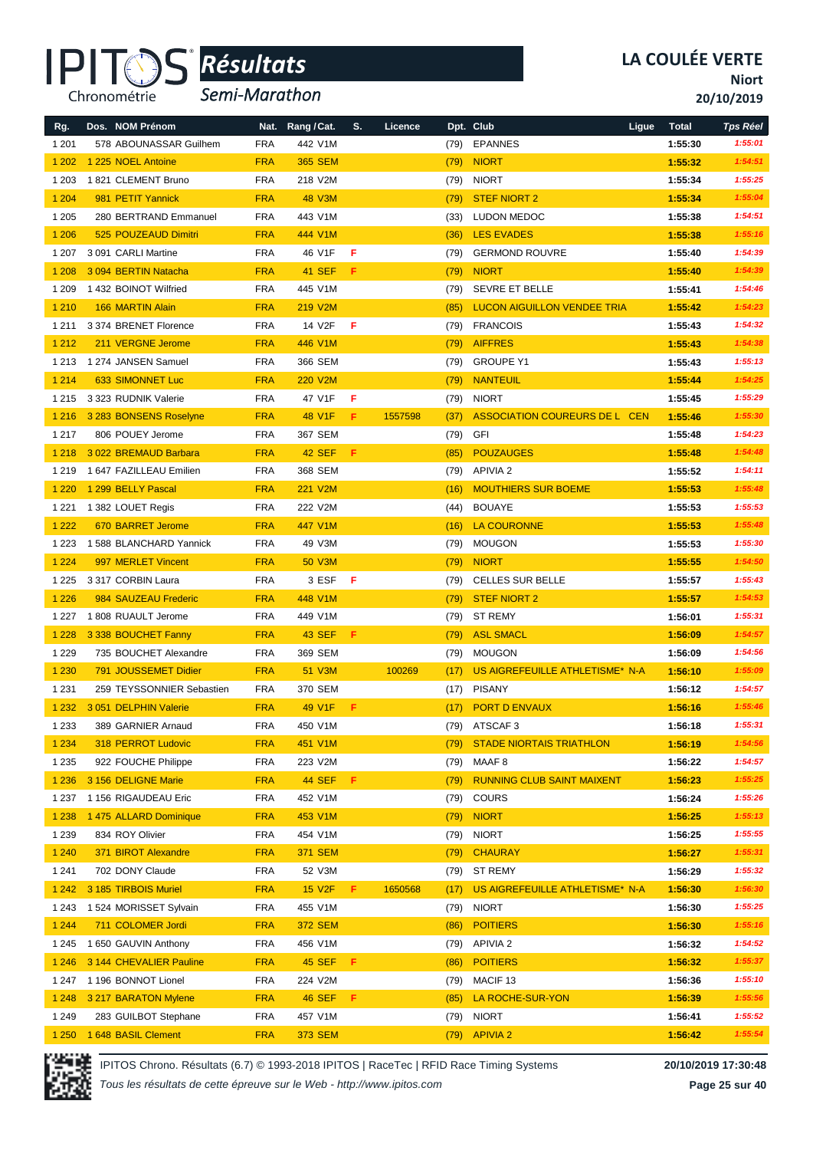

*Semi-Marathon*

**Niort**

**20/10/2019**

| Rg.     | Dos. NOM Prénom           |            | Nat. Rang/Cat. | S. | Licence |      | Dpt. Club                          | Ligue | <b>Total</b> | <b>Tps Réel</b> |
|---------|---------------------------|------------|----------------|----|---------|------|------------------------------------|-------|--------------|-----------------|
| 1 2 0 1 | 578 ABOUNASSAR Guilhem    | <b>FRA</b> | 442 V1M        |    |         | (79) | <b>EPANNES</b>                     |       | 1:55:30      | 1:55:01         |
| 1 2 0 2 | 1 225 NOEL Antoine        | <b>FRA</b> | <b>365 SEM</b> |    |         | (79) | <b>NIORT</b>                       |       | 1:55:32      | 1:54:51         |
| 1 203   | 1821 CLEMENT Bruno        | <b>FRA</b> | 218 V2M        |    |         | (79) | <b>NIORT</b>                       |       | 1:55:34      | 1:55:25         |
| 1 2 0 4 | 981 PETIT Yannick         | <b>FRA</b> | <b>48 V3M</b>  |    |         | (79) | <b>STEF NIORT 2</b>                |       | 1:55:34      | 1:55:04         |
| 1 2 0 5 | 280 BERTRAND Emmanuel     | <b>FRA</b> | 443 V1M        |    |         | (33) | <b>LUDON MEDOC</b>                 |       | 1:55:38      | 1:54:51         |
| 1 2 0 6 | 525 POUZEAUD Dimitri      | <b>FRA</b> | 444 V1M        |    |         | (36) | <b>LES EVADES</b>                  |       | 1:55:38      | 1:55:16         |
| 1 207   | 3 091 CARLI Martine       | <b>FRA</b> | 46 V1F         | F  |         | (79) | <b>GERMOND ROUVRE</b>              |       | 1:55:40      | 1:54:39         |
| 1 2 0 8 | 3 094 BERTIN Natacha      | <b>FRA</b> | 41 SEF         | F. |         | (79) | <b>NIORT</b>                       |       | 1:55:40      | 1:54:39         |
| 1 209   | 1432 BOINOT Wilfried      | <b>FRA</b> | 445 V1M        |    |         | (79) | <b>SEVRE ET BELLE</b>              |       | 1:55:41      | 1:54:46         |
| 1 2 1 0 | 166 MARTIN Alain          | <b>FRA</b> | 219 V2M        |    |         | (85) | <b>LUCON AIGUILLON VENDEE TRIA</b> |       | 1:55:42      | 1:54:23         |
| 1 2 1 1 | 3 374 BRENET Florence     | <b>FRA</b> | 14 V2F         | F  |         | (79) | <b>FRANCOIS</b>                    |       | 1:55:43      | 1:54:32         |
| 1 2 1 2 | 211 VERGNE Jerome         | <b>FRA</b> | 446 V1M        |    |         | (79) | <b>AIFFRES</b>                     |       | 1:55:43      | 1:54:38         |
| 1 2 1 3 | 1 274 JANSEN Samuel       | <b>FRA</b> | 366 SEM        |    |         | (79) | <b>GROUPE Y1</b>                   |       | 1:55:43      | 1:55:13         |
| 1 2 1 4 | 633 SIMONNET Luc          | <b>FRA</b> | <b>220 V2M</b> |    |         | (79) | <b>NANTEUIL</b>                    |       | 1:55:44      | 1:54:25         |
| 1 2 1 5 | 3 323 RUDNIK Valerie      | <b>FRA</b> | 47 V1F         | F  |         | (79) | <b>NIORT</b>                       |       | 1:55:45      | 1:55:29         |
| 1 2 1 6 | 3 283 BONSENS Roselyne    | <b>FRA</b> | 48 V1F         | F. | 1557598 | (37) | ASSOCIATION COUREURS DE L CEN      |       | 1:55:46      | 1:55:30         |
| 1 2 1 7 | 806 POUEY Jerome          | <b>FRA</b> | 367 SEM        |    |         | (79) | <b>GFI</b>                         |       | 1:55:48      | 1:54:23         |
| 1 2 1 8 | 3 022 BREMAUD Barbara     | <b>FRA</b> | 42 SEF         | Æ. |         | (85) | <b>POUZAUGES</b>                   |       | 1:55:48      | 1:54:48         |
| 1 2 1 9 | 1 647 FAZILLEAU Emilien   | <b>FRA</b> | 368 SEM        |    |         | (79) | APIVIA 2                           |       | 1:55:52      | 1:54:11         |
| 1 2 2 0 | 1 299 BELLY Pascal        | <b>FRA</b> | 221 V2M        |    |         | (16) | <b>MOUTHIERS SUR BOEME</b>         |       | 1:55:53      | 1:55:48         |
| 1 2 2 1 | 1 382 LOUET Regis         | <b>FRA</b> | 222 V2M        |    |         | (44) | BOUAYE                             |       | 1:55:53      | 1:55:53         |
| 1 2 2 2 | 670 BARRET Jerome         | <b>FRA</b> | 447 V1M        |    |         | (16) | <b>LA COURONNE</b>                 |       | 1:55:53      | 1:55:48         |
| 1 2 2 3 | 1588 BLANCHARD Yannick    | <b>FRA</b> | 49 V3M         |    |         | (79) | <b>MOUGON</b>                      |       | 1:55:53      | 1:55:30         |
| 1 2 2 4 | 997 MERLET Vincent        | <b>FRA</b> | <b>50 V3M</b>  |    |         | (79) | <b>NIORT</b>                       |       | 1:55:55      | 1:54:50         |
| 1 2 2 5 | 3 317 CORBIN Laura        | <b>FRA</b> | 3 ESF          | F  |         | (79) | <b>CELLES SUR BELLE</b>            |       | 1:55:57      | 1:55:43         |
| 1 2 2 6 | 984 SAUZEAU Frederic      | <b>FRA</b> | 448 V1M        |    |         | (79) | <b>STEF NIORT 2</b>                |       | 1:55:57      | 1:54:53         |
| 1 2 2 7 | 1808 RUAULT Jerome        | <b>FRA</b> | 449 V1M        |    |         | (79) | ST REMY                            |       | 1:56:01      | 1:55:31         |
| 1 2 2 8 | 3 338 BOUCHET Fanny       | <b>FRA</b> | <b>43 SEF</b>  | Æ. |         | (79) | <b>ASL SMACL</b>                   |       | 1:56:09      | 1:54:57         |
| 1 2 2 9 | 735 BOUCHET Alexandre     | <b>FRA</b> | 369 SEM        |    |         | (79) | <b>MOUGON</b>                      |       | 1:56:09      | 1:54:56         |
| 1 2 3 0 | 791 JOUSSEMET Didier      | <b>FRA</b> | 51 V3M         |    | 100269  | (17) | US AIGREFEUILLE ATHLETISME* N-A    |       | 1:56:10      | 1:55:09         |
| 1 2 3 1 | 259 TEYSSONNIER Sebastien | <b>FRA</b> | 370 SEM        |    |         | (17) | PISANY                             |       | 1:56:12      | 1:54:57         |
| 1 2 3 2 | 3 051 DELPHIN Valerie     | <b>FRA</b> | 49 V1F         | F. |         | (17) | <b>PORT D ENVAUX</b>               |       | 1:56:16      | 1:55:46         |
| 1 2 3 3 | 389 GARNIER Arnaud        | <b>FRA</b> | 450 V1M        |    |         |      | (79) ATSCAF 3                      |       | 1:56:18      | 1:55:31         |
| 1 2 3 4 | 318 PERROT Ludovic        | <b>FRA</b> | 451 V1M        |    |         | (79) | <b>STADE NIORTAIS TRIATHLON</b>    |       | 1:56:19      | 1:54:56         |
| 1 2 3 5 | 922 FOUCHE Philippe       | <b>FRA</b> | 223 V2M        |    |         | (79) | MAAF 8                             |       | 1:56:22      | 1:54:57         |
| 1 2 3 6 | 3 156 DELIGNE Marie       | <b>FRA</b> | <b>44 SEF</b>  | F. |         | (79) | <b>RUNNING CLUB SAINT MAIXENT</b>  |       | 1:56:23      | 1:55:25         |
| 1 2 3 7 | 1 156 RIGAUDEAU Eric      | <b>FRA</b> | 452 V1M        |    |         | (79) | COURS                              |       | 1:56:24      | 1:55:26         |
| 1 2 3 8 | 1 475 ALLARD Dominique    | <b>FRA</b> | 453 V1M        |    |         | (79) | <b>NIORT</b>                       |       | 1:56:25      | 1:55:13         |
| 1 2 3 9 | 834 ROY Olivier           | <b>FRA</b> | 454 V1M        |    |         | (79) | <b>NIORT</b>                       |       | 1:56:25      | 1:55:55         |
| 1 2 4 0 | 371 BIROT Alexandre       | <b>FRA</b> | <b>371 SEM</b> |    |         | (79) | <b>CHAURAY</b>                     |       | 1:56:27      | 1:55:31         |
| 1 2 4 1 | 702 DONY Claude           | <b>FRA</b> | 52 V3M         |    |         | (79) | ST REMY                            |       | 1:56:29      | 1:55:32         |
| 1 2 4 2 | 3 185 TIRBOIS Muriel      | <b>FRA</b> | <b>15 V2F</b>  | F. | 1650568 | (17) | US AIGREFEUILLE ATHLETISME* N-A    |       | 1:56:30      | 1:56:30         |
| 1 2 4 3 | 1 524 MORISSET Sylvain    | <b>FRA</b> | 455 V1M        |    |         | (79) | <b>NIORT</b>                       |       | 1:56:30      | 1:55:25         |
| 1 2 4 4 | 711 COLOMER Jordi         | <b>FRA</b> | <b>372 SEM</b> |    |         | (86) | <b>POITIERS</b>                    |       | 1:56:30      | 1:55:16         |
| 1 2 4 5 | 1 650 GAUVIN Anthony      | <b>FRA</b> | 456 V1M        |    |         | (79) | APIVIA 2                           |       | 1:56:32      | 1:54:52         |
| 1 2 4 6 | 3 144 CHEVALIER Pauline   | <b>FRA</b> | <b>45 SEF</b>  | F. |         | (86) | <b>POITIERS</b>                    |       | 1:56:32      | 1:55:37         |
| 1 247   | 1 196 BONNOT Lionel       | <b>FRA</b> | 224 V2M        |    |         | (79) | MACIF 13                           |       | 1:56:36      | 1:55:10         |
| 1 2 4 8 | 3 217 BARATON Mylene      | <b>FRA</b> | <b>46 SEF</b>  | F. |         | (85) | LA ROCHE-SUR-YON                   |       | 1:56:39      | 1:55:56         |
| 1 2 4 9 | 283 GUILBOT Stephane      | <b>FRA</b> | 457 V1M        |    |         | (79) | <b>NIORT</b>                       |       | 1:56:41      | 1:55:52         |
| 1 2 5 0 | 1 648 BASIL Clement       | <b>FRA</b> | <b>373 SEM</b> |    |         | (79) | <b>APIVIA 2</b>                    |       | 1:56:42      | 1:55:54         |

IPITOS Chrono. Résultats (6.7) © 1993-2018 IPITOS | RaceTec | RFID Race Timing Systems **20/10/2019 17:30:48**

*Tous les résultats de cette épreuve sur le Web - http://www.ipitos.com*

**Page 25 sur 40**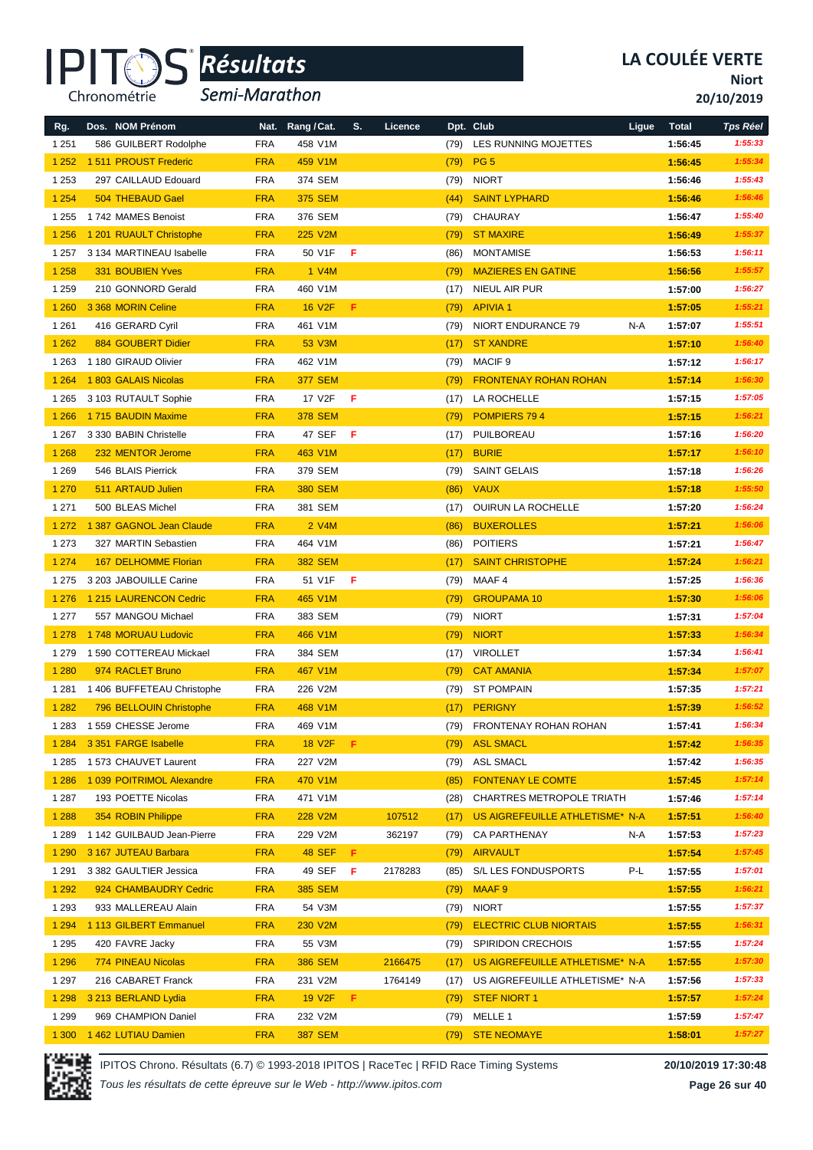

*Semi-Marathon*

**Niort**

**20/10/2019**

|                | Dos. NOM Prénom             | Nat.       | Rang / Cat.    | S. | Licence |      | Dpt. Club                       | Ligue | <b>Total</b> | <b>Tps Réel</b> |
|----------------|-----------------------------|------------|----------------|----|---------|------|---------------------------------|-------|--------------|-----------------|
| Rg.<br>1 2 5 1 | 586 GUILBERT Rodolphe       | <b>FRA</b> | 458 V1M        |    |         | (79) | LES RUNNING MOJETTES            |       | 1:56:45      | 1:55:33         |
| 1252           | 1511 PROUST Frederic        | <b>FRA</b> | 459 V1M        |    |         | (79) | PG <sub>5</sub>                 |       | 1:56:45      | 1:55:34         |
| 1 2 5 3        | 297 CAILLAUD Edouard        | <b>FRA</b> | 374 SEM        |    |         | (79) | <b>NIORT</b>                    |       | 1:56:46      | 1:55:43         |
| 1 2 5 4        | 504 THEBAUD Gael            | <b>FRA</b> | <b>375 SEM</b> |    |         | (44) | <b>SAINT LYPHARD</b>            |       | 1:56:46      | 1:56:46         |
| 1 2 5 5        | 1742 MAMES Benoist          | <b>FRA</b> | 376 SEM        |    |         | (79) | CHAURAY                         |       | 1:56:47      | 1:55:40         |
| 1 2 5 6        | 1 201 RUAULT Christophe     | <b>FRA</b> | 225 V2M        |    |         | (79) | <b>ST MAXIRE</b>                |       | 1:56:49      | 1:55:37         |
| 1 2 5 7        | 3 134 MARTINEAU Isabelle    | <b>FRA</b> | 50 V1F         | F  |         | (86) | <b>MONTAMISE</b>                |       | 1:56:53      | 1:56:11         |
| 1 2 5 8        | 331 BOUBIEN Yves            | <b>FRA</b> | 1 V4M          |    |         | (79) | <b>MAZIERES EN GATINE</b>       |       | 1:56:56      | 1:55:57         |
| 1 2 5 9        | 210 GONNORD Gerald          | <b>FRA</b> | 460 V1M        |    |         | (17) | <b>NIEUL AIR PUR</b>            |       | 1:57:00      | 1:56:27         |
| 1 2 6 0        | 3 368 MORIN Celine          | <b>FRA</b> | <b>16 V2F</b>  | F  |         | (79) | <b>APIVIA1</b>                  |       | 1:57:05      | 1:55:21         |
| 1 2 6 1        | 416 GERARD Cyril            | <b>FRA</b> | 461 V1M        |    |         | (79) | NIORT ENDURANCE 79              | N-A   | 1:57:07      | 1:55:51         |
| 1 2 6 2        | 884 GOUBERT Didier          | <b>FRA</b> | 53 V3M         |    |         | (17) | <b>ST XANDRE</b>                |       | 1:57:10      | 1:56:40         |
| 1 2 6 3        | 1 180 GIRAUD Olivier        | <b>FRA</b> | 462 V1M        |    |         | (79) | <b>MACIF 9</b>                  |       | 1:57:12      | 1:56:17         |
| 1 2 6 4        | 1803 GALAIS Nicolas         | <b>FRA</b> | <b>377 SEM</b> |    |         | (79) | <b>FRONTENAY ROHAN ROHAN</b>    |       | 1:57:14      | 1:56:30         |
| 1 2 6 5        | 3 103 RUTAULT Sophie        | <b>FRA</b> | 17 V2F         | F  |         | (17) | LA ROCHELLE                     |       | 1:57:15      | 1:57:05         |
| 1 2 6 6        | 1715 BAUDIN Maxime          | <b>FRA</b> | <b>378 SEM</b> |    |         | (79) | <b>POMPIERS 794</b>             |       | 1:57:15      | 1:56:21         |
| 1 2 6 7        | 3 330 BABIN Christelle      | <b>FRA</b> | 47 SEF         | F  |         | (17) | PUILBOREAU                      |       | 1:57:16      | 1:56:20         |
| 1 2 6 8        | 232 MENTOR Jerome           | <b>FRA</b> | 463 V1M        |    |         | (17) | <b>BURIE</b>                    |       | 1:57:17      | 1:56:10         |
| 1 2 6 9        | 546 BLAIS Pierrick          | <b>FRA</b> | 379 SEM        |    |         | (79) | <b>SAINT GELAIS</b>             |       | 1:57:18      | 1:56:26         |
| 1 2 7 0        | 511 ARTAUD Julien           | <b>FRA</b> | <b>380 SEM</b> |    |         | (86) | <b>VAUX</b>                     |       | 1:57:18      | 1:55:50         |
| 1 2 7 1        | 500 BLEAS Michel            | <b>FRA</b> | 381 SEM        |    |         | (17) | OUIRUN LA ROCHELLE              |       | 1:57:20      | 1:56:24         |
| 1 2 7 2        | 1 387 GAGNOL Jean Claude    | <b>FRA</b> | 2 V4M          |    |         | (86) | <b>BUXEROLLES</b>               |       | 1:57:21      | 1:56:06         |
| 1 2 7 3        | 327 MARTIN Sebastien        | <b>FRA</b> | 464 V1M        |    |         | (86) | <b>POITIERS</b>                 |       | 1:57:21      | 1:56:47         |
| 1 2 7 4        | <b>167 DELHOMME Florian</b> | <b>FRA</b> | <b>382 SEM</b> |    |         | (17) | <b>SAINT CHRISTOPHE</b>         |       | 1:57:24      | 1:56:21         |
| 1 2 7 5        | 3 203 JABOUILLE Carine      | <b>FRA</b> | 51 V1F         | F  |         | (79) | MAAF 4                          |       | 1:57:25      | 1:56:36         |
| 1 2 7 6        | 1 215 LAURENCON Cedric      | <b>FRA</b> | 465 V1M        |    |         | (79) | <b>GROUPAMA 10</b>              |       | 1:57:30      | 1:56:06         |
| 1 2 7 7        | 557 MANGOU Michael          | <b>FRA</b> | 383 SEM        |    |         | (79) | <b>NIORT</b>                    |       | 1:57:31      | 1:57:04         |
| 1 2 7 8        | 1748 MORUAU Ludovic         | <b>FRA</b> | 466 V1M        |    |         | (79) | <b>NIORT</b>                    |       | 1:57:33      | 1:56:34         |
| 1 2 7 9        | 1 590 COTTEREAU Mickael     | <b>FRA</b> | 384 SEM        |    |         | (17) | <b>VIROLLET</b>                 |       | 1:57:34      | 1:56:41         |
| 1 2 8 0        | 974 RACLET Bruno            | <b>FRA</b> | 467 V1M        |    |         | (79) | <b>CAT AMANIA</b>               |       | 1:57:34      | 1:57:07         |
| 1 2 8 1        | 1406 BUFFETEAU Christophe   | <b>FRA</b> | 226 V2M        |    |         | (79) | <b>ST POMPAIN</b>               |       | 1:57:35      | 1:57:21         |
| 1 2 8 2        | 796 BELLOUIN Christophe     | <b>FRA</b> | 468 V1M        |    |         | (17) | <b>PERIGNY</b>                  |       | 1:57:39      | 1:56:52         |
| 1 2 8 3        | 1 559 CHESSE Jerome         | <b>FRA</b> | 469 V1M        |    |         | (79) | FRONTENAY ROHAN ROHAN           |       | 1:57:41      | 1:56:34         |
| 1 2 8 4        | 3 351 FARGE Isabelle        | <b>FRA</b> | <b>18 V2F</b>  | F. |         | (79) | <b>ASL SMACL</b>                |       | 1:57:42      | 1:56:35         |
| 1 2 8 5        | 1 573 CHAUVET Laurent       | <b>FRA</b> | 227 V2M        |    |         | (79) | ASL SMACL                       |       | 1:57:42      | 1:56:35         |
| 1 2 8 6        | 1 039 POITRIMOL Alexandre   | <b>FRA</b> | 470 V1M        |    |         | (85) | <b>FONTENAY LE COMTE</b>        |       | 1:57:45      | 1:57:14         |
| 1 2 8 7        | 193 POETTE Nicolas          | <b>FRA</b> | 471 V1M        |    |         | (28) | CHARTRES METROPOLE TRIATH       |       | 1:57:46      | 1:57:14         |
| 1 2 8 8        | 354 ROBIN Philippe          | <b>FRA</b> | 228 V2M        |    | 107512  | (17) | US AIGREFEUILLE ATHLETISME* N-A |       | 1:57:51      | 1:56:40         |
| 1 2 8 9        | 1 142 GUILBAUD Jean-Pierre  | <b>FRA</b> | 229 V2M        |    | 362197  | (79) | <b>CA PARTHENAY</b>             | N-A   | 1:57:53      | 1:57:23         |
| 1 2 9 0        | 3 167 JUTEAU Barbara        | <b>FRA</b> | <b>48 SEF</b>  | F  |         | (79) | <b>AIRVAULT</b>                 |       | 1:57:54      | 1:57:45         |
| 1 2 9 1        | 3 382 GAULTIER Jessica      | <b>FRA</b> | 49 SEF         | F  | 2178283 | (85) | S/L LES FONDUSPORTS             | P-L   | 1:57:55      | 1:57:01         |
| 1 2 9 2        | 924 CHAMBAUDRY Cedric       | <b>FRA</b> | <b>385 SEM</b> |    |         | (79) | MAAF <sub>9</sub>               |       | 1:57:55      | 1:56:21         |
| 1 2 9 3        | 933 MALLEREAU Alain         | <b>FRA</b> | 54 V3M         |    |         | (79) | <b>NIORT</b>                    |       | 1:57:55      | 1:57:37         |
| 1 2 9 4        | 1 113 GILBERT Emmanuel      | <b>FRA</b> | 230 V2M        |    |         | (79) | <b>ELECTRIC CLUB NIORTAIS</b>   |       | 1:57:55      | 1:56:31         |
| 1 2 9 5        | 420 FAVRE Jacky             | <b>FRA</b> | 55 V3M         |    |         | (79) | <b>SPIRIDON CRECHOIS</b>        |       | 1:57:55      | 1:57:24         |
| 1 2 9 6        | 774 PINEAU Nicolas          | <b>FRA</b> | <b>386 SEM</b> |    | 2166475 | (17) | US AIGREFEUILLE ATHLETISME* N-A |       | 1:57:55      | 1:57:30         |
| 1 2 9 7        | 216 CABARET Franck          | <b>FRA</b> | 231 V2M        |    | 1764149 | (17) | US AIGREFEUILLE ATHLETISME* N-A |       | 1:57:56      | 1:57:33         |
| 1 2 9 8        | 3 213 BERLAND Lydia         | <b>FRA</b> | <b>19 V2F</b>  | F. |         | (79) | <b>STEF NIORT 1</b>             |       | 1:57:57      | 1:57:24         |
| 1 2 9 9        | 969 CHAMPION Daniel         | <b>FRA</b> | 232 V2M        |    |         | (79) | MELLE 1                         |       | 1:57:59      | 1:57:47         |
| 1 300          | 1 462 LUTIAU Damien         | <b>FRA</b> | <b>387 SEM</b> |    |         | (79) | <b>STE NEOMAYE</b>              |       | 1:58:01      | 1:57:27         |



IPITOS Chrono. Résultats (6.7) © 1993-2018 IPITOS | RaceTec | RFID Race Timing Systems **20/10/2019 17:30:48**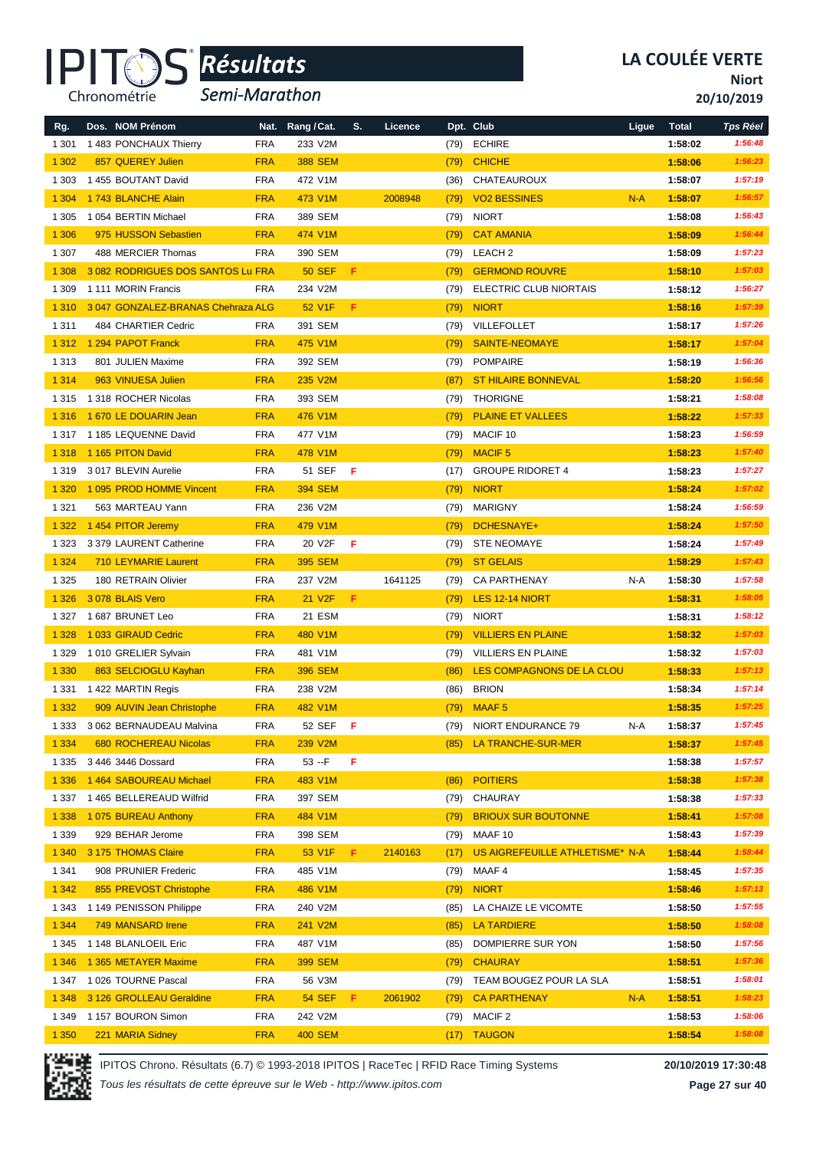

*Semi-Marathon*

**Niort**

**20/10/2019**

| Rg.     | Dos. NOM Prénom                    |            | Nat. Rang / Cat.    | S.  | Licence |      | Dpt. Club                       | Ligue | <b>Total</b> | <b>Tps Réel</b> |
|---------|------------------------------------|------------|---------------------|-----|---------|------|---------------------------------|-------|--------------|-----------------|
| 1 3 0 1 | 1 483 PONCHAUX Thierry             | <b>FRA</b> | 233 V2M             |     |         | (79) | <b>ECHIRE</b>                   |       | 1:58:02      | 1:56:48         |
| 1 3 0 2 | 857 QUEREY Julien                  | <b>FRA</b> | <b>388 SEM</b>      |     |         | (79) | <b>CHICHE</b>                   |       | 1:58:06      | 1:56:23         |
| 1 3 0 3 | 1455 BOUTANT David                 | <b>FRA</b> | 472 V1M             |     |         | (36) | CHATEAUROUX                     |       | 1:58:07      | 1:57:19         |
| 1 3 0 4 | 1743 BLANCHE Alain                 | <b>FRA</b> | 473 V1M             |     | 2008948 | (79) | <b>VO2 BESSINES</b>             | $N-A$ | 1:58:07      | 1:56:57         |
| 1 3 0 5 | 1054 BERTIN Michael                | <b>FRA</b> | 389 SEM             |     |         | (79) | <b>NIORT</b>                    |       | 1:58:08      | 1:56:43         |
| 1 3 0 6 | 975 HUSSON Sebastien               | <b>FRA</b> | 474 V1M             |     |         | (79) | <b>CAT AMANIA</b>               |       | 1:58:09      | 1:56:44         |
| 1 3 0 7 | 488 MERCIER Thomas                 | <b>FRA</b> | 390 SEM             |     |         | (79) | LEACH 2                         |       | 1:58:09      | 1:57:23         |
| 1 3 0 8 | 3 082 RODRIGUES DOS SANTOS Lu FRA  |            | <b>50 SEF</b>       | F.  |         | (79) | <b>GERMOND ROUVRE</b>           |       | 1:58:10      | 1:57:03         |
| 1 309   | 1 111 MORIN Francis                | <b>FRA</b> | 234 V2M             |     |         | (79) | ELECTRIC CLUB NIORTAIS          |       | 1:58:12      | 1:56:27         |
| 1 3 1 0 | 3 047 GONZALEZ-BRANAS Chehraza ALG |            | 52 V1F              | F.  |         | (79) | <b>NIORT</b>                    |       | 1:58:16      | 1:57:39         |
| 1 3 1 1 | 484 CHARTIER Cedric                | <b>FRA</b> | 391 SEM             |     |         | (79) | VILLEFOLLET                     |       | 1:58:17      | 1:57:26         |
| 1 3 1 2 | 1 294 PAPOT Franck                 | <b>FRA</b> | 475 V1M             |     |         |      |                                 |       |              | 1:57:04         |
|         |                                    |            |                     |     |         | (79) | <b>SAINTE-NEOMAYE</b>           |       | 1:58:17      |                 |
| 1 3 1 3 | 801 JULIEN Maxime                  | <b>FRA</b> | 392 SEM             |     |         | (79) | <b>POMPAIRE</b>                 |       | 1:58:19      | 1:56:36         |
| 1 3 1 4 | 963 VINUESA Julien                 | <b>FRA</b> | 235 V2M             |     |         | (87) | <b>ST HILAIRE BONNEVAL</b>      |       | 1:58:20      | 1:56:56         |
| 1 3 1 5 | 1318 ROCHER Nicolas                | <b>FRA</b> | 393 SEM             |     |         | (79) | <b>THORIGNE</b>                 |       | 1:58:21      | 1:58:08         |
| 1 3 1 6 | 1 670 LE DOUARIN Jean              | <b>FRA</b> | 476 V1M             |     |         | (79) | <b>PLAINE ET VALLEES</b>        |       | 1:58:22      | 1:57:33         |
| 1 3 1 7 | 1 185 LEQUENNE David               | <b>FRA</b> | 477 V1M             |     |         | (79) | MACIF <sub>10</sub>             |       | 1:58:23      | 1:56:59         |
| 1 3 1 8 | 1 165 PITON David                  | <b>FRA</b> | 478 V1M             |     |         | (79) | <b>MACIF5</b>                   |       | 1:58:23      | 1:57:40         |
| 1 3 1 9 | 3017 BLEVIN Aurelie                | <b>FRA</b> | 51 SEF              | F   |         | (17) | <b>GROUPE RIDORET 4</b>         |       | 1:58:23      | 1:57:27         |
| 1 3 2 0 | 1 095 PROD HOMME Vincent           | <b>FRA</b> | <b>394 SEM</b>      |     |         | (79) | <b>NIORT</b>                    |       | 1:58:24      | 1:57:02         |
| 1 3 2 1 | 563 MARTEAU Yann                   | <b>FRA</b> | 236 V2M             |     |         | (79) | <b>MARIGNY</b>                  |       | 1:58:24      | 1:56:59         |
| 1 3 2 2 | 1454 PITOR Jeremy                  | <b>FRA</b> | 479 V1M             |     |         | (79) | DCHESNAYE+                      |       | 1:58:24      | 1:57:50         |
| 1 3 2 3 | 3 379 LAURENT Catherine            | <b>FRA</b> | 20 V2F              | F   |         | (79) | <b>STE NEOMAYE</b>              |       | 1:58:24      | 1:57:49         |
| 1 3 2 4 | <b>710 LEYMARIE Laurent</b>        | <b>FRA</b> | <b>395 SEM</b>      |     |         | (79) | <b>ST GELAIS</b>                |       | 1:58:29      | 1:57:43         |
| 1 3 2 5 | 180 RETRAIN Olivier                | <b>FRA</b> | 237 V2M             |     | 1641125 | (79) | <b>CA PARTHENAY</b>             | N-A   | 1:58:30      | 1:57:58         |
| 1 3 2 6 | 3078 BLAIS Vero                    | <b>FRA</b> | 21 V <sub>2</sub> F | F.  |         | (79) | LES 12-14 NIORT                 |       | 1:58:31      | 1:58:05         |
| 1 3 2 7 | 1 687 BRUNET Leo                   | <b>FRA</b> | 21 ESM              |     |         | (79) | <b>NIORT</b>                    |       | 1:58:31      | 1:58:12         |
| 1 3 2 8 | 1 033 GIRAUD Cedric                | <b>FRA</b> | 480 V1M             |     |         | (79) | <b>VILLIERS EN PLAINE</b>       |       | 1:58:32      | 1:57:03         |
| 1 3 2 9 | 1010 GRELIER Sylvain               | <b>FRA</b> | 481 V1M             |     |         | (79) | <b>VILLIERS EN PLAINE</b>       |       | 1:58:32      | 1:57:03         |
| 1 3 3 0 | 863 SELCIOGLU Kayhan               | <b>FRA</b> | <b>396 SEM</b>      |     |         | (86) | LES COMPAGNONS DE LA CLOU       |       | 1:58:33      | 1:57:13         |
| 1 3 3 1 | 1422 MARTIN Regis                  | <b>FRA</b> | 238 V2M             |     |         | (86) | <b>BRION</b>                    |       | 1:58:34      | 1:57:14         |
| 1 3 3 2 | 909 AUVIN Jean Christophe          | <b>FRA</b> | 482 V1M             |     |         | (79) | MAAF <sub>5</sub>               |       | 1:58:35      | 1:57:25         |
| 1 3 3 3 | 3 062 BERNAUDEAU Malvina           | <b>FRA</b> | 52 SEF              | - F |         | (79) | NIORT ENDURANCE 79              | N-A   | 1:58:37      | 1:57:45         |
| 1 3 3 4 | <b>680 ROCHEREAU Nicolas</b>       | <b>FRA</b> | 239 V2M             |     |         | (85) | LA TRANCHE-SUR-MER              |       | 1:58:37      | 1:57:45         |
| 1 3 3 5 | 3 446 3446 Dossard                 | <b>FRA</b> | $53 - F$            | F   |         |      |                                 |       | 1:58:38      | 1:57:57         |
| 1 3 3 6 | 1 464 SABOUREAU Michael            | <b>FRA</b> | 483 V1M             |     |         | (86) | <b>POITIERS</b>                 |       | 1:58:38      | 1:57:38         |
| 1 3 3 7 | 1 465 BELLEREAUD Wilfrid           | <b>FRA</b> | 397 SEM             |     |         | (79) | CHAURAY                         |       | 1:58:38      | 1:57:33         |
| 1 3 3 8 | 1 075 BUREAU Anthony               | <b>FRA</b> | 484 V1M             |     |         | (79) | <b>BRIOUX SUR BOUTONNE</b>      |       | 1:58:41      | 1:57:08         |
| 1 3 3 9 | 929 BEHAR Jerome                   | <b>FRA</b> | 398 SEM             |     |         | (79) | MAAF 10                         |       | 1:58:43      | 1:57:39         |
| 1 3 4 0 | 3 175 THOMAS Claire                | <b>FRA</b> | 53 V1F              | F.  | 2140163 | (17) | US AIGREFEUILLE ATHLETISME* N-A |       | 1:58:44      | 1:58:44         |
| 1 3 4 1 | 908 PRUNIER Frederic               | <b>FRA</b> | 485 V1M             |     |         | (79) | MAAF 4                          |       | 1:58:45      | 1:57:35         |
| 1 3 4 2 | 855 PREVOST Christophe             | <b>FRA</b> | 486 V1M             |     |         | (79) | <b>NIORT</b>                    |       | 1:58:46      | 1:57:13         |
| 1 3 4 3 | 1 149 PENISSON Philippe            | <b>FRA</b> | 240 V2M             |     |         | (85) | LA CHAIZE LE VICOMTE            |       | 1:58:50      | 1:57:55         |
| 1 3 4 4 | 749 MANSARD Irene                  | <b>FRA</b> | 241 V2M             |     |         | (85) | <b>LA TARDIERE</b>              |       | 1:58:50      | 1:58:08         |
| 1 3 4 5 | 1 148 BLANLOEIL Eric               | <b>FRA</b> | 487 V1M             |     |         | (85) | DOMPIERRE SUR YON               |       | 1:58:50      | 1:57:56         |
| 1 3 4 6 | 1 365 METAYER Maxime               | <b>FRA</b> | 399 SEM             |     |         | (79) | <b>CHAURAY</b>                  |       | 1:58:51      | 1:57:36         |
| 1 3 4 7 | 1026 TOURNE Pascal                 | <b>FRA</b> | 56 V3M              |     |         | (79) | TEAM BOUGEZ POUR LA SLA         |       | 1:58:51      | 1:58:01         |
| 1 3 4 8 | 3 126 GROLLEAU Geraldine           | <b>FRA</b> | <b>54 SEF</b>       | F.  | 2061902 | (79) | <b>CA PARTHENAY</b>             | $N-A$ | 1:58:51      | 1:58:23         |
| 1 3 4 9 | 1157 BOURON Simon                  | <b>FRA</b> | 242 V2M             |     |         | (79) | MACIF 2                         |       | 1:58:53      | 1:58:06         |
| 1 3 5 0 | 221 MARIA Sidney                   | <b>FRA</b> | <b>400 SEM</b>      |     |         |      | (17) TAUGON                     |       | 1:58:54      | 1:58:08         |



IPITOS Chrono. Résultats (6.7) © 1993-2018 IPITOS | RaceTec | RFID Race Timing Systems **20/10/2019 17:30:48**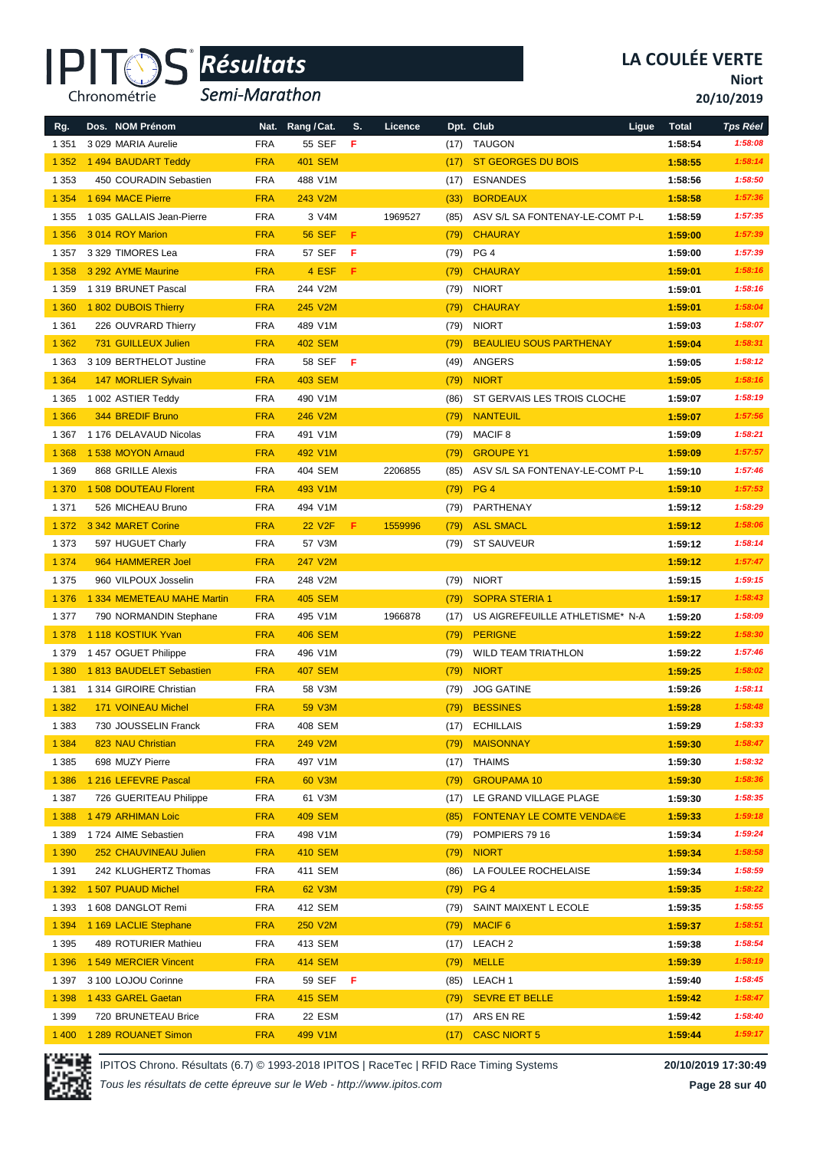

*Semi-Marathon*

**Niort**

**20/10/2019**

| Rg.     | Dos. NOM Prénom            | Nat.       | Rang / Cat.    | S.  | Licence |      | Dpt. Club                       | Ligue<br><b>Total</b> | <b>Tps Réel</b> |
|---------|----------------------------|------------|----------------|-----|---------|------|---------------------------------|-----------------------|-----------------|
| 1 3 5 1 | 3 029 MARIA Aurelie        | <b>FRA</b> | 55 SEF         | F   |         | (17) | <b>TAUGON</b>                   | 1:58:54               | 1:58:08         |
| 1 3 5 2 | 1494 BAUDART Teddy         | <b>FRA</b> | <b>401 SEM</b> |     |         | (17) | ST GEORGES DU BOIS              | 1:58:55               | 1:58:14         |
| 1 3 5 3 | 450 COURADIN Sebastien     | <b>FRA</b> | 488 V1M        |     |         | (17) | <b>ESNANDES</b>                 | 1:58:56               | 1:58:50         |
| 1 3 5 4 | 1 694 MACE Pierre          | <b>FRA</b> | 243 V2M        |     |         | (33) | <b>BORDEAUX</b>                 | 1:58:58               | 1:57:36         |
| 1 3 5 5 | 1035 GALLAIS Jean-Pierre   | <b>FRA</b> | 3 V4M          |     | 1969527 | (85) | ASV S/L SA FONTENAY-LE-COMT P-L | 1:58:59               | 1:57:35         |
| 1 3 5 6 | 3014 ROY Marion            | <b>FRA</b> | <b>56 SEF</b>  | F   |         | (79) | <b>CHAURAY</b>                  | 1:59:00               | 1:57:39         |
| 1 3 5 7 | 3 329 TIMORES Lea          | <b>FRA</b> | 57 SEF         | F   |         | (79) | PG <sub>4</sub>                 | 1:59:00               | 1:57:39         |
| 1 3 5 8 | 3 292 AYME Maurine         | <b>FRA</b> | 4 ESF          | F   |         | (79) | <b>CHAURAY</b>                  | 1:59:01               | 1:58:16         |
| 1 3 5 9 | 1319 BRUNET Pascal         | <b>FRA</b> | 244 V2M        |     |         | (79) | <b>NIORT</b>                    | 1:59:01               | 1:58:16         |
| 1 3 6 0 | 1802 DUBOIS Thierry        | <b>FRA</b> | 245 V2M        |     |         | (79) | <b>CHAURAY</b>                  | 1:59:01               | 1:58:04         |
| 1 3 6 1 | 226 OUVRARD Thierry        | <b>FRA</b> | 489 V1M        |     |         | (79) | <b>NIORT</b>                    | 1:59:03               | 1:58:07         |
| 1 3 6 2 | 731 GUILLEUX Julien        | <b>FRA</b> | <b>402 SEM</b> |     |         | (79) | <b>BEAULIEU SOUS PARTHENAY</b>  | 1:59:04               | 1:58:31         |
| 1 3 6 3 | 3 109 BERTHELOT Justine    | <b>FRA</b> | 58 SEF         | F   |         | (49) | ANGERS                          | 1:59:05               | 1:58:12         |
| 1 3 6 4 | 147 MORLIER Sylvain        | <b>FRA</b> | <b>403 SEM</b> |     |         | (79) | <b>NIORT</b>                    | 1:59:05               | 1:58:16         |
| 1 3 6 5 | 1 002 ASTIER Teddy         | <b>FRA</b> | 490 V1M        |     |         | (86) | ST GERVAIS LES TROIS CLOCHE     | 1:59:07               | 1:58:19         |
| 1 3 6 6 | 344 BREDIF Bruno           | <b>FRA</b> | 246 V2M        |     |         | (79) | <b>NANTEUIL</b>                 | 1:59:07               | 1:57:56         |
| 1 3 6 7 | 1 176 DELAVAUD Nicolas     | <b>FRA</b> | 491 V1M        |     |         | (79) | MACIF <sub>8</sub>              | 1:59:09               | 1:58:21         |
| 1 3 6 8 | 1 538 MOYON Arnaud         | <b>FRA</b> | 492 V1M        |     |         | (79) | <b>GROUPE Y1</b>                | 1:59:09               | 1:57:57         |
| 1 3 6 9 | 868 GRILLE Alexis          | <b>FRA</b> | 404 SEM        |     | 2206855 | (85) | ASV S/L SA FONTENAY-LE-COMT P-L | 1:59:10               | 1:57:46         |
| 1 3 7 0 | 1 508 DOUTEAU Florent      | <b>FRA</b> | 493 V1M        |     |         | (79) | PG <sub>4</sub>                 | 1:59:10               | 1:57:53         |
| 1 3 7 1 | 526 MICHEAU Bruno          | <b>FRA</b> | 494 V1M        |     |         | (79) | PARTHENAY                       | 1:59:12               | 1:58:29         |
| 1 3 7 2 | 3 342 MARET Corine         | <b>FRA</b> | <b>22 V2F</b>  | F   | 1559996 | (79) | <b>ASL SMACL</b>                | 1:59:12               | 1:58:06         |
| 1 3 7 3 | 597 HUGUET Charly          | <b>FRA</b> | 57 V3M         |     |         | (79) | <b>ST SAUVEUR</b>               | 1:59:12               | 1:58:14         |
| 1 3 7 4 | 964 HAMMERER Joel          | <b>FRA</b> | 247 V2M        |     |         |      |                                 | 1:59:12               | 1:57:47         |
| 1 3 7 5 | 960 VILPOUX Josselin       | <b>FRA</b> | 248 V2M        |     |         | (79) | <b>NIORT</b>                    | 1:59:15               | 1:59:15         |
| 1 3 7 6 | 1 334 MEMETEAU MAHE Martin | <b>FRA</b> | <b>405 SEM</b> |     |         | (79) | <b>SOPRA STERIA 1</b>           | 1:59:17               | 1:58:43         |
| 1 377   | 790 NORMANDIN Stephane     | <b>FRA</b> | 495 V1M        |     | 1966878 | (17) | US AIGREFEUILLE ATHLETISME* N-A | 1:59:20               | 1:58:09         |
| 1 3 7 8 | 1 118 KOSTIUK Yvan         | <b>FRA</b> | <b>406 SEM</b> |     |         | (79) | <b>PERIGNE</b>                  | 1:59:22               | 1:58:30         |
| 1 3 7 9 | 1457 OGUET Philippe        | <b>FRA</b> | 496 V1M        |     |         | (79) | <b>WILD TEAM TRIATHLON</b>      | 1:59:22               | 1:57:46         |
| 1 3 8 0 | 1813 BAUDELET Sebastien    | <b>FRA</b> | <b>407 SEM</b> |     |         | (79) | <b>NIORT</b>                    | 1:59:25               | 1:58:02         |
| 1 3 8 1 | 1 314 GIROIRE Christian    | <b>FRA</b> | 58 V3M         |     |         | (79) | <b>JOG GATINE</b>               | 1:59:26               | 1:58:11         |
| 1 3 8 2 | <b>171 VOINEAU Michel</b>  | <b>FRA</b> | <b>59 V3M</b>  |     |         | (79) | <b>BESSINES</b>                 | 1:59:28               | 1:58:48         |
| 1 3 8 3 | 730 JOUSSELIN Franck       | <b>FRA</b> | 408 SEM        |     |         | (17) | <b>ECHILLAIS</b>                | 1:59:29               | 1:58:33         |
| 1 3 8 4 | 823 NAU Christian          | <b>FRA</b> | 249 V2M        |     |         | (79) | <b>MAISONNAY</b>                | 1:59:30               | 1:58:47         |
| 1 3 8 5 | 698 MUZY Pierre            | <b>FRA</b> | 497 V1M        |     |         | (17) | THAIMS                          | 1:59:30               | 1:58:32         |
| 1 3 8 6 | 1 216 LEFEVRE Pascal       | <b>FRA</b> | 60 V3M         |     |         | (79) | <b>GROUPAMA 10</b>              | 1:59:30               | 1:58:36         |
| 1 3 8 7 | 726 GUERITEAU Philippe     | <b>FRA</b> | 61 V3M         |     |         | (17) | LE GRAND VILLAGE PLAGE          | 1:59:30               | 1:58:35         |
| 1 3 8 8 | 1479 ARHIMAN Loic          | <b>FRA</b> | <b>409 SEM</b> |     |         | (85) | FONTENAY LE COMTE VENDA©E       | 1:59:33               | 1:59:18         |
| 1 3 8 9 | 1724 AIME Sebastien        | <b>FRA</b> | 498 V1M        |     |         | (79) | POMPIERS 79 16                  | 1:59:34               | 1:59:24         |
| 1 3 9 0 | 252 CHAUVINEAU Julien      | <b>FRA</b> | 410 SEM        |     |         | (79) | <b>NIORT</b>                    | 1:59:34               | 1:58:58         |
| 1 3 9 1 | 242 KLUGHERTZ Thomas       | <b>FRA</b> | 411 SEM        |     |         | (86) | LA FOULEE ROCHELAISE            | 1:59:34               | 1:58:59         |
| 1 3 9 2 | 1 507 PUAUD Michel         | <b>FRA</b> | 62 V3M         |     |         | (79) | PG <sub>4</sub>                 | 1:59:35               | 1:58:22         |
| 1 3 9 3 | 1 608 DANGLOT Remi         | <b>FRA</b> | 412 SEM        |     |         | (79) | SAINT MAIXENT L ECOLE           | 1:59:35               | 1:58:55         |
| 1 3 9 4 | 1 169 LACLIE Stephane      | <b>FRA</b> | 250 V2M        |     |         | (79) | <b>MACIF 6</b>                  | 1:59:37               | 1:58:51         |
| 1 3 9 5 | 489 ROTURIER Mathieu       | <b>FRA</b> | 413 SEM        |     |         | (17) | LEACH 2                         | 1:59:38               | 1:58:54         |
| 1 3 9 6 | 1549 MERCIER Vincent       | <b>FRA</b> | <b>414 SEM</b> |     |         | (79) | <b>MELLE</b>                    | 1:59:39               | 1:58:19         |
| 1 3 9 7 | 3 100 LOJOU Corinne        | <b>FRA</b> | 59 SEF         | - F |         | (85) | LEACH 1                         | 1:59:40               | 1:58:45         |
| 1 3 9 8 | 1433 GAREL Gaetan          | <b>FRA</b> | <b>415 SEM</b> |     |         | (79) | <b>SEVRE ET BELLE</b>           | 1:59:42               | 1:58:47         |
| 1 3 9 9 | 720 BRUNETEAU Brice        | <b>FRA</b> | 22 ESM         |     |         |      | $(17)$ ARS EN RE                | 1:59:42               | 1:58:40         |
| 1 4 0 0 | 1 289 ROUANET Simon        | <b>FRA</b> | 499 V1M        |     |         | (17) | <b>CASC NIORT 5</b>             | 1:59:44               | 1:59:17         |



IPITOS Chrono. Résultats (6.7) © 1993-2018 IPITOS | RaceTec | RFID Race Timing Systems **20/10/2019 17:30:49**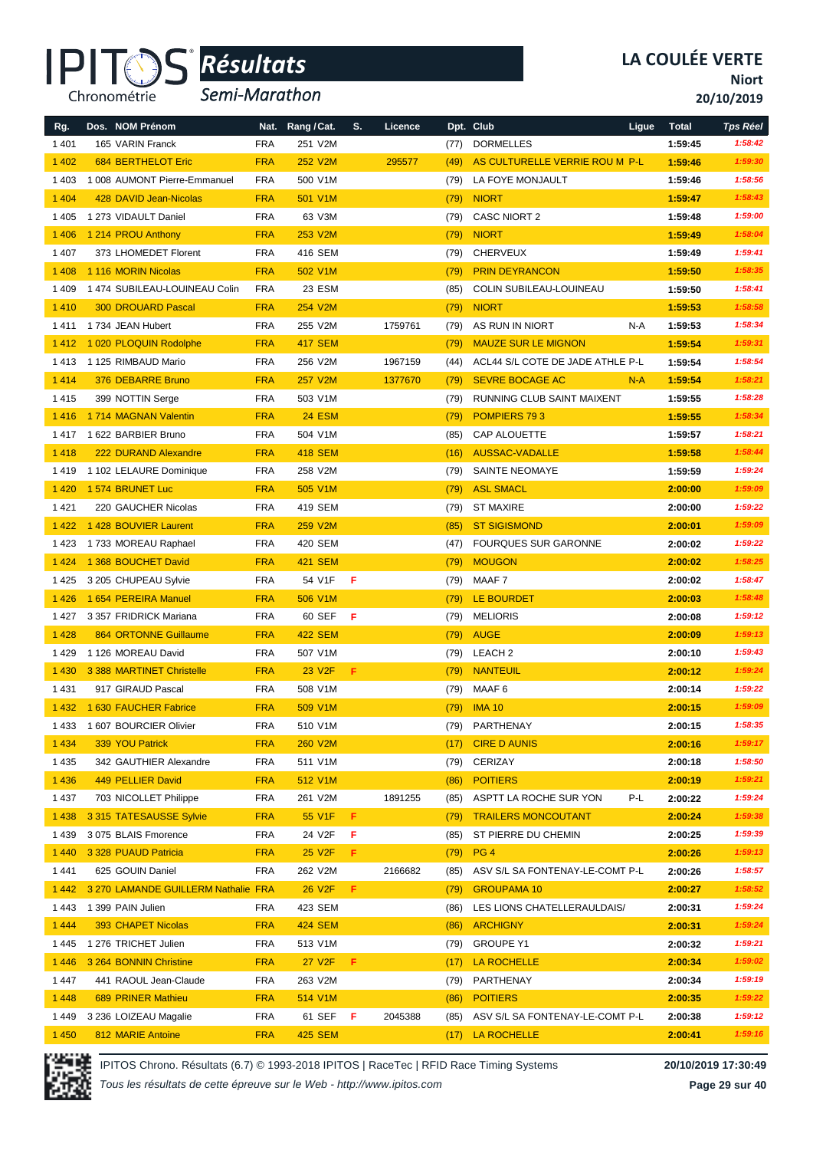#### IPI<sup>-</sup> Chronométrie

# *Résultats* **®**

*Semi-Marathon*

**Niort**

**20/10/2019**

| Rg.     | Dos. NOM Prénom                     | Nat.       | Rang / Cat.         | S. | Licence |      | Dpt. Club                        | Ligue | <b>Total</b> | <b>Tps Réel</b> |
|---------|-------------------------------------|------------|---------------------|----|---------|------|----------------------------------|-------|--------------|-----------------|
| 1 4 0 1 | 165 VARIN Franck                    | <b>FRA</b> | 251 V2M             |    |         | (77) | <b>DORMELLES</b>                 |       | 1:59:45      | 1:58:42         |
| 1 4 0 2 | <b>684 BERTHELOT Eric</b>           | <b>FRA</b> | 252 V2M             |    | 295577  | (49) | AS CULTURELLE VERRIE ROU M P-L   |       | 1:59:46      | 1:59:30         |
| 1 4 0 3 | 1 008 AUMONT Pierre-Emmanuel        | <b>FRA</b> | 500 V1M             |    |         | (79) | LA FOYE MONJAULT                 |       | 1:59:46      | 1:58:56         |
| 1 4 0 4 | 428 DAVID Jean-Nicolas              | <b>FRA</b> | 501 V1M             |    |         | (79) | <b>NIORT</b>                     |       | 1:59:47      | 1:58:43         |
| 1 4 0 5 | 1 273 VIDAULT Daniel                | <b>FRA</b> | 63 V3M              |    |         | (79) | <b>CASC NIORT 2</b>              |       | 1:59:48      | 1:59:00         |
| 1 4 0 6 | 1 214 PROU Anthony                  | <b>FRA</b> | 253 V2M             |    |         | (79) | <b>NIORT</b>                     |       | 1:59:49      | 1:58:04         |
| 1 4 0 7 | 373 LHOMEDET Florent                | <b>FRA</b> | 416 SEM             |    |         | (79) | <b>CHERVEUX</b>                  |       | 1:59:49      | 1:59:41         |
| 1 4 0 8 | 1 116 MORIN Nicolas                 | <b>FRA</b> | 502 V1M             |    |         | (79) | <b>PRIN DEYRANCON</b>            |       | 1:59:50      | 1:58:35         |
| 1409    | 1 474 SUBILEAU-LOUINEAU Colin       | <b>FRA</b> | 23 ESM              |    |         | (85) | COLIN SUBILEAU-LOUINEAU          |       | 1:59:50      | 1:58:41         |
| 1410    | <b>300 DROUARD Pascal</b>           | <b>FRA</b> | 254 V2M             |    |         | (79) | <b>NIORT</b>                     |       | 1:59:53      | 1:58:58         |
| 1411    | 1734 JEAN Hubert                    | <b>FRA</b> | 255 V2M             |    | 1759761 | (79) | AS RUN IN NIORT                  | N-A   | 1:59:53      | 1:58:34         |
| 1 4 1 2 | 1 020 PLOQUIN Rodolphe              | <b>FRA</b> | <b>417 SEM</b>      |    |         | (79) | <b>MAUZE SUR LE MIGNON</b>       |       | 1:59:54      | 1:59:31         |
| 1413    | 1 125 RIMBAUD Mario                 | <b>FRA</b> | 256 V2M             |    | 1967159 | (44) | ACL44 S/L COTE DE JADE ATHLE P-L |       | 1:59:54      | 1:58:54         |
| 1 4 1 4 | 376 DEBARRE Bruno                   | <b>FRA</b> | 257 V2M             |    | 1377670 | (79) | <b>SEVRE BOCAGE AC</b>           | $N-A$ | 1:59:54      | 1:58:21         |
| 1415    | 399 NOTTIN Serge                    | <b>FRA</b> | 503 V1M             |    |         | (79) | RUNNING CLUB SAINT MAIXENT       |       | 1:59:55      | 1:58:28         |
| 1416    | 1714 MAGNAN Valentin                | <b>FRA</b> | <b>24 ESM</b>       |    |         | (79) | POMPIERS 793                     |       | 1:59:55      | 1:58:34         |
| 1417    | 1 622 BARBIER Bruno                 | <b>FRA</b> | 504 V1M             |    |         | (85) | CAP ALOUETTE                     |       | 1:59:57      | 1:58:21         |
| 1418    | 222 DURAND Alexandre                | <b>FRA</b> | <b>418 SEM</b>      |    |         | (16) | <b>AUSSAC-VADALLE</b>            |       | 1:59:58      | 1:58:44         |
| 1419    | 1 102 LELAURE Dominique             | <b>FRA</b> | 258 V2M             |    |         | (79) | <b>SAINTE NEOMAYE</b>            |       | 1:59:59      | 1:59:24         |
| 1 4 2 0 | 1574 BRUNET Luc                     | <b>FRA</b> | 505 V1M             |    |         | (79) | <b>ASL SMACL</b>                 |       | 2:00:00      | 1:59:09         |
| 1421    | 220 GAUCHER Nicolas                 | <b>FRA</b> | 419 SEM             |    |         | (79) | <b>ST MAXIRE</b>                 |       | 2:00:00      | 1:59:22         |
| 1 4 2 2 | 1 428 BOUVIER Laurent               | <b>FRA</b> | 259 V2M             |    |         | (85) | <b>ST SIGISMOND</b>              |       | 2:00:01      | 1:59:09         |
| 1423    | 1733 MOREAU Raphael                 | <b>FRA</b> | 420 SEM             |    |         | (47) | <b>FOURQUES SUR GARONNE</b>      |       | 2:00:02      | 1:59:22         |
| 1 4 2 4 | 1 368 BOUCHET David                 | <b>FRA</b> | <b>421 SEM</b>      |    |         | (79) | <b>MOUGON</b>                    |       | 2:00:02      | 1:58:25         |
| 1 4 2 5 | 3 205 CHUPEAU Sylvie                | <b>FRA</b> | 54 V1F              | F  |         | (79) | MAAF 7                           |       | 2:00:02      | 1:58:47         |
| 1 4 2 6 | 1 654 PEREIRA Manuel                | <b>FRA</b> | 506 V1M             |    |         | (79) | LE BOURDET                       |       | 2:00:03      | 1:58:48         |
| 1427    | 3 357 FRIDRICK Mariana              | <b>FRA</b> | 60 SEF              | F  |         | (79) | <b>MELIORIS</b>                  |       | 2:00:08      | 1:59:12         |
| 1 4 2 8 | <b>864 ORTONNE Guillaume</b>        | <b>FRA</b> | <b>422 SEM</b>      |    |         | (79) | <b>AUGE</b>                      |       | 2:00:09      | 1:59:13         |
| 1429    | 1 126 MOREAU David                  | <b>FRA</b> | 507 V1M             |    |         | (79) | LEACH <sub>2</sub>               |       | 2:00:10      | 1:59:43         |
| 1 4 3 0 | 3 388 MARTINET Christelle           | <b>FRA</b> | 23 V <sub>2F</sub>  | F  |         | (79) | <b>NANTEUIL</b>                  |       | 2:00:12      | 1:59:24         |
| 1 4 3 1 | 917 GIRAUD Pascal                   | <b>FRA</b> | 508 V1M             |    |         | (79) | MAAF 6                           |       | 2:00:14      | 1:59:22         |
| 1 4 3 2 | 1 630 FAUCHER Fabrice               | <b>FRA</b> | 509 V1M             |    |         | (79) | <b>IMA 10</b>                    |       | 2:00:15      | 1:59:09         |
| 1 4 3 3 | 1 607 BOURCIER Olivier              | <b>FRA</b> | 510 V1M             |    |         | (79) | PARTHENAY                        |       | 2:00:15      | 1:58:35         |
| 1 4 3 4 | 339 YOU Patrick                     | <b>FRA</b> | 260 V2M             |    |         | (17) | <b>CIRE D AUNIS</b>              |       | 2:00:16      | 1:59:17         |
| 1 4 3 5 | 342 GAUTHIER Alexandre              | <b>FRA</b> | 511 V1M             |    |         | (79) | CERIZAY                          |       | 2:00:18      | 1:58:50         |
| 1 4 3 6 | 449 PELLIER David                   | <b>FRA</b> | 512 V1M             |    |         | (86) | <b>POITIERS</b>                  |       | 2:00:19      | 1:59:21         |
| 1437    | 703 NICOLLET Philippe               | <b>FRA</b> | 261 V2M             |    | 1891255 | (85) | ASPTT LA ROCHE SUR YON           | P-L   | 2:00:22      | 1:59:24         |
| 1 4 3 8 | 3315 TATESAUSSE Sylvie              | <b>FRA</b> | 55 V1F              | F  |         | (79) | <b>TRAILERS MONCOUTANT</b>       |       | 2:00:24      | 1:59:38         |
| 1439    | 3 075 BLAIS Fmorence                | <b>FRA</b> | 24 V2F              | F  |         | (85) | ST PIERRE DU CHEMIN              |       | 2:00:25      | 1:59:39         |
| 1 4 4 0 | 3 328 PUAUD Patricia                | <b>FRA</b> | 25 V <sub>2</sub> F | F  |         | (79) | PG <sub>4</sub>                  |       | 2:00:26      | 1:59:13         |
| 1441    | 625 GOUIN Daniel                    | <b>FRA</b> | 262 V2M             |    | 2166682 | (85) | ASV S/L SA FONTENAY-LE-COMT P-L  |       | 2:00:26      | 1:58:57         |
| 1 4 4 2 | 3 270 LAMANDE GUILLERM Nathalie FRA |            | <b>26 V2F</b>       | F. |         | (79) | <b>GROUPAMA 10</b>               |       | 2:00:27      | 1:58:52         |
| 1443    | 1 399 PAIN Julien                   | <b>FRA</b> | 423 SEM             |    |         | (86) | LES LIONS CHATELLERAULDAIS/      |       | 2:00:31      | 1:59:24         |
| 1 4 4 4 | 393 CHAPET Nicolas                  | <b>FRA</b> | <b>424 SEM</b>      |    |         | (86) | <b>ARCHIGNY</b>                  |       | 2:00:31      | 1:59:24         |
| 1445    | 1 276 TRICHET Julien                | <b>FRA</b> | 513 V1M             |    |         | (79) | <b>GROUPE Y1</b>                 |       | 2:00:32      | 1:59:21         |
| 1 4 4 6 | 3 264 BONNIN Christine              | <b>FRA</b> | 27 V <sub>2</sub> F | F. |         | (17) | LA ROCHELLE                      |       | 2:00:34      | 1:59:02         |
| 1447    | 441 RAOUL Jean-Claude               | <b>FRA</b> | 263 V2M             |    |         | (79) | PARTHENAY                        |       | 2:00:34      | 1:59:19         |
| 1 4 4 8 | 689 PRINER Mathieu                  | <b>FRA</b> | 514 V1M             |    |         | (86) | <b>POITIERS</b>                  |       | 2:00:35      | 1:59:22         |
| 1449    | 3 236 LOIZEAU Magalie               | <b>FRA</b> | 61 SEF              | F  | 2045388 | (85) | ASV S/L SA FONTENAY-LE-COMT P-L  |       | 2:00:38      | 1:59:12         |
| 1 4 5 0 | 812 MARIE Antoine                   | <b>FRA</b> | 425 SEM             |    |         | (17) | LA ROCHELLE                      |       | 2:00:41      | 1:59:16         |



IPITOS Chrono. Résultats (6.7) © 1993-2018 IPITOS | RaceTec | RFID Race Timing Systems **20/10/2019 17:30:49**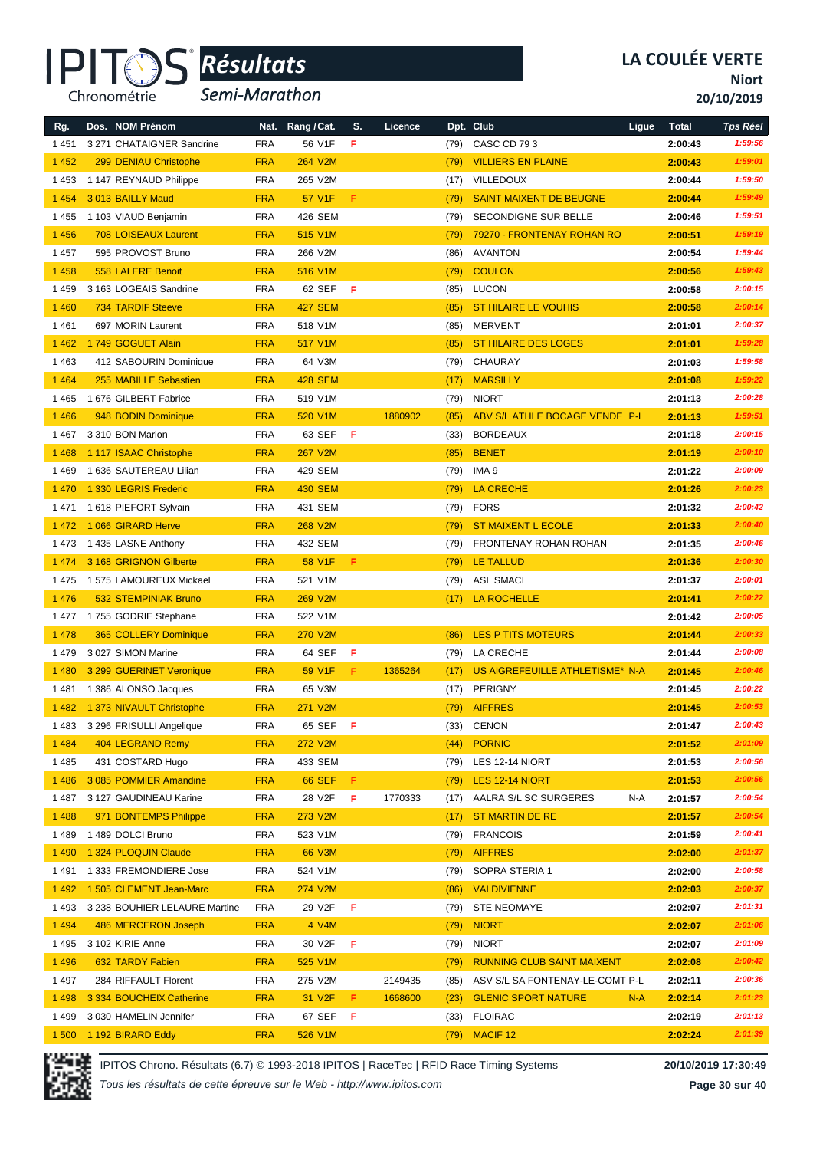

*Semi-Marathon*

**Niort**

**20/10/2019**

| Rg.     | Dos. NOM Prénom               | Nat.       | Rang / Cat.    | S.  | Licence |      | Dpt. Club                         | Ligue | <b>Total</b> | <b>Tps Réel</b> |
|---------|-------------------------------|------------|----------------|-----|---------|------|-----------------------------------|-------|--------------|-----------------|
| 1 4 5 1 | 3 271 CHATAIGNER Sandrine     | <b>FRA</b> | 56 V1F         | F   |         | (79) | CASC CD 793                       |       | 2:00:43      | 1:59:56         |
| 1 4 5 2 | 299 DENIAU Christophe         | <b>FRA</b> | 264 V2M        |     |         | (79) | <b>VILLIERS EN PLAINE</b>         |       | 2:00:43      | 1:59:01         |
| 1453    | 1 147 REYNAUD Philippe        | <b>FRA</b> | 265 V2M        |     |         | (17) | <b>VILLEDOUX</b>                  |       | 2:00:44      | 1:59:50         |
| 1 4 5 4 | 3013 BAILLY Maud              | <b>FRA</b> | 57 V1F         | F   |         | (79) | <b>SAINT MAIXENT DE BEUGNE</b>    |       | 2:00:44      | 1:59:49         |
| 1455    | 1 103 VIAUD Benjamin          | <b>FRA</b> | 426 SEM        |     |         | (79) | SECONDIGNE SUR BELLE              |       | 2:00:46      | 1:59:51         |
| 1 4 5 6 | <b>708 LOISEAUX Laurent</b>   | <b>FRA</b> | 515 V1M        |     |         | (79) | 79270 - FRONTENAY ROHAN RO        |       | 2:00:51      | 1:59:19         |
| 1 4 5 7 | 595 PROVOST Bruno             | <b>FRA</b> | 266 V2M        |     |         | (86) | <b>AVANTON</b>                    |       | 2:00:54      | 1:59:44         |
| 1 4 5 8 | 558 LALERE Benoit             | <b>FRA</b> | 516 V1M        |     |         | (79) | <b>COULON</b>                     |       | 2:00:56      | 1:59:43         |
| 1459    | 3 163 LOGEAIS Sandrine        | <b>FRA</b> | 62 SEF         | F   |         | (85) | <b>LUCON</b>                      |       | 2:00:58      | 2:00:15         |
| 1 4 6 0 | <b>734 TARDIF Steeve</b>      | <b>FRA</b> | <b>427 SEM</b> |     |         | (85) | <b>ST HILAIRE LE VOUHIS</b>       |       | 2:00:58      | 2:00:14         |
| 1461    | 697 MORIN Laurent             | <b>FRA</b> | 518 V1M        |     |         | (85) | <b>MERVENT</b>                    |       | 2:01:01      | 2:00:37         |
| 1 4 6 2 | 1749 GOGUET Alain             | <b>FRA</b> | 517 V1M        |     |         | (85) | ST HILAIRE DES LOGES              |       | 2:01:01      | 1:59:28         |
| 1463    | 412 SABOURIN Dominique        | <b>FRA</b> | 64 V3M         |     |         | (79) | CHAURAY                           |       | 2:01:03      | 1:59:58         |
| 1 4 6 4 | 255 MABILLE Sebastien         | <b>FRA</b> | <b>428 SEM</b> |     |         | (17) | <b>MARSILLY</b>                   |       | 2:01:08      | 1:59:22         |
| 1465    | 1 676 GILBERT Fabrice         | <b>FRA</b> | 519 V1M        |     |         | (79) | <b>NIORT</b>                      |       | 2:01:13      | 2:00:28         |
| 1 4 6 6 | 948 BODIN Dominique           | <b>FRA</b> | 520 V1M        |     | 1880902 | (85) | ABV S/L ATHLE BOCAGE VENDE P-L    |       | 2:01:13      | 1:59:51         |
| 1467    | 3 310 BON Marion              | <b>FRA</b> | 63 SEF         | F   |         | (33) | <b>BORDEAUX</b>                   |       | 2:01:18      | 2:00:15         |
| 1 4 6 8 | 1 117 ISAAC Christophe        | <b>FRA</b> | <b>267 V2M</b> |     |         | (85) | <b>BENET</b>                      |       | 2:01:19      | 2:00:10         |
| 1469    | 1 636 SAUTEREAU Lilian        | <b>FRA</b> | 429 SEM        |     |         | (79) | IMA 9                             |       | 2:01:22      | 2:00:09         |
| 1 4 7 0 | 1 330 LEGRIS Frederic         | <b>FRA</b> | <b>430 SEM</b> |     |         | (79) | <b>LA CRECHE</b>                  |       | 2:01:26      | 2:00:23         |
| 1471    | 1 618 PIEFORT Sylvain         | <b>FRA</b> | 431 SEM        |     |         | (79) | <b>FORS</b>                       |       | 2:01:32      | 2:00:42         |
| 1472    | 1066 GIRARD Herve             | <b>FRA</b> | 268 V2M        |     |         | (79) | <b>ST MAIXENT L ECOLE</b>         |       | 2:01:33      | 2:00:40         |
| 1473    | 1435 LASNE Anthony            | <b>FRA</b> | 432 SEM        |     |         | (79) | <b>FRONTENAY ROHAN ROHAN</b>      |       | 2:01:35      | 2:00:46         |
| 1474    | 3 168 GRIGNON Gilberte        | <b>FRA</b> | 58 V1F         | F   |         | (79) | <b>LE TALLUD</b>                  |       | 2:01:36      | 2:00:30         |
| 1 4 7 5 | 1 575 LAMOUREUX Mickael       | <b>FRA</b> | 521 V1M        |     |         | (79) | <b>ASL SMACL</b>                  |       | 2:01:37      | 2:00:01         |
| 1 4 7 6 | 532 STEMPINIAK Bruno          | <b>FRA</b> | 269 V2M        |     |         | (17) | <b>LA ROCHELLE</b>                |       | 2:01:41      | 2:00:22         |
| 1477    | 1755 GODRIE Stephane          | <b>FRA</b> | 522 V1M        |     |         |      |                                   |       | 2:01:42      | 2:00:05         |
| 1 4 7 8 | 365 COLLERY Dominique         | <b>FRA</b> | <b>270 V2M</b> |     |         | (86) | <b>LES P TITS MOTEURS</b>         |       | 2:01:44      | 2:00:33         |
| 1479    | 3 027 SIMON Marine            | <b>FRA</b> | 64 SEF         | F   |         | (79) | LA CRECHE                         |       | 2:01:44      | 2:00:08         |
| 1 4 8 0 | 3 299 GUERINET Veronique      | <b>FRA</b> | 59 V1F         | F   | 1365264 | (17) | US AIGREFEUILLE ATHLETISME* N-A   |       | 2:01:45      | 2:00:46         |
| 1481    | 1 386 ALONSO Jacques          | <b>FRA</b> | 65 V3M         |     |         | (17) | <b>PERIGNY</b>                    |       | 2:01:45      | 2:00:22         |
| 1 4 8 2 | 1 373 NIVAULT Christophe      | <b>FRA</b> | 271 V2M        |     |         | (79) | <b>AIFFRES</b>                    |       | 2:01:45      | 2:00:53         |
| 1483    | 3 296 FRISULLI Angelique      | <b>FRA</b> | 65 SEF         | - F |         | (33) | <b>CENON</b>                      |       | 2:01:47      | 2:00:43         |
| 1 4 8 4 | 404 LEGRAND Remy              | <b>FRA</b> | <b>272 V2M</b> |     |         | (44) | <b>PORNIC</b>                     |       | 2:01:52      | 2:01:09         |
| 1485    | 431 COSTARD Hugo              | <b>FRA</b> | 433 SEM        |     |         | (79) | LES 12-14 NIORT                   |       | 2:01:53      | 2:00:56         |
| 1486    | 3 085 POMMIER Amandine        | <b>FRA</b> | <b>66 SEF</b>  | F.  |         | (79) | LES 12-14 NIORT                   |       | 2:01:53      | 2:00:56         |
| 1487    | 3 127 GAUDINEAU Karine        | <b>FRA</b> | 28 V2F         | F   | 1770333 | (17) | AALRA S/L SC SURGERES             | N-A   | 2:01:57      | 2:00:54         |
| 1 4 8 8 | 971 BONTEMPS Philippe         | <b>FRA</b> | 273 V2M        |     |         | (17) | <b>ST MARTIN DE RE</b>            |       | 2:01:57      | 2:00:54         |
| 1 4 8 9 | 1489 DOLCI Bruno              | <b>FRA</b> | 523 V1M        |     |         | (79) | <b>FRANCOIS</b>                   |       | 2:01:59      | 2:00:41         |
| 1 4 9 0 | 1 324 PLOQUIN Claude          | <b>FRA</b> | 66 V3M         |     |         | (79) | <b>AIFFRES</b>                    |       | 2:02:00      | 2:01:37         |
| 1491    | 1 333 FREMONDIERE Jose        | <b>FRA</b> | 524 V1M        |     |         | (79) | SOPRA STERIA 1                    |       | 2:02:00      | 2:00:58         |
| 1 4 9 2 | 1 505 CLEMENT Jean-Marc       | <b>FRA</b> | 274 V2M        |     |         | (86) | <b>VALDIVIENNE</b>                |       | 2:02:03      | 2:00:37         |
| 1493    | 3 238 BOUHIER LELAURE Martine | <b>FRA</b> | 29 V2F         | F   |         | (79) | <b>STE NEOMAYE</b>                |       | 2:02:07      | 2:01:31         |
| 1 4 9 4 | 486 MERCERON Joseph           | <b>FRA</b> | 4 V4M          |     |         | (79) | <b>NIORT</b>                      |       | 2:02:07      | 2:01:06         |
| 1495    | 3 102 KIRIE Anne              | <b>FRA</b> | 30 V2F         | F   |         | (79) | <b>NIORT</b>                      |       | 2:02:07      | 2:01:09         |
| 1 4 9 6 | 632 TARDY Fabien              | <b>FRA</b> | 525 V1M        |     |         | (79) | <b>RUNNING CLUB SAINT MAIXENT</b> |       | 2:02:08      | 2:00:42         |
| 1497    | 284 RIFFAULT Florent          | <b>FRA</b> | 275 V2M        |     | 2149435 | (85) | ASV S/L SA FONTENAY-LE-COMT P-L   |       | 2:02:11      | 2:00:36         |
| 1 4 9 8 | 3 334 BOUCHEIX Catherine      | <b>FRA</b> | 31 V2F         | F.  | 1668600 | (23) | <b>GLENIC SPORT NATURE</b>        | $N-A$ | 2:02:14      | 2:01:23         |
| 1499    | 3 030 HAMELIN Jennifer        | <b>FRA</b> | 67 SEF         | F   |         | (33) | <b>FLOIRAC</b>                    |       | 2:02:19      | 2:01:13         |
| 1500    | 1 192 BIRARD Eddy             | <b>FRA</b> | 526 V1M        |     |         | (79) | MACIF <sub>12</sub>               |       | 2:02:24      | 2:01:39         |



IPITOS Chrono. Résultats (6.7) © 1993-2018 IPITOS | RaceTec | RFID Race Timing Systems **20/10/2019 17:30:49**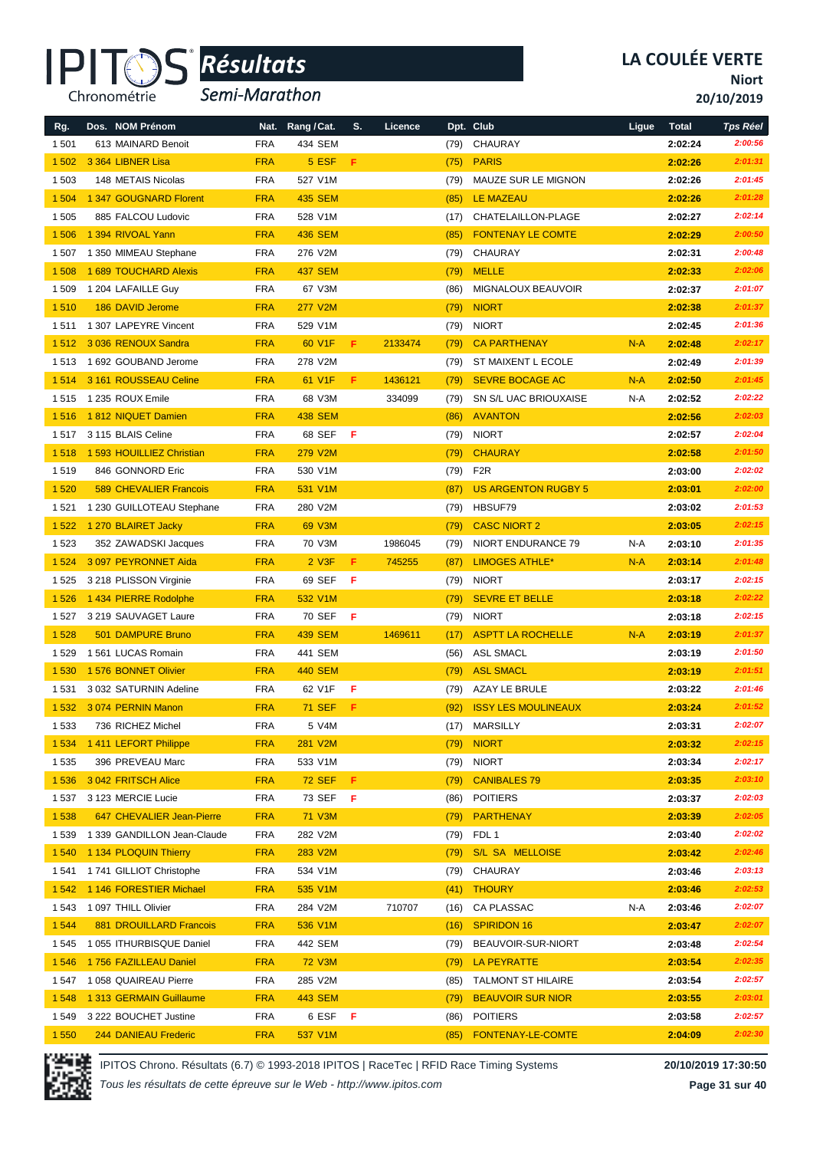

*Semi-Marathon*

**Niort**

**20/10/2019**

| Rg.     | Dos. NOM Prénom               |            | Nat. Rang / Cat.     | S. | Licence |      | Dpt. Club                  | Ligue | <b>Total</b> | <b>Tps Réel</b> |
|---------|-------------------------------|------------|----------------------|----|---------|------|----------------------------|-------|--------------|-----------------|
| 1 501   | 613 MAINARD Benoit            | <b>FRA</b> | 434 SEM              |    |         | (79) | CHAURAY                    |       | 2:02:24      | 2:00:56         |
| 1502    | 3 364 LIBNER Lisa             | <b>FRA</b> | 5 ESF                | F  |         | (75) | <b>PARIS</b>               |       | 2:02:26      | 2:01:31         |
| 1 503   | 148 METAIS Nicolas            | <b>FRA</b> | 527 V1M              |    |         | (79) | MAUZE SUR LE MIGNON        |       | 2:02:26      | 2:01:45         |
| 1 504   | 1 347 GOUGNARD Florent        | <b>FRA</b> | <b>435 SEM</b>       |    |         | (85) | <b>LE MAZEAU</b>           |       | 2:02:26      | 2:01:28         |
| 1 505   | 885 FALCOU Ludovic            | <b>FRA</b> | 528 V1M              |    |         | (17) | CHATELAILLON-PLAGE         |       | 2:02:27      | 2:02:14         |
| 1506    | 1 394 RIVOAL Yann             | <b>FRA</b> | <b>436 SEM</b>       |    |         | (85) | <b>FONTENAY LE COMTE</b>   |       | 2:02:29      | 2:00:50         |
| 1507    | 1 350 MIMEAU Stephane         | <b>FRA</b> | 276 V2M              |    |         | (79) | CHAURAY                    |       | 2:02:31      | 2:00:48         |
| 1508    | 1 689 TOUCHARD Alexis         | <b>FRA</b> | <b>437 SEM</b>       |    |         | (79) | <b>MELLE</b>               |       | 2:02:33      | 2:02:06         |
|         |                               |            | 67 V3M               |    |         |      | MIGNALOUX BEAUVOIR         |       |              | 2:01:07         |
| 1509    | 1 204 LAFAILLE Guy            | <b>FRA</b> |                      |    |         | (86) |                            |       | 2:02:37      |                 |
| 1510    | 186 DAVID Jerome              | <b>FRA</b> | 277 V2M              |    |         | (79) | <b>NIORT</b>               |       | 2:02:38      | 2:01:37         |
| 1511    | 1 307 LAPEYRE Vincent         | <b>FRA</b> | 529 V1M              |    |         | (79) | <b>NIORT</b>               |       | 2:02:45      | 2:01:36         |
| 1512    | 3 036 RENOUX Sandra           | <b>FRA</b> | 60 V1F               | F. | 2133474 | (79) | <b>CA PARTHENAY</b>        | $N-A$ | 2:02:48      | 2:02:17         |
| 1513    | 1 692 GOUBAND Jerome          | <b>FRA</b> | 278 V2M              |    |         | (79) | ST MAIXENT L ECOLE         |       | 2:02:49      | 2:01:39         |
| 1514    | 3 161 ROUSSEAU Celine         | <b>FRA</b> | 61 V1F               | F. | 1436121 | (79) | <b>SEVRE BOCAGE AC</b>     | $N-A$ | 2:02:50      | 2:01:45         |
| 1515    | 1 235 ROUX Emile              | <b>FRA</b> | 68 V3M               |    | 334099  | (79) | SN S/L UAC BRIOUXAISE      | N-A   | 2:02:52      | 2:02:22         |
| 1516    | 1812 NIQUET Damien            | <b>FRA</b> | <b>438 SEM</b>       |    |         | (86) | <b>AVANTON</b>             |       | 2:02:56      | 2:02:03         |
| 1517    | 3 115 BLAIS Celine            | <b>FRA</b> | 68 SEF               | F. |         | (79) | <b>NIORT</b>               |       | 2:02:57      | 2:02:04         |
| 1518    | 1 593 HOUILLIEZ Christian     | <b>FRA</b> | 279 V2M              |    |         | (79) | <b>CHAURAY</b>             |       | 2:02:58      | 2:01:50         |
| 1519    | 846 GONNORD Eric              | <b>FRA</b> | 530 V1M              |    |         | (79) | F <sub>2</sub> R           |       | 2:03:00      | 2:02:02         |
| 1520    | <b>589 CHEVALIER Francois</b> | <b>FRA</b> | 531 V1M              |    |         | (87) | <b>US ARGENTON RUGBY 5</b> |       | 2:03:01      | 2:02:00         |
| 1 5 2 1 | 1 230 GUILLOTEAU Stephane     | <b>FRA</b> | 280 V2M              |    |         | (79) | HBSUF79                    |       | 2:03:02      | 2:01:53         |
| 1522    | 1 270 BLAIRET Jacky           | <b>FRA</b> | 69 V3M               |    |         | (79) | <b>CASC NIORT 2</b>        |       | 2:03:05      | 2:02:15         |
| 1523    | 352 ZAWADSKI Jacques          | <b>FRA</b> | 70 V3M               |    | 1986045 | (79) | NIORT ENDURANCE 79         | N-A   | 2:03:10      | 2:01:35         |
| 1 5 2 4 | 3 097 PEYRONNET Aida          | <b>FRA</b> | $2$ V <sub>3</sub> F | F  | 745255  | (87) | <b>LIMOGES ATHLE*</b>      | $N-A$ | 2:03:14      | 2:01:48         |
| 1525    | 3 218 PLISSON Virginie        | <b>FRA</b> | 69 SEF               | F  |         | (79) | <b>NIORT</b>               |       | 2:03:17      | 2:02:15         |
| 1526    | 1434 PIERRE Rodolphe          | <b>FRA</b> | 532 V1M              |    |         | (79) | <b>SEVRE ET BELLE</b>      |       | 2:03:18      | 2:02:22         |
| 1527    | 3 219 SAUVAGET Laure          | <b>FRA</b> | 70 SEF               | F. |         | (79) | <b>NIORT</b>               |       | 2:03:18      | 2:02:15         |
| 1528    | 501 DAMPURE Bruno             | <b>FRA</b> | <b>439 SEM</b>       |    | 1469611 | (17) | <b>ASPTT LA ROCHELLE</b>   | $N-A$ | 2:03:19      | 2:01:37         |
| 1529    | 1561 LUCAS Romain             | <b>FRA</b> | 441 SEM              |    |         | (56) | <b>ASL SMACL</b>           |       | 2:03:19      | 2:01:50         |
| 1530    | 1 576 BONNET Olivier          | <b>FRA</b> | <b>440 SEM</b>       |    |         | (79) | <b>ASL SMACL</b>           |       | 2:03:19      | 2:01:51         |
| 1531    | 3 032 SATURNIN Adeline        | <b>FRA</b> | 62 V1F               | F  |         | (79) | AZAY LE BRULE              |       | 2:03:22      | 2:01:46         |
| 1532    | 3074 PERNIN Manon             | <b>FRA</b> | <b>71 SEF</b>        | Æ. |         | (92) | <b>ISSY LES MOULINEAUX</b> |       | 2:03:24      | 2:01:52         |
| 1533    | 736 RICHEZ Michel             | FRA        | 5 V4M                |    |         |      | (17) MARSILLY              |       | 2:03:31      | 2:02:07         |
| 1 5 3 4 | 1411 LEFORT Philippe          | <b>FRA</b> | 281 V2M              |    |         | (79) | <b>NIORT</b>               |       | 2:03:32      | 2:02:15         |
| 1535    | 396 PREVEAU Marc              | <b>FRA</b> | 533 V1M              |    |         | (79) | <b>NIORT</b>               |       | 2:03:34      | 2:02:17         |
| 1536    | 3 042 FRITSCH Alice           | <b>FRA</b> | <b>72 SEF</b>        | F  |         | (79) | <b>CANIBALES 79</b>        |       | 2:03:35      | 2:03:10         |
| 1 5 3 7 | 3 123 MERCIE Lucie            | <b>FRA</b> | 73 SEF               | F  |         | (86) | <b>POITIERS</b>            |       | 2:03:37      | 2:02:03         |
| 1 5 3 8 | 647 CHEVALIER Jean-Pierre     | <b>FRA</b> | <b>71 V3M</b>        |    |         | (79) | <b>PARTHENAY</b>           |       | 2:03:39      | 2:02:05         |
| 1 5 3 9 | 1 339 GANDILLON Jean-Claude   | <b>FRA</b> | 282 V2M              |    |         | (79) | FDL 1                      |       | 2:03:40      | 2:02:02         |
| 1 5 4 0 | 1 134 PLOQUIN Thierry         | <b>FRA</b> | 283 V2M              |    |         | (79) | S/L SA MELLOISE            |       | 2:03:42      | 2:02:46         |
| 1541    | 1741 GILLIOT Christophe       | <b>FRA</b> | 534 V1M              |    |         | (79) | CHAURAY                    |       | 2:03:46      | 2:03:13         |
| 1 5 4 2 | 1146 FORESTIER Michael        | <b>FRA</b> | 535 V1M              |    |         | (41) | <b>THOURY</b>              |       | 2:03:46      | 2:02:53         |
| 1 543   | 1 097 THILL Olivier           | <b>FRA</b> | 284 V2M              |    | 710707  | (16) | CA PLASSAC                 | N-A   | 2:03:46      | 2:02:07         |
| 1 5 4 4 | 881 DROUILLARD Francois       | <b>FRA</b> | 536 V1M              |    |         | (16) | <b>SPIRIDON 16</b>         |       | 2:03:47      | 2:02:07         |
| 1545    | 1 055 ITHURBISQUE Daniel      | <b>FRA</b> | 442 SEM              |    |         | (79) | BEAUVOIR-SUR-NIORT         |       | 2:03:48      | 2:02:54         |
| 1546    | 1756 FAZILLEAU Daniel         | <b>FRA</b> | <b>72 V3M</b>        |    |         | (79) | <b>LA PEYRATTE</b>         |       | 2:03:54      | 2:02:35         |
| 1547    | 1 058 QUAIREAU Pierre         | <b>FRA</b> | 285 V2M              |    |         | (85) | <b>TALMONT ST HILAIRE</b>  |       | 2:03:54      | 2:02:57         |
| 1548    | 1 313 GERMAIN Guillaume       | <b>FRA</b> | <b>443 SEM</b>       |    |         | (79) | <b>BEAUVOIR SUR NIOR</b>   |       | 2:03:55      | 2:03:01         |
| 1 5 4 9 | 3 222 BOUCHET Justine         | <b>FRA</b> | 6 ESF F              |    |         | (86) | <b>POITIERS</b>            |       | 2:03:58      | 2:02:57         |
| 1 5 5 0 | 244 DANIEAU Frederic          | <b>FRA</b> | 537 V1M              |    |         | (85) | FONTENAY-LE-COMTE          |       | 2:04:09      | 2:02:30         |



IPITOS Chrono. Résultats (6.7) © 1993-2018 IPITOS | RaceTec | RFID Race Timing Systems **20/10/2019 17:30:50**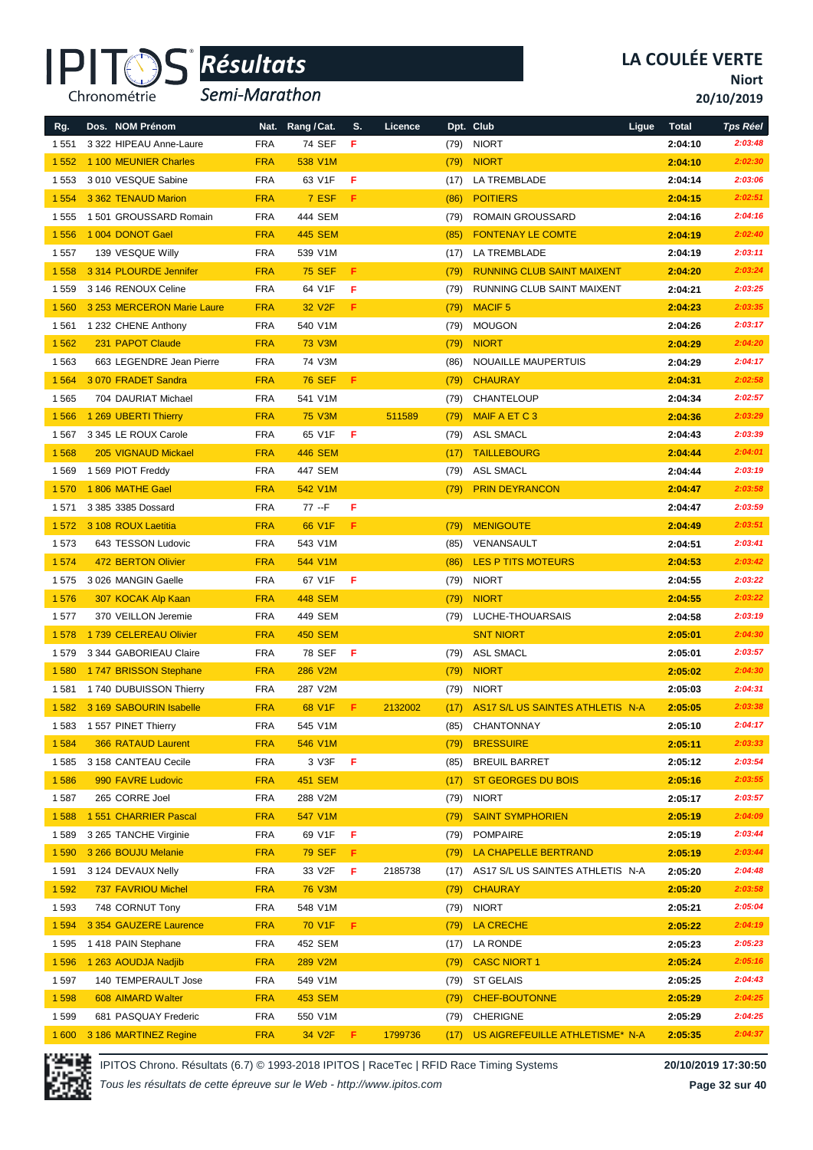

*Semi-Marathon*

**Niort**

**20/10/2019**

| Rg.     | Dos. NOM Prénom            |            | Nat. Rang / Cat.   | S.    | Licence |      | Dpt. Club                            | Ligue | <b>Total</b> | <b>Tps Réel</b> |
|---------|----------------------------|------------|--------------------|-------|---------|------|--------------------------------------|-------|--------------|-----------------|
| 1 5 5 1 | 3 322 HIPEAU Anne-Laure    | <b>FRA</b> | 74 SEF             | F     |         | (79) | <b>NIORT</b>                         |       | 2:04:10      | 2:03:48         |
| 1552    | 1 100 MEUNIER Charles      | <b>FRA</b> | 538 V1M            |       |         | (79) | <b>NIORT</b>                         |       | 2:04:10      | 2:02:30         |
| 1 5 5 3 | 3010 VESQUE Sabine         | <b>FRA</b> | 63 V1F             | F     |         | (17) | LA TREMBLADE                         |       | 2:04:14      | 2:03:06         |
| 1 5 5 4 | 3 362 TENAUD Marion        | <b>FRA</b> | 7 ESF              | F     |         | (86) | <b>POITIERS</b>                      |       | 2:04:15      | 2:02:51         |
| 1555    | 1501 GROUSSARD Romain      | <b>FRA</b> | 444 SEM            |       |         | (79) | <b>ROMAIN GROUSSARD</b>              |       | 2:04:16      | 2:04:16         |
| 1556    | 1 004 DONOT Gael           | <b>FRA</b> | <b>445 SEM</b>     |       |         | (85) | <b>FONTENAY LE COMTE</b>             |       | 2:04:19      | 2:02:40         |
| 1557    | 139 VESQUE Willy           | <b>FRA</b> | 539 V1M            |       |         | (17) | LA TREMBLADE                         |       | 2:04:19      | 2:03:11         |
| 1558    | 3 314 PLOURDE Jennifer     | <b>FRA</b> | <b>75 SEF</b>      | F     |         | (79) | <b>RUNNING CLUB SAINT MAIXENT</b>    |       | 2:04:20      | 2:03:24         |
| 1559    | 3 146 RENOUX Celine        | <b>FRA</b> | 64 V1F             | F     |         | (79) | RUNNING CLUB SAINT MAIXENT           |       | 2:04:21      | 2:03:25         |
| 1560    | 3 253 MERCERON Marie Laure | <b>FRA</b> | 32 V <sub>2F</sub> | F     |         | (79) | <b>MACIF5</b>                        |       | 2:04:23      | 2:03:35         |
| 1561    | 1 232 CHENE Anthony        | <b>FRA</b> | 540 V1M            |       |         | (79) | <b>MOUGON</b>                        |       | 2:04:26      | 2:03:17         |
| 1562    | 231 PAPOT Claude           | <b>FRA</b> | <b>73 V3M</b>      |       |         | (79) | <b>NIORT</b>                         |       | 2:04:29      | 2:04:20         |
| 1563    | 663 LEGENDRE Jean Pierre   | <b>FRA</b> | 74 V3M             |       |         | (86) | NOUAILLE MAUPERTUIS                  |       | 2:04:29      | 2:04:17         |
| 1 5 6 4 | 3070 FRADET Sandra         | <b>FRA</b> | <b>76 SEF</b>      | F     |         | (79) | <b>CHAURAY</b>                       |       | 2:04:31      | 2:02:58         |
| 1565    | 704 DAURIAT Michael        | <b>FRA</b> | 541 V1M            |       |         | (79) | CHANTELOUP                           |       | 2:04:34      | 2:02:57         |
| 1566    | 1 269 UBERTI Thierry       | <b>FRA</b> | <b>75 V3M</b>      |       | 511589  | (79) | <b>MAIF A ET C 3</b>                 |       | 2:04:36      | 2:03:29         |
| 1567    | 3 345 LE ROUX Carole       | <b>FRA</b> | 65 V1F             | -F    |         | (79) | <b>ASL SMACL</b>                     |       | 2:04:43      | 2:03:39         |
| 1568    | 205 VIGNAUD Mickael        | <b>FRA</b> | <b>446 SEM</b>     |       |         | (17) | <b>TAILLEBOURG</b>                   |       | 2:04:44      | 2:04:01         |
| 1 5 6 9 | 1 569 PIOT Freddy          | <b>FRA</b> | 447 SEM            |       |         | (79) | <b>ASL SMACL</b>                     |       | 2:04:44      | 2:03:19         |
| 1570    | 1806 MATHE Gael            | <b>FRA</b> | 542 V1M            |       |         | (79) | <b>PRIN DEYRANCON</b>                |       | 2:04:47      | 2:03:58         |
| 1571    | 3 385 3385 Dossard         | <b>FRA</b> | 77 --F             | F     |         |      |                                      |       | 2:04:47      | 2:03:59         |
| 1572    | 3 108 ROUX Laetitia        | <b>FRA</b> | 66 V1F             | F.    |         | (79) | <b>MENIGOUTE</b>                     |       | 2:04:49      | 2:03:51         |
| 1573    | 643 TESSON Ludovic         | <b>FRA</b> | 543 V1M            |       |         | (85) | VENANSAULT                           |       | 2:04:51      | 2:03:41         |
| 1574    | 472 BERTON Olivier         | <b>FRA</b> | 544 V1M            |       |         | (86) | <b>LES P TITS MOTEURS</b>            |       | 2:04:53      | 2:03:42         |
| 1575    | 3 026 MANGIN Gaelle        | <b>FRA</b> | 67 V1F             | F     |         | (79) | <b>NIORT</b>                         |       | 2:04:55      | 2:03:22         |
| 1576    | 307 KOCAK Alp Kaan         | <b>FRA</b> | <b>448 SEM</b>     |       |         | (79) | <b>NIORT</b>                         |       | 2:04:55      | 2:03:22         |
| 1577    | 370 VEILLON Jeremie        | <b>FRA</b> | 449 SEM            |       |         | (79) | LUCHE-THOUARSAIS                     |       | 2:04:58      | 2:03:19         |
| 1578    | 1739 CELEREAU Olivier      | <b>FRA</b> | <b>450 SEM</b>     |       |         |      | <b>SNT NIORT</b>                     |       | 2:05:01      | 2:04:30         |
| 1579    | 3 344 GABORIEAU Claire     | <b>FRA</b> | 78 SEF             | F     |         | (79) | <b>ASL SMACL</b>                     |       | 2:05:01      | 2:03:57         |
| 1580    | 1747 BRISSON Stephane      | <b>FRA</b> | 286 V2M            |       |         | (79) | <b>NIORT</b>                         |       | 2:05:02      | 2:04:30         |
| 1581    | 1740 DUBUISSON Thierry     | <b>FRA</b> | 287 V2M            |       |         | (79) | <b>NIORT</b>                         |       | 2:05:03      | 2:04:31         |
| 1 5 8 2 | 3 169 SABOURIN Isabelle    | <b>FRA</b> | 68 V1F             | F     | 2132002 | (17) | AS17 S/L US SAINTES ATHLETIS N-A     |       | 2:05:05      | 2:03:38         |
| 1 583   | 1 557 PINET Thierry        | FRA        | 545 V1M            |       |         | (85) | CHANTONNAY                           |       | 2:05:10      | 2:04:17         |
| 1584    | 366 RATAUD Laurent         | <b>FRA</b> | 546 V1M            |       |         | (79) | <b>BRESSUIRE</b>                     |       | 2:05:11      | 2:03:33         |
| 1585    | 3 158 CANTEAU Cecile       | <b>FRA</b> | 3 V3F              | -F    |         | (85) | <b>BREUIL BARRET</b>                 |       | 2:05:12      | 2:03:54         |
| 1586    | 990 FAVRE Ludovic          | <b>FRA</b> | <b>451 SEM</b>     |       |         | (17) | <b>ST GEORGES DU BOIS</b>            |       | 2:05:16      | 2:03:55         |
| 1587    | 265 CORRE Joel             | <b>FRA</b> | 288 V2M            |       |         | (79) | <b>NIORT</b>                         |       | 2:05:17      | 2:03:57         |
| 1588    | 1 551 CHARRIER Pascal      | <b>FRA</b> | 547 V1M            |       |         | (79) | <b>SAINT SYMPHORIEN</b>              |       | 2:05:19      | 2:04:09         |
| 1 5 8 9 | 3 265 TANCHE Virginie      | <b>FRA</b> | 69 V1F             | - F   |         | (79) | <b>POMPAIRE</b>                      |       | 2:05:19      | 2:03:44         |
| 1590    | 3 266 BOUJU Melanie        | <b>FRA</b> | <b>79 SEF</b>      | F.    |         | (79) | LA CHAPELLE BERTRAND                 |       | 2:05:19      | 2:03:44         |
| 1591    | 3 124 DEVAUX Nelly         | <b>FRA</b> | 33 V2F             | F     | 2185738 | (17) | AS17 S/L US SAINTES ATHLETIS N-A     |       | 2:05:20      | 2:04:48         |
| 1 5 9 2 | 737 FAVRIOU Michel         | <b>FRA</b> | <b>76 V3M</b>      |       |         | (79) | <b>CHAURAY</b>                       |       | 2:05:20      | 2:03:58         |
| 1593    | 748 CORNUT Tony            | <b>FRA</b> | 548 V1M            |       |         | (79) | <b>NIORT</b>                         |       | 2:05:21      | 2:05:04         |
| 1 5 9 4 | 3 354 GAUZERE Laurence     | <b>FRA</b> | 70 V1F             | F.    |         | (79) | <b>LA CRECHE</b>                     |       | 2:05:22      | 2:04:19         |
| 1595    | 1418 PAIN Stephane         | <b>FRA</b> | 452 SEM            |       |         | (17) | LA RONDE                             |       | 2:05:23      | 2:05:23         |
| 1596    | 1 263 AOUDJA Nadjib        | <b>FRA</b> | 289 V2M            |       |         | (79) | <b>CASC NIORT 1</b>                  |       | 2:05:24      | 2:05:16         |
| 1597    | 140 TEMPERAULT Jose        | <b>FRA</b> | 549 V1M            |       |         | (79) | <b>ST GELAIS</b>                     |       | 2:05:25      | 2:04:43         |
| 1 5 9 8 | 608 AIMARD Walter          | <b>FRA</b> | 453 SEM            |       |         | (79) | <b>CHEF-BOUTONNE</b>                 |       | 2:05:29      | 2:04:25         |
| 1599    | 681 PASQUAY Frederic       | <b>FRA</b> | 550 V1M            |       |         | (79) | <b>CHERIGNE</b>                      |       | 2:05:29      | 2:04:25         |
| 1 600   | 3 186 MARTINEZ Regine      | <b>FRA</b> | 34 V2F             | - F - | 1799736 |      | (17) US AIGREFEUILLE ATHLETISME* N-A |       | 2:05:35      | 2:04:37         |



IPITOS Chrono. Résultats (6.7) © 1993-2018 IPITOS | RaceTec | RFID Race Timing Systems **20/10/2019 17:30:50**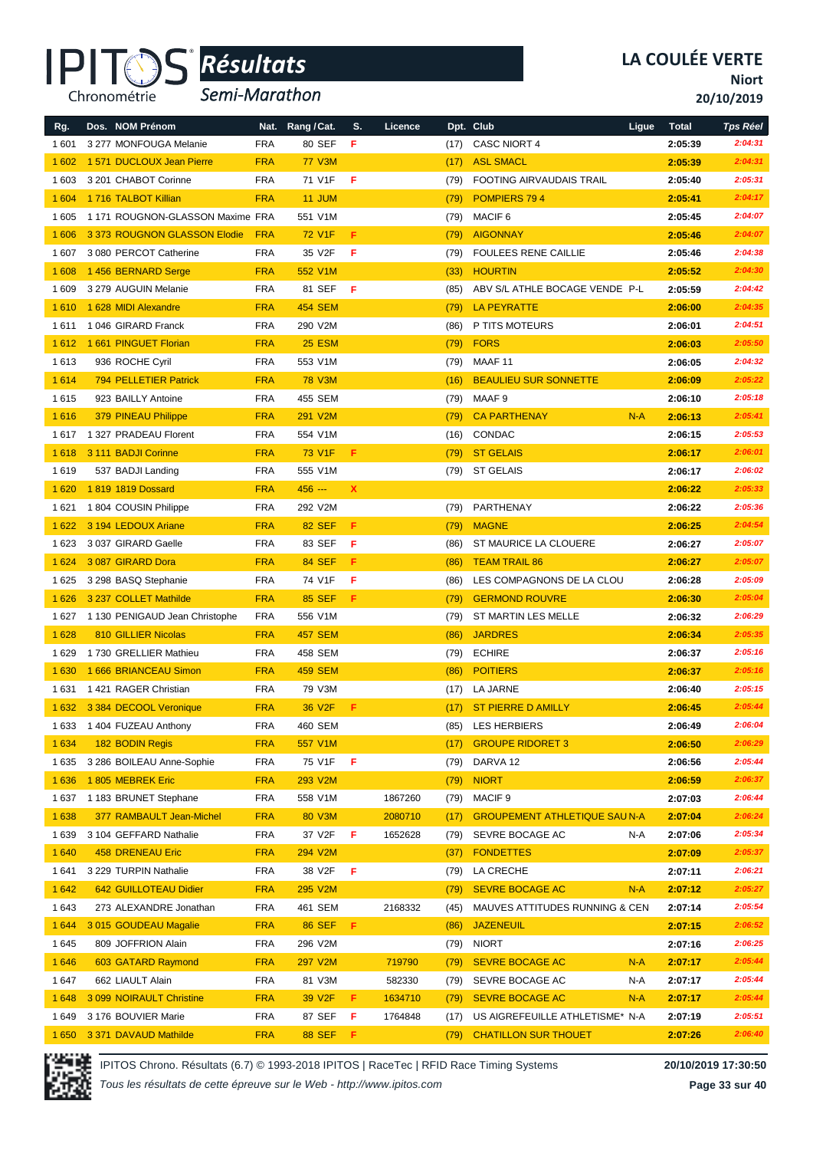

*Semi-Marathon*

**Niort**

**20/10/2019**

| Rg.     | Dos. NOM Prénom                 | Nat.       | Rang / Cat.    | S.          | Licence |      | Dpt. Club                            | Ligue | <b>Total</b> | <b>Tps Réel</b> |
|---------|---------------------------------|------------|----------------|-------------|---------|------|--------------------------------------|-------|--------------|-----------------|
| 1 601   | 3 277 MONFOUGA Melanie          | <b>FRA</b> | 80 SEF         | F           |         | (17) | <b>CASC NIORT 4</b>                  |       | 2:05:39      | 2:04:31         |
| 1 602   | 1 571 DUCLOUX Jean Pierre       | <b>FRA</b> | <b>77 V3M</b>  |             |         | (17) | <b>ASL SMACL</b>                     |       | 2:05:39      | 2:04:31         |
| 1 603   | 3 201 CHABOT Corinne            | <b>FRA</b> | 71 V1F         | F           |         | (79) | <b>FOOTING AIRVAUDAIS TRAIL</b>      |       | 2:05:40      | 2:05:31         |
| 1 604   | 1716 TALBOT Killian             | <b>FRA</b> | 11 JUM         |             |         | (79) | POMPIERS 794                         |       | 2:05:41      | 2:04:17         |
| 1 605   | 1171 ROUGNON-GLASSON Maxime FRA |            | 551 V1M        |             |         | (79) | MACIF <sub>6</sub>                   |       | 2:05:45      | 2:04:07         |
| 1 60 6  | 3373 ROUGNON GLASSON Elodie     | <b>FRA</b> | <b>72 V1F</b>  | F           |         | (79) | <b>AIGONNAY</b>                      |       | 2:05:46      | 2:04:07         |
| 1 607   | 3 080 PERCOT Catherine          | <b>FRA</b> | 35 V2F         | F           |         | (79) | <b>FOULEES RENE CAILLIE</b>          |       | 2:05:46      | 2:04:38         |
| 1 608   | 1456 BERNARD Serge              | <b>FRA</b> | 552 V1M        |             |         | (33) | <b>HOURTIN</b>                       |       | 2:05:52      | 2:04:30         |
| 1 609   | 3 279 AUGUIN Melanie            | <b>FRA</b> | 81 SEF         | F           |         | (85) | ABV S/L ATHLE BOCAGE VENDE P-L       |       | 2:05:59      | 2:04:42         |
| 1610    | 1 628 MIDI Alexandre            | <b>FRA</b> | <b>454 SEM</b> |             |         | (79) | <b>LA PEYRATTE</b>                   |       | 2:06:00      | 2:04:35         |
| 1611    | 1046 GIRARD Franck              | <b>FRA</b> | 290 V2M        |             |         | (86) | P TITS MOTEURS                       |       | 2:06:01      | 2:04:51         |
| 1612    | 1 661 PINGUET Florian           | <b>FRA</b> | <b>25 ESM</b>  |             |         | (79) | <b>FORS</b>                          |       | 2:06:03      | 2:05:50         |
| 1613    | 936 ROCHE Cyril                 | <b>FRA</b> | 553 V1M        |             |         | (79) | MAAF 11                              |       | 2:06:05      | 2:04:32         |
| 1614    | <b>794 PELLETIER Patrick</b>    | <b>FRA</b> | <b>78 V3M</b>  |             |         | (16) | <b>BEAULIEU SUR SONNETTE</b>         |       | 2:06:09      | 2:05:22         |
| 1615    | 923 BAILLY Antoine              | <b>FRA</b> | 455 SEM        |             |         | (79) | MAAF 9                               |       | 2:06:10      | 2:05:18         |
| 1616    | 379 PINEAU Philippe             | <b>FRA</b> | 291 V2M        |             |         | (79) | <b>CA PARTHENAY</b>                  | $N-A$ | 2:06:13      | 2:05:41         |
| 1617    | 1 327 PRADEAU Florent           | <b>FRA</b> | 554 V1M        |             |         | (16) | CONDAC                               |       | 2:06:15      | 2:05:53         |
| 1618    | 3 111 BADJI Corinne             | <b>FRA</b> | 73 V1F         | F           |         | (79) | <b>ST GELAIS</b>                     |       | 2:06:17      | 2:06:01         |
| 1619    | 537 BADJI Landing               | <b>FRA</b> | 555 V1M        |             |         | (79) | <b>ST GELAIS</b>                     |       | 2:06:17      | 2:06:02         |
| 1 6 20  | 1819 1819 Dossard               | <b>FRA</b> | 456 ---        | $\mathbf x$ |         |      |                                      |       | 2:06:22      | 2:05:33         |
| 1 6 2 1 | 1804 COUSIN Philippe            | <b>FRA</b> | 292 V2M        |             |         | (79) | PARTHENAY                            |       | 2:06:22      | 2:05:36         |
| 1622    | 3 194 LEDOUX Ariane             | <b>FRA</b> | <b>82 SEF</b>  | F           |         | (79) | <b>MAGNE</b>                         |       | 2:06:25      | 2:04:54         |
| 1623    | 3037 GIRARD Gaelle              | <b>FRA</b> | 83 SEF         | F           |         | (86) | ST MAURICE LA CLOUERE                |       | 2:06:27      | 2:05:07         |
| 1 6 2 4 | 3 087 GIRARD Dora               | <b>FRA</b> | <b>84 SEF</b>  | F.          |         | (86) | <b>TEAM TRAIL 86</b>                 |       | 2:06:27      | 2:05:07         |
| 1625    | 3 298 BASQ Stephanie            | <b>FRA</b> | 74 V1F         | F           |         | (86) | LES COMPAGNONS DE LA CLOU            |       | 2:06:28      | 2:05:09         |
| 1 6 2 6 | 3 237 COLLET Mathilde           | <b>FRA</b> | <b>85 SEF</b>  | F           |         | (79) | <b>GERMOND ROUVRE</b>                |       | 2:06:30      | 2:05:04         |
| 1627    | 1 130 PENIGAUD Jean Christophe  | <b>FRA</b> | 556 V1M        |             |         | (79) | ST MARTIN LES MELLE                  |       | 2:06:32      | 2:06:29         |
| 1 6 28  | 810 GILLIER Nicolas             | <b>FRA</b> | <b>457 SEM</b> |             |         | (86) | <b>JARDRES</b>                       |       | 2:06:34      | 2:05:35         |
| 1629    | 1730 GRELLIER Mathieu           | <b>FRA</b> | 458 SEM        |             |         | (79) | <b>ECHIRE</b>                        |       | 2:06:37      | 2:05:16         |
| 1 6 3 0 | 1 666 BRIANCEAU Simon           | <b>FRA</b> | <b>459 SEM</b> |             |         | (86) | <b>POITIERS</b>                      |       | 2:06:37      | 2:05:16         |
| 1631    | 1421 RAGER Christian            | <b>FRA</b> | 79 V3M         |             |         | (17) | LA JARNE                             |       | 2:06:40      | 2:05:15         |
| 1 6 3 2 | 3 384 DECOOL Veronique          | <b>FRA</b> | 36 V2F         | F           |         | (17) | <b>ST PIERRE D AMILLY</b>            |       | 2:06:45      | 2:05:44         |
| 1633    | 1 404 FUZEAU Anthony            | FRA        | 460 SEM        |             |         | (85) | <b>LES HERBIERS</b>                  |       | 2:06:49      | 2:06:04         |
| 1 6 3 4 | 182 BODIN Regis                 | <b>FRA</b> | 557 V1M        |             |         | (17) | <b>GROUPE RIDORET 3</b>              |       | 2:06:50      | 2:06:29         |
| 1635    | 3 286 BOILEAU Anne-Sophie       | <b>FRA</b> | 75 V1F         | F           |         | (79) | DARVA 12                             |       | 2:06:56      | 2:05:44         |
| 1 6 3 6 | 1805 MEBREK Eric                | <b>FRA</b> | 293 V2M        |             |         | (79) | <b>NIORT</b>                         |       | 2:06:59      | 2:06:37         |
| 1637    | 1 183 BRUNET Stephane           | <b>FRA</b> | 558 V1M        |             | 1867260 | (79) | MACIF <sub>9</sub>                   |       | 2:07:03      | 2:06:44         |
| 1 6 3 8 | 377 RAMBAULT Jean-Michel        | <b>FRA</b> | 80 V3M         |             | 2080710 | (17) | <b>GROUPEMENT ATHLETIQUE SAU N-A</b> |       | 2:07:04      | 2:06:24         |
| 1639    | 3 104 GEFFARD Nathalie          | <b>FRA</b> | 37 V2F         | F           | 1652628 | (79) | SEVRE BOCAGE AC                      | N-A   | 2:07:06      | 2:05:34         |
| 1 6 4 0 | 458 DRENEAU Eric                | <b>FRA</b> | 294 V2M        |             |         | (37) | <b>FONDETTES</b>                     |       | 2:07:09      | 2:05:37         |
| 1641    | 3 229 TURPIN Nathalie           | <b>FRA</b> | 38 V2F         | F           |         | (79) | LA CRECHE                            |       | 2:07:11      | 2:06:21         |
| 1 6 4 2 | 642 GUILLOTEAU Didier           | <b>FRA</b> | 295 V2M        |             |         | (79) | <b>SEVRE BOCAGE AC</b>               | $N-A$ | 2:07:12      | 2:05:27         |
| 1643    | 273 ALEXANDRE Jonathan          | <b>FRA</b> | 461 SEM        |             | 2168332 | (45) | MAUVES ATTITUDES RUNNING & CEN       |       | 2:07:14      | 2:05:54         |
| 1 6 4 4 | 3015 GOUDEAU Magalie            | <b>FRA</b> | <b>86 SEF</b>  | F.          |         | (86) | <b>JAZENEUIL</b>                     |       | 2:07:15      | 2:06:52         |
| 1645    | 809 JOFFRION Alain              | <b>FRA</b> | 296 V2M        |             |         | (79) | <b>NIORT</b>                         |       | 2:07:16      | 2:06:25         |
| 1 6 4 6 | 603 GATARD Raymond              | <b>FRA</b> | 297 V2M        |             | 719790  | (79) | <b>SEVRE BOCAGE AC</b>               | $N-A$ | 2:07:17      | 2:05:44         |
| 1647    | 662 LIAULT Alain                | <b>FRA</b> | 81 V3M         |             | 582330  | (79) | SEVRE BOCAGE AC                      | N-A   | 2:07:17      | 2:05:44         |
| 1648    | 3 099 NOIRAULT Christine        | <b>FRA</b> | 39 V2F         | F.          | 1634710 | (79) | <b>SEVRE BOCAGE AC</b>               | $N-A$ | 2:07:17      | 2:05:44         |
| 1649    | 3 176 BOUVIER Marie             | <b>FRA</b> | 87 SEF         | F           | 1764848 | (17) | US AIGREFEUILLE ATHLETISME* N-A      |       | 2:07:19      | 2:05:51         |
| 1 6 5 0 | 3 371 DAVAUD Mathilde           | <b>FRA</b> | <b>88 SEF</b>  | -F.         |         | (79) | <b>CHATILLON SUR THOUET</b>          |       | 2:07:26      | 2:06:40         |



IPITOS Chrono. Résultats (6.7) © 1993-2018 IPITOS | RaceTec | RFID Race Timing Systems **20/10/2019 17:30:50**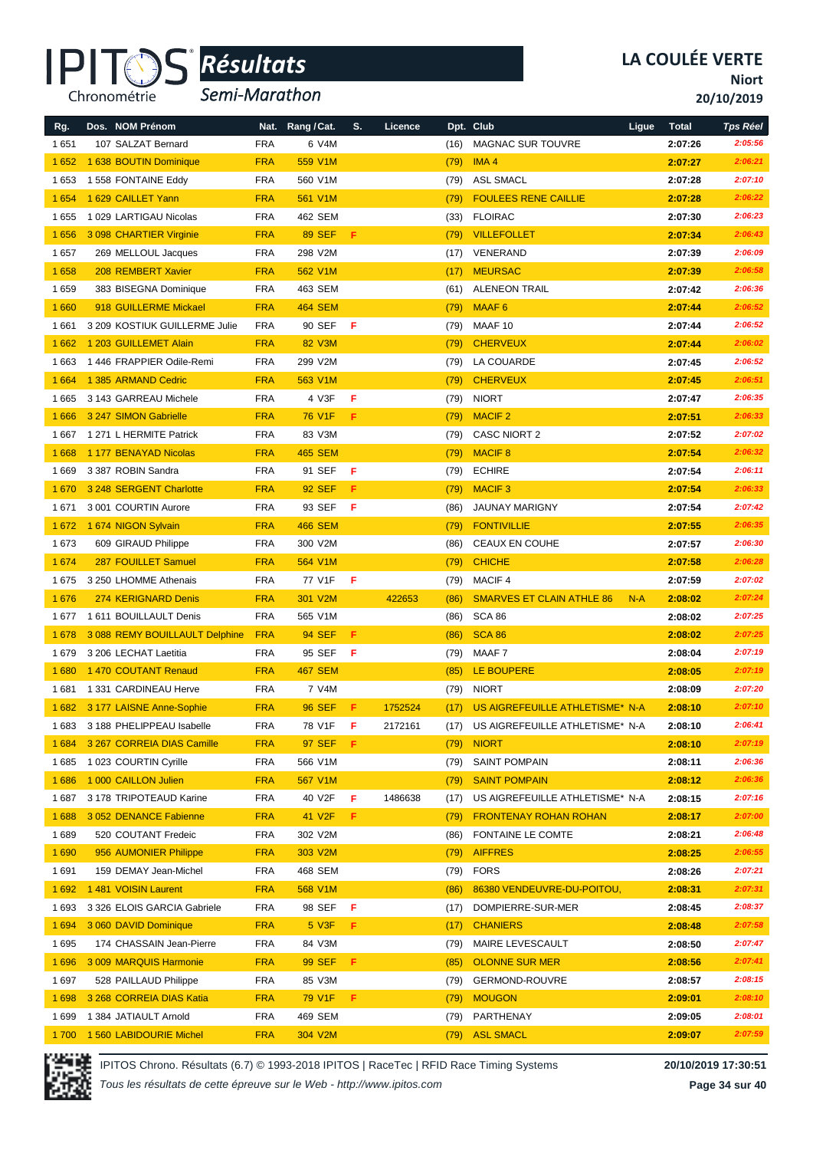

*Semi-Marathon*

**Niort**

**20/10/2019**

| Rg.     | Dos. NOM Prénom                | Nat.       | Rang / Cat.    | S. | Licence |      | Dpt. Club                        | Ligue | <b>Total</b> | <b>Tps Réel</b> |
|---------|--------------------------------|------------|----------------|----|---------|------|----------------------------------|-------|--------------|-----------------|
| 1651    | 107 SALZAT Bernard             | <b>FRA</b> | 6 V4M          |    |         | (16) | <b>MAGNAC SUR TOUVRE</b>         |       | 2:07:26      | 2:05:56         |
| 1652    | 1 638 BOUTIN Dominique         | <b>FRA</b> | 559 V1M        |    |         | (79) | IMA <sub>4</sub>                 |       | 2:07:27      | 2:06:21         |
| 1653    | 1 558 FONTAINE Eddy            | <b>FRA</b> | 560 V1M        |    |         | (79) | <b>ASL SMACL</b>                 |       | 2:07:28      | 2:07:10         |
| 1 6 5 4 | 1 629 CAILLET Yann             | <b>FRA</b> | 561 V1M        |    |         | (79) | <b>FOULEES RENE CAILLIE</b>      |       | 2:07:28      | 2:06:22         |
| 1655    | 1 029 LARTIGAU Nicolas         | <b>FRA</b> | 462 SEM        |    |         | (33) | <b>FLOIRAC</b>                   |       | 2:07:30      | 2:06:23         |
| 1656    | 3 098 CHARTIER Virginie        | <b>FRA</b> | <b>89 SEF</b>  | F  |         | (79) | <b>VILLEFOLLET</b>               |       | 2:07:34      | 2:06:43         |
| 1657    | 269 MELLOUL Jacques            | <b>FRA</b> | 298 V2M        |    |         | (17) | VENERAND                         |       | 2:07:39      | 2:06:09         |
| 1658    | 208 REMBERT Xavier             | <b>FRA</b> | 562 V1M        |    |         | (17) | <b>MEURSAC</b>                   |       | 2:07:39      | 2:06:58         |
| 1659    | 383 BISEGNA Dominique          | <b>FRA</b> | 463 SEM        |    |         | (61) | <b>ALENEON TRAIL</b>             |       | 2:07:42      | 2:06:36         |
| 1 6 6 0 | 918 GUILLERME Mickael          | <b>FRA</b> | <b>464 SEM</b> |    |         | (79) | MAAF <sub>6</sub>                |       | 2:07:44      | 2:06:52         |
| 1661    | 3 209 KOSTIUK GUILLERME Julie  | <b>FRA</b> | 90 SEF         | F  |         | (79) | MAAF 10                          |       | 2:07:44      | 2:06:52         |
| 1662    | 1 203 GUILLEMET Alain          | <b>FRA</b> | 82 V3M         |    |         | (79) | <b>CHERVEUX</b>                  |       | 2:07:44      | 2:06:02         |
| 1663    | 1446 FRAPPIER Odile-Remi       | <b>FRA</b> | 299 V2M        |    |         | (79) | LA COUARDE                       |       | 2:07:45      | 2:06:52         |
| 1 6 6 4 | 1 385 ARMAND Cedric            | <b>FRA</b> | 563 V1M        |    |         | (79) | <b>CHERVEUX</b>                  |       | 2:07:45      | 2:06:51         |
| 1665    | 3 143 GARREAU Michele          | <b>FRA</b> | 4 V3F          | F  |         | (79) | <b>NIORT</b>                     |       | 2:07:47      | 2:06:35         |
| 1 6 6 6 | 3 247 SIMON Gabrielle          | <b>FRA</b> | <b>76 V1F</b>  | F  |         | (79) | <b>MACIF 2</b>                   |       | 2:07:51      | 2:06:33         |
| 1667    | 1 271 L HERMITE Patrick        | <b>FRA</b> | 83 V3M         |    |         | (79) | <b>CASC NIORT 2</b>              |       | 2:07:52      | 2:07:02         |
| 1668    | 1 177 BENAYAD Nicolas          | <b>FRA</b> | <b>465 SEM</b> |    |         | (79) | <b>MACIF 8</b>                   |       | 2:07:54      | 2:06:32         |
| 1669    | 3 387 ROBIN Sandra             | <b>FRA</b> | 91 SEF         | F  |         | (79) | <b>ECHIRE</b>                    |       | 2:07:54      | 2:06:11         |
| 1670    | 3 248 SERGENT Charlotte        | <b>FRA</b> | <b>92 SEF</b>  | F  |         | (79) | <b>MACIF3</b>                    |       | 2:07:54      | 2:06:33         |
| 1671    | 3 001 COURTIN Aurore           | <b>FRA</b> | 93 SEF         | F  |         | (86) | <b>JAUNAY MARIGNY</b>            |       | 2:07:54      | 2:07:42         |
| 1672    | 1 674 NIGON Sylvain            | <b>FRA</b> | <b>466 SEM</b> |    |         | (79) | <b>FONTIVILLIE</b>               |       | 2:07:55      | 2:06:35         |
| 1673    | 609 GIRAUD Philippe            | <b>FRA</b> | 300 V2M        |    |         | (86) | <b>CEAUX EN COUHE</b>            |       | 2:07:57      | 2:06:30         |
| 1 6 7 4 | 287 FOUILLET Samuel            | <b>FRA</b> | 564 V1M        |    |         | (79) | <b>CHICHE</b>                    |       | 2:07:58      | 2:06:28         |
| 1675    | 3 250 LHOMME Athenais          | <b>FRA</b> | 77 V1F         | F  |         | (79) | <b>MACIF4</b>                    |       | 2:07:59      | 2:07:02         |
| 1676    | 274 KERIGNARD Denis            | <b>FRA</b> | 301 V2M        |    | 422653  | (86) | <b>SMARVES ET CLAIN ATHLE 86</b> | $N-A$ | 2:08:02      | 2:07:24         |
| 1677    | 1 611 BOUILLAULT Denis         | <b>FRA</b> | 565 V1M        |    |         | (86) | SCA 86                           |       | 2:08:02      | 2:07:25         |
| 1678    | 3 088 REMY BOUILLAULT Delphine | <b>FRA</b> | <b>94 SEF</b>  | F. |         | (86) | <b>SCA 86</b>                    |       | 2:08:02      | 2:07:25         |
| 1679    | 3 206 LECHAT Laetitia          | <b>FRA</b> | 95 SEF         | F  |         | (79) | MAAF 7                           |       | 2:08:04      | 2:07:19         |
| 1680    | 1470 COUTANT Renaud            | <b>FRA</b> | <b>467 SEM</b> |    |         | (85) | LE BOUPERE                       |       | 2:08:05      | 2:07:19         |
| 1681    | 1 331 CARDINEAU Herve          | <b>FRA</b> | 7 V4M          |    |         | (79) | <b>NIORT</b>                     |       | 2:08:09      | 2:07:20         |
| 1682    | 3 177 LAISNE Anne-Sophie       | <b>FRA</b> | <b>96 SEF</b>  | F. | 1752524 | (17) | US AIGREFEUILLE ATHLETISME* N-A  |       | 2:08:10      | 2:07:10         |
| 1 683   | 3 188 PHELIPPEAU Isabelle      | <b>FRA</b> | 78 V1F         | F  | 2172161 | (17) | US AIGREFEUILLE ATHLETISME* N-A  |       | 2:08:10      | 2:06:41         |
| 1 6 8 4 | 3 267 CORREIA DIAS Camille     | <b>FRA</b> | 97 SEF         | F. |         | (79) | <b>NIORT</b>                     |       | 2:08:10      | 2:07:19         |
| 1685    | 1023 COURTIN Cyrille           | <b>FRA</b> | 566 V1M        |    |         | (79) | <b>SAINT POMPAIN</b>             |       | 2:08:11      | 2:06:36         |
| 1686    | 1 000 CAILLON Julien           | <b>FRA</b> | 567 V1M        |    |         | (79) | <b>SAINT POMPAIN</b>             |       | 2:08:12      | 2:06:36         |
| 1687    | 3 178 TRIPOTEAUD Karine        | <b>FRA</b> | 40 V2F         | F  | 1486638 | (17) | US AIGREFEUILLE ATHLETISME* N-A  |       | 2:08:15      | 2:07:16         |
| 1688    | 3 052 DENANCE Fabienne         | <b>FRA</b> | 41 V2F         | F. |         | (79) | <b>FRONTENAY ROHAN ROHAN</b>     |       | 2:08:17      | 2:07:00         |
| 1689    | 520 COUTANT Fredeic            | <b>FRA</b> | 302 V2M        |    |         | (86) | FONTAINE LE COMTE                |       | 2:08:21      | 2:06:48         |
| 1 6 9 0 | 956 AUMONIER Philippe          | <b>FRA</b> | 303 V2M        |    |         | (79) | <b>AIFFRES</b>                   |       | 2:08:25      | 2:06:55         |
| 1691    | 159 DEMAY Jean-Michel          | <b>FRA</b> | 468 SEM        |    |         | (79) | <b>FORS</b>                      |       | 2:08:26      | 2:07:21         |
| 1692    | 1 481 VOISIN Laurent           | <b>FRA</b> | 568 V1M        |    |         | (86) | 86380 VENDEUVRE-DU-POITOU,       |       | 2:08:31      | 2:07:31         |
| 1693    | 3 326 ELOIS GARCIA Gabriele    | <b>FRA</b> | 98 SEF         | F  |         | (17) | DOMPIERRE-SUR-MER                |       | 2:08:45      | 2:08:37         |
| 1 6 9 4 | 3 060 DAVID Dominique          | <b>FRA</b> | 5 V3F          | F. |         | (17) | <b>CHANIERS</b>                  |       | 2:08:48      | 2:07:58         |
| 1695    | 174 CHASSAIN Jean-Pierre       | <b>FRA</b> | 84 V3M         |    |         | (79) | MAIRE LEVESCAULT                 |       | 2:08:50      | 2:07:47         |
| 1696    | 3 009 MARQUIS Harmonie         | <b>FRA</b> | <b>99 SEF</b>  | F. |         | (85) | <b>OLONNE SUR MER</b>            |       | 2:08:56      | 2:07:41         |
| 1697    | 528 PAILLAUD Philippe          | <b>FRA</b> | 85 V3M         |    |         | (79) | <b>GERMOND-ROUVRE</b>            |       | 2:08:57      | 2:08:15         |
| 1698    | 3 268 CORREIA DIAS Katia       | <b>FRA</b> | 79 V1F         | F. |         | (79) | <b>MOUGON</b>                    |       | 2:09:01      | 2:08:10         |
| 1699    | 1 384 JATIAULT Arnold          | FRA        | 469 SEM        |    |         | (79) | PARTHENAY                        |       | 2:09:05      | 2:08:01         |
| 1700    | 1560 LABIDOURIE Michel         | <b>FRA</b> | 304 V2M        |    |         | (79) | <b>ASL SMACL</b>                 |       | 2:09:07      | 2:07:59         |



IPITOS Chrono. Résultats (6.7) © 1993-2018 IPITOS | RaceTec | RFID Race Timing Systems **20/10/2019 17:30:51**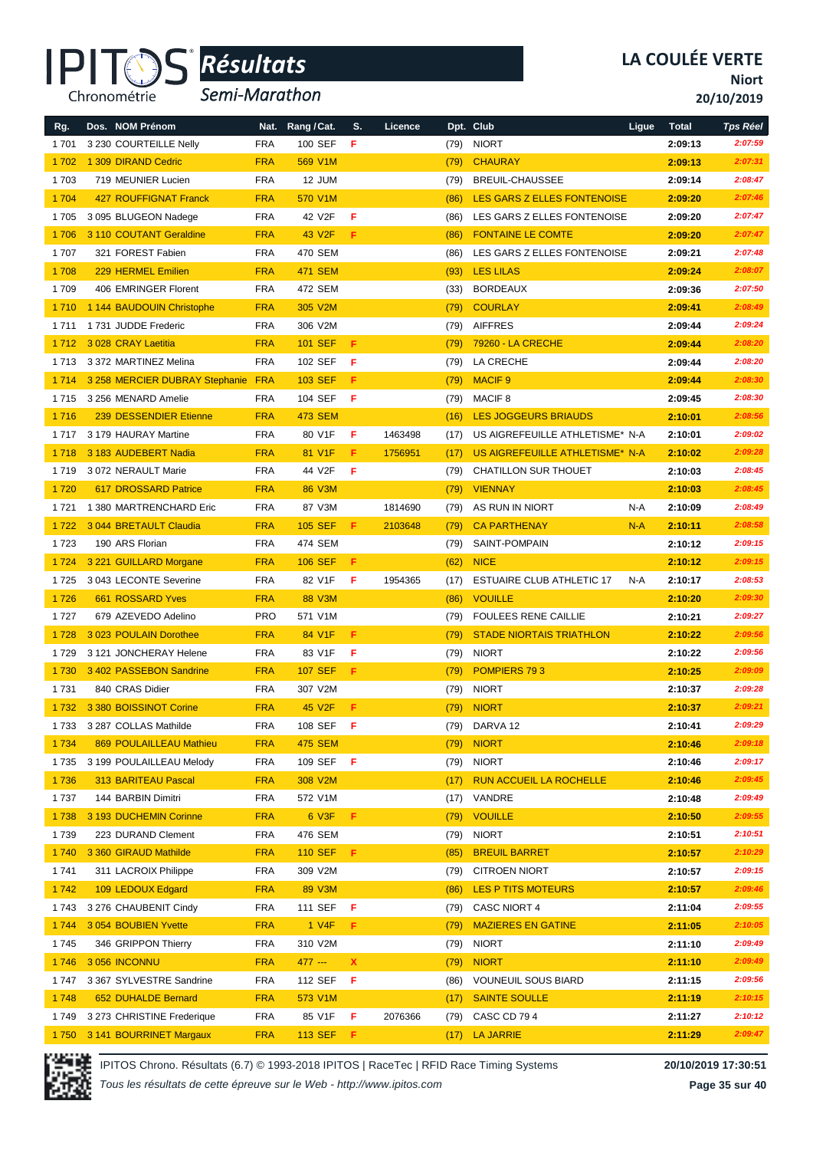

*Semi-Marathon*

**Niort**

**20/10/2019**

| Rg.     | Dos. NOM Prénom                    |            | Nat. Rang / Cat.   | S.  | Licence |      | Dpt. Club                        | Ligue | <b>Total</b> | <b>Tps Réel</b> |
|---------|------------------------------------|------------|--------------------|-----|---------|------|----------------------------------|-------|--------------|-----------------|
| 1701    | 3 230 COURTEILLE Nelly             | <b>FRA</b> | 100 SEF            | F   |         | (79) | <b>NIORT</b>                     |       | 2:09:13      | 2:07:59         |
| 1702    | 1 309 DIRAND Cedric                | <b>FRA</b> | 569 V1M            |     |         | (79) | <b>CHAURAY</b>                   |       | 2:09:13      | 2:07:31         |
| 1703    | 719 MEUNIER Lucien                 | <b>FRA</b> | 12 JUM             |     |         | (79) | BREUIL-CHAUSSEE                  |       | 2:09:14      | 2:08:47         |
| 1 704   | <b>427 ROUFFIGNAT Franck</b>       | <b>FRA</b> | 570 V1M            |     |         | (86) | LES GARS Z ELLES FONTENOISE      |       | 2:09:20      | 2:07:46         |
| 1705    | 3 095 BLUGEON Nadege               | <b>FRA</b> | 42 V2F             | F   |         | (86) | LES GARS Z ELLES FONTENOISE      |       | 2:09:20      | 2:07:47         |
| 1706    | 3 110 COUTANT Geraldine            | <b>FRA</b> | 43 V2F             | F.  |         | (86) | <b>FONTAINE LE COMTE</b>         |       | 2:09:20      | 2:07:47         |
| 1707    | 321 FOREST Fabien                  | <b>FRA</b> | 470 SEM            |     |         | (86) | LES GARS Z ELLES FONTENOISE      |       | 2:09:21      | 2:07:48         |
| 1708    | 229 HERMEL Emilien                 | <b>FRA</b> | <b>471 SEM</b>     |     |         | (93) | <b>LES LILAS</b>                 |       | 2:09:24      | 2:08:07         |
| 1709    | 406 EMRINGER Florent               | <b>FRA</b> | 472 SEM            |     |         | (33) | <b>BORDEAUX</b>                  |       | 2:09:36      | 2:07:50         |
| 1710    | 1 144 BAUDOUIN Christophe          | <b>FRA</b> | 305 V2M            |     |         | (79) | <b>COURLAY</b>                   |       | 2:09:41      | 2:08:49         |
| 1711    | 1731 JUDDE Frederic                | <b>FRA</b> | 306 V2M            |     |         | (79) | <b>AIFFRES</b>                   |       | 2:09:44      | 2:09:24         |
| 1712    | 3 028 CRAY Laetitia                | <b>FRA</b> | <b>101 SEF</b>     | F   |         | (79) | 79260 - LA CRECHE                |       | 2:09:44      | 2:08:20         |
| 1713    | 3 372 MARTINEZ Melina              | <b>FRA</b> | 102 SEF            | F   |         | (79) | LA CRECHE                        |       | 2:09:44      | 2:08:20         |
| 1 7 1 4 | 3 258 MERCIER DUBRAY Stephanie FRA |            | <b>103 SEF</b>     | F   |         | (79) | <b>MACIF 9</b>                   |       | 2:09:44      | 2:08:30         |
| 1 7 1 5 | 3 256 MENARD Amelie                | <b>FRA</b> | 104 SEF            | F   |         | (79) | <b>MACIF 8</b>                   |       | 2:09:45      | 2:08:30         |
| 1716    | 239 DESSENDIER Etienne             | <b>FRA</b> | <b>473 SEM</b>     |     |         | (16) | <b>LES JOGGEURS BRIAUDS</b>      |       | 2:10:01      | 2:08:56         |
| 1 7 1 7 | 3 179 HAURAY Martine               | <b>FRA</b> | 80 V1F             | F   | 1463498 | (17) | US AIGREFEUILLE ATHLETISME* N-A  |       | 2:10:01      | 2:09:02         |
| 1718    | 3 183 AUDEBERT Nadia               | <b>FRA</b> | 81 V1F             | F.  | 1756951 | (17) | US AIGREFEUILLE ATHLETISME* N-A  |       | 2:10:02      | 2:09:28         |
| 1719    | 3 072 NERAULT Marie                | <b>FRA</b> | 44 V2F             | F   |         | (79) | CHATILLON SUR THOUET             |       | 2:10:03      | 2:08:45         |
| 1720    | 617 DROSSARD Patrice               | <b>FRA</b> | 86 V3M             |     |         | (79) | <b>VIENNAY</b>                   |       | 2:10:03      | 2:08:45         |
| 1721    | 1 380 MARTRENCHARD Eric            | <b>FRA</b> | 87 V3M             |     | 1814690 | (79) | AS RUN IN NIORT                  | N-A   | 2:10:09      | 2:08:49         |
| 1722    | 3 044 BRETAULT Claudia             | <b>FRA</b> | <b>105 SEF</b>     | F.  | 2103648 | (79) | <b>CA PARTHENAY</b>              | $N-A$ | 2:10:11      | 2:08:58         |
| 1723    | 190 ARS Florian                    | <b>FRA</b> | 474 SEM            |     |         | (79) | SAINT-POMPAIN                    |       | 2:10:12      | 2:09:15         |
| 1 7 2 4 | 3 221 GUILLARD Morgane             | <b>FRA</b> | <b>106 SEF</b>     | F   |         | (62) | <b>NICE</b>                      |       | 2:10:12      | 2:09:15         |
| 1725    | 3 043 LECONTE Severine             | <b>FRA</b> | 82 V1F             | F   | 1954365 | (17) | <b>ESTUAIRE CLUB ATHLETIC 17</b> | N-A   | 2:10:17      | 2:08:53         |
| 1726    | 661 ROSSARD Yves                   | <b>FRA</b> | 88 V3M             |     |         | (86) | <b>VOUILLE</b>                   |       | 2:10:20      | 2:09:30         |
| 1727    | 679 AZEVEDO Adelino                | <b>PRO</b> | 571 V1M            |     |         | (79) | <b>FOULEES RENE CAILLIE</b>      |       | 2:10:21      | 2:09:27         |
| 1728    | 3 023 POULAIN Dorothee             | <b>FRA</b> | 84 V1F             | F   |         | (79) | <b>STADE NIORTAIS TRIATHLON</b>  |       | 2:10:22      | 2:09:56         |
| 1729    | 3 121 JONCHERAY Helene             | <b>FRA</b> | 83 V1F             | F   |         | (79) | <b>NIORT</b>                     |       | 2:10:22      | 2:09:56         |
| 1730    | 3 402 PASSEBON Sandrine            | <b>FRA</b> | <b>107 SEF</b>     | F   |         | (79) | POMPIERS 793                     |       | 2:10:25      | 2:09:09         |
| 1731    | 840 CRAS Didier                    | <b>FRA</b> | 307 V2M            |     |         | (79) | <b>NIORT</b>                     |       | 2:10:37      | 2:09:28         |
| 1732    | 3 380 BOISSINOT Corine             | <b>FRA</b> | 45 V <sub>2F</sub> | F   |         | (79) | <b>NIORT</b>                     |       | 2:10:37      | 2:09:21         |
| 1733    | 3 287 COLLAS Mathilde              | <b>FRA</b> | 108 SEF            | - F |         | (79) | DARVA <sub>12</sub>              |       | 2:10:41      | 2:09:29         |
| 1 7 3 4 | 869 POULAILLEAU Mathieu            | <b>FRA</b> | <b>475 SEM</b>     |     |         | (79) | <b>NIORT</b>                     |       | 2:10:46      | 2:09:18         |
| 1 7 3 5 | 3 199 POULAILLEAU Melody           | <b>FRA</b> | 109 SEF            | -F  |         | (79) | <b>NIORT</b>                     |       | 2:10:46      | 2:09:17         |
| 1736    | 313 BARITEAU Pascal                | <b>FRA</b> | 308 V2M            |     |         | (17) | <b>RUN ACCUEIL LA ROCHELLE</b>   |       | 2:10:46      | 2:09:45         |
| 1737    | 144 BARBIN Dimitri                 | <b>FRA</b> | 572 V1M            |     |         | (17) | VANDRE                           |       | 2:10:48      | 2:09:49         |
| 1738    | 3 193 DUCHEMIN Corinne             | <b>FRA</b> | 6 V3F              | F.  |         | (79) | <b>VOUILLE</b>                   |       | 2:10:50      | 2:09:55         |
| 1739    | 223 DURAND Clement                 | <b>FRA</b> | 476 SEM            |     |         | (79) | <b>NIORT</b>                     |       | 2:10:51      | 2:10:51         |
| 1740    | 3 360 GIRAUD Mathilde              | <b>FRA</b> | <b>110 SEF</b>     | Æ.  |         | (85) | <b>BREUIL BARRET</b>             |       | 2:10:57      | 2:10:29         |
| 1741    | 311 LACROIX Philippe               | <b>FRA</b> | 309 V2M            |     |         | (79) | <b>CITROEN NIORT</b>             |       | 2:10:57      | 2:09:15         |
| 1742    | 109 LEDOUX Edgard                  | <b>FRA</b> | 89 V3M             |     |         | (86) | <b>LES P TITS MOTEURS</b>        |       | 2:10:57      | 2:09:46         |
| 1743    | 3 276 CHAUBENIT Cindy              | <b>FRA</b> | 111 SEF            | F   |         | (79) | CASC NIORT 4                     |       | 2:11:04      | 2:09:55         |
| 1744    | 3 054 BOUBIEN Yvette               | <b>FRA</b> | 1 V4F              | F.  |         | (79) | <b>MAZIERES EN GATINE</b>        |       | 2:11:05      | 2:10:05         |
| 1745    | 346 GRIPPON Thierry                | <b>FRA</b> | 310 V2M            |     |         | (79) | <b>NIORT</b>                     |       | 2:11:10      | 2:09:49         |
| 1746    | 3056 INCONNU                       | <b>FRA</b> | 477 ---            | x   |         | (79) | <b>NIORT</b>                     |       | 2:11:10      | 2:09:49         |
| 1 747   | 3 367 SYLVESTRE Sandrine           | <b>FRA</b> | 112 SEF            | F   |         | (86) | <b>VOUNEUIL SOUS BIARD</b>       |       | 2:11:15      | 2:09:56         |
| 1748    | 652 DUHALDE Bernard                | <b>FRA</b> | 573 V1M            |     |         | (17) | <b>SAINTE SOULLE</b>             |       | 2:11:19      | 2:10:15         |
| 1 749   | 3 273 CHRISTINE Frederique         | <b>FRA</b> | 85 V1F             | F   | 2076366 | (79) | CASC CD 794                      |       | 2:11:27      | 2:10:12         |
| 1750    | 3 141 BOURRINET Margaux            | <b>FRA</b> | <b>113 SEF</b>     | Æ.  |         | (17) | <b>LA JARRIE</b>                 |       | 2:11:29      | 2:09:47         |



IPITOS Chrono. Résultats (6.7) © 1993-2018 IPITOS | RaceTec | RFID Race Timing Systems **20/10/2019 17:30:51**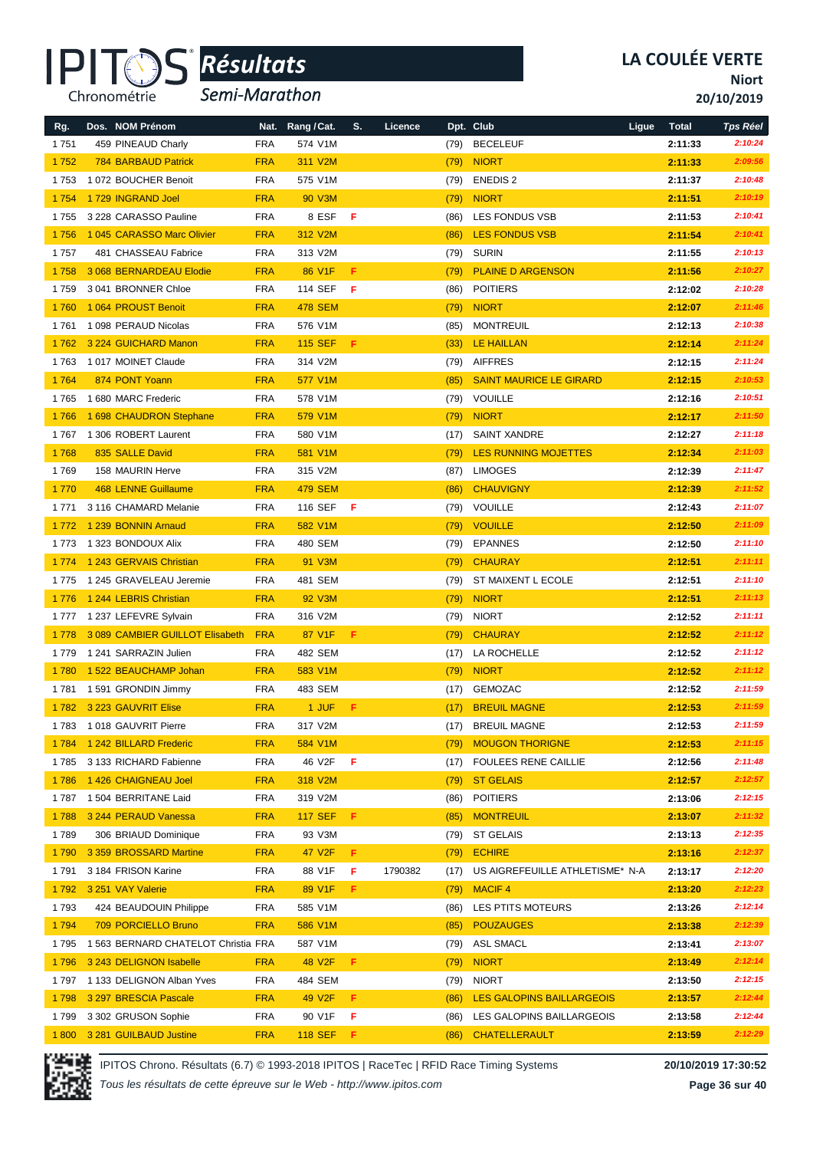

*Semi-Marathon*

**Niort**

**20/10/2019**

| Rg.     | Dos. NOM Prénom                     |            | Nat. Rang / Cat.   | S.  | Licence |      | Dpt. Club                       | Ligue | <b>Total</b> | <b>Tps Réel</b> |
|---------|-------------------------------------|------------|--------------------|-----|---------|------|---------------------------------|-------|--------------|-----------------|
| 1751    | 459 PINEAUD Charly                  | <b>FRA</b> | 574 V1M            |     |         | (79) | <b>BECELEUF</b>                 |       | 2:11:33      | 2:10:24         |
| 1752    | <b>784 BARBAUD Patrick</b>          | <b>FRA</b> | 311 V2M            |     |         | (79) | <b>NIORT</b>                    |       | 2:11:33      | 2:09:56         |
| 1753    | 1 072 BOUCHER Benoit                | <b>FRA</b> | 575 V1M            |     |         | (79) | <b>ENEDIS 2</b>                 |       | 2:11:37      | 2:10:48         |
| 1754    | 1729 INGRAND Joel                   | <b>FRA</b> | 90 V3M             |     |         | (79) | <b>NIORT</b>                    |       | 2:11:51      | 2:10:19         |
| 1755    | 3 228 CARASSO Pauline               | <b>FRA</b> | 8 ESF              | - F |         | (86) | LES FONDUS VSB                  |       | 2:11:53      | 2:10:41         |
| 1756    | 1 045 CARASSO Marc Olivier          | <b>FRA</b> | 312 V2M            |     |         | (86) | <b>LES FONDUS VSB</b>           |       | 2:11:54      | 2:10:41         |
| 1757    | 481 CHASSEAU Fabrice                | FRA        | 313 V2M            |     |         | (79) | SURIN                           |       | 2:11:55      | 2:10:13         |
| 1758    | 3 068 BERNARDEAU Elodie             | <b>FRA</b> | 86 V1F             | F.  |         | (79) | <b>PLAINE D ARGENSON</b>        |       | 2:11:56      | 2:10:27         |
| 1759    | 3 041 BRONNER Chloe                 | <b>FRA</b> | 114 SEF            | - F |         | (86) | <b>POITIERS</b>                 |       | 2:12:02      | 2:10:28         |
| 1760    | 1064 PROUST Benoit                  | <b>FRA</b> | <b>478 SEM</b>     |     |         | (79) | <b>NIORT</b>                    |       | 2:12:07      | 2:11:46         |
| 1 761   | 1 098 PERAUD Nicolas                | <b>FRA</b> | 576 V1M            |     |         | (85) | <b>MONTREUIL</b>                |       | 2:12:13      | 2:10:38         |
| 1762    | 3 224 GUICHARD Manon                | <b>FRA</b> | <b>115 SEF</b>     | F   |         | (33) | LE HAILLAN                      |       | 2:12:14      | 2:11:24         |
| 1763    | 1017 MOINET Claude                  | <b>FRA</b> | 314 V2M            |     |         | (79) | AIFFRES                         |       | 2:12:15      | 2:11:24         |
| 1764    | 874 PONT Yoann                      | <b>FRA</b> | 577 V1M            |     |         | (85) | <b>SAINT MAURICE LE GIRARD</b>  |       | 2:12:15      | 2:10:53         |
| 1765    | 1 680 MARC Frederic                 | <b>FRA</b> | 578 V1M            |     |         | (79) | VOUILLE                         |       | 2:12:16      | 2:10:51         |
| 1766    | 1 698 CHAUDRON Stephane             | <b>FRA</b> | 579 V1M            |     |         | (79) | <b>NIORT</b>                    |       | 2:12:17      | 2:11:50         |
| 1 767   | 1 306 ROBERT Laurent                | <b>FRA</b> | 580 V1M            |     |         | (17) | <b>SAINT XANDRE</b>             |       | 2:12:27      | 2:11:18         |
| 1768    | 835 SALLE David                     | <b>FRA</b> | 581 V1M            |     |         | (79) | <b>LES RUNNING MOJETTES</b>     |       | 2:12:34      | 2:11:03         |
| 1769    | 158 MAURIN Herve                    | <b>FRA</b> | 315 V2M            |     |         | (87) | <b>LIMOGES</b>                  |       | 2:12:39      | 2:11:47         |
| 1770    | <b>468 LENNE Guillaume</b>          | <b>FRA</b> | <b>479 SEM</b>     |     |         | (86) | <b>CHAUVIGNY</b>                |       | 2:12:39      | 2:11:52         |
| 1 7 7 1 | 3 116 CHAMARD Melanie               | <b>FRA</b> | 116 SEF            | F   |         |      | (79) VOUILLE                    |       | 2:12:43      | 2:11:07         |
| 1 7 7 2 | 1 239 BONNIN Arnaud                 | <b>FRA</b> | 582 V1M            |     |         | (79) | <b>VOUILLE</b>                  |       | 2:12:50      | 2:11:09         |
| 1 7 7 3 | 1 323 BONDOUX Alix                  | <b>FRA</b> | 480 SEM            |     |         | (79) | <b>EPANNES</b>                  |       | 2:12:50      | 2:11:10         |
| 1 7 7 4 | 1 243 GERVAIS Christian             | <b>FRA</b> | 91 V3M             |     |         | (79) | <b>CHAURAY</b>                  |       | 2:12:51      | 2:11:11         |
| 1775    | 1 245 GRAVELEAU Jeremie             | <b>FRA</b> | 481 SEM            |     |         | (79) | ST MAIXENT L ECOLE              |       | 2:12:51      | 2:11:10         |
| 1776    | 1 244 LEBRIS Christian              | <b>FRA</b> | 92 V3M             |     |         | (79) | <b>NIORT</b>                    |       | 2:12:51      | 2:11:13         |
| 1 7 7 7 | 1 237 LEFEVRE Sylvain               | <b>FRA</b> | 316 V2M            |     |         | (79) | <b>NIORT</b>                    |       | 2:12:52      | 2:11:11         |
| 1 7 7 8 | 3 089 CAMBIER GUILLOT Elisabeth     | <b>FRA</b> | 87 V1F             | F   |         | (79) | <b>CHAURAY</b>                  |       | 2:12:52      | 2:11:12         |
| 1 7 7 9 | 1 241 SARRAZIN Julien               | <b>FRA</b> | 482 SEM            |     |         | (17) | LA ROCHELLE                     |       | 2:12:52      | 2:11:12         |
| 1780    | 1522 BEAUCHAMP Johan                | <b>FRA</b> | 583 V1M            |     |         | (79) | <b>NIORT</b>                    |       | 2:12:52      | 2:11:12         |
| 1781    | 1 591 GRONDIN Jimmy                 | FRA        | 483 SEM            |     |         | (17) | GEMOZAC                         |       | 2:12:52      | 2:11:59         |
| 1782    | 3 223 GAUVRIT Elise                 | <b>FRA</b> | 1 JUF              | F   |         | (17) | <b>BREUIL MAGNE</b>             |       | 2:12:53      | 2:11:59         |
|         | 1783 1018 GAUVRIT Pierre            | <b>FRA</b> | 317 V2M            |     |         | (17) | <b>BREUIL MAGNE</b>             |       | 2:12:53      | 2:11:59         |
|         | 1784 1242 BILLARD Frederic          | <b>FRA</b> | 584 V1M            |     |         | (79) | <b>MOUGON THORIGNE</b>          |       | 2:12:53      | 2:11:15         |
| 1 785   | 3 133 RICHARD Fabienne              | <b>FRA</b> | 46 V2F             | F   |         | (17) | <b>FOULEES RENE CAILLIE</b>     |       | 2:12:56      | 2:11:48         |
| 1786    | 1426 CHAIGNEAU Joel                 | <b>FRA</b> | 318 V2M            |     |         | (79) | <b>ST GELAIS</b>                |       | 2:12:57      | 2:12:57         |
|         | 1787 1504 BERRITANE Laid            | <b>FRA</b> | 319 V2M            |     |         | (86) | <b>POITIERS</b>                 |       | 2:13:06      | 2:12:15         |
| 1788    | 3 244 PERAUD Vanessa                | <b>FRA</b> | <b>117 SEF</b>     | F   |         | (85) | <b>MONTREUIL</b>                |       | 2:13:07      | 2:11:32         |
| 1789    | 306 BRIAUD Dominique                | <b>FRA</b> | 93 V3M             |     |         | (79) | <b>ST GELAIS</b>                |       | 2:13:13      | 2:12:35         |
| 1790    | 3 359 BROSSARD Martine              | <b>FRA</b> | 47 V <sub>2F</sub> | F.  |         | (79) | <b>ECHIRE</b>                   |       | 2:13:16      | 2:12:37         |
| 1 791   | 3 184 FRISON Karine                 | <b>FRA</b> | 88 V1F             | F.  | 1790382 | (17) | US AIGREFEUILLE ATHLETISME* N-A |       | 2:13:17      | 2:12:20         |
| 1792    | 3 251 VAY Valerie                   | <b>FRA</b> | 89 V1F             | F   |         | (79) | <b>MACIF4</b>                   |       | 2:13:20      | 2:12:23         |
| 1793    | 424 BEAUDOUIN Philippe              | FRA        | 585 V1M            |     |         | (86) | LES PTITS MOTEURS               |       | 2:13:26      | 2:12:14         |
| 1794    | 709 PORCIELLO Bruno                 | <b>FRA</b> | 586 V1M            |     |         | (85) | <b>POUZAUGES</b>                |       | 2:13:38      | 2:12:39         |
| 1 7 9 5 | 1 563 BERNARD CHATELOT Christia FRA |            | 587 V1M            |     |         | (79) | ASL SMACL                       |       | 2:13:41      | 2:13:07         |
| 1796    | 3 243 DELIGNON Isabelle             | <b>FRA</b> | 48 V <sub>2F</sub> | F.  |         | (79) | <b>NIORT</b>                    |       | 2:13:49      | 2:12:14         |
| 1 797   | 1 133 DELIGNON Alban Yves           | <b>FRA</b> | 484 SEM            |     |         | (79) | <b>NIORT</b>                    |       | 2:13:50      | 2:12:15         |
| 1798    | 3 297 BRESCIA Pascale               | <b>FRA</b> | 49 V <sub>2F</sub> | F   |         | (86) | LES GALOPINS BAILLARGEOIS       |       | 2:13:57      | 2:12:44         |
| 1799    | 3 302 GRUSON Sophie                 | <b>FRA</b> | 90 V1F             | F   |         | (86) | LES GALOPINS BAILLARGEOIS       |       | 2:13:58      | 2:12:44         |
| 1800    | 3 281 GUILBAUD Justine              | <b>FRA</b> | <b>118 SEF</b>     | F.  |         | (86) | <b>CHATELLERAULT</b>            |       | 2:13:59      | 2:12:29         |

IPITOS Chrono. Résultats (6.7) © 1993-2018 IPITOS | RaceTec | RFID Race Timing Systems **20/10/2019 17:30:52**

*Tous les résultats de cette épreuve sur le Web - http://www.ipitos.com*

**Page 36 sur 40**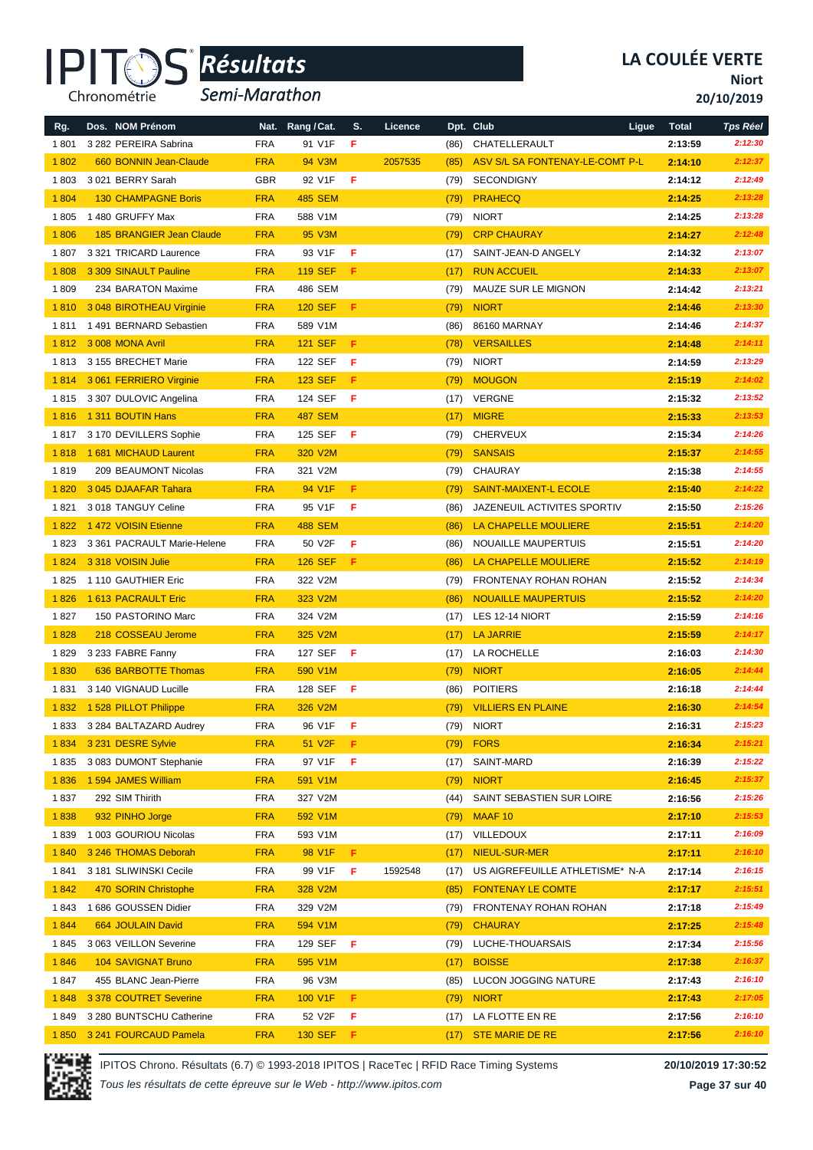

*Semi-Marathon*

**Niort**

**20/10/2019**

| Rg.     | Dos. NOM Prénom             | Nat.       | Rang / Cat.    | S.  | Licence |      | Dpt. Club                       | Ligue<br><b>Total</b> | <b>Tps Réel</b> |
|---------|-----------------------------|------------|----------------|-----|---------|------|---------------------------------|-----------------------|-----------------|
| 1801    | 3 282 PEREIRA Sabrina       | <b>FRA</b> | 91 V1F         | F   |         | (86) | CHATELLERAULT                   | 2:13:59               | 2:12:30         |
| 1802    | 660 BONNIN Jean-Claude      | <b>FRA</b> | 94 V3M         |     | 2057535 | (85) | ASV S/L SA FONTENAY-LE-COMT P-L | 2:14:10               | 2:12:37         |
| 1803    | 3021 BERRY Sarah            | <b>GBR</b> | 92 V1F         | F   |         | (79) | <b>SECONDIGNY</b>               | 2:14:12               | 2:12:49         |
| 1 8 0 4 | <b>130 CHAMPAGNE Boris</b>  | <b>FRA</b> | <b>485 SEM</b> |     |         | (79) | <b>PRAHECQ</b>                  | 2:14:25               | 2:13:28         |
| 1805    | 1480 GRUFFY Max             | <b>FRA</b> | 588 V1M        |     |         | (79) | <b>NIORT</b>                    | 2:14:25               | 2:13:28         |
| 1806    | 185 BRANGIER Jean Claude    | <b>FRA</b> | 95 V3M         |     |         | (79) | <b>CRP CHAURAY</b>              | 2:14:27               | 2:12:48         |
| 1807    | 3 321 TRICARD Laurence      | <b>FRA</b> | 93 V1F         | F   |         | (17) | SAINT-JEAN-D ANGELY             | 2:14:32               | 2:13:07         |
| 1808    | 3 309 SINAULT Pauline       | <b>FRA</b> | <b>119 SEF</b> | F   |         | (17) | <b>RUN ACCUEIL</b>              | 2:14:33               | 2:13:07         |
| 1809    | 234 BARATON Maxime          | <b>FRA</b> | 486 SEM        |     |         | (79) | MAUZE SUR LE MIGNON             | 2:14:42               | 2:13:21         |
| 1810    | 3 048 BIROTHEAU Virginie    | <b>FRA</b> | <b>120 SEF</b> | F   |         | (79) | <b>NIORT</b>                    | 2:14:46               | 2:13:30         |
| 1811    | 1491 BERNARD Sebastien      | <b>FRA</b> | 589 V1M        |     |         | (86) | 86160 MARNAY                    | 2:14:46               | 2:14:37         |
| 1812    | 3008 MONA Avril             | <b>FRA</b> | <b>121 SEF</b> | F   |         | (78) | <b>VERSAILLES</b>               | 2:14:48               | 2:14:11         |
| 1813    | 3 155 BRECHET Marie         | <b>FRA</b> | 122 SEF        | F   |         | (79) | <b>NIORT</b>                    | 2:14:59               | 2:13:29         |
| 1814    | 3 061 FERRIERO Virginie     | <b>FRA</b> | <b>123 SEF</b> | F.  |         | (79) | <b>MOUGON</b>                   | 2:15:19               | 2:14:02         |
| 1815    | 3 307 DULOVIC Angelina      | <b>FRA</b> | 124 SEF        | F   |         | (17) | VERGNE                          | 2:15:32               | 2:13:52         |
| 1816    | 1 311 BOUTIN Hans           | <b>FRA</b> | <b>487 SEM</b> |     |         | (17) | <b>MIGRE</b>                    | 2:15:33               | 2:13:53         |
| 1817    | 3 170 DEVILLERS Sophie      | <b>FRA</b> | 125 SEF        | F   |         | (79) | <b>CHERVEUX</b>                 | 2:15:34               | 2:14:26         |
| 1818    | 1681 MICHAUD Laurent        | <b>FRA</b> | 320 V2M        |     |         | (79) | <b>SANSAIS</b>                  | 2:15:37               | 2:14:55         |
| 1819    | 209 BEAUMONT Nicolas        | <b>FRA</b> | 321 V2M        |     |         | (79) | <b>CHAURAY</b>                  | 2:15:38               | 2:14:55         |
| 1820    | 3 045 DJAAFAR Tahara        | <b>FRA</b> | 94 V1F         | F.  |         | (79) | <b>SAINT-MAIXENT-L ECOLE</b>    | 2:15:40               | 2:14:22         |
| 1821    | 3018 TANGUY Celine          | <b>FRA</b> | 95 V1F         | F   |         | (86) | JAZENEUIL ACTIVITES SPORTIV     | 2:15:50               | 2:15:26         |
| 1822    | 1472 VOISIN Etienne         | <b>FRA</b> | <b>488 SEM</b> |     |         | (86) | LA CHAPELLE MOULIERE            | 2:15:51               | 2:14:20         |
| 1823    | 3 361 PACRAULT Marie-Helene | <b>FRA</b> | 50 V2F         | F   |         | (86) | NOUAILLE MAUPERTUIS             | 2:15:51               | 2:14:20         |
| 1824    | 3 318 VOISIN Julie          | <b>FRA</b> | <b>126 SEF</b> | F   |         | (86) | LA CHAPELLE MOULIERE            | 2:15:52               | 2:14:19         |
| 1825    | 1 110 GAUTHIER Eric         | <b>FRA</b> | 322 V2M        |     |         | (79) | FRONTENAY ROHAN ROHAN           | 2:15:52               | 2:14:34         |
| 1826    | 1613 PACRAULT Eric          | <b>FRA</b> | 323 V2M        |     |         | (86) | <b>NOUAILLE MAUPERTUIS</b>      | 2:15:52               | 2:14:20         |
| 1827    | 150 PASTORINO Marc          | <b>FRA</b> | 324 V2M        |     |         | (17) | LES 12-14 NIORT                 | 2:15:59               | 2:14:16         |
| 1828    | 218 COSSEAU Jerome          | <b>FRA</b> | 325 V2M        |     |         | (17) | <b>LA JARRIE</b>                | 2:15:59               | 2:14:17         |
| 1829    | 3 233 FABRE Fanny           | <b>FRA</b> | 127 SEF        | F   |         | (17) | <b>LA ROCHELLE</b>              | 2:16:03               | 2:14:30         |
| 1830    | 636 BARBOTTE Thomas         | <b>FRA</b> | 590 V1M        |     |         | (79) | <b>NIORT</b>                    | 2:16:05               | 2:14:44         |
| 1831    | 3 140 VIGNAUD Lucille       | <b>FRA</b> | 128 SEF        | F   |         | (86) | <b>POITIERS</b>                 | 2:16:18               | 2:14:44         |
| 1832    | 1 528 PILLOT Philippe       | <b>FRA</b> | 326 V2M        |     |         | (79) | <b>VILLIERS EN PLAINE</b>       | 2:16:30               | 2:14:54         |
| 1833    | 3 284 BALTAZARD Audrey      | <b>FRA</b> | 96 V1F         | F   |         | (79) | <b>NIORT</b>                    | 2:16:31               | 2:15:23         |
| 1834    | 3 231 DESRE Sylvie          | <b>FRA</b> | 51 V2F         | F.  |         | (79) | <b>FORS</b>                     | 2:16:34               | 2:15:21         |
| 1835    | 3083 DUMONT Stephanie       | <b>FRA</b> | 97 V1F         | F   |         | (17) | SAINT-MARD                      | 2:16:39               | 2:15:22         |
| 1836    | 1 594 JAMES William         | <b>FRA</b> | 591 V1M        |     |         | (79) | <b>NIORT</b>                    | 2:16:45               | 2:15:37         |
| 1837    | 292 SIM Thirith             | <b>FRA</b> | 327 V2M        |     |         | (44) | SAINT SEBASTIEN SUR LOIRE       | 2:16:56               | 2:15:26         |
| 1838    | 932 PINHO Jorge             | <b>FRA</b> | 592 V1M        |     |         | (79) | MAAF <sub>10</sub>              | 2:17:10               | 2:15:53         |
| 1839    | 1 003 GOURIOU Nicolas       | <b>FRA</b> | 593 V1M        |     |         | (17) | VILLEDOUX                       | 2:17:11               | 2:16:09         |
| 1840    | 3 246 THOMAS Deborah        | <b>FRA</b> | 98 V1F         | F   |         | (17) | NIEUL-SUR-MER                   | 2:17:11               | 2:16:10         |
| 1841    | 3 181 SLIWINSKI Cecile      | <b>FRA</b> | 99 V1F         | F   | 1592548 | (17) | US AIGREFEUILLE ATHLETISME* N-A | 2:17:14               | 2:16:15         |
| 1842    | 470 SORIN Christophe        | <b>FRA</b> | 328 V2M        |     |         | (85) | <b>FONTENAY LE COMTE</b>        | 2:17:17               | 2:15:51         |
| 1843    | 1 686 GOUSSEN Didier        | <b>FRA</b> | 329 V2M        |     |         | (79) | FRONTENAY ROHAN ROHAN           | 2:17:18               | 2:15:49         |
| 1844    | 664 JOULAIN David           | <b>FRA</b> | 594 V1M        |     |         | (79) | <b>CHAURAY</b>                  | 2:17:25               | 2:15:48         |
| 1845    | 3 063 VEILLON Severine      | <b>FRA</b> | 129 SEF        | -F  |         | (79) | LUCHE-THOUARSAIS                | 2:17:34               | 2:15:56         |
| 1846    | <b>104 SAVIGNAT Bruno</b>   | <b>FRA</b> | 595 V1M        |     |         | (17) | <b>BOISSE</b>                   | 2:17:38               | 2:16:37         |
| 1847    | 455 BLANC Jean-Pierre       | <b>FRA</b> | 96 V3M         |     |         | (85) | LUCON JOGGING NATURE            | 2:17:43               | 2:16:10         |
| 1848    | 3 378 COUTRET Severine      | <b>FRA</b> | 100 V1F        | F.  |         | (79) | <b>NIORT</b>                    | 2:17:43               | 2:17:05         |
| 1849    | 3 280 BUNTSCHU Catherine    | <b>FRA</b> | 52 V2F         | F   |         | (17) | LA FLOTTE EN RE                 | 2:17:56               | 2:16:10         |
| 1850    | 3 241 FOURCAUD Pamela       | <b>FRA</b> | <b>130 SEF</b> | - F |         | (17) | STE MARIE DE RE                 | 2:17:56               | 2:16:10         |

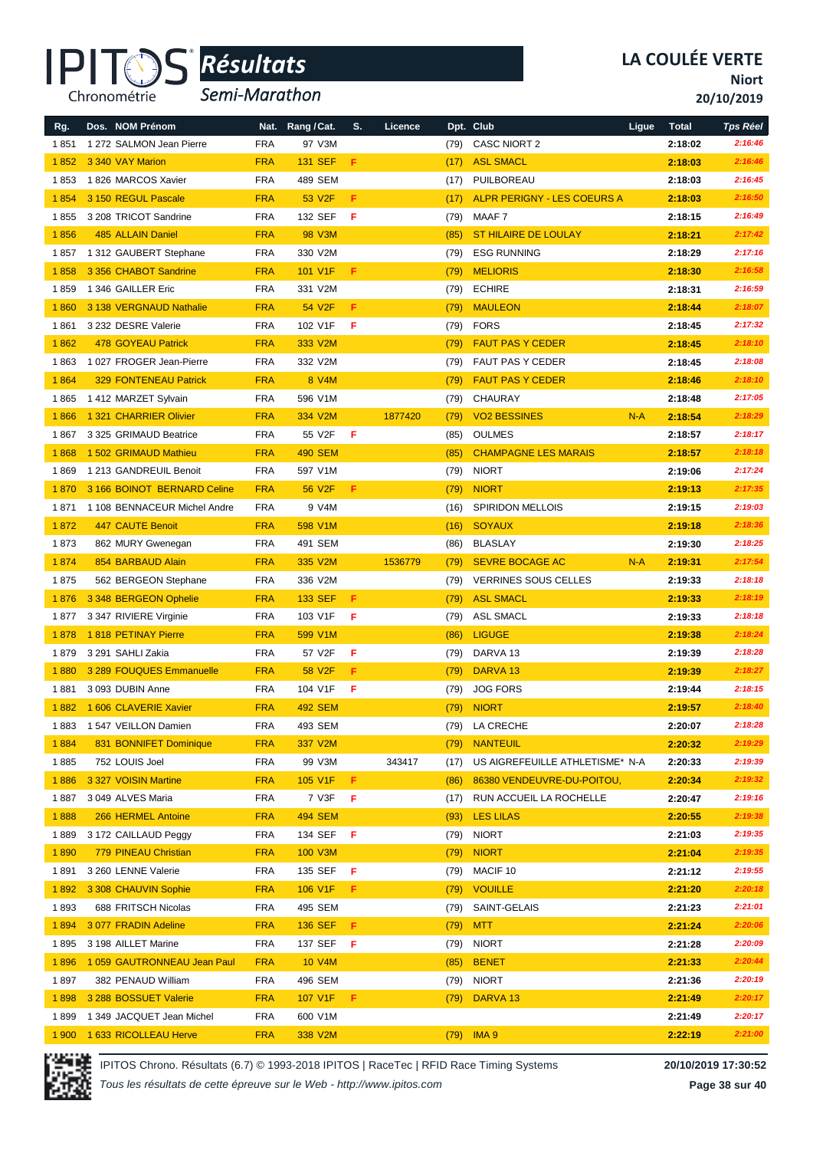

*Semi-Marathon*

**Niort**

**20/10/2019**

| Rg.   | Dos. NOM Prénom              | Nat.       | Rang / Cat.        | S. | Licence |      | Dpt. Club                          | Ligue | <b>Total</b> | <b>Tps Réel</b> |
|-------|------------------------------|------------|--------------------|----|---------|------|------------------------------------|-------|--------------|-----------------|
| 1851  | 1 272 SALMON Jean Pierre     | <b>FRA</b> | 97 V3M             |    |         | (79) | <b>CASC NIORT 2</b>                |       | 2:18:02      | 2:16:46         |
| 1852  | 3 340 VAY Marion             | <b>FRA</b> | <b>131 SEF</b>     | F  |         | (17) | <b>ASL SMACL</b>                   |       | 2:18:03      | 2:16:46         |
| 1853  | 1826 MARCOS Xavier           | <b>FRA</b> | 489 SEM            |    |         | (17) | PUILBOREAU                         |       | 2:18:03      | 2:16:45         |
| 1854  | 3 150 REGUL Pascale          | <b>FRA</b> | 53 V2F             | F. |         | (17) | <b>ALPR PERIGNY - LES COEURS A</b> |       | 2:18:03      | 2:16:50         |
| 1855  | 3 208 TRICOT Sandrine        | <b>FRA</b> | 132 SEF            | F  |         | (79) | MAAF 7                             |       | 2:18:15      | 2:16:49         |
| 1856  | <b>485 ALLAIN Daniel</b>     | <b>FRA</b> | <b>98 V3M</b>      |    |         | (85) | <b>ST HILAIRE DE LOULAY</b>        |       | 2:18:21      | 2:17:42         |
| 1857  | 1 312 GAUBERT Stephane       | <b>FRA</b> | 330 V2M            |    |         | (79) | <b>ESG RUNNING</b>                 |       | 2:18:29      | 2:17:16         |
| 1858  | 3 356 CHABOT Sandrine        | <b>FRA</b> | 101 V1F            | F  |         | (79) | <b>MELIORIS</b>                    |       | 2:18:30      | 2:16:58         |
| 1859  | 1 346 GAILLER Eric           | <b>FRA</b> | 331 V2M            |    |         | (79) | <b>ECHIRE</b>                      |       | 2:18:31      | 2:16:59         |
| 1860  | 3 138 VERGNAUD Nathalie      | <b>FRA</b> | 54 V2F             | F  |         | (79) | <b>MAULEON</b>                     |       | 2:18:44      | 2:18:07         |
| 1861  | 3 232 DESRE Valerie          | <b>FRA</b> | 102 V1F            | F  |         | (79) | <b>FORS</b>                        |       | 2:18:45      | 2:17:32         |
| 1862  | <b>478 GOYEAU Patrick</b>    | <b>FRA</b> | 333 V2M            |    |         | (79) | <b>FAUT PAS Y CEDER</b>            |       | 2:18:45      | 2:18:10         |
| 1863  | 1027 FROGER Jean-Pierre      | <b>FRA</b> | 332 V2M            |    |         | (79) | <b>FAUT PAS Y CEDER</b>            |       | 2:18:45      | 2:18:08         |
| 1864  | <b>329 FONTENEAU Patrick</b> | <b>FRA</b> | 8 V4M              |    |         | (79) | <b>FAUT PAS Y CEDER</b>            |       | 2:18:46      | 2:18:10         |
| 1865  | 1412 MARZET Sylvain          | <b>FRA</b> | 596 V1M            |    |         | (79) | <b>CHAURAY</b>                     |       | 2:18:48      | 2:17:05         |
| 1866  | 1 321 CHARRIER Olivier       | <b>FRA</b> | 334 V2M            |    | 1877420 | (79) | <b>VO2 BESSINES</b>                | $N-A$ | 2:18:54      | 2:18:29         |
| 1867  | 3 325 GRIMAUD Beatrice       | <b>FRA</b> | 55 V2F             | F  |         | (85) | <b>OULMES</b>                      |       | 2:18:57      | 2:18:17         |
| 1868  | 1 502 GRIMAUD Mathieu        | <b>FRA</b> | <b>490 SEM</b>     |    |         | (85) | <b>CHAMPAGNE LES MARAIS</b>        |       | 2:18:57      | 2:18:18         |
| 1869  | 1 213 GANDREUIL Benoit       | <b>FRA</b> | 597 V1M            |    |         | (79) | <b>NIORT</b>                       |       | 2:19:06      | 2:17:24         |
| 1870  | 3 166 BOINOT BERNARD Celine  | <b>FRA</b> | 56 V2F             | F  |         | (79) | <b>NIORT</b>                       |       | 2:19:13      | 2:17:35         |
| 1871  | 1 108 BENNACEUR Michel Andre | <b>FRA</b> | 9 V4M              |    |         | (16) | <b>SPIRIDON MELLOIS</b>            |       | 2:19:15      | 2:19:03         |
| 1872  | <b>447 CAUTE Benoit</b>      | <b>FRA</b> | 598 V1M            |    |         | (16) | <b>SOYAUX</b>                      |       | 2:19:18      | 2:18:36         |
| 1873  | 862 MURY Gwenegan            | <b>FRA</b> | 491 SEM            |    |         | (86) | <b>BLASLAY</b>                     |       | 2:19:30      | 2:18:25         |
| 1874  | 854 BARBAUD Alain            | <b>FRA</b> | 335 V2M            |    | 1536779 | (79) | <b>SEVRE BOCAGE AC</b>             | $N-A$ | 2:19:31      | 2:17:54         |
| 1875  | 562 BERGEON Stephane         | <b>FRA</b> | 336 V2M            |    |         | (79) | <b>VERRINES SOUS CELLES</b>        |       | 2:19:33      | 2:18:18         |
| 1876  | 3 348 BERGEON Ophelie        | <b>FRA</b> | <b>133 SEF</b>     | F  |         | (79) | <b>ASL SMACL</b>                   |       | 2:19:33      | 2:18:19         |
| 1877  | 3 347 RIVIERE Virginie       | <b>FRA</b> | 103 V1F            | F  |         | (79) | <b>ASL SMACL</b>                   |       | 2:19:33      | 2:18:18         |
| 1878  | 1818 PETINAY Pierre          | <b>FRA</b> | 599 V1M            |    |         | (86) | <b>LIGUGE</b>                      |       | 2:19:38      | 2:18:24         |
| 1879  | 3 291 SAHLI Zakia            | <b>FRA</b> | 57 V2F             | F  |         | (79) | DARVA 13                           |       | 2:19:39      | 2:18:28         |
| 1880  | 3 289 FOUQUES Emmanuelle     | <b>FRA</b> | 58 V <sub>2F</sub> | F  |         | (79) | DARVA <sub>13</sub>                |       | 2:19:39      | 2:18:27         |
| 1881  | 3 093 DUBIN Anne             | <b>FRA</b> | 104 V1F            | F  |         | (79) | <b>JOG FORS</b>                    |       | 2:19:44      | 2:18:15         |
| 1882  | 1 606 CLAVERIE Xavier        | <b>FRA</b> | <b>492 SEM</b>     |    |         | (79) | <b>NIORT</b>                       |       | 2:19:57      | 2:18:40         |
| 1883  | 1 547 VEILLON Damien         | <b>FRA</b> | 493 SEM            |    |         | (79) | LA CRECHE                          |       | 2:20:07      | 2:18:28         |
| 1884  | 831 BONNIFET Dominique       | <b>FRA</b> | 337 V2M            |    |         | (79) | <b>NANTEUIL</b>                    |       | 2:20:32      | 2:19:29         |
| 1885  | 752 LOUIS Joel               | <b>FRA</b> | 99 V3M             |    | 343417  | (17) | US AIGREFEUILLE ATHLETISME* N-A    |       | 2:20:33      | 2:19:39         |
| 1886  | 3 327 VOISIN Martine         | <b>FRA</b> | 105 V1F            | F. |         | (86) | 86380 VENDEUVRE-DU-POITOU,         |       | 2:20:34      | 2:19:32         |
| 1887  | 3 049 ALVES Maria            | <b>FRA</b> | 7 V3F              | F  |         | (17) | RUN ACCUEIL LA ROCHELLE            |       | 2:20:47      | 2:19:16         |
| 1888  | 266 HERMEL Antoine           | <b>FRA</b> | <b>494 SEM</b>     |    |         | (93) | <b>LES LILAS</b>                   |       | 2:20:55      | 2:19:38         |
| 1889  | 3 172 CAILLAUD Peggy         | <b>FRA</b> | 134 SEF            | F  |         | (79) | <b>NIORT</b>                       |       | 2:21:03      | 2:19:35         |
| 1890  | 779 PINEAU Christian         | <b>FRA</b> | 100 V3M            |    |         | (79) | <b>NIORT</b>                       |       | 2:21:04      | 2:19:35         |
| 1891  | 3 260 LENNE Valerie          | <b>FRA</b> | 135 SEF            | F  |         | (79) | MACIF 10                           |       | 2:21:12      | 2:19:55         |
| 1892  | 3 308 CHAUVIN Sophie         | <b>FRA</b> | 106 V1F            | F. |         | (79) | <b>VOUILLE</b>                     |       | 2:21:20      | 2:20:18         |
| 1893  | 688 FRITSCH Nicolas          | <b>FRA</b> | 495 SEM            |    |         | (79) | SAINT-GELAIS                       |       | 2:21:23      | 2:21:01         |
| 1894  | 3 077 FRADIN Adeline         | <b>FRA</b> | <b>136 SEF</b>     | F  |         | (79) | <b>MTT</b>                         |       | 2:21:24      | 2:20:06         |
| 1895  | 3 198 AILLET Marine          | <b>FRA</b> | 137 SEF            | F  |         | (79) | <b>NIORT</b>                       |       | 2:21:28      | 2:20:09         |
| 1896  | 1 059 GAUTRONNEAU Jean Paul  | <b>FRA</b> | 10 V4M             |    |         | (85) | <b>BENET</b>                       |       | 2:21:33      | 2:20:44         |
| 1897  | 382 PENAUD William           | <b>FRA</b> | 496 SEM            |    |         | (79) | <b>NIORT</b>                       |       | 2:21:36      | 2:20:19         |
| 1898  | 3 288 BOSSUET Valerie        | <b>FRA</b> | 107 V1F            | F. |         | (79) | DARVA <sub>13</sub>                |       | 2:21:49      | 2:20:17         |
| 1899  | 1 349 JACQUET Jean Michel    | <b>FRA</b> | 600 V1M            |    |         |      |                                    |       | 2:21:49      | 2:20:17         |
| 1 900 | 1 633 RICOLLEAU Herve        | <b>FRA</b> | 338 V2M            |    |         | (79) | IMA <sub>9</sub>                   |       | 2:22:19      | 2:21:00         |

IPITOS Chrono. Résultats (6.7) © 1993-2018 IPITOS | RaceTec | RFID Race Timing Systems **20/10/2019 17:30:52**

*Tous les résultats de cette épreuve sur le Web - http://www.ipitos.com*

**Page 38 sur 40**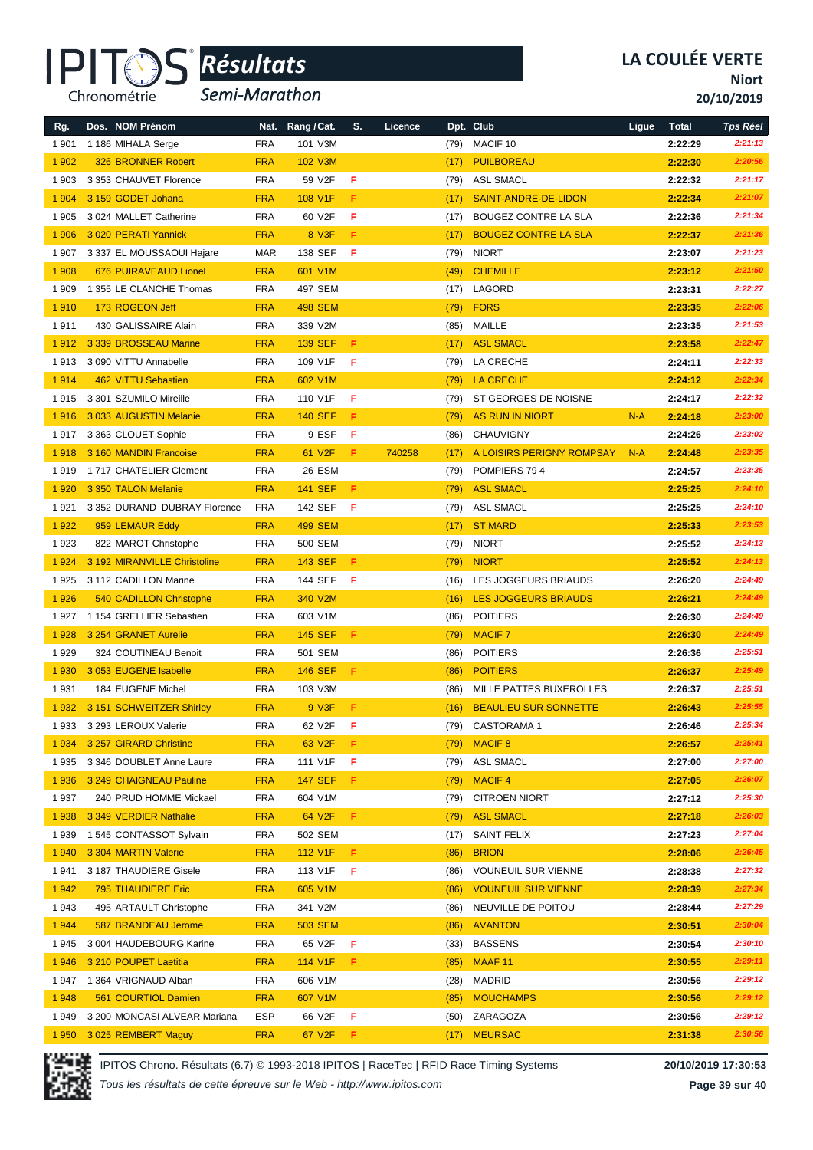

*Semi-Marathon*

**Niort**

**20/10/2019**

| Rg.     | Dos. NOM Prénom              | Nat.       | Rang / Cat.    | S. | Licence |              | Dpt. Club                    | Ligue | <b>Total</b> | <b>Tps Réel</b> |
|---------|------------------------------|------------|----------------|----|---------|--------------|------------------------------|-------|--------------|-----------------|
| 1 901   | 1 186 MIHALA Serge           | <b>FRA</b> | 101 V3M        |    |         | (79)         | MACIF <sub>10</sub>          |       | 2:22:29      | 2:21:13         |
| 1 9 0 2 | 326 BRONNER Robert           | <b>FRA</b> | 102 V3M        |    |         | (17)         | <b>PUILBOREAU</b>            |       | 2:22:30      | 2:20:56         |
| 1 903   | 3 353 CHAUVET Florence       | <b>FRA</b> | 59 V2F         | F  |         | (79)         | <b>ASL SMACL</b>             |       | 2:22:32      | 2:21:17         |
| 1 9 0 4 | 3 159 GODET Johana           | <b>FRA</b> | 108 V1F        | F  |         | (17)         | SAINT-ANDRE-DE-LIDON         |       | 2:22:34      | 2:21:07         |
| 1 9 0 5 | 3 024 MALLET Catherine       | <b>FRA</b> | 60 V2F         | F  |         | (17)         | BOUGEZ CONTRE LA SLA         |       | 2:22:36      | 2:21:34         |
| 1 906   | 3 020 PERATI Yannick         | <b>FRA</b> | 8 V3F          | F  |         | (17)         | <b>BOUGEZ CONTRE LA SLA</b>  |       | 2:22:37      | 2:21:36         |
| 1 907   | 3 337 EL MOUSSAOUI Hajare    | <b>MAR</b> | 138 SEF        | F  |         | (79)         | <b>NIORT</b>                 |       | 2:23:07      | 2:21:23         |
| 1 9 0 8 | 676 PUIRAVEAUD Lionel        | <b>FRA</b> | 601 V1M        |    |         | (49)         | <b>CHEMILLE</b>              |       | 2:23:12      | 2:21:50         |
| 1 909   | 1 355 LE CLANCHE Thomas      | <b>FRA</b> | 497 SEM        |    |         | (17)         | LAGORD                       |       | 2:23:31      | 2:22:27         |
| 1910    | 173 ROGEON Jeff              | <b>FRA</b> | <b>498 SEM</b> |    |         | (79)         | <b>FORS</b>                  |       | 2:23:35      | 2:22:06         |
| 1911    | 430 GALISSAIRE Alain         | <b>FRA</b> | 339 V2M        |    |         | (85)         | <b>MAILLE</b>                |       | 2:23:35      | 2:21:53         |
| 1912    | 3 339 BROSSEAU Marine        | <b>FRA</b> | <b>139 SEF</b> | F  |         | (17)         | <b>ASL SMACL</b>             |       | 2:23:58      | 2:22:47         |
| 1913    | 3 090 VITTU Annabelle        | <b>FRA</b> | 109 V1F        | F  |         | (79)         | LA CRECHE                    |       | 2:24:11      | 2:22:33         |
| 1914    | 462 VITTU Sebastien          | <b>FRA</b> | 602 V1M        |    |         | (79)         | <b>LA CRECHE</b>             |       | 2:24:12      | 2:22:34         |
| 1915    | 3 301 SZUMILO Mireille       | <b>FRA</b> | 110 V1F        | F  |         | (79)         | ST GEORGES DE NOISNE         |       | 2:24:17      | 2:22:32         |
| 1916    | 3 033 AUGUSTIN Melanie       | <b>FRA</b> | <b>140 SEF</b> | F  |         | (79)         | <b>AS RUN IN NIORT</b>       | $N-A$ | 2:24:18      | 2:23:00         |
| 1917    | 3 363 CLOUET Sophie          | <b>FRA</b> | 9 ESF          | F  |         | (86)         | <b>CHAUVIGNY</b>             |       | 2:24:26      | 2:23:02         |
| 1918    | 3 160 MANDIN Francoise       | <b>FRA</b> | 61 V2F         | F  | 740258  | (17)         | A LOISIRS PERIGNY ROMPSAY    | $N-A$ | 2:24:48      | 2:23:35         |
| 1919    | 1717 CHATELIER Clement       | <b>FRA</b> | 26 ESM         |    |         | (79)         | POMPIERS 794                 |       | 2:24:57      | 2:23:35         |
| 1 9 2 0 | 3 350 TALON Melanie          | <b>FRA</b> | <b>141 SEF</b> | F  |         | (79)         | <b>ASL SMACL</b>             |       | 2:25:25      | 2:24:10         |
| 1921    | 3 352 DURAND DUBRAY Florence | <b>FRA</b> | 142 SEF        | F  |         | (79)         | <b>ASL SMACL</b>             |       | 2:25:25      | 2:24:10         |
| 1922    | 959 LEMAUR Eddy              | <b>FRA</b> | <b>499 SEM</b> |    |         | (17)         | <b>ST MARD</b>               |       | 2:25:33      | 2:23:53         |
| 1923    | 822 MAROT Christophe         | <b>FRA</b> | 500 SEM        |    |         | (79)         | <b>NIORT</b>                 |       | 2:25:52      | 2:24:13         |
| 1 9 2 4 | 3 192 MIRANVILLE Christoline | <b>FRA</b> | <b>143 SEF</b> | F  |         | (79)         | <b>NIORT</b>                 |       | 2:25:52      | 2:24:13         |
| 1925    | 3 112 CADILLON Marine        | <b>FRA</b> | 144 SEF        | F  |         | (16)         | LES JOGGEURS BRIAUDS         |       | 2:26:20      | 2:24:49         |
| 1926    | 540 CADILLON Christophe      | <b>FRA</b> | 340 V2M        |    |         | (16)         | LES JOGGEURS BRIAUDS         |       | 2:26:21      | 2:24:49         |
| 1927    | 1 154 GRELLIER Sebastien     | <b>FRA</b> | 603 V1M        |    |         | (86)         | <b>POITIERS</b>              |       | 2:26:30      | 2:24:49         |
| 1928    | 3 254 GRANET Aurelie         | <b>FRA</b> | <b>145 SEF</b> | F  |         | (79)         | <b>MACIF7</b>                |       | 2:26:30      | 2:24:49         |
| 1929    | 324 COUTINEAU Benoit         | <b>FRA</b> | 501 SEM        |    |         | (86)         | <b>POITIERS</b>              |       | 2:26:36      | 2:25:51         |
| 1 9 3 0 | 3 053 EUGENE Isabelle        | <b>FRA</b> | <b>146 SEF</b> | F  |         | (86)         | <b>POITIERS</b>              |       | 2:26:37      | 2:25:49         |
| 1931    | 184 EUGENE Michel            | <b>FRA</b> | 103 V3M        |    |         | (86)         | MILLE PATTES BUXEROLLES      |       | 2:26:37      | 2:25:51         |
| 1932    | 3 151 SCHWEITZER Shirley     | <b>FRA</b> | 9 V3F          | F  |         | (16)         | <b>BEAULIEU SUR SONNETTE</b> |       | 2:26:43      | 2:25:55         |
| 1933    | 3 293 LEROUX Valerie         | <b>FRA</b> | 62 V2F         | F  |         | (79)         | <b>CASTORAMA1</b>            |       | 2:26:46      | 2:25:34         |
| 1 9 3 4 | 3 257 GIRARD Christine       | <b>FRA</b> | 63 V2F         | F  |         | (79)         | <b>MACIF 8</b>               |       | 2:26:57      | 2:25:41         |
| 1935    | 3 346 DOUBLET Anne Laure     | <b>FRA</b> | 111 V1F        | F  |         | (79)         | ASL SMACL                    |       | 2:27:00      | 2:27:00         |
| 1936    | 3 249 CHAIGNEAU Pauline      | <b>FRA</b> | <b>147 SEF</b> | F. |         | (79)         | <b>MACIF4</b>                |       | 2:27:05      | 2:26:07         |
| 1937    | 240 PRUD HOMME Mickael       | <b>FRA</b> | 604 V1M        |    |         | (79)         | <b>CITROEN NIORT</b>         |       | 2:27:12      | 2:25:30         |
| 1938    | 3 349 VERDIER Nathalie       | <b>FRA</b> | 64 V2F         | F. |         | (79)         | <b>ASL SMACL</b>             |       | 2:27:18      | 2:26:03         |
| 1939    | 1545 CONTASSOT Sylvain       | <b>FRA</b> | 502 SEM        |    |         | (17)         | SAINT FELIX                  |       | 2:27:23      | 2:27:04         |
| 1 9 4 0 | 3 304 MARTIN Valerie         | <b>FRA</b> | 112 V1F        | F  |         | (86)         | <b>BRION</b>                 |       | 2:28:06      | 2:26:45         |
| 1941    | 3 187 THAUDIERE Gisele       | <b>FRA</b> | 113 V1F        | F  |         | (86)         | <b>VOUNEUIL SUR VIENNE</b>   |       | 2:28:38      | 2:27:32         |
| 1942    | 795 THAUDIERE Eric           | <b>FRA</b> | 605 V1M        |    |         | (86)         | <b>VOUNEUIL SUR VIENNE</b>   |       | 2:28:39      | 2:27:34         |
| 1943    | 495 ARTAULT Christophe       | <b>FRA</b> | 341 V2M        |    |         | (86)         | NEUVILLE DE POITOU           |       | 2:28:44      | 2:27:29         |
| 1944    | 587 BRANDEAU Jerome          | <b>FRA</b> | 503 SEM        |    |         | (86)         | <b>AVANTON</b>               |       | 2:30:51      | 2:30:04         |
| 1945    | 3 004 HAUDEBOURG Karine      | <b>FRA</b> | 65 V2F         | F  |         | (33)         | <b>BASSENS</b>               |       | 2:30:54      | 2:30:10         |
| 1946    | 3 210 POUPET Laetitia        | <b>FRA</b> | 114 V1F        | F. |         |              | MAAF <sub>11</sub>           |       | 2:30:55      | 2:29:11         |
| 1947    | 1 364 VRIGNAUD Alban         | <b>FRA</b> | 606 V1M        |    |         | (85)<br>(28) | MADRID                       |       | 2:30:56      | 2:29:12         |
| 1948    | 561 COURTIOL Damien          | <b>FRA</b> | 607 V1M        |    |         | (85)         | <b>MOUCHAMPS</b>             |       | 2:30:56      | 2:29:12         |
| 1949    | 3 200 MONCASI ALVEAR Mariana | <b>ESP</b> | 66 V2F         | F  |         | (50)         | ZARAGOZA                     |       | 2:30:56      | 2:29:12         |
| 1950    | 3 025 REMBERT Maguy          | <b>FRA</b> | 67 V2F         | F. |         | (17)         | <b>MEURSAC</b>               |       | 2:31:38      | 2:30:56         |
|         |                              |            |                |    |         |              |                              |       |              |                 |

IPITOS Chrono. Résultats (6.7) © 1993-2018 IPITOS | RaceTec | RFID Race Timing Systems **20/10/2019 17:30:53**